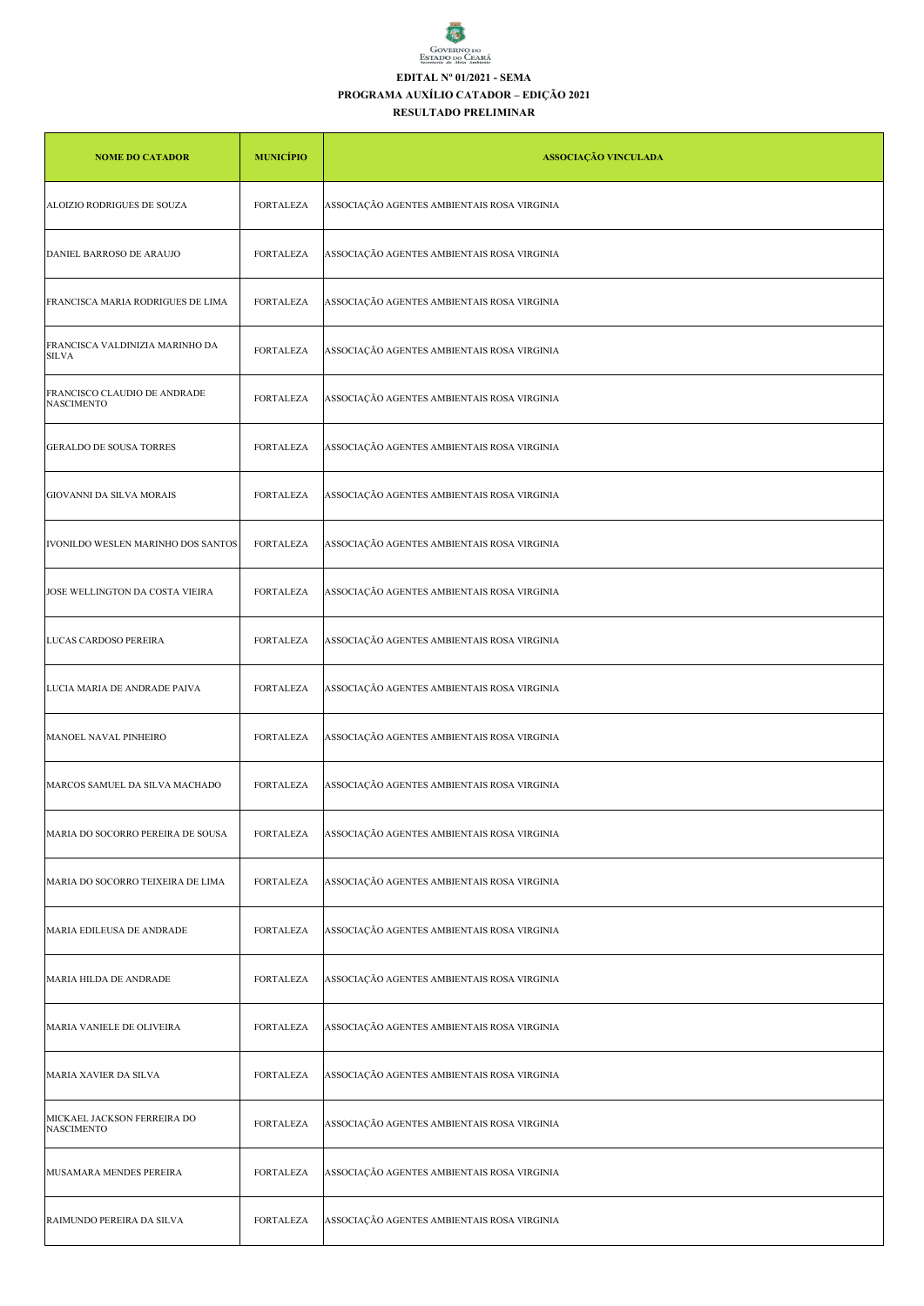

## **EDITAL Nº 01/2021 - SEMA**

## **PROGRAMA AUXÍLIO CATADOR – EDIÇÃO 2021**

## **RESULTADO PRELIMINAR**

| <b>NOME DO CATADOR</b>                            | <b>MUNICÍPIO</b> | <b>ASSOCIAÇÃO VINCULADA</b>                 |
|---------------------------------------------------|------------------|---------------------------------------------|
| ALOIZIO RODRIGUES DE SOUZA                        | <b>FORTALEZA</b> | ASSOCIAÇÃO AGENTES AMBIENTAIS ROSA VIRGINIA |
| DANIEL BARROSO DE ARAUJO                          | <b>FORTALEZA</b> | ASSOCIAÇÃO AGENTES AMBIENTAIS ROSA VIRGINIA |
| FRANCISCA MARIA RODRIGUES DE LIMA                 | FORTALEZA        | ASSOCIAÇÃO AGENTES AMBIENTAIS ROSA VIRGINIA |
| FRANCISCA VALDINIZIA MARINHO DA<br><b>SILVA</b>   | FORTALEZA        | ASSOCIAÇÃO AGENTES AMBIENTAIS ROSA VIRGINIA |
| FRANCISCO CLAUDIO DE ANDRADE<br><b>NASCIMENTO</b> | <b>FORTALEZA</b> | ASSOCIAÇÃO AGENTES AMBIENTAIS ROSA VIRGINIA |
| <b>GERALDO DE SOUSA TORRES</b>                    | <b>FORTALEZA</b> | ASSOCIAÇÃO AGENTES AMBIENTAIS ROSA VIRGINIA |
| GIOVANNI DA SILVA MORAIS                          | <b>FORTALEZA</b> | ASSOCIAÇÃO AGENTES AMBIENTAIS ROSA VIRGINIA |
| IVONILDO WESLEN MARINHO DOS SANTOS                | FORTALEZA        | ASSOCIAÇÃO AGENTES AMBIENTAIS ROSA VIRGINIA |
| JOSE WELLINGTON DA COSTA VIEIRA                   | FORTALEZA        | ASSOCIAÇÃO AGENTES AMBIENTAIS ROSA VIRGINIA |
| LUCAS CARDOSO PEREIRA                             | <b>FORTALEZA</b> | ASSOCIAÇÃO AGENTES AMBIENTAIS ROSA VIRGINIA |
| LUCIA MARIA DE ANDRADE PAIVA                      | <b>FORTALEZA</b> | ASSOCIAÇÃO AGENTES AMBIENTAIS ROSA VIRGINIA |
| MANOEL NAVAL PINHEIRO                             | <b>FORTALEZA</b> | ASSOCIAÇÃO AGENTES AMBIENTAIS ROSA VIRGINIA |
| MARCOS SAMUEL DA SILVA MACHADO                    | <b>FORTALEZA</b> | ASSOCIAÇÃO AGENTES AMBIENTAIS ROSA VIRGINIA |
| MARIA DO SOCORRO PEREIRA DE SOUSA                 | FORTALEZA        | ASSOCIAÇÃO AGENTES AMBIENTAIS ROSA VIRGINIA |
| MARIA DO SOCORRO TEIXEIRA DE LIMA                 | <b>FORTALEZA</b> | ASSOCIAÇÃO AGENTES AMBIENTAIS ROSA VIRGINIA |
| MARIA EDILEUSA DE ANDRADE                         | <b>FORTALEZA</b> | ASSOCIAÇÃO AGENTES AMBIENTAIS ROSA VIRGINIA |
| MARIA HILDA DE ANDRADE                            | <b>FORTALEZA</b> | ASSOCIAÇÃO AGENTES AMBIENTAIS ROSA VIRGINIA |
| MARIA VANIELE DE OLIVEIRA                         | FORTALEZA        | ASSOCIAÇÃO AGENTES AMBIENTAIS ROSA VIRGINIA |
| MARIA XAVIER DA SILVA                             | <b>FORTALEZA</b> | ASSOCIAÇÃO AGENTES AMBIENTAIS ROSA VIRGINIA |
| MICKAEL JACKSON FERREIRA DO<br><b>NASCIMENTO</b>  | FORTALEZA        | ASSOCIAÇÃO AGENTES AMBIENTAIS ROSA VIRGINIA |
| MUSAMARA MENDES PEREIRA                           | <b>FORTALEZA</b> | ASSOCIAÇÃO AGENTES AMBIENTAIS ROSA VIRGINIA |
| RAIMUNDO PEREIRA DA SILVA                         | <b>FORTALEZA</b> | ASSOCIAÇÃO AGENTES AMBIENTAIS ROSA VIRGINIA |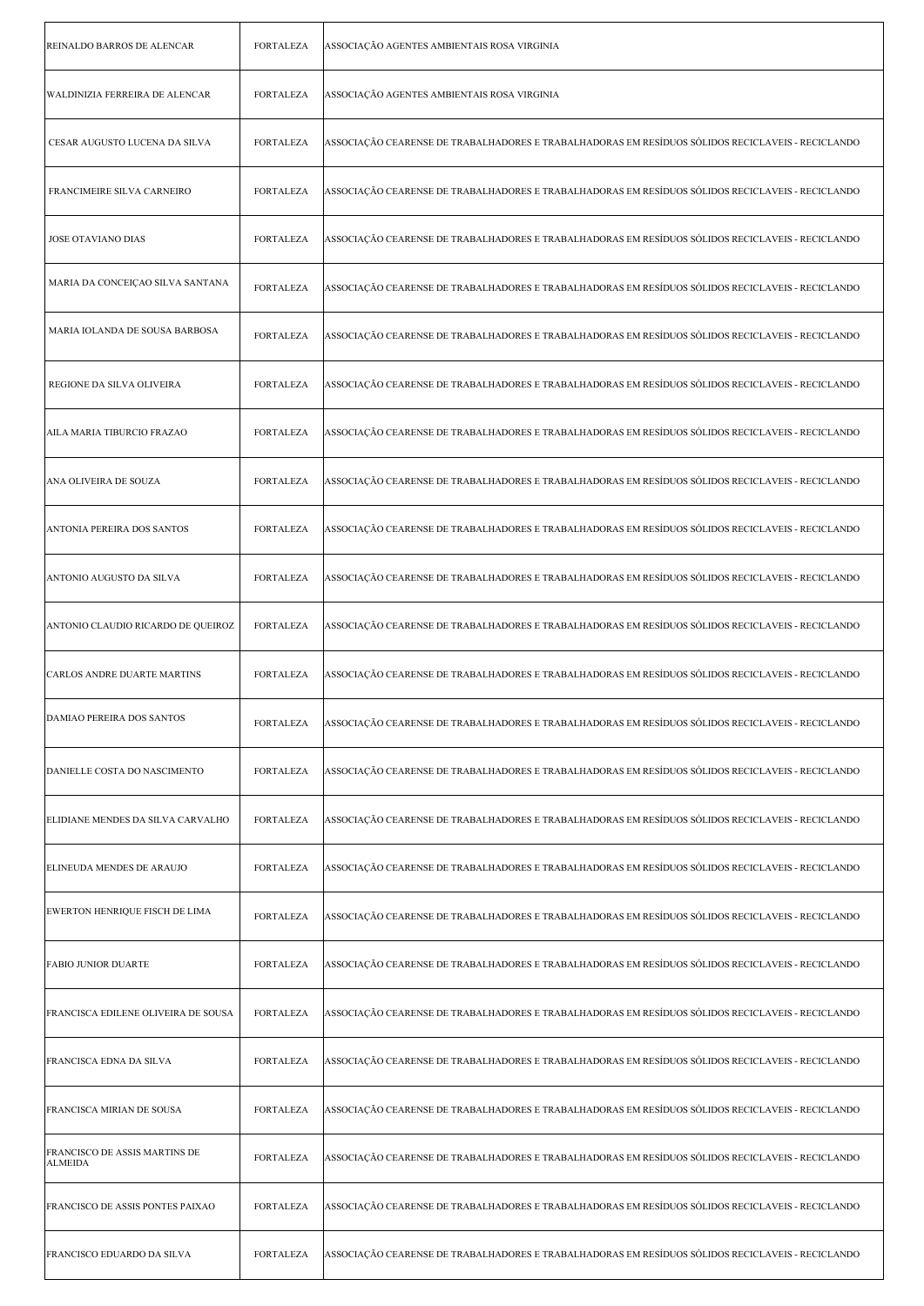| REINALDO BARROS DE ALENCAR                      | <b>FORTALEZA</b> | ASSOCIAÇÃO AGENTES AMBIENTAIS ROSA VIRGINIA                                                       |
|-------------------------------------------------|------------------|---------------------------------------------------------------------------------------------------|
| WALDINIZIA FERREIRA DE ALENCAR                  | <b>FORTALEZA</b> | ASSOCIAÇÃO AGENTES AMBIENTAIS ROSA VIRGINIA                                                       |
| CESAR AUGUSTO LUCENA DA SILVA                   | <b>FORTALEZA</b> | ASSOCIAÇÃO CEARENSE DE TRABALHADORES E TRABALHADORAS EM RESÍDUOS SÓLIDOS RECICLAVEIS - RECICLANDO |
| FRANCIMEIRE SILVA CARNEIRO                      | <b>FORTALEZA</b> | ASSOCIAÇÃO CEARENSE DE TRABALHADORES E TRABALHADORAS EM RESÍDUOS SÓLIDOS RECICLAVEIS - RECICLANDO |
| <b>JOSE OTAVIANO DIAS</b>                       | <b>FORTALEZA</b> | ASSOCIAÇÃO CEARENSE DE TRABALHADORES E TRABALHADORAS EM RESÍDUOS SÓLIDOS RECICLAVEIS - RECICLANDO |
| MARIA DA CONCEIÇAO SILVA SANTANA                | <b>FORTALEZA</b> | ASSOCIAÇÃO CEARENSE DE TRABALHADORES E TRABALHADORAS EM RESÍDUOS SÓLIDOS RECICLAVEIS - RECICLANDO |
| MARIA IOLANDA DE SOUSA BARBOSA                  | <b>FORTALEZA</b> | ASSOCIAÇÃO CEARENSE DE TRABALHADORES E TRABALHADORAS EM RESÍDUOS SÓLIDOS RECICLAVEIS - RECICLANDO |
| REGIONE DA SILVA OLIVEIRA                       | <b>FORTALEZA</b> | ASSOCIAÇÃO CEARENSE DE TRABALHADORES E TRABALHADORAS EM RESÍDUOS SÓLIDOS RECICLAVEIS - RECICLANDO |
| AILA MARIA TIBURCIO FRAZAO                      | <b>FORTALEZA</b> | ASSOCIAÇÃO CEARENSE DE TRABALHADORES E TRABALHADORAS EM RESÍDUOS SÓLIDOS RECICLAVEIS - RECICLANDO |
| ANA OLIVEIRA DE SOUZA                           | <b>FORTALEZA</b> | ASSOCIAÇÃO CEARENSE DE TRABALHADORES E TRABALHADORAS EM RESÍDUOS SÓLIDOS RECICLAVEIS - RECICLANDO |
| ANTONIA PEREIRA DOS SANTOS                      | <b>FORTALEZA</b> | ASSOCIAÇÃO CEARENSE DE TRABALHADORES E TRABALHADORAS EM RESÍDUOS SÓLIDOS RECICLAVEIS - RECICLANDO |
| ANTONIO AUGUSTO DA SILVA                        | <b>FORTALEZA</b> | ASSOCIAÇÃO CEARENSE DE TRABALHADORES E TRABALHADORAS EM RESÍDUOS SÓLIDOS RECICLAVEIS - RECICLANDO |
| ANTONIO CLAUDIO RICARDO DE QUEIROZ              | <b>FORTALEZA</b> | ASSOCIAÇÃO CEARENSE DE TRABALHADORES E TRABALHADORAS EM RESÍDUOS SÓLIDOS RECICLAVEIS - RECICLANDO |
| <b>CARLOS ANDRE DUARTE MARTINS</b>              | <b>FORTALEZA</b> | ASSOCIAÇÃO CEARENSE DE TRABALHADORES E TRABALHADORAS EM RESÍDUOS SÓLIDOS RECICLAVEIS - RECICLANDO |
| DAMIAO PEREIRA DOS SANTOS                       | FORTALEZA        | ASSOCIAÇÃO CEARENSE DE TRABALHADORES E TRABALHADORAS EM RESÍDUOS SÓLIDOS RECICLAVEIS - RECICLANDO |
| DANIELLE COSTA DO NASCIMENTO                    | <b>FORTALEZA</b> | ASSOCIAÇÃO CEARENSE DE TRABALHADORES E TRABALHADORAS EM RESÍDUOS SÓLIDOS RECICLAVEIS - RECICLANDO |
| ELIDIANE MENDES DA SILVA CARVALHO               | FORTALEZA        | ASSOCIAÇÃO CEARENSE DE TRABALHADORES E TRABALHADORAS EM RESÍDUOS SÓLIDOS RECICLAVEIS - RECICLANDO |
| ELINEUDA MENDES DE ARAUJO                       | <b>FORTALEZA</b> | ASSOCIAÇÃO CEARENSE DE TRABALHADORES E TRABALHADORAS EM RESÍDUOS SÓLIDOS RECICLAVEIS - RECICLANDO |
| EWERTON HENRIQUE FISCH DE LIMA                  | <b>FORTALEZA</b> | ASSOCIAÇÃO CEARENSE DE TRABALHADORES E TRABALHADORAS EM RESÍDUOS SÓLIDOS RECICLAVEIS - RECICLANDO |
| <b>FABIO JUNIOR DUARTE</b>                      | FORTALEZA        | ASSOCIAÇÃO CEARENSE DE TRABALHADORES E TRABALHADORAS EM RESÍDUOS SÓLIDOS RECICLAVEIS - RECICLANDO |
| FRANCISCA EDILENE OLIVEIRA DE SOUSA             | <b>FORTALEZA</b> | ASSOCIAÇÃO CEARENSE DE TRABALHADORES E TRABALHADORAS EM RESÍDUOS SÓLIDOS RECICLAVEIS - RECICLANDO |
| FRANCISCA EDNA DA SILVA                         | FORTALEZA        | ASSOCIAÇÃO CEARENSE DE TRABALHADORES E TRABALHADORAS EM RESÍDUOS SÓLIDOS RECICLAVEIS - RECICLANDO |
| FRANCISCA MIRIAN DE SOUSA                       | <b>FORTALEZA</b> | ASSOCIAÇÃO CEARENSE DE TRABALHADORES E TRABALHADORAS EM RESÍDUOS SÓLIDOS RECICLAVEIS - RECICLANDO |
| FRANCISCO DE ASSIS MARTINS DE<br><b>ALMEIDA</b> | <b>FORTALEZA</b> | ASSOCIAÇÃO CEARENSE DE TRABALHADORES E TRABALHADORAS EM RESÍDUOS SÓLIDOS RECICLAVEIS - RECICLANDO |
| FRANCISCO DE ASSIS PONTES PAIXAO                | FORTALEZA        | ASSOCIAÇÃO CEARENSE DE TRABALHADORES E TRABALHADORAS EM RESÍDUOS SÓLIDOS RECICLAVEIS - RECICLANDO |
| FRANCISCO EDUARDO DA SILVA                      | FORTALEZA        | ASSOCIAÇÃO CEARENSE DE TRABALHADORES E TRABALHADORAS EM RESÍDUOS SÓLIDOS RECICLAVEIS - RECICLANDO |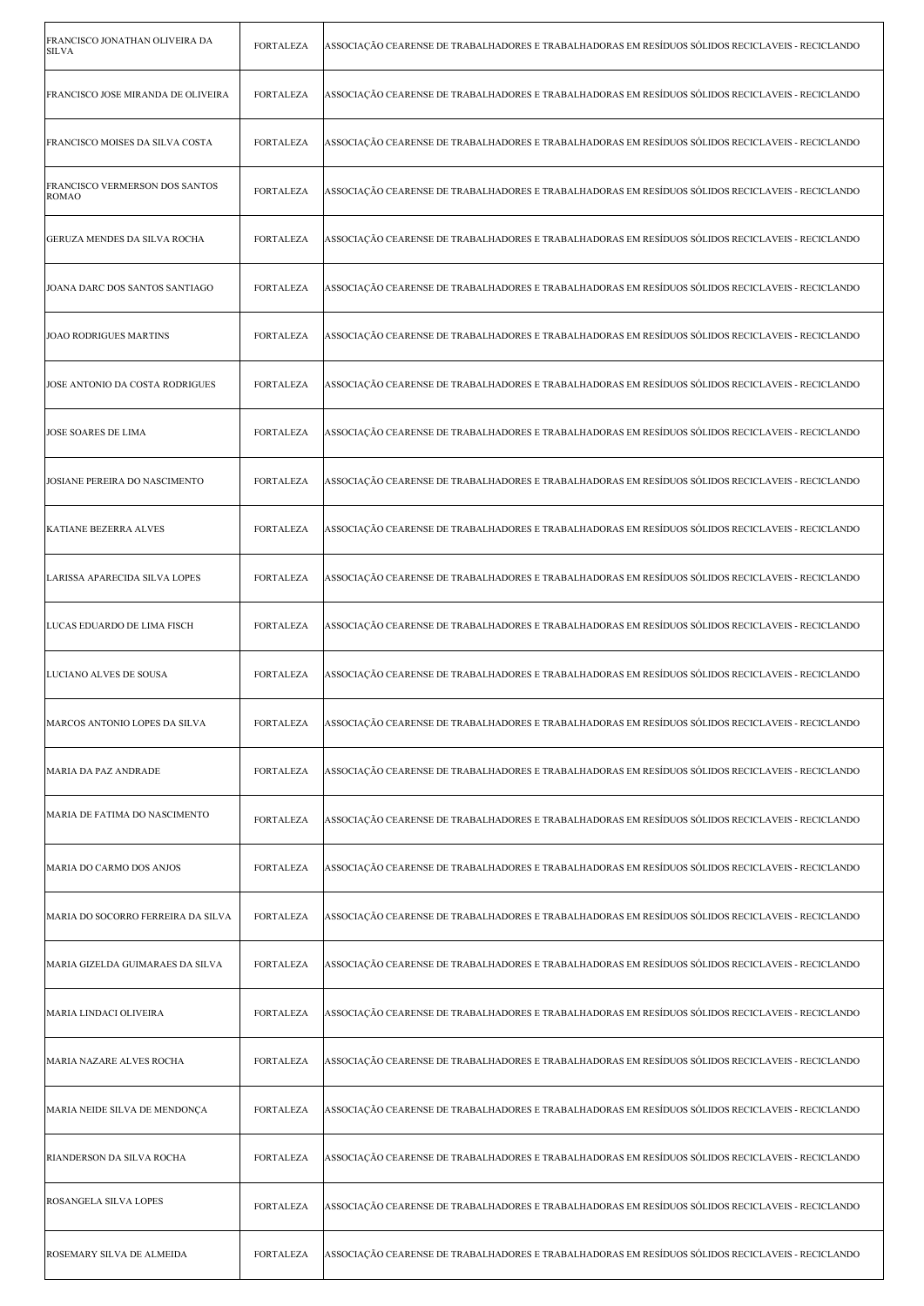| FRANCISCO JONATHAN OLIVEIRA DA<br><b>SILVA</b> | <b>FORTALEZA</b> | ASSOCIAÇÃO CEARENSE DE TRABALHADORES E TRABALHADORAS EM RESÍDUOS SÓLIDOS RECICLAVEIS - RECICLANDO |
|------------------------------------------------|------------------|---------------------------------------------------------------------------------------------------|
| FRANCISCO JOSE MIRANDA DE OLIVEIRA             | <b>FORTALEZA</b> | ASSOCIAÇÃO CEARENSE DE TRABALHADORES E TRABALHADORAS EM RESÍDUOS SÓLIDOS RECICLAVEIS - RECICLANDO |
| FRANCISCO MOISES DA SILVA COSTA                | FORTALEZA        | ASSOCIAÇÃO CEARENSE DE TRABALHADORES E TRABALHADORAS EM RESÍDUOS SÓLIDOS RECICLAVEIS - RECICLANDO |
| FRANCISCO VERMERSON DOS SANTOS<br><b>ROMAO</b> | FORTALEZA        | ASSOCIAÇÃO CEARENSE DE TRABALHADORES E TRABALHADORAS EM RESÍDUOS SÓLIDOS RECICLAVEIS - RECICLANDO |
| <b>GERUZA MENDES DA SILVA ROCHA</b>            | <b>FORTALEZA</b> | ASSOCIAÇÃO CEARENSE DE TRABALHADORES E TRABALHADORAS EM RESÍDUOS SÓLIDOS RECICLAVEIS - RECICLANDO |
| JOANA DARC DOS SANTOS SANTIAGO                 | <b>FORTALEZA</b> | ASSOCIAÇÃO CEARENSE DE TRABALHADORES E TRABALHADORAS EM RESÍDUOS SÓLIDOS RECICLAVEIS - RECICLANDO |
| <b>JOAO RODRIGUES MARTINS</b>                  | <b>FORTALEZA</b> | ASSOCIAÇÃO CEARENSE DE TRABALHADORES E TRABALHADORAS EM RESÍDUOS SÓLIDOS RECICLAVEIS - RECICLANDO |
| JOSE ANTONIO DA COSTA RODRIGUES                | FORTALEZA        | ASSOCIAÇÃO CEARENSE DE TRABALHADORES E TRABALHADORAS EM RESÍDUOS SÓLIDOS RECICLAVEIS - RECICLANDO |
| <b>JOSE SOARES DE LIMA</b>                     | <b>FORTALEZA</b> | ASSOCIAÇÃO CEARENSE DE TRABALHADORES E TRABALHADORAS EM RESÍDUOS SÓLIDOS RECICLAVEIS - RECICLANDO |
| JOSIANE PEREIRA DO NASCIMENTO                  | <b>FORTALEZA</b> | ASSOCIAÇÃO CEARENSE DE TRABALHADORES E TRABALHADORAS EM RESÍDUOS SÓLIDOS RECICLAVEIS - RECICLANDO |
| <b>KATIANE BEZERRA ALVES</b>                   | <b>FORTALEZA</b> | ASSOCIAÇÃO CEARENSE DE TRABALHADORES E TRABALHADORAS EM RESÍDUOS SÓLIDOS RECICLAVEIS - RECICLANDO |
| LARISSA APARECIDA SILVA LOPES                  | <b>FORTALEZA</b> | ASSOCIAÇÃO CEARENSE DE TRABALHADORES E TRABALHADORAS EM RESÍDUOS SÓLIDOS RECICLAVEIS - RECICLANDO |
| LUCAS EDUARDO DE LIMA FISCH                    | <b>FORTALEZA</b> | ASSOCIAÇÃO CEARENSE DE TRABALHADORES E TRABALHADORAS EM RESÍDUOS SÓLIDOS RECICLAVEIS - RECICLANDO |
|                                                |                  |                                                                                                   |
| LUCIANO ALVES DE SOUSA                         | <b>FORTALEZA</b> | ASSOCIAÇÃO CEARENSE DE TRABALHADORES E TRABALHADORAS EM RESÍDUOS SÓLIDOS RECICLAVEIS - RECICLANDO |
| MARCOS ANTONIO LOPES DA SILVA                  | FORTALEZA        | ASSOCIAÇÃO CEARENSE DE TRABALHADORES E TRABALHADORAS EM RESÍDUOS SÓLIDOS RECICLAVEIS - RECICLANDO |
| MARIA DA PAZ ANDRADE                           | <b>FORTALEZA</b> | ASSOCIAÇÃO CEARENSE DE TRABALHADORES E TRABALHADORAS EM RESÍDUOS SÓLIDOS RECICLAVEIS - RECICLANDO |
| MARIA DE FATIMA DO NASCIMENTO                  | <b>FORTALEZA</b> | ASSOCIAÇÃO CEARENSE DE TRABALHADORES E TRABALHADORAS EM RESÍDUOS SÓLIDOS RECICLAVEIS - RECICLANDO |
| MARIA DO CARMO DOS ANJOS                       | <b>FORTALEZA</b> | ASSOCIAÇÃO CEARENSE DE TRABALHADORES E TRABALHADORAS EM RESÍDUOS SÓLIDOS RECICLAVEIS - RECICLANDO |
| MARIA DO SOCORRO FERREIRA DA SILVA             | <b>FORTALEZA</b> | ASSOCIAÇÃO CEARENSE DE TRABALHADORES E TRABALHADORAS EM RESÍDUOS SÓLIDOS RECICLAVEIS - RECICLANDO |
| MARIA GIZELDA GUIMARAES DA SILVA               | FORTALEZA        | ASSOCIAÇÃO CEARENSE DE TRABALHADORES E TRABALHADORAS EM RESÍDUOS SÓLIDOS RECICLAVEIS - RECICLANDO |
| MARIA LINDACI OLIVEIRA                         | <b>FORTALEZA</b> | ASSOCIAÇÃO CEARENSE DE TRABALHADORES E TRABALHADORAS EM RESÍDUOS SÓLIDOS RECICLAVEIS - RECICLANDO |
| MARIA NAZARE ALVES ROCHA                       | <b>FORTALEZA</b> | ASSOCIAÇÃO CEARENSE DE TRABALHADORES E TRABALHADORAS EM RESÍDUOS SÓLIDOS RECICLAVEIS - RECICLANDO |
| MARIA NEIDE SILVA DE MENDONÇA                  | <b>FORTALEZA</b> | ASSOCIAÇÃO CEARENSE DE TRABALHADORES E TRABALHADORAS EM RESÍDUOS SÓLIDOS RECICLAVEIS - RECICLANDO |
| RIANDERSON DA SILVA ROCHA                      | <b>FORTALEZA</b> | ASSOCIAÇÃO CEARENSE DE TRABALHADORES E TRABALHADORAS EM RESÍDUOS SÓLIDOS RECICLAVEIS - RECICLANDO |
| ROSANGELA SILVA LOPES                          | FORTALEZA        | ASSOCIAÇÃO CEARENSE DE TRABALHADORES E TRABALHADORAS EM RESÍDUOS SÓLIDOS RECICLAVEIS - RECICLANDO |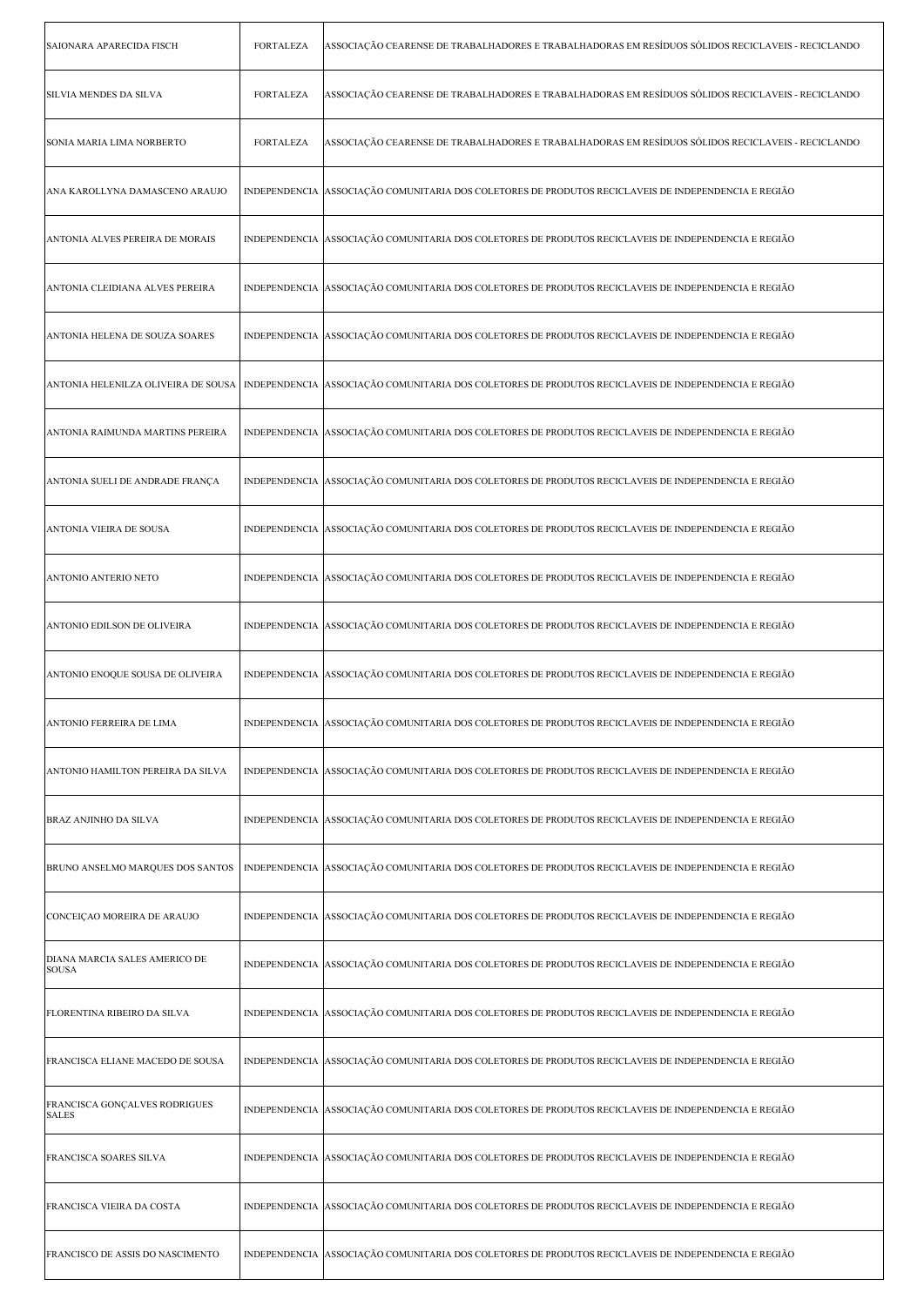| SAIONARA APARECIDA FISCH                      | FORTALEZA        | ASSOCIAÇÃO CEARENSE DE TRABALHADORES E TRABALHADORAS EM RESÍDUOS SÓLIDOS RECICLAVEIS - RECICLANDO                                           |
|-----------------------------------------------|------------------|---------------------------------------------------------------------------------------------------------------------------------------------|
| <b>SILVIA MENDES DA SILVA</b>                 | <b>FORTALEZA</b> | ASSOCIAÇÃO CEARENSE DE TRABALHADORES E TRABALHADORAS EM RESÍDUOS SÓLIDOS RECICLAVEIS - RECICLANDO                                           |
| SONIA MARIA LIMA NORBERTO                     | <b>FORTALEZA</b> | ASSOCIAÇÃO CEARENSE DE TRABALHADORES E TRABALHADORAS EM RESÍDUOS SÓLIDOS RECICLAVEIS - RECICLANDO                                           |
| ANA KAROLLYNA DAMASCENO ARAUJO                |                  | INDEPENDENCIA ASSOCIAÇÃO COMUNITARIA DOS COLETORES DE PRODUTOS RECICLAVEIS DE INDEPENDENCIA E REGIÃO                                        |
| ANTONIA ALVES PEREIRA DE MORAIS               |                  | INDEPENDENCIA ASSOCIAÇÃO COMUNITARIA DOS COLETORES DE PRODUTOS RECICLAVEIS DE INDEPENDENCIA E REGIÃO                                        |
| ANTONIA CLEIDIANA ALVES PEREIRA               |                  | INDEPENDENCIA ASSOCIAÇÃO COMUNITARIA DOS COLETORES DE PRODUTOS RECICLAVEIS DE INDEPENDENCIA E REGIÃO                                        |
| ANTONIA HELENA DE SOUZA SOARES                |                  | INDEPENDENCIA ASSOCIAÇÃO COMUNITARIA DOS COLETORES DE PRODUTOS RECICLAVEIS DE INDEPENDENCIA E REGIÃO                                        |
|                                               |                  | ANTONIA HELENILZA OLIVEIRA DE SOUSA   INDEPENDENCIA  ASSOCIAÇÃO COMUNITARIA DOS COLETORES DE PRODUTOS RECICLAVEIS DE INDEPENDENCIA E REGIÃO |
| ANTONIA RAIMUNDA MARTINS PEREIRA              |                  | INDEPENDENCIA ASSOCIAÇÃO COMUNITARIA DOS COLETORES DE PRODUTOS RECICLAVEIS DE INDEPENDENCIA E REGIÃO                                        |
| ANTONIA SUELI DE ANDRADE FRANÇA               |                  | INDEPENDENCIA ASSOCIAÇÃO COMUNITARIA DOS COLETORES DE PRODUTOS RECICLAVEIS DE INDEPENDENCIA E REGIÃO                                        |
| ANTONIA VIEIRA DE SOUSA                       |                  | INDEPENDENCIA ASSOCIAÇÃO COMUNITARIA DOS COLETORES DE PRODUTOS RECICLAVEIS DE INDEPENDENCIA E REGIÃO                                        |
| ANTONIO ANTERIO NETO                          |                  | INDEPENDENCIA ASSOCIAÇÃO COMUNITARIA DOS COLETORES DE PRODUTOS RECICLAVEIS DE INDEPENDENCIA E REGIÃO                                        |
| ANTONIO EDILSON DE OLIVEIRA                   |                  | INDEPENDENCIA ASSOCIAÇÃO COMUNITARIA DOS COLETORES DE PRODUTOS RECICLAVEIS DE INDEPENDENCIA E REGIÃO                                        |
| ANTONIO ENOQUE SOUSA DE OLIVEIRA              |                  | INDEPENDENCIA ASSOCIAÇÃO COMUNITARIA DOS COLETORES DE PRODUTOS RECICLAVEIS DE INDEPENDENCIA E REGIÃO                                        |
| ANTONIO FERREIRA DE LIMA                      |                  | INDEPENDENCIA ASSOCIAÇÃO COMUNITARIA DOS COLETORES DE PRODUTOS RECICLAVEIS DE INDEPENDENCIA E REGIÃO                                        |
| ANTONIO HAMILTON PEREIRA DA SILVA             |                  | INDEPENDENCIA ASSOCIAÇÃO COMUNITARIA DOS COLETORES DE PRODUTOS RECICLAVEIS DE INDEPENDENCIA E REGIÃO                                        |
| <b>BRAZ ANJINHO DA SILVA</b>                  |                  | INDEPENDENCIA ASSOCIAÇÃO COMUNITARIA DOS COLETORES DE PRODUTOS RECICLAVEIS DE INDEPENDENCIA E REGIÃO                                        |
| BRUNO ANSELMO MARQUES DOS SANTOS              |                  | INDEPENDENCIA ASSOCIAÇÃO COMUNITARIA DOS COLETORES DE PRODUTOS RECICLAVEIS DE INDEPENDENCIA E REGIÃO                                        |
| CONCEIÇAO MOREIRA DE ARAUJO                   |                  | INDEPENDENCIA ASSOCIAÇÃO COMUNITARIA DOS COLETORES DE PRODUTOS RECICLAVEIS DE INDEPENDENCIA E REGIÃO                                        |
| DIANA MARCIA SALES AMERICO DE<br><b>SOUSA</b> |                  | INDEPENDENCIA ASSOCIAÇÃO COMUNITARIA DOS COLETORES DE PRODUTOS RECICLAVEIS DE INDEPENDENCIA E REGIÃO                                        |
| FLORENTINA RIBEIRO DA SILVA                   |                  | INDEPENDENCIA ASSOCIAÇÃO COMUNITARIA DOS COLETORES DE PRODUTOS RECICLAVEIS DE INDEPENDENCIA E REGIÃO                                        |
| FRANCISCA ELIANE MACEDO DE SOUSA              |                  | INDEPENDENCIA  ASSOCIAÇÃO COMUNITARIA DOS COLETORES DE PRODUTOS RECICLAVEIS DE INDEPENDENCIA E REGIÃO                                       |
| FRANCISCA GONÇALVES RODRIGUES<br><b>SALES</b> |                  | INDEPENDENCIA ASSOCIAÇÃO COMUNITARIA DOS COLETORES DE PRODUTOS RECICLAVEIS DE INDEPENDENCIA E REGIÃO                                        |
| FRANCISCA SOARES SILVA                        |                  | INDEPENDENCIA ASSOCIAÇÃO COMUNITARIA DOS COLETORES DE PRODUTOS RECICLAVEIS DE INDEPENDENCIA E REGIÃO                                        |
| FRANCISCA VIEIRA DA COSTA                     |                  | INDEPENDENCIA ASSOCIAÇÃO COMUNITARIA DOS COLETORES DE PRODUTOS RECICLAVEIS DE INDEPENDENCIA E REGIÃO                                        |
| FRANCISCO DE ASSIS DO NASCIMENTO              |                  | INDEPENDENCIA ASSOCIAÇÃO COMUNITARIA DOS COLETORES DE PRODUTOS RECICLAVEIS DE INDEPENDENCIA E REGIÃO                                        |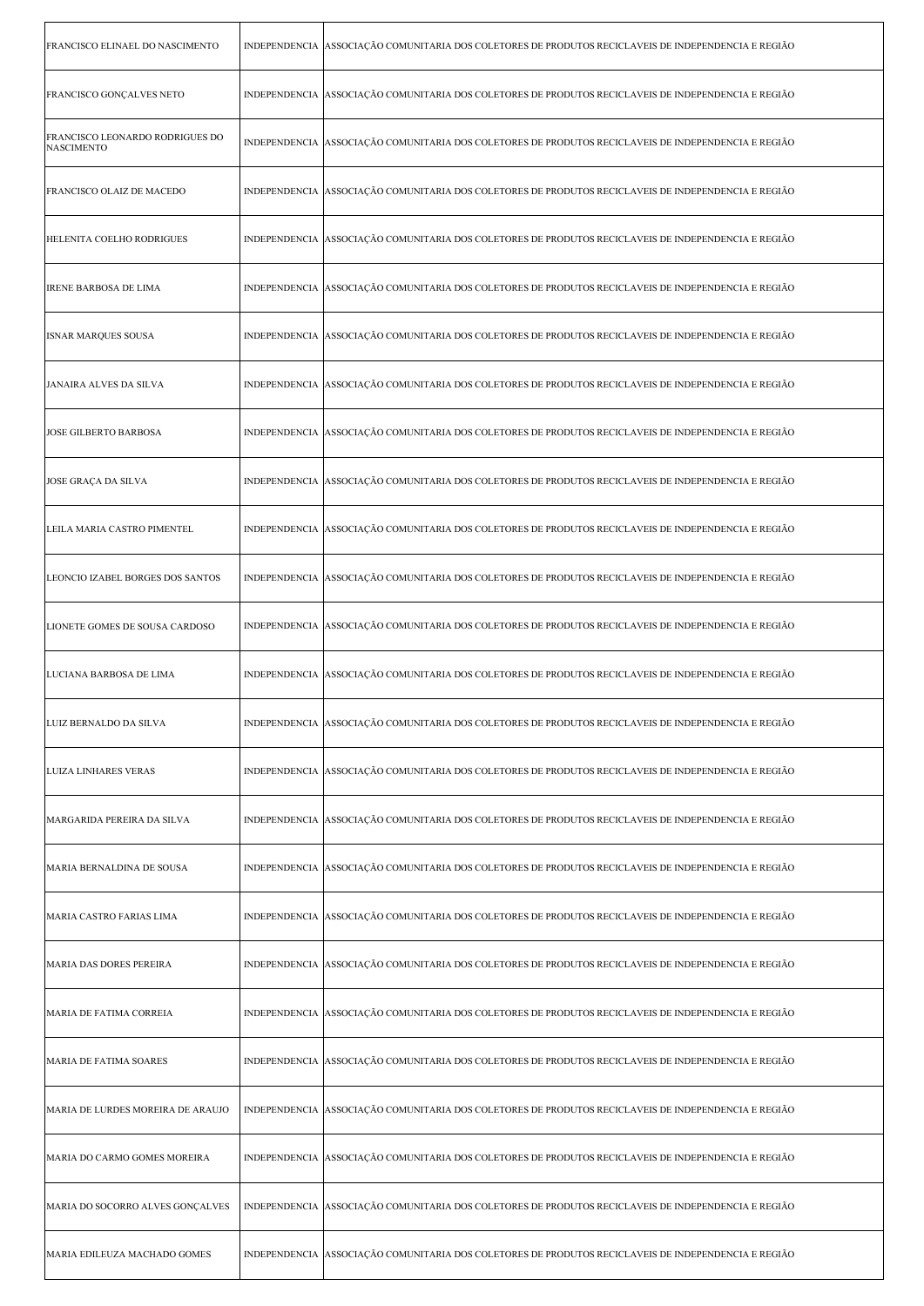| FRANCISCO ELINAEL DO NASCIMENTO                             | INDEPENDENCIA ASSOCIAÇÃO COMUNITARIA DOS COLETORES DE PRODUTOS RECICLAVEIS DE INDEPENDENCIA E REGIÃO   |
|-------------------------------------------------------------|--------------------------------------------------------------------------------------------------------|
| FRANCISCO GONÇALVES NETO                                    | INDEPENDENCIA ASSOCIAÇÃO COMUNITARIA DOS COLETORES DE PRODUTOS RECICLAVEIS DE INDEPENDENCIA E REGIÃO   |
| <b>FRANCISCO LEONARDO RODRIGUES DO</b><br><b>NASCIMENTO</b> | INDEPENDENCIA ASSOCIAÇÃO COMUNITARIA DOS COLETORES DE PRODUTOS RECICLAVEIS DE INDEPENDENCIA E REGIÃO   |
| FRANCISCO OLAIZ DE MACEDO                                   | INDEPENDENCIA ASSOCIAÇÃO COMUNITARIA DOS COLETORES DE PRODUTOS RECICLAVEIS DE INDEPENDENCIA E REGIÃO   |
| HELENITA COELHO RODRIGUES                                   | INDEPENDENCIA ASSOCIAÇÃO COMUNITARIA DOS COLETORES DE PRODUTOS RECICLAVEIS DE INDEPENDENCIA E REGIÃO   |
| <b>IRENE BARBOSA DE LIMA</b>                                | INDEPENDENCIA ASSOCIAÇÃO COMUNITARIA DOS COLETORES DE PRODUTOS RECICLAVEIS DE INDEPENDENCIA E REGIÃO   |
| <b>ISNAR MARQUES SOUSA</b>                                  | INDEPENDENCIA ASSOCIAÇÃO COMUNITARIA DOS COLETORES DE PRODUTOS RECICLAVEIS DE INDEPENDENCIA E REGIÃO   |
| JANAIRA ALVES DA SILVA                                      | INDEPENDENCIA ASSOCIAÇÃO COMUNITARIA DOS COLETORES DE PRODUTOS RECICLAVEIS DE INDEPENDENCIA E REGIÃO   |
| JOSE GILBERTO BARBOSA                                       | INDEPENDENCIA ASSOCIAÇÃO COMUNITARIA DOS COLETORES DE PRODUTOS RECICLAVEIS DE INDEPENDENCIA E REGIÃO   |
| JOSE GRAÇA DA SILVA                                         | INDEPENDENCIA ASSOCIAÇÃO COMUNITARIA DOS COLETORES DE PRODUTOS RECICLAVEIS DE INDEPENDENCIA E REGIÃO   |
| LEILA MARIA CASTRO PIMENTEL                                 | INDEPENDENCIA ASSOCIAÇÃO COMUNITARIA DOS COLETORES DE PRODUTOS RECICLAVEIS DE INDEPENDENCIA E REGIÃO   |
| LEONCIO IZABEL BORGES DOS SANTOS                            | INDEPENDENCIA ASSOCIAÇÃO COMUNITARIA DOS COLETORES DE PRODUTOS RECICLAVEIS DE INDEPENDENCIA E REGIÃO   |
| LIONETE GOMES DE SOUSA CARDOSO                              | INDEPENDENCIA ASSOCIAÇÃO COMUNITARIA DOS COLETORES DE PRODUTOS RECICLAVEIS DE INDEPENDENCIA E REGIÃO   |
| LUCIANA BARBOSA DE LIMA                                     | INDEPENDENCIA ASSOCIAÇÃO COMUNITARIA DOS COLETORES DE PRODUTOS RECICLAVEIS DE INDEPENDENCIA E REGIÃO   |
| LUIZ BERNALDO DA SILVA                                      | INDEPENDENCIA ASSOCIAÇÃO COMUNITARIA DOS COLETORES DE PRODUTOS RECICLAVEIS DE INDEPENDENCIA E REGIÃO   |
| <b>LUIZA LINHARES VERAS</b>                                 | INDEPENDENCIA ASSOCIAÇÃO COMUNITARIA DOS COLETORES DE PRODUTOS RECICLAVEIS DE INDEPENDENCIA E REGIÃO   |
| MARGARIDA PEREIRA DA SILVA                                  | INDEPENDENCIA ASSOCIAÇÃO COMUNITARIA DOS COLETORES DE PRODUTOS RECICLAVEIS DE INDEPENDENCIA E REGIÃO   |
| MARIA BERNALDINA DE SOUSA                                   | INDEPENDENCIA ASSOCIAÇÃO COMUNITARIA DOS COLETORES DE PRODUTOS RECICLAVEIS DE INDEPENDENCIA E REGIÃO   |
| MARIA CASTRO FARIAS LIMA                                    | INDEPENDENCIA ASSOCIAÇÃO COMUNITARIA DOS COLETORES DE PRODUTOS RECICLAVEIS DE INDEPENDENCIA E REGIÃO   |
| MARIA DAS DORES PEREIRA                                     | INDEPENDENCIA ASSOCIAÇÃO COMUNITARIA DOS COLETORES DE PRODUTOS RECICLAVEIS DE INDEPENDENCIA E REGIÃO   |
| MARIA DE FATIMA CORREIA                                     | INDEPENDENCIA   ASSOCIAÇÃO COMUNITARIA DOS COLETORES DE PRODUTOS RECICLAVEIS DE INDEPENDENCIA E REGIÃO |
| MARIA DE FATIMA SOARES                                      | INDEPENDENCIA ASSOCIAÇÃO COMUNITARIA DOS COLETORES DE PRODUTOS RECICLAVEIS DE INDEPENDENCIA E REGIÃO   |
| MARIA DE LURDES MOREIRA DE ARAUJO                           | INDEPENDENCIA ASSOCIAÇÃO COMUNITARIA DOS COLETORES DE PRODUTOS RECICLAVEIS DE INDEPENDENCIA E REGIÃO   |
| MARIA DO CARMO GOMES MOREIRA                                | INDEPENDENCIA ASSOCIAÇÃO COMUNITARIA DOS COLETORES DE PRODUTOS RECICLAVEIS DE INDEPENDENCIA E REGIÃO   |
| MARIA DO SOCORRO ALVES GONÇALVES                            | INDEPENDENCIA ASSOCIAÇÃO COMUNITARIA DOS COLETORES DE PRODUTOS RECICLAVEIS DE INDEPENDENCIA E REGIÃO   |
| MARIA EDILEUZA MACHADO GOMES                                | INDEPENDENCIA ASSOCIAÇÃO COMUNITARIA DOS COLETORES DE PRODUTOS RECICLAVEIS DE INDEPENDENCIA E REGIÃO   |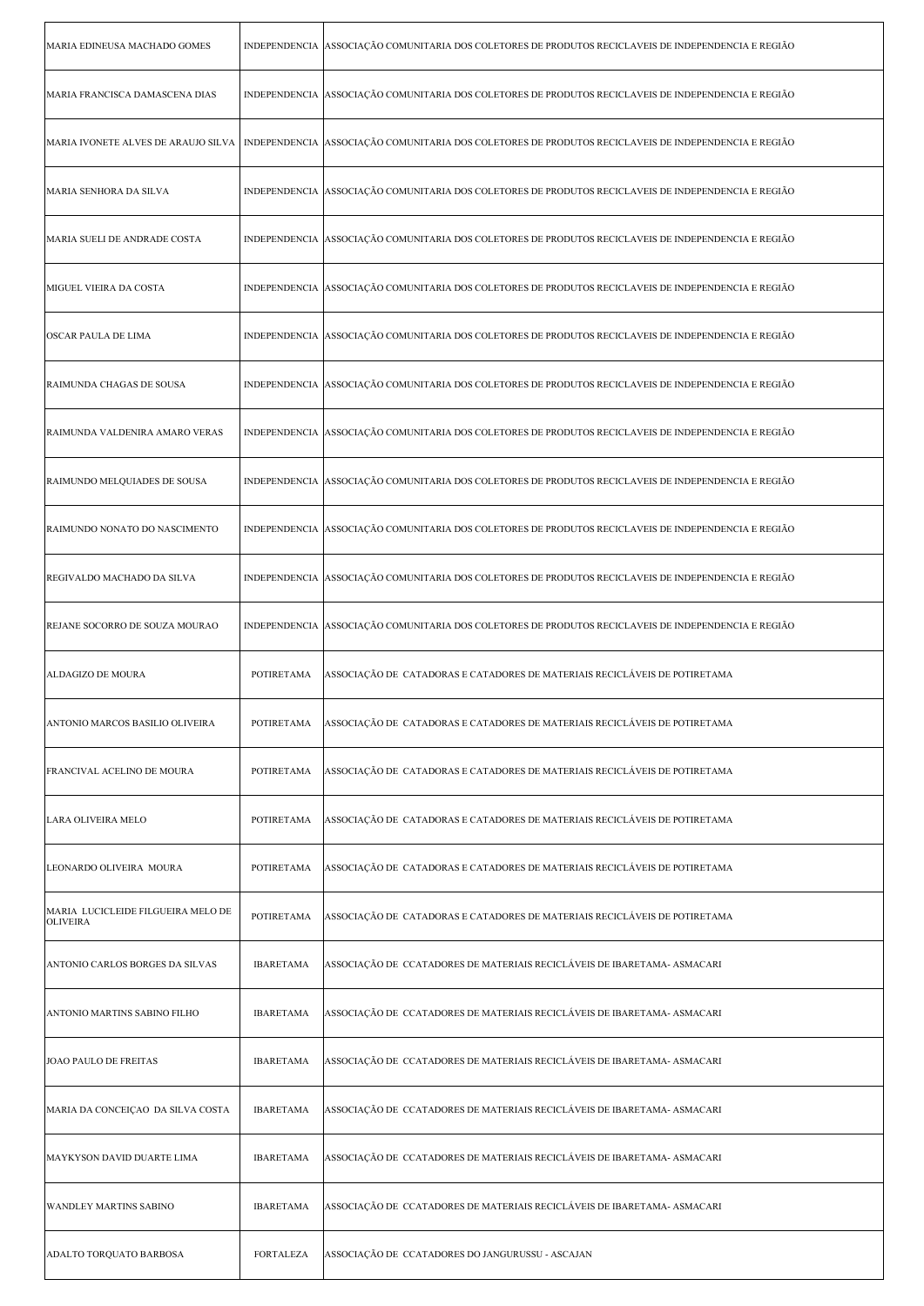| MARIA EDINEUSA MACHADO GOMES                          |                   | INDEPENDENCIA ASSOCIAÇÃO COMUNITARIA DOS COLETORES DE PRODUTOS RECICLAVEIS DE INDEPENDENCIA E REGIÃO                                        |
|-------------------------------------------------------|-------------------|---------------------------------------------------------------------------------------------------------------------------------------------|
| MARIA FRANCISCA DAMASCENA DIAS                        |                   | INDEPENDENCIA ASSOCIAÇÃO COMUNITARIA DOS COLETORES DE PRODUTOS RECICLAVEIS DE INDEPENDENCIA E REGIÃO                                        |
|                                                       |                   | MARIA IVONETE ALVES DE ARAUJO SILVA   INDEPENDENCIA  ASSOCIAÇÃO COMUNITARIA DOS COLETORES DE PRODUTOS RECICLAVEIS DE INDEPENDENCIA E REGIÃO |
| MARIA SENHORA DA SILVA                                |                   | INDEPENDENCIA ASSOCIAÇÃO COMUNITARIA DOS COLETORES DE PRODUTOS RECICLAVEIS DE INDEPENDENCIA E REGIÃO                                        |
| MARIA SUELI DE ANDRADE COSTA                          |                   | INDEPENDENCIA ASSOCIAÇÃO COMUNITARIA DOS COLETORES DE PRODUTOS RECICLAVEIS DE INDEPENDENCIA E REGIÃO                                        |
| MIGUEL VIEIRA DA COSTA                                |                   | INDEPENDENCIA ASSOCIAÇÃO COMUNITARIA DOS COLETORES DE PRODUTOS RECICLAVEIS DE INDEPENDENCIA E REGIÃO                                        |
| OSCAR PAULA DE LIMA                                   |                   | INDEPENDENCIA ASSOCIAÇÃO COMUNITARIA DOS COLETORES DE PRODUTOS RECICLAVEIS DE INDEPENDENCIA E REGIÃO                                        |
| RAIMUNDA CHAGAS DE SOUSA                              |                   | INDEPENDENCIA ASSOCIAÇÃO COMUNITARIA DOS COLETORES DE PRODUTOS RECICLAVEIS DE INDEPENDENCIA E REGIÃO                                        |
| RAIMUNDA VALDENIRA AMARO VERAS                        |                   | INDEPENDENCIA ASSOCIAÇÃO COMUNITARIA DOS COLETORES DE PRODUTOS RECICLAVEIS DE INDEPENDENCIA E REGIÃO                                        |
| RAIMUNDO MELQUIADES DE SOUSA                          |                   | INDEPENDENCIA ASSOCIAÇÃO COMUNITARIA DOS COLETORES DE PRODUTOS RECICLAVEIS DE INDEPENDENCIA E REGIÃO                                        |
| RAIMUNDO NONATO DO NASCIMENTO                         |                   | INDEPENDENCIA ASSOCIAÇÃO COMUNITARIA DOS COLETORES DE PRODUTOS RECICLAVEIS DE INDEPENDENCIA E REGIÃO                                        |
| REGIVALDO MACHADO DA SILVA                            |                   | INDEPENDENCIA ASSOCIAÇÃO COMUNITARIA DOS COLETORES DE PRODUTOS RECICLAVEIS DE INDEPENDENCIA E REGIÃO                                        |
| REJANE SOCORRO DE SOUZA MOURAO                        |                   | INDEPENDENCIA ASSOCIAÇÃO COMUNITARIA DOS COLETORES DE PRODUTOS RECICLAVEIS DE INDEPENDENCIA E REGIÃO                                        |
|                                                       |                   |                                                                                                                                             |
| ALDAGIZO DE MOURA                                     | <b>POTIRETAMA</b> | ASSOCIAÇÃO DE CATADORAS E CATADORES DE MATERIAIS RECICLÁVEIS DE POTIRETAMA                                                                  |
| ANTONIO MARCOS BASILIO OLIVEIRA                       | POTIRETAMA        | ASSOCIAÇÃO DE CATADORAS E CATADORES DE MATERIAIS RECICLÁVEIS DE POTIRETAMA                                                                  |
| <b>FRANCIVAL ACELINO DE MOURA</b>                     | POTIRETAMA        | ASSOCIAÇÃO DE CATADORAS E CATADORES DE MATERIAIS RECICLÁVEIS DE POTIRETAMA                                                                  |
| LARA OLIVEIRA MELO                                    | POTIRETAMA        | ASSOCIAÇÃO DE  CATADORAS E CATADORES DE MATERIAIS RECICLÁVEIS DE POTIRETAMA                                                                 |
| LEONARDO OLIVEIRA MOURA                               | POTIRETAMA        | ASSOCIAÇÃO DE CATADORAS E CATADORES DE MATERIAIS RECICLÁVEIS DE POTIRETAMA                                                                  |
| MARIA LUCICLEIDE FILGUEIRA MELO DE<br><b>OLIVEIRA</b> | <b>POTIRETAMA</b> | ASSOCIAÇÃO DE CATADORAS E CATADORES DE MATERIAIS RECICLÁVEIS DE POTIRETAMA                                                                  |
| ANTONIO CARLOS BORGES DA SILVAS                       | <b>IBARETAMA</b>  | ASSOCIAÇÃO DE CCATADORES DE MATERIAIS RECICLÁVEIS DE IBARETAMA- ASMACARI                                                                    |
| ANTONIO MARTINS SABINO FILHO                          | <b>IBARETAMA</b>  | ASSOCIAÇÃO DE CCATADORES DE MATERIAIS RECICLÁVEIS DE IBARETAMA- ASMACARI                                                                    |
| JOAO PAULO DE FREITAS                                 | <b>IBARETAMA</b>  | ASSOCIAÇÃO DE  CCATADORES DE MATERIAIS RECICLÁVEIS DE IBARETAMA- ASMACARI                                                                   |
| MARIA DA CONCEIÇAO DA SILVA COSTA                     | <b>IBARETAMA</b>  | ASSOCIAÇÃO DE  CCATADORES DE MATERIAIS RECICLÁVEIS DE IBARETAMA- ASMACARI                                                                   |
| MAYKYSON DAVID DUARTE LIMA                            | <b>IBARETAMA</b>  | ASSOCIAÇÃO DE CCATADORES DE MATERIAIS RECICLÁVEIS DE IBARETAMA- ASMACARI                                                                    |
| WANDLEY MARTINS SABINO                                | <b>IBARETAMA</b>  | ASSOCIAÇÃO DE CCATADORES DE MATERIAIS RECICLÁVEIS DE IBARETAMA- ASMACARI                                                                    |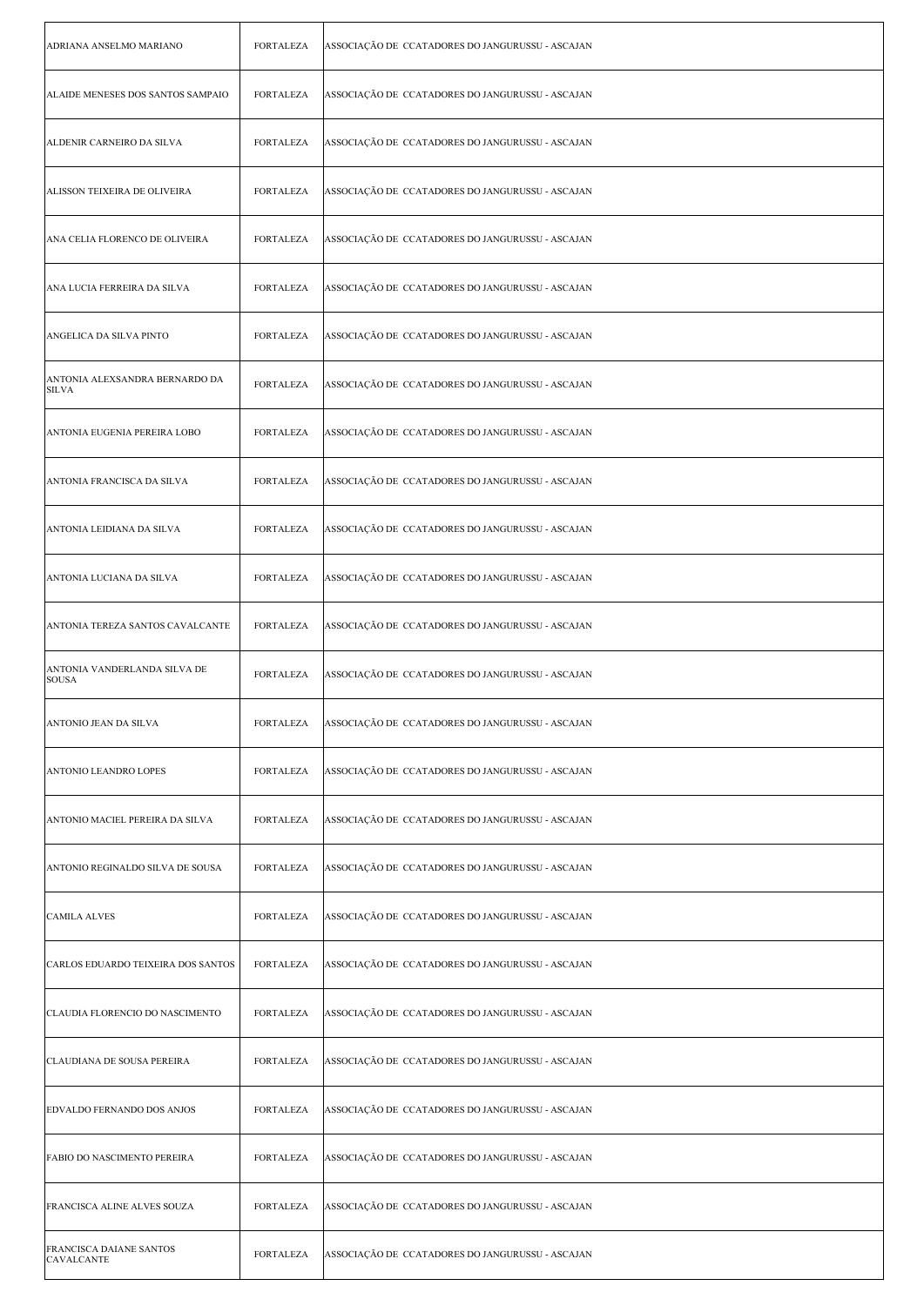| ADRIANA ANSELMO MARIANO                        | <b>FORTALEZA</b> | ASSOCIAÇÃO DE CCATADORES DO JANGURUSSU - ASCAJAN |
|------------------------------------------------|------------------|--------------------------------------------------|
| ALAIDE MENESES DOS SANTOS SAMPAIO              | <b>FORTALEZA</b> | ASSOCIAÇÃO DE CCATADORES DO JANGURUSSU - ASCAJAN |
| ALDENIR CARNEIRO DA SILVA                      | <b>FORTALEZA</b> | ASSOCIAÇÃO DE CCATADORES DO JANGURUSSU - ASCAJAN |
| ALISSON TEIXEIRA DE OLIVEIRA                   | <b>FORTALEZA</b> | ASSOCIAÇÃO DE CCATADORES DO JANGURUSSU - ASCAJAN |
| ANA CELIA FLORENCO DE OLIVEIRA                 | <b>FORTALEZA</b> | ASSOCIAÇÃO DE CCATADORES DO JANGURUSSU - ASCAJAN |
| ANA LUCIA FERREIRA DA SILVA                    | <b>FORTALEZA</b> | ASSOCIAÇÃO DE CCATADORES DO JANGURUSSU - ASCAJAN |
| ANGELICA DA SILVA PINTO                        | <b>FORTALEZA</b> | ASSOCIAÇÃO DE CCATADORES DO JANGURUSSU - ASCAJAN |
| ANTONIA ALEXSANDRA BERNARDO DA<br><b>SILVA</b> | <b>FORTALEZA</b> | ASSOCIAÇÃO DE CCATADORES DO JANGURUSSU - ASCAJAN |
| ANTONIA EUGENIA PEREIRA LOBO                   | <b>FORTALEZA</b> | ASSOCIAÇÃO DE CCATADORES DO JANGURUSSU - ASCAJAN |
| ANTONIA FRANCISCA DA SILVA                     | <b>FORTALEZA</b> | ASSOCIAÇÃO DE CCATADORES DO JANGURUSSU - ASCAJAN |
| ANTONIA LEIDIANA DA SILVA                      | <b>FORTALEZA</b> | ASSOCIAÇÃO DE CCATADORES DO JANGURUSSU - ASCAJAN |
| ANTONIA LUCIANA DA SILVA                       | <b>FORTALEZA</b> | ASSOCIAÇÃO DE CCATADORES DO JANGURUSSU - ASCAJAN |
| ANTONIA TEREZA SANTOS CAVALCANTE               | <b>FORTALEZA</b> | ASSOCIAÇÃO DE CCATADORES DO JANGURUSSU - ASCAJAN |
| ANTONIA VANDERLANDA SILVA DE<br><b>SOUSA</b>   | <b>FORTALEZA</b> | ASSOCIAÇÃO DE CCATADORES DO JANGURUSSU - ASCAJAN |
| ANTONIO JEAN DA SILVA                          | FORTALEZA        | ASSOCIAÇÃO DE CCATADORES DO JANGURUSSU - ASCAJAN |
| ANTONIO LEANDRO LOPES                          | <b>FORTALEZA</b> | ASSOCIAÇÃO DE CCATADORES DO JANGURUSSU - ASCAJAN |
| ANTONIO MACIEL PEREIRA DA SILVA                | <b>FORTALEZA</b> | ASSOCIAÇÃO DE CCATADORES DO JANGURUSSU - ASCAJAN |
| ANTONIO REGINALDO SILVA DE SOUSA               | FORTALEZA        | ASSOCIAÇÃO DE CCATADORES DO JANGURUSSU - ASCAJAN |
| <b>CAMILA ALVES</b>                            | <b>FORTALEZA</b> | ASSOCIAÇÃO DE CCATADORES DO JANGURUSSU - ASCAJAN |
| CARLOS EDUARDO TEIXEIRA DOS SANTOS             | <b>FORTALEZA</b> | ASSOCIAÇÃO DE CCATADORES DO JANGURUSSU - ASCAJAN |
| CLAUDIA FLORENCIO DO NASCIMENTO                | <b>FORTALEZA</b> | ASSOCIAÇÃO DE CCATADORES DO JANGURUSSU - ASCAJAN |
| CLAUDIANA DE SOUSA PEREIRA                     | <b>FORTALEZA</b> | ASSOCIAÇÃO DE CCATADORES DO JANGURUSSU - ASCAJAN |
| EDVALDO FERNANDO DOS ANJOS                     | FORTALEZA        | ASSOCIAÇÃO DE CCATADORES DO JANGURUSSU - ASCAJAN |
| FABIO DO NASCIMENTO PEREIRA                    | FORTALEZA        | ASSOCIAÇÃO DE CCATADORES DO JANGURUSSU - ASCAJAN |
| FRANCISCA ALINE ALVES SOUZA                    | <b>FORTALEZA</b> | ASSOCIAÇÃO DE CCATADORES DO JANGURUSSU - ASCAJAN |
| FRANCISCA DAIANE SANTOS<br><b>CAVALCANTE</b>   | <b>FORTALEZA</b> | ASSOCIAÇÃO DE CCATADORES DO JANGURUSSU - ASCAJAN |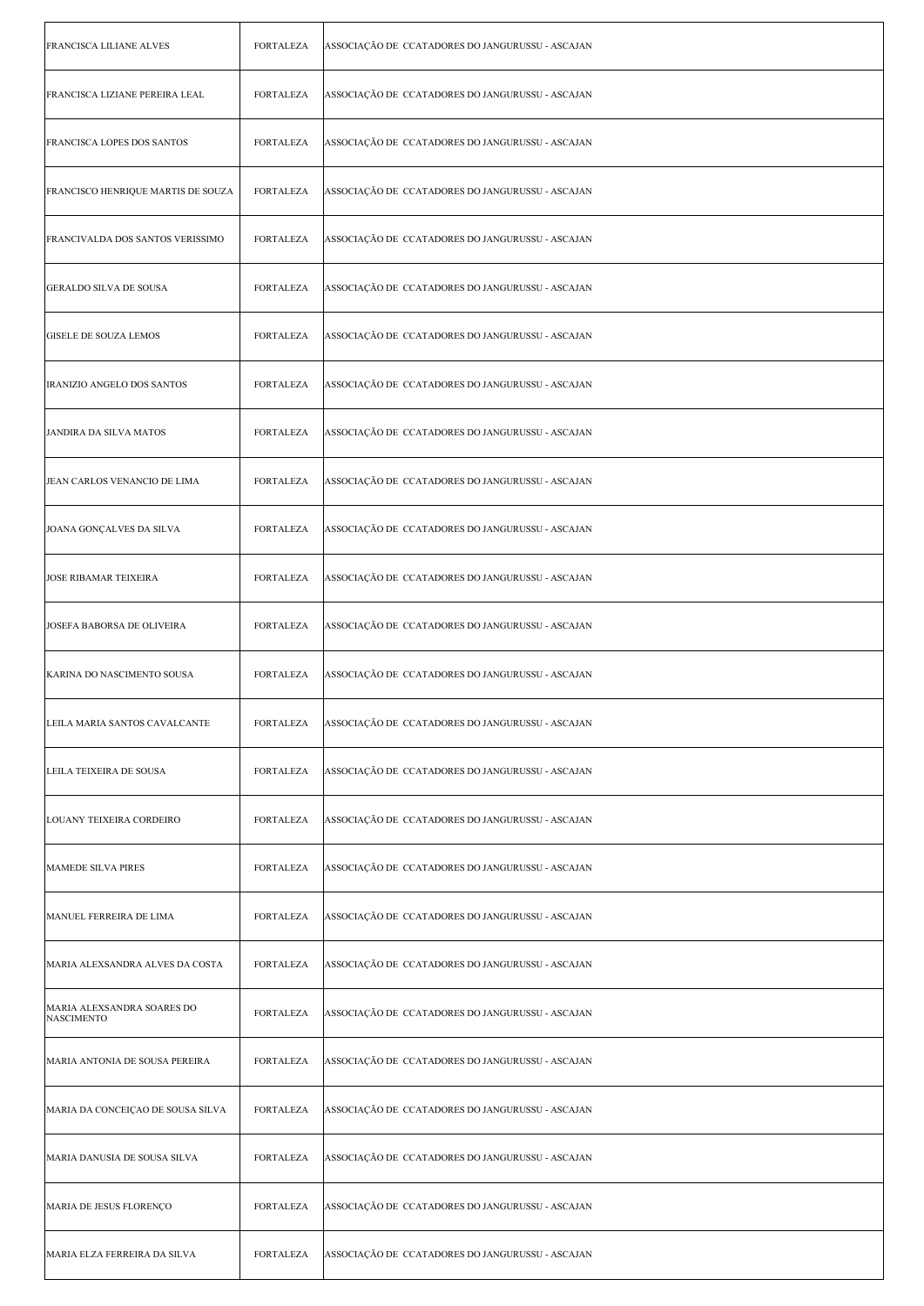| <b>FRANCISCA LILIANE ALVES</b>                  | FORTALEZA        | ASSOCIAÇÃO DE CCATADORES DO JANGURUSSU - ASCAJAN |
|-------------------------------------------------|------------------|--------------------------------------------------|
| FRANCISCA LIZIANE PEREIRA LEAL                  | FORTALEZA        | ASSOCIAÇÃO DE CCATADORES DO JANGURUSSU - ASCAJAN |
| <b>FRANCISCA LOPES DOS SANTOS</b>               | <b>FORTALEZA</b> | ASSOCIAÇÃO DE CCATADORES DO JANGURUSSU - ASCAJAN |
| FRANCISCO HENRIQUE MARTIS DE SOUZA              | <b>FORTALEZA</b> | ASSOCIAÇÃO DE CCATADORES DO JANGURUSSU - ASCAJAN |
| FRANCIVALDA DOS SANTOS VERISSIMO                | FORTALEZA        | ASSOCIAÇÃO DE CCATADORES DO JANGURUSSU - ASCAJAN |
| <b>GERALDO SILVA DE SOUSA</b>                   | FORTALEZA        | ASSOCIAÇÃO DE CCATADORES DO JANGURUSSU - ASCAJAN |
| <b>GISELE DE SOUZA LEMOS</b>                    | FORTALEZA        | ASSOCIAÇÃO DE CCATADORES DO JANGURUSSU - ASCAJAN |
| IRANIZIO ANGELO DOS SANTOS                      | FORTALEZA        | ASSOCIAÇÃO DE CCATADORES DO JANGURUSSU - ASCAJAN |
| JANDIRA DA SILVA MATOS                          | <b>FORTALEZA</b> | ASSOCIAÇÃO DE CCATADORES DO JANGURUSSU - ASCAJAN |
| JEAN CARLOS VENANCIO DE LIMA                    | FORTALEZA        | ASSOCIAÇÃO DE CCATADORES DO JANGURUSSU - ASCAJAN |
| JOANA GONÇALVES DA SILVA                        | FORTALEZA        | ASSOCIAÇÃO DE CCATADORES DO JANGURUSSU - ASCAJAN |
| <b>JOSE RIBAMAR TEIXEIRA</b>                    | FORTALEZA        | ASSOCIAÇÃO DE CCATADORES DO JANGURUSSU - ASCAJAN |
| JOSEFA BABORSA DE OLIVEIRA                      | <b>FORTALEZA</b> | ASSOCIAÇÃO DE CCATADORES DO JANGURUSSU - ASCAJAN |
| KARINA DO NASCIMENTO SOUSA                      | <b>FORTALEZA</b> | ASSOCIAÇÃO DE CCATADORES DO JANGURUSSU - ASCAJAN |
| LEILA MARIA SANTOS CAVALCANTE                   | FORTALEZA        | ASSOCIAÇÃO DE CCATADORES DO JANGURUSSU - ASCAJAN |
| LEILA TEIXEIRA DE SOUSA                         | <b>FORTALEZA</b> | ASSOCIAÇÃO DE CCATADORES DO JANGURUSSU - ASCAJAN |
| LOUANY TEIXEIRA CORDEIRO                        | <b>FORTALEZA</b> | ASSOCIAÇÃO DE CCATADORES DO JANGURUSSU - ASCAJAN |
| MAMEDE SILVA PIRES                              | <b>FORTALEZA</b> | ASSOCIAÇÃO DE CCATADORES DO JANGURUSSU - ASCAJAN |
| MANUEL FERREIRA DE LIMA                         | FORTALEZA        | ASSOCIAÇÃO DE CCATADORES DO JANGURUSSU - ASCAJAN |
| MARIA ALEXSANDRA ALVES DA COSTA                 | <b>FORTALEZA</b> | ASSOCIAÇÃO DE CCATADORES DO JANGURUSSU - ASCAJAN |
| MARIA ALEXSANDRA SOARES DO<br><b>NASCIMENTO</b> | FORTALEZA        | ASSOCIAÇÃO DE CCATADORES DO JANGURUSSU - ASCAJAN |
| MARIA ANTONIA DE SOUSA PEREIRA                  | <b>FORTALEZA</b> | ASSOCIAÇÃO DE CCATADORES DO JANGURUSSU - ASCAJAN |
| MARIA DA CONCEIÇAO DE SOUSA SILVA               | <b>FORTALEZA</b> | ASSOCIAÇÃO DE CCATADORES DO JANGURUSSU - ASCAJAN |
| MARIA DANUSIA DE SOUSA SILVA                    | FORTALEZA        | ASSOCIAÇÃO DE CCATADORES DO JANGURUSSU - ASCAJAN |
| MARIA DE JESUS FLORENÇO                         | <b>FORTALEZA</b> | ASSOCIAÇÃO DE CCATADORES DO JANGURUSSU - ASCAJAN |
| MARIA ELZA FERREIRA DA SILVA                    | <b>FORTALEZA</b> | ASSOCIAÇÃO DE CCATADORES DO JANGURUSSU - ASCAJAN |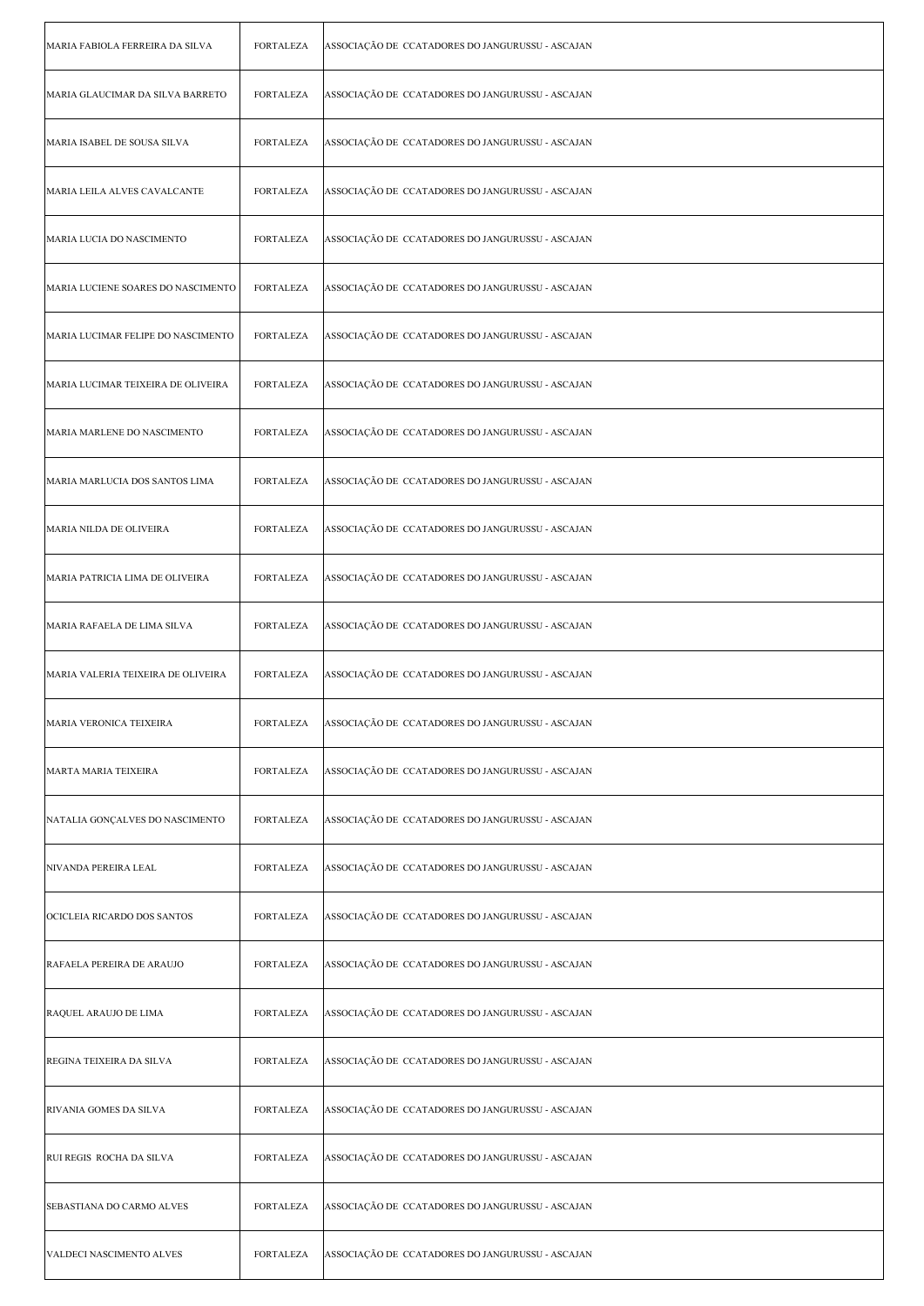| MARIA FABIOLA FERREIRA DA SILVA    | FORTALEZA        | ASSOCIAÇÃO DE CCATADORES DO JANGURUSSU - ASCAJAN |
|------------------------------------|------------------|--------------------------------------------------|
| MARIA GLAUCIMAR DA SILVA BARRETO   | <b>FORTALEZA</b> | ASSOCIAÇÃO DE CCATADORES DO JANGURUSSU - ASCAJAN |
| MARIA ISABEL DE SOUSA SILVA        | FORTALEZA        | ASSOCIAÇÃO DE CCATADORES DO JANGURUSSU - ASCAJAN |
| MARIA LEILA ALVES CAVALCANTE       | <b>FORTALEZA</b> | ASSOCIAÇÃO DE CCATADORES DO JANGURUSSU - ASCAJAN |
| MARIA LUCIA DO NASCIMENTO          | <b>FORTALEZA</b> | ASSOCIAÇÃO DE CCATADORES DO JANGURUSSU - ASCAJAN |
| MARIA LUCIENE SOARES DO NASCIMENTO | <b>FORTALEZA</b> | ASSOCIAÇÃO DE CCATADORES DO JANGURUSSU - ASCAJAN |
| MARIA LUCIMAR FELIPE DO NASCIMENTO | <b>FORTALEZA</b> | ASSOCIAÇÃO DE CCATADORES DO JANGURUSSU - ASCAJAN |
| MARIA LUCIMAR TEIXEIRA DE OLIVEIRA | FORTALEZA        | ASSOCIAÇÃO DE CCATADORES DO JANGURUSSU - ASCAJAN |
| MARIA MARLENE DO NASCIMENTO        | <b>FORTALEZA</b> | ASSOCIAÇÃO DE CCATADORES DO JANGURUSSU - ASCAJAN |
| MARIA MARLUCIA DOS SANTOS LIMA     | <b>FORTALEZA</b> | ASSOCIAÇÃO DE CCATADORES DO JANGURUSSU - ASCAJAN |
| MARIA NILDA DE OLIVEIRA            | <b>FORTALEZA</b> | ASSOCIAÇÃO DE CCATADORES DO JANGURUSSU - ASCAJAN |
| MARIA PATRICIA LIMA DE OLIVEIRA    | <b>FORTALEZA</b> | ASSOCIAÇÃO DE CCATADORES DO JANGURUSSU - ASCAJAN |
| MARIA RAFAELA DE LIMA SILVA        | <b>FORTALEZA</b> | ASSOCIAÇÃO DE CCATADORES DO JANGURUSSU - ASCAJAN |
| MARIA VALERIA TEIXEIRA DE OLIVEIRA | <b>FORTALEZA</b> | ASSOCIAÇÃO DE CCATADORES DO JANGURUSSU - ASCAJAN |
| MARIA VERONICA TEIXEIRA            | FORTALEZA        | ASSOCIAÇÃO DE CCATADORES DO JANGURUSSU - ASCAJAN |
| MARTA MARIA TEIXEIRA               | <b>FORTALEZA</b> | ASSOCIAÇÃO DE CCATADORES DO JANGURUSSU - ASCAJAN |
| NATALIA GONÇALVES DO NASCIMENTO    | <b>FORTALEZA</b> | ASSOCIAÇÃO DE CCATADORES DO JANGURUSSU - ASCAJAN |
| NIVANDA PEREIRA LEAL               | FORTALEZA        | ASSOCIAÇÃO DE CCATADORES DO JANGURUSSU - ASCAJAN |
| OCICLEIA RICARDO DOS SANTOS        | FORTALEZA        | ASSOCIAÇÃO DE CCATADORES DO JANGURUSSU - ASCAJAN |
| RAFAELA PEREIRA DE ARAUJO          | <b>FORTALEZA</b> | ASSOCIAÇÃO DE CCATADORES DO JANGURUSSU - ASCAJAN |
| RAQUEL ARAUJO DE LIMA              | <b>FORTALEZA</b> | ASSOCIAÇÃO DE CCATADORES DO JANGURUSSU - ASCAJAN |
| REGINA TEIXEIRA DA SILVA           | <b>FORTALEZA</b> | ASSOCIAÇÃO DE CCATADORES DO JANGURUSSU - ASCAJAN |
| RIVANIA GOMES DA SILVA             | FORTALEZA        | ASSOCIAÇÃO DE CCATADORES DO JANGURUSSU - ASCAJAN |
| RUI REGIS ROCHA DA SILVA           | FORTALEZA        | ASSOCIAÇÃO DE CCATADORES DO JANGURUSSU - ASCAJAN |
| SEBASTIANA DO CARMO ALVES          | <b>FORTALEZA</b> | ASSOCIAÇÃO DE CCATADORES DO JANGURUSSU - ASCAJAN |
| VALDECI NASCIMENTO ALVES           | <b>FORTALEZA</b> | ASSOCIAÇÃO DE CCATADORES DO JANGURUSSU - ASCAJAN |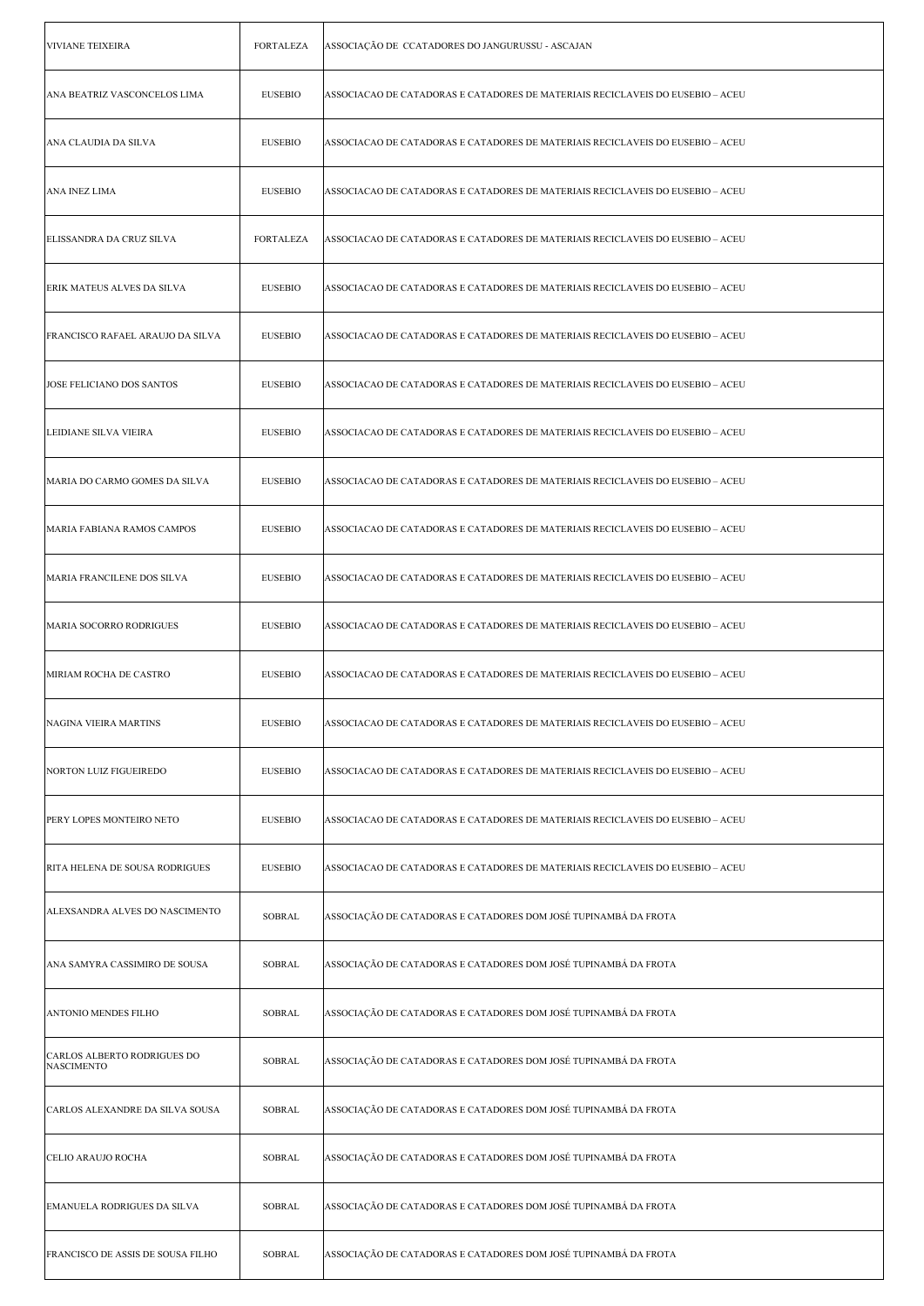| <b>VIVIANE TEIXEIRA</b>                          | <b>FORTALEZA</b> | ASSOCIAÇÃO DE CCATADORES DO JANGURUSSU - ASCAJAN                               |
|--------------------------------------------------|------------------|--------------------------------------------------------------------------------|
| ANA BEATRIZ VASCONCELOS LIMA                     | <b>EUSEBIO</b>   | ASSOCIACAO DE CATADORAS E CATADORES DE MATERIAIS RECICLAVEIS DO EUSEBIO – ACEU |
| ANA CLAUDIA DA SILVA                             | <b>EUSEBIO</b>   | ASSOCIACAO DE CATADORAS E CATADORES DE MATERIAIS RECICLAVEIS DO EUSEBIO – ACEU |
| ANA INEZ LIMA                                    | <b>EUSEBIO</b>   | ASSOCIACAO DE CATADORAS E CATADORES DE MATERIAIS RECICLAVEIS DO EUSEBIO – ACEU |
| ELISSANDRA DA CRUZ SILVA                         | FORTALEZA        | ASSOCIACAO DE CATADORAS E CATADORES DE MATERIAIS RECICLAVEIS DO EUSEBIO – ACEU |
| <b>ERIK MATEUS ALVES DA SILVA</b>                | <b>EUSEBIO</b>   | ASSOCIACAO DE CATADORAS E CATADORES DE MATERIAIS RECICLAVEIS DO EUSEBIO – ACEU |
| FRANCISCO RAFAEL ARAUJO DA SILVA                 | <b>EUSEBIO</b>   | ASSOCIACAO DE CATADORAS E CATADORES DE MATERIAIS RECICLAVEIS DO EUSEBIO – ACEU |
| JOSE FELICIANO DOS SANTOS                        | <b>EUSEBIO</b>   | ASSOCIACAO DE CATADORAS E CATADORES DE MATERIAIS RECICLAVEIS DO EUSEBIO – ACEU |
| LEIDIANE SILVA VIEIRA                            | <b>EUSEBIO</b>   | ASSOCIACAO DE CATADORAS E CATADORES DE MATERIAIS RECICLAVEIS DO EUSEBIO – ACEU |
| MARIA DO CARMO GOMES DA SILVA                    | <b>EUSEBIO</b>   | ASSOCIACAO DE CATADORAS E CATADORES DE MATERIAIS RECICLAVEIS DO EUSEBIO – ACEU |
| MARIA FABIANA RAMOS CAMPOS                       | <b>EUSEBIO</b>   | ASSOCIACAO DE CATADORAS E CATADORES DE MATERIAIS RECICLAVEIS DO EUSEBIO – ACEU |
| MARIA FRANCILENE DOS SILVA                       | <b>EUSEBIO</b>   | ASSOCIACAO DE CATADORAS E CATADORES DE MATERIAIS RECICLAVEIS DO EUSEBIO – ACEU |
| <b>MARIA SOCORRO RODRIGUES</b>                   | <b>EUSEBIO</b>   | ASSOCIACAO DE CATADORAS E CATADORES DE MATERIAIS RECICLAVEIS DO EUSEBIO – ACEU |
| MIRIAM ROCHA DE CASTRO                           | <b>EUSEBIO</b>   | ASSOCIACAO DE CATADORAS E CATADORES DE MATERIAIS RECICLAVEIS DO EUSEBIO – ACEU |
| NAGINA VIEIRA MARTINS                            | <b>EUSEBIO</b>   | ASSOCIACAO DE CATADORAS E CATADORES DE MATERIAIS RECICLAVEIS DO EUSEBIO – ACEU |
| NORTON LUIZ FIGUEIREDO                           | <b>EUSEBIO</b>   | ASSOCIACAO DE CATADORAS E CATADORES DE MATERIAIS RECICLAVEIS DO EUSEBIO – ACEU |
| PERY LOPES MONTEIRO NETO                         | <b>EUSEBIO</b>   | ASSOCIACAO DE CATADORAS E CATADORES DE MATERIAIS RECICLAVEIS DO EUSEBIO – ACEU |
| RITA HELENA DE SOUSA RODRIGUES                   | <b>EUSEBIO</b>   | ASSOCIACAO DE CATADORAS E CATADORES DE MATERIAIS RECICLAVEIS DO EUSEBIO – ACEU |
| ALEXSANDRA ALVES DO NASCIMENTO                   | <b>SOBRAL</b>    | ASSOCIAÇÃO DE CATADORAS E CATADORES DOM JOSÉ TUPINAMBÁ DA FROTA                |
| ANA SAMYRA CASSIMIRO DE SOUSA                    | <b>SOBRAL</b>    | ASSOCIAÇÃO DE CATADORAS E CATADORES DOM JOSÉ TUPINAMBÁ DA FROTA                |
| ANTONIO MENDES FILHO                             | SOBRAL           | ASSOCIAÇÃO DE CATADORAS E CATADORES DOM JOSÉ TUPINAMBÁ DA FROTA                |
| CARLOS ALBERTO RODRIGUES DO<br><b>NASCIMENTO</b> | SOBRAL           | ASSOCIAÇÃO DE CATADORAS E CATADORES DOM JOSÉ TUPINAMBÁ DA FROTA                |
| CARLOS ALEXANDRE DA SILVA SOUSA                  | <b>SOBRAL</b>    | ASSOCIAÇÃO DE CATADORAS E CATADORES DOM JOSÉ TUPINAMBÁ DA FROTA                |
| CELIO ARAUJO ROCHA                               | <b>SOBRAL</b>    | ASSOCIAÇÃO DE CATADORAS E CATADORES DOM JOSÉ TUPINAMBÁ DA FROTA                |
| EMANUELA RODRIGUES DA SILVA                      | <b>SOBRAL</b>    | ASSOCIAÇÃO DE CATADORAS E CATADORES DOM JOSÉ TUPINAMBÁ DA FROTA                |
| FRANCISCO DE ASSIS DE SOUSA FILHO                | SOBRAL           | ASSOCIAÇÃO DE CATADORAS E CATADORES DOM JOSÉ TUPINAMBÁ DA FROTA                |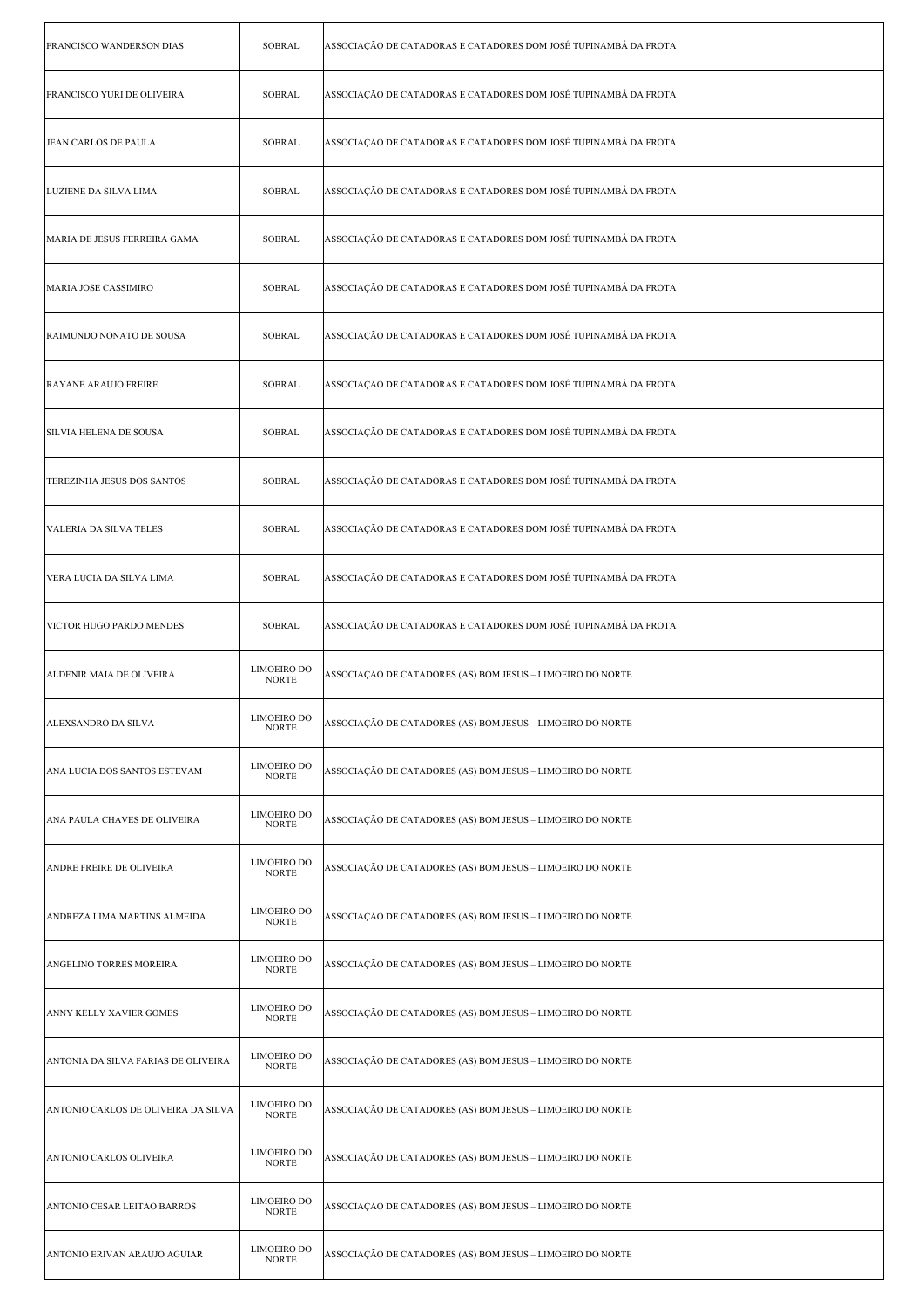| FRANCISCO WANDERSON DIAS            | <b>SOBRAL</b>                      | ASSOCIAÇÃO DE CATADORAS E CATADORES DOM JOSÉ TUPINAMBÁ DA FROTA |
|-------------------------------------|------------------------------------|-----------------------------------------------------------------|
| FRANCISCO YURI DE OLIVEIRA          | <b>SOBRAL</b>                      | ASSOCIAÇÃO DE CATADORAS E CATADORES DOM JOSÉ TUPINAMBÁ DA FROTA |
| JEAN CARLOS DE PAULA                | <b>SOBRAL</b>                      | ASSOCIAÇÃO DE CATADORAS E CATADORES DOM JOSÉ TUPINAMBÁ DA FROTA |
| LUZIENE DA SILVA LIMA               | <b>SOBRAL</b>                      | ASSOCIAÇÃO DE CATADORAS E CATADORES DOM JOSÉ TUPINAMBÁ DA FROTA |
| MARIA DE JESUS FERREIRA GAMA        | <b>SOBRAL</b>                      | ASSOCIAÇÃO DE CATADORAS E CATADORES DOM JOSÉ TUPINAMBÁ DA FROTA |
| MARIA JOSE CASSIMIRO                | <b>SOBRAL</b>                      | ASSOCIAÇÃO DE CATADORAS E CATADORES DOM JOSÉ TUPINAMBÁ DA FROTA |
| RAIMUNDO NONATO DE SOUSA            | <b>SOBRAL</b>                      | ASSOCIAÇÃO DE CATADORAS E CATADORES DOM JOSÉ TUPINAMBÁ DA FROTA |
| <b>RAYANE ARAUJO FREIRE</b>         | <b>SOBRAL</b>                      | ASSOCIAÇÃO DE CATADORAS E CATADORES DOM JOSÉ TUPINAMBÁ DA FROTA |
| SILVIA HELENA DE SOUSA              | <b>SOBRAL</b>                      | ASSOCIAÇÃO DE CATADORAS E CATADORES DOM JOSÉ TUPINAMBÁ DA FROTA |
| TEREZINHA JESUS DOS SANTOS          | <b>SOBRAL</b>                      | ASSOCIAÇÃO DE CATADORAS E CATADORES DOM JOSÉ TUPINAMBÁ DA FROTA |
| VALERIA DA SILVA TELES              | <b>SOBRAL</b>                      | ASSOCIAÇÃO DE CATADORAS E CATADORES DOM JOSÉ TUPINAMBÁ DA FROTA |
| VERA LUCIA DA SILVA LIMA            | <b>SOBRAL</b>                      | ASSOCIAÇÃO DE CATADORAS E CATADORES DOM JOSÉ TUPINAMBÁ DA FROTA |
| VICTOR HUGO PARDO MENDES            | <b>SOBRAL</b>                      | ASSOCIAÇÃO DE CATADORAS E CATADORES DOM JOSÉ TUPINAMBÁ DA FROTA |
| ALDENIR MAIA DE OLIVEIRA            | <b>LIMOEIRO DO</b><br><b>NORTE</b> | ASSOCIAÇÃO DE CATADORES (AS) BOM JESUS – LIMOEIRO DO NORTE      |
| ALEXSANDRO DA SILVA                 | LIMOEIRO DO<br><b>NORTE</b>        | ASSOCIAÇÃO DE CATADORES (AS) BOM JESUS - LIMOEIRO DO NORTE      |
| ANA LUCIA DOS SANTOS ESTEVAM        | <b>LIMOEIRO DO</b><br><b>NORTE</b> | ASSOCIAÇÃO DE CATADORES (AS) BOM JESUS – LIMOEIRO DO NORTE      |
| ANA PAULA CHAVES DE OLIVEIRA        | <b>LIMOEIRO DO</b><br><b>NORTE</b> | ASSOCIAÇÃO DE CATADORES (AS) BOM JESUS – LIMOEIRO DO NORTE      |
| ANDRE FREIRE DE OLIVEIRA            | <b>LIMOEIRO DO</b><br><b>NORTE</b> | ASSOCIAÇÃO DE CATADORES (AS) BOM JESUS – LIMOEIRO DO NORTE      |
| ANDREZA LIMA MARTINS ALMEIDA        | <b>LIMOEIRO DO</b><br><b>NORTE</b> | ASSOCIAÇÃO DE CATADORES (AS) BOM JESUS – LIMOEIRO DO NORTE      |
| ANGELINO TORRES MOREIRA             | <b>LIMOEIRO DO</b><br><b>NORTE</b> | ASSOCIAÇÃO DE CATADORES (AS) BOM JESUS – LIMOEIRO DO NORTE      |
| ANNY KELLY XAVIER GOMES             | <b>LIMOEIRO DO</b><br><b>NORTE</b> | ASSOCIAÇÃO DE CATADORES (AS) BOM JESUS – LIMOEIRO DO NORTE      |
| ANTONIA DA SILVA FARIAS DE OLIVEIRA | <b>LIMOEIRO DO</b><br><b>NORTE</b> | ASSOCIAÇÃO DE CATADORES (AS) BOM JESUS – LIMOEIRO DO NORTE      |
| ANTONIO CARLOS DE OLIVEIRA DA SILVA | <b>LIMOEIRO DO</b><br><b>NORTE</b> | ASSOCIAÇÃO DE CATADORES (AS) BOM JESUS – LIMOEIRO DO NORTE      |
| ANTONIO CARLOS OLIVEIRA             | <b>LIMOEIRO DO</b><br><b>NORTE</b> | ASSOCIAÇÃO DE CATADORES (AS) BOM JESUS – LIMOEIRO DO NORTE      |
| ANTONIO CESAR LEITAO BARROS         | <b>LIMOEIRO DO</b><br><b>NORTE</b> | ASSOCIAÇÃO DE CATADORES (AS) BOM JESUS – LIMOEIRO DO NORTE      |
| ANTONIO ERIVAN ARAUJO AGUIAR        | <b>LIMOEIRO DO</b><br><b>NORTE</b> | ASSOCIAÇÃO DE CATADORES (AS) BOM JESUS - LIMOEIRO DO NORTE      |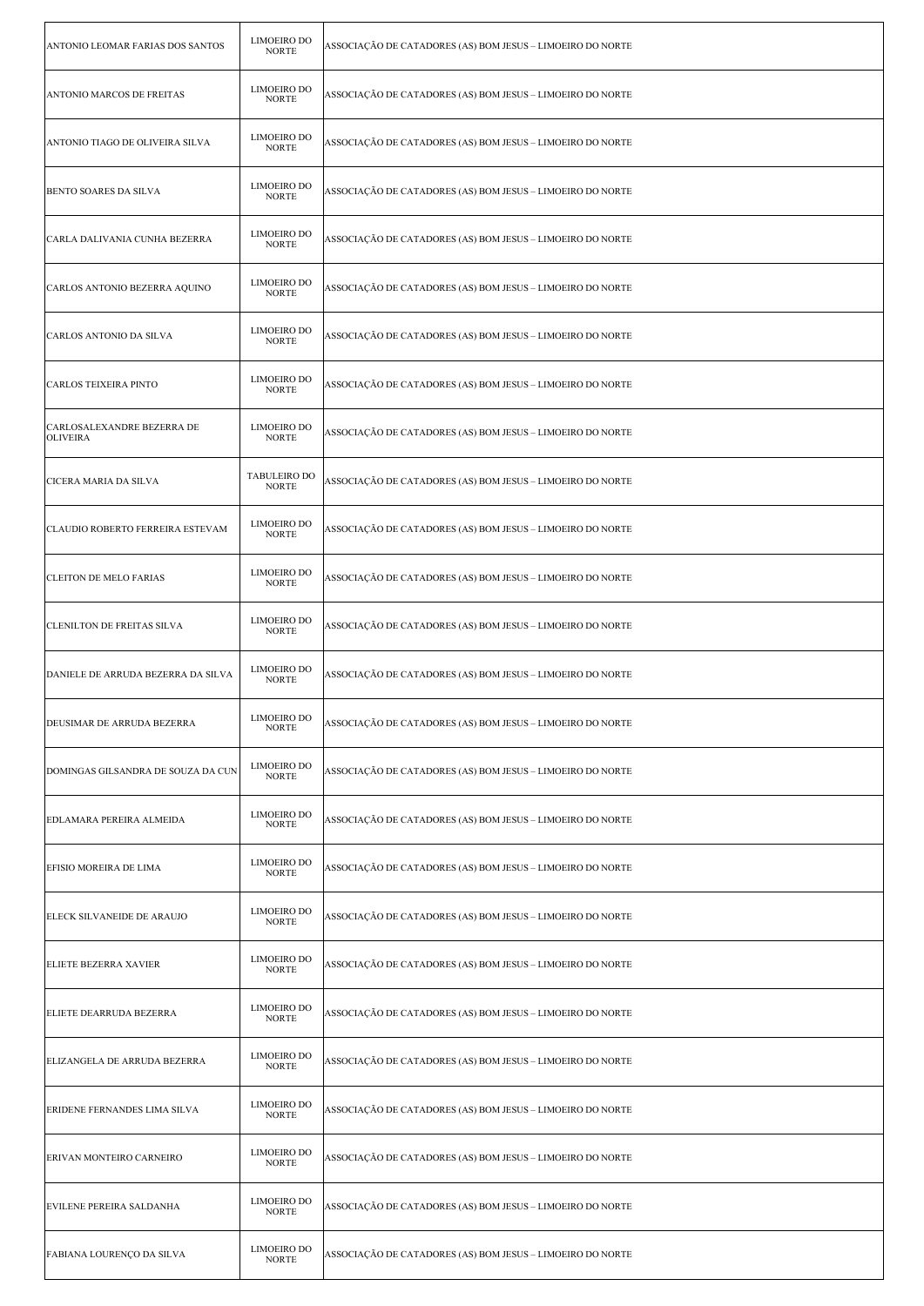| ANTONIO LEOMAR FARIAS DOS SANTOS              | <b>LIMOEIRO DO</b><br><b>NORTE</b> | ASSOCIAÇÃO DE CATADORES (AS) BOM JESUS – LIMOEIRO DO NORTE |
|-----------------------------------------------|------------------------------------|------------------------------------------------------------|
| ANTONIO MARCOS DE FREITAS                     | <b>LIMOEIRO DO</b><br><b>NORTE</b> | ASSOCIAÇÃO DE CATADORES (AS) BOM JESUS – LIMOEIRO DO NORTE |
| ANTONIO TIAGO DE OLIVEIRA SILVA               | <b>LIMOEIRO DO</b><br><b>NORTE</b> | ASSOCIAÇÃO DE CATADORES (AS) BOM JESUS – LIMOEIRO DO NORTE |
| BENTO SOARES DA SILVA                         | <b>LIMOEIRO DO</b><br><b>NORTE</b> | ASSOCIAÇÃO DE CATADORES (AS) BOM JESUS – LIMOEIRO DO NORTE |
| CARLA DALIVANIA CUNHA BEZERRA                 | <b>LIMOEIRO DO</b><br><b>NORTE</b> | ASSOCIAÇÃO DE CATADORES (AS) BOM JESUS – LIMOEIRO DO NORTE |
| CARLOS ANTONIO BEZERRA AQUINO                 | <b>LIMOEIRO DO</b><br><b>NORTE</b> | ASSOCIAÇÃO DE CATADORES (AS) BOM JESUS – LIMOEIRO DO NORTE |
| CARLOS ANTONIO DA SILVA                       | <b>LIMOEIRO DO</b><br><b>NORTE</b> | ASSOCIAÇÃO DE CATADORES (AS) BOM JESUS – LIMOEIRO DO NORTE |
| CARLOS TEIXEIRA PINTO                         | <b>LIMOEIRO DO</b><br><b>NORTE</b> | ASSOCIAÇÃO DE CATADORES (AS) BOM JESUS - LIMOEIRO DO NORTE |
| CARLOSALEXANDRE BEZERRA DE<br><b>OLIVEIRA</b> | <b>LIMOEIRO DO</b><br><b>NORTE</b> | ASSOCIAÇÃO DE CATADORES (AS) BOM JESUS – LIMOEIRO DO NORTE |
| CICERA MARIA DA SILVA                         | TABULEIRO DO<br><b>NORTE</b>       | ASSOCIAÇÃO DE CATADORES (AS) BOM JESUS – LIMOEIRO DO NORTE |
| CLAUDIO ROBERTO FERREIRA ESTEVAM              | <b>LIMOEIRO DO</b><br><b>NORTE</b> | ASSOCIAÇÃO DE CATADORES (AS) BOM JESUS – LIMOEIRO DO NORTE |
| <b>CLEITON DE MELO FARIAS</b>                 | <b>LIMOEIRO DO</b><br><b>NORTE</b> | ASSOCIAÇÃO DE CATADORES (AS) BOM JESUS – LIMOEIRO DO NORTE |
| <b>CLENILTON DE FREITAS SILVA</b>             | <b>LIMOEIRO DO</b><br><b>NORTE</b> | ASSOCIAÇÃO DE CATADORES (AS) BOM JESUS – LIMOEIRO DO NORTE |
| DANIELE DE ARRUDA BEZERRA DA SILVA            | <b>LIMOEIRO DO</b><br><b>NORTE</b> | ASSOCIAÇÃO DE CATADORES (AS) BOM JESUS – LIMOEIRO DO NORTE |
| DEUSIMAR DE ARRUDA BEZERRA                    | LIMOEIRO DO<br><b>NORTE</b>        | ASSOCIAÇÃO DE CATADORES (AS) BOM JESUS - LIMOEIRO DO NORTE |
| DOMINGAS GILSANDRA DE SOUZA DA CUN            | <b>LIMOEIRO DO</b><br><b>NORTE</b> | ASSOCIAÇÃO DE CATADORES (AS) BOM JESUS – LIMOEIRO DO NORTE |
| EDLAMARA PEREIRA ALMEIDA                      | <b>LIMOEIRO DO</b><br><b>NORTE</b> | ASSOCIAÇÃO DE CATADORES (AS) BOM JESUS – LIMOEIRO DO NORTE |
| EFISIO MOREIRA DE LIMA                        | <b>LIMOEIRO DO</b><br><b>NORTE</b> | ASSOCIAÇÃO DE CATADORES (AS) BOM JESUS – LIMOEIRO DO NORTE |
| ELECK SILVANEIDE DE ARAUJO                    | <b>LIMOEIRO DO</b><br><b>NORTE</b> | ASSOCIAÇÃO DE CATADORES (AS) BOM JESUS – LIMOEIRO DO NORTE |
| ELIETE BEZERRA XAVIER                         | <b>LIMOEIRO DO</b><br><b>NORTE</b> | ASSOCIAÇÃO DE CATADORES (AS) BOM JESUS – LIMOEIRO DO NORTE |
| ELIETE DEARRUDA BEZERRA                       | <b>LIMOEIRO DO</b><br><b>NORTE</b> | ASSOCIAÇÃO DE CATADORES (AS) BOM JESUS – LIMOEIRO DO NORTE |
| ELIZANGELA DE ARRUDA BEZERRA                  | <b>LIMOEIRO DO</b><br><b>NORTE</b> | ASSOCIAÇÃO DE CATADORES (AS) BOM JESUS – LIMOEIRO DO NORTE |
| ERIDENE FERNANDES LIMA SILVA                  | <b>LIMOEIRO DO</b><br><b>NORTE</b> | ASSOCIAÇÃO DE CATADORES (AS) BOM JESUS – LIMOEIRO DO NORTE |
| ERIVAN MONTEIRO CARNEIRO                      | <b>LIMOEIRO DO</b><br><b>NORTE</b> | ASSOCIAÇÃO DE CATADORES (AS) BOM JESUS – LIMOEIRO DO NORTE |
| EVILENE PEREIRA SALDANHA                      | <b>LIMOEIRO DO</b><br><b>NORTE</b> | ASSOCIAÇÃO DE CATADORES (AS) BOM JESUS – LIMOEIRO DO NORTE |
| FABIANA LOURENÇO DA SILVA                     | <b>LIMOEIRO DO</b><br><b>NORTE</b> | ASSOCIAÇÃO DE CATADORES (AS) BOM JESUS - LIMOEIRO DO NORTE |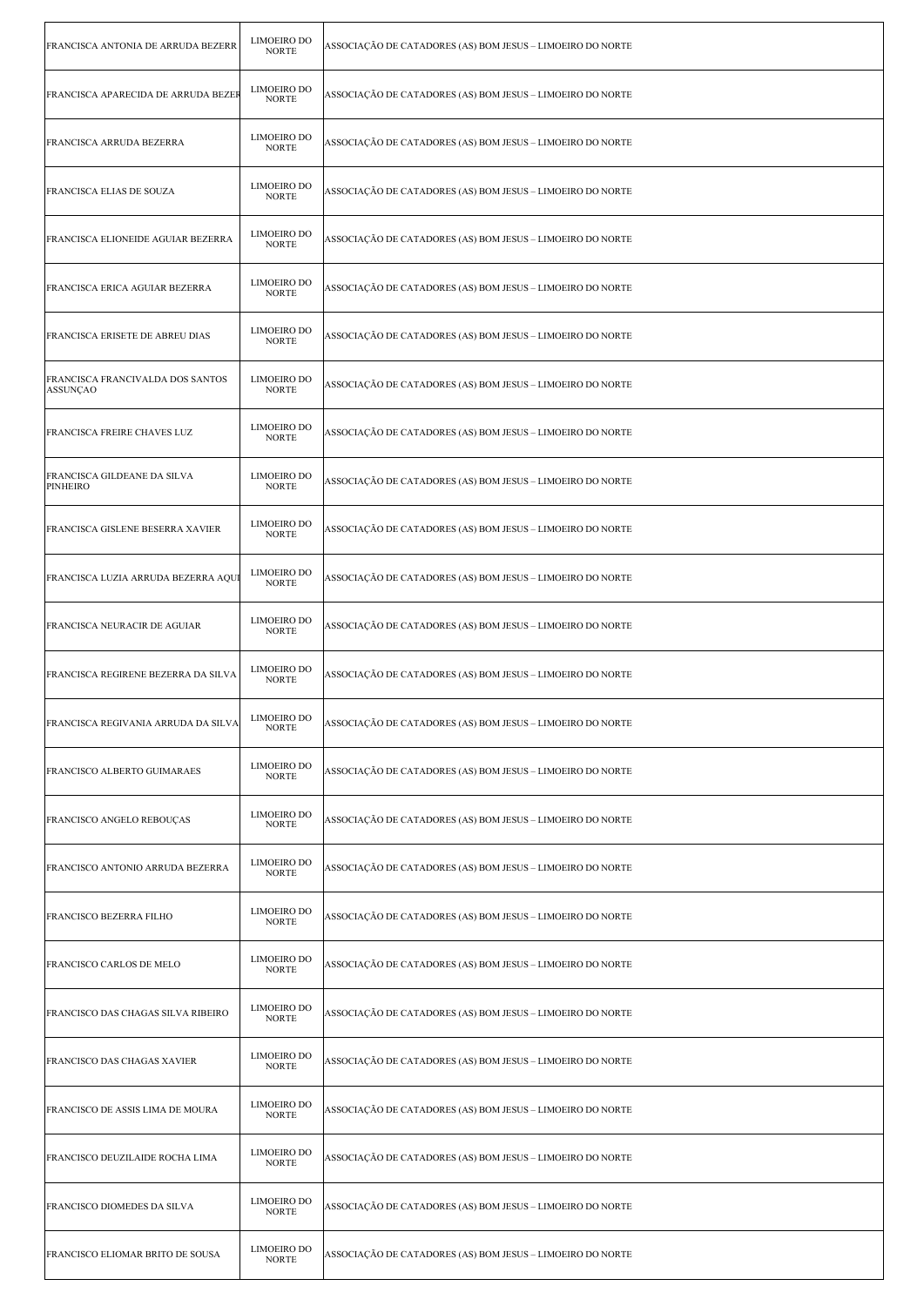| FRANCISCA ANTONIA DE ARRUDA BEZERR                  | <b>LIMOEIRO DO</b><br><b>NORTE</b> | ASSOCIAÇÃO DE CATADORES (AS) BOM JESUS – LIMOEIRO DO NORTE |
|-----------------------------------------------------|------------------------------------|------------------------------------------------------------|
| FRANCISCA APARECIDA DE ARRUDA BEZEI                 | LIMOEIRO DO<br><b>NORTE</b>        | ASSOCIAÇÃO DE CATADORES (AS) BOM JESUS – LIMOEIRO DO NORTE |
| FRANCISCA ARRUDA BEZERRA                            | <b>LIMOEIRO DO</b><br><b>NORTE</b> | ASSOCIAÇÃO DE CATADORES (AS) BOM JESUS – LIMOEIRO DO NORTE |
| FRANCISCA ELIAS DE SOUZA                            | <b>LIMOEIRO DO</b><br><b>NORTE</b> | ASSOCIAÇÃO DE CATADORES (AS) BOM JESUS – LIMOEIRO DO NORTE |
| FRANCISCA ELIONEIDE AGUIAR BEZERRA                  | <b>LIMOEIRO DO</b><br><b>NORTE</b> | ASSOCIAÇÃO DE CATADORES (AS) BOM JESUS - LIMOEIRO DO NORTE |
| FRANCISCA ERICA AGUIAR BEZERRA                      | <b>LIMOEIRO DO</b><br><b>NORTE</b> | ASSOCIAÇÃO DE CATADORES (AS) BOM JESUS – LIMOEIRO DO NORTE |
| <b>FRANCISCA ERISETE DE ABREU DIAS</b>              | <b>LIMOEIRO DO</b><br><b>NORTE</b> | ASSOCIAÇÃO DE CATADORES (AS) BOM JESUS – LIMOEIRO DO NORTE |
| FRANCISCA FRANCIVALDA DOS SANTOS<br><b>ASSUNÇAO</b> | <b>LIMOEIRO DO</b><br><b>NORTE</b> | ASSOCIAÇÃO DE CATADORES (AS) BOM JESUS – LIMOEIRO DO NORTE |
| FRANCISCA FREIRE CHAVES LUZ                         | <b>LIMOEIRO DO</b><br><b>NORTE</b> | ASSOCIAÇÃO DE CATADORES (AS) BOM JESUS – LIMOEIRO DO NORTE |
| FRANCISCA GILDEANE DA SILVA<br><b>PINHEIRO</b>      | <b>LIMOEIRO DO</b><br><b>NORTE</b> | ASSOCIAÇÃO DE CATADORES (AS) BOM JESUS – LIMOEIRO DO NORTE |
| FRANCISCA GISLENE BESERRA XAVIER                    | <b>LIMOEIRO DO</b><br><b>NORTE</b> | ASSOCIAÇÃO DE CATADORES (AS) BOM JESUS – LIMOEIRO DO NORTE |
| FRANCISCA LUZIA ARRUDA BEZERRA AQU                  | <b>LIMOEIRO DO</b><br><b>NORTE</b> | ASSOCIAÇÃO DE CATADORES (AS) BOM JESUS – LIMOEIRO DO NORTE |
| FRANCISCA NEURACIR DE AGUIAR                        | <b>LIMOEIRO DO</b><br><b>NORTE</b> | ASSOCIAÇÃO DE CATADORES (AS) BOM JESUS – LIMOEIRO DO NORTE |
|                                                     |                                    |                                                            |
| FRANCISCA REGIRENE BEZERRA DA SILVA                 | <b>LIMOEIRO DO</b><br><b>NORTE</b> | ASSOCIAÇÃO DE CATADORES (AS) BOM JESUS – LIMOEIRO DO NORTE |
| FRANCISCA REGIVANIA ARRUDA DA SILVA                 | LIMOEIRO DO<br><b>NORTE</b>        | ASSOCIAÇÃO DE CATADORES (AS) BOM JESUS - LIMOEIRO DO NORTE |
| <b>FRANCISCO ALBERTO GUIMARAES</b>                  | <b>LIMOEIRO DO</b><br><b>NORTE</b> | ASSOCIAÇÃO DE CATADORES (AS) BOM JESUS – LIMOEIRO DO NORTE |
| <b>FRANCISCO ANGELO REBOUÇAS</b>                    | <b>LIMOEIRO DO</b><br><b>NORTE</b> | ASSOCIAÇÃO DE CATADORES (AS) BOM JESUS – LIMOEIRO DO NORTE |
| FRANCISCO ANTONIO ARRUDA BEZERRA                    | <b>LIMOEIRO DO</b><br><b>NORTE</b> | ASSOCIAÇÃO DE CATADORES (AS) BOM JESUS – LIMOEIRO DO NORTE |
| FRANCISCO BEZERRA FILHO                             | LIMOEIRO DO<br><b>NORTE</b>        | ASSOCIAÇÃO DE CATADORES (AS) BOM JESUS – LIMOEIRO DO NORTE |
| <b>FRANCISCO CARLOS DE MELO</b>                     | <b>LIMOEIRO DO</b><br><b>NORTE</b> | ASSOCIAÇÃO DE CATADORES (AS) BOM JESUS – LIMOEIRO DO NORTE |
| FRANCISCO DAS CHAGAS SILVA RIBEIRO                  | <b>LIMOEIRO DO</b><br><b>NORTE</b> | ASSOCIAÇÃO DE CATADORES (AS) BOM JESUS – LIMOEIRO DO NORTE |
| <b>FRANCISCO DAS CHAGAS XAVIER</b>                  | <b>LIMOEIRO DO</b><br><b>NORTE</b> | ASSOCIAÇÃO DE CATADORES (AS) BOM JESUS – LIMOEIRO DO NORTE |
| FRANCISCO DE ASSIS LIMA DE MOURA                    | <b>LIMOEIRO DO</b><br><b>NORTE</b> | ASSOCIAÇÃO DE CATADORES (AS) BOM JESUS – LIMOEIRO DO NORTE |
| FRANCISCO DEUZILAIDE ROCHA LIMA                     | <b>LIMOEIRO DO</b><br><b>NORTE</b> | ASSOCIAÇÃO DE CATADORES (AS) BOM JESUS – LIMOEIRO DO NORTE |
| <b>FRANCISCO DIOMEDES DA SILVA</b>                  | <b>LIMOEIRO DO</b><br><b>NORTE</b> | ASSOCIAÇÃO DE CATADORES (AS) BOM JESUS – LIMOEIRO DO NORTE |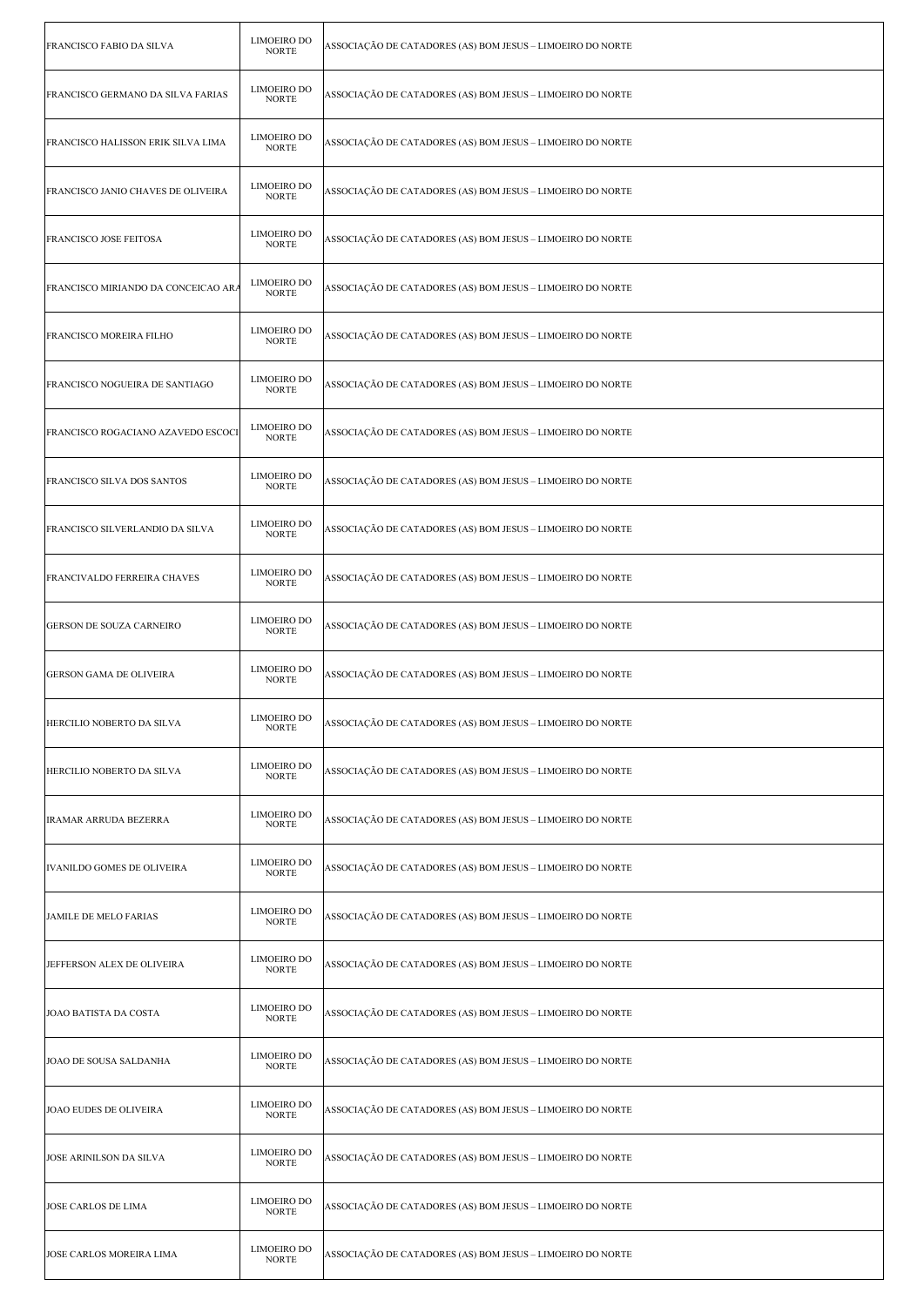| FRANCISCO FABIO DA SILVA            | <b>LIMOEIRO DO</b><br><b>NORTE</b> | ASSOCIAÇÃO DE CATADORES (AS) BOM JESUS – LIMOEIRO DO NORTE |
|-------------------------------------|------------------------------------|------------------------------------------------------------|
| FRANCISCO GERMANO DA SILVA FARIAS   | LIMOEIRO DO<br><b>NORTE</b>        | ASSOCIAÇÃO DE CATADORES (AS) BOM JESUS – LIMOEIRO DO NORTE |
| FRANCISCO HALISSON ERIK SILVA LIMA  | <b>LIMOEIRO DO</b><br><b>NORTE</b> | ASSOCIAÇÃO DE CATADORES (AS) BOM JESUS – LIMOEIRO DO NORTE |
| FRANCISCO JANIO CHAVES DE OLIVEIRA  | <b>LIMOEIRO DO</b><br><b>NORTE</b> | ASSOCIAÇÃO DE CATADORES (AS) BOM JESUS – LIMOEIRO DO NORTE |
| FRANCISCO JOSE FEITOSA              | <b>LIMOEIRO DO</b><br><b>NORTE</b> | ASSOCIAÇÃO DE CATADORES (AS) BOM JESUS – LIMOEIRO DO NORTE |
| FRANCISCO MIRIANDO DA CONCEICAO AR. | <b>LIMOEIRO DO</b><br><b>NORTE</b> | ASSOCIAÇÃO DE CATADORES (AS) BOM JESUS – LIMOEIRO DO NORTE |
| FRANCISCO MOREIRA FILHO             | <b>LIMOEIRO DO</b><br><b>NORTE</b> | ASSOCIAÇÃO DE CATADORES (AS) BOM JESUS – LIMOEIRO DO NORTE |
| FRANCISCO NOGUEIRA DE SANTIAGO      | <b>LIMOEIRO DO</b><br><b>NORTE</b> | ASSOCIAÇÃO DE CATADORES (AS) BOM JESUS – LIMOEIRO DO NORTE |
| FRANCISCO ROGACIANO AZAVEDO ESCOCI  | <b>LIMOEIRO DO</b><br><b>NORTE</b> | ASSOCIAÇÃO DE CATADORES (AS) BOM JESUS – LIMOEIRO DO NORTE |
| FRANCISCO SILVA DOS SANTOS          | <b>LIMOEIRO DO</b><br><b>NORTE</b> | ASSOCIAÇÃO DE CATADORES (AS) BOM JESUS – LIMOEIRO DO NORTE |
| FRANCISCO SILVERLANDIO DA SILVA     | <b>LIMOEIRO DO</b><br><b>NORTE</b> | ASSOCIAÇÃO DE CATADORES (AS) BOM JESUS – LIMOEIRO DO NORTE |
| FRANCIVALDO FERREIRA CHAVES         | <b>LIMOEIRO DO</b><br><b>NORTE</b> | ASSOCIAÇÃO DE CATADORES (AS) BOM JESUS – LIMOEIRO DO NORTE |
| GERSON DE SOUZA CARNEIRO            | <b>LIMOEIRO DO</b><br><b>NORTE</b> | ASSOCIAÇÃO DE CATADORES (AS) BOM JESUS – LIMOEIRO DO NORTE |
| GERSON GAMA DE OLIVEIRA             | <b>LIMOEIRO DO</b><br><b>NORTE</b> | ASSOCIAÇÃO DE CATADORES (AS) BOM JESUS – LIMOEIRO DO NORTE |
| HERCILIO NOBERTO DA SILVA           | LIMOEIRO DO<br><b>NORTE</b>        | ASSOCIAÇÃO DE CATADORES (AS) BOM JESUS - LIMOEIRO DO NORTE |
| HERCILIO NOBERTO DA SILVA           | <b>LIMOEIRO DO</b><br><b>NORTE</b> | ASSOCIAÇÃO DE CATADORES (AS) BOM JESUS – LIMOEIRO DO NORTE |
| IRAMAR ARRUDA BEZERRA               | <b>LIMOEIRO DO</b><br><b>NORTE</b> | ASSOCIAÇÃO DE CATADORES (AS) BOM JESUS – LIMOEIRO DO NORTE |
| IVANILDO GOMES DE OLIVEIRA          | <b>LIMOEIRO DO</b><br><b>NORTE</b> | ASSOCIAÇÃO DE CATADORES (AS) BOM JESUS – LIMOEIRO DO NORTE |
| <b>JAMILE DE MELO FARIAS</b>        | LIMOEIRO DO<br><b>NORTE</b>        | ASSOCIAÇÃO DE CATADORES (AS) BOM JESUS – LIMOEIRO DO NORTE |
| JEFFERSON ALEX DE OLIVEIRA          | <b>LIMOEIRO DO</b><br><b>NORTE</b> | ASSOCIAÇÃO DE CATADORES (AS) BOM JESUS – LIMOEIRO DO NORTE |
| JOAO BATISTA DA COSTA               | <b>LIMOEIRO DO</b><br><b>NORTE</b> | ASSOCIAÇÃO DE CATADORES (AS) BOM JESUS – LIMOEIRO DO NORTE |
| JOAO DE SOUSA SALDANHA              | <b>LIMOEIRO DO</b><br><b>NORTE</b> | ASSOCIAÇÃO DE CATADORES (AS) BOM JESUS – LIMOEIRO DO NORTE |
| <b>JOAO EUDES DE OLIVEIRA</b>       | <b>LIMOEIRO DO</b><br><b>NORTE</b> | ASSOCIAÇÃO DE CATADORES (AS) BOM JESUS – LIMOEIRO DO NORTE |
| JOSE ARINILSON DA SILVA             | <b>LIMOEIRO DO</b><br><b>NORTE</b> | ASSOCIAÇÃO DE CATADORES (AS) BOM JESUS – LIMOEIRO DO NORTE |
| <b>JOSE CARLOS DE LIMA</b>          | <b>LIMOEIRO DO</b><br><b>NORTE</b> | ASSOCIAÇÃO DE CATADORES (AS) BOM JESUS – LIMOEIRO DO NORTE |
| <b>JOSE CARLOS MOREIRA LIMA</b>     | <b>LIMOEIRO DO</b><br><b>NORTE</b> | ASSOCIAÇÃO DE CATADORES (AS) BOM JESUS – LIMOEIRO DO NORTE |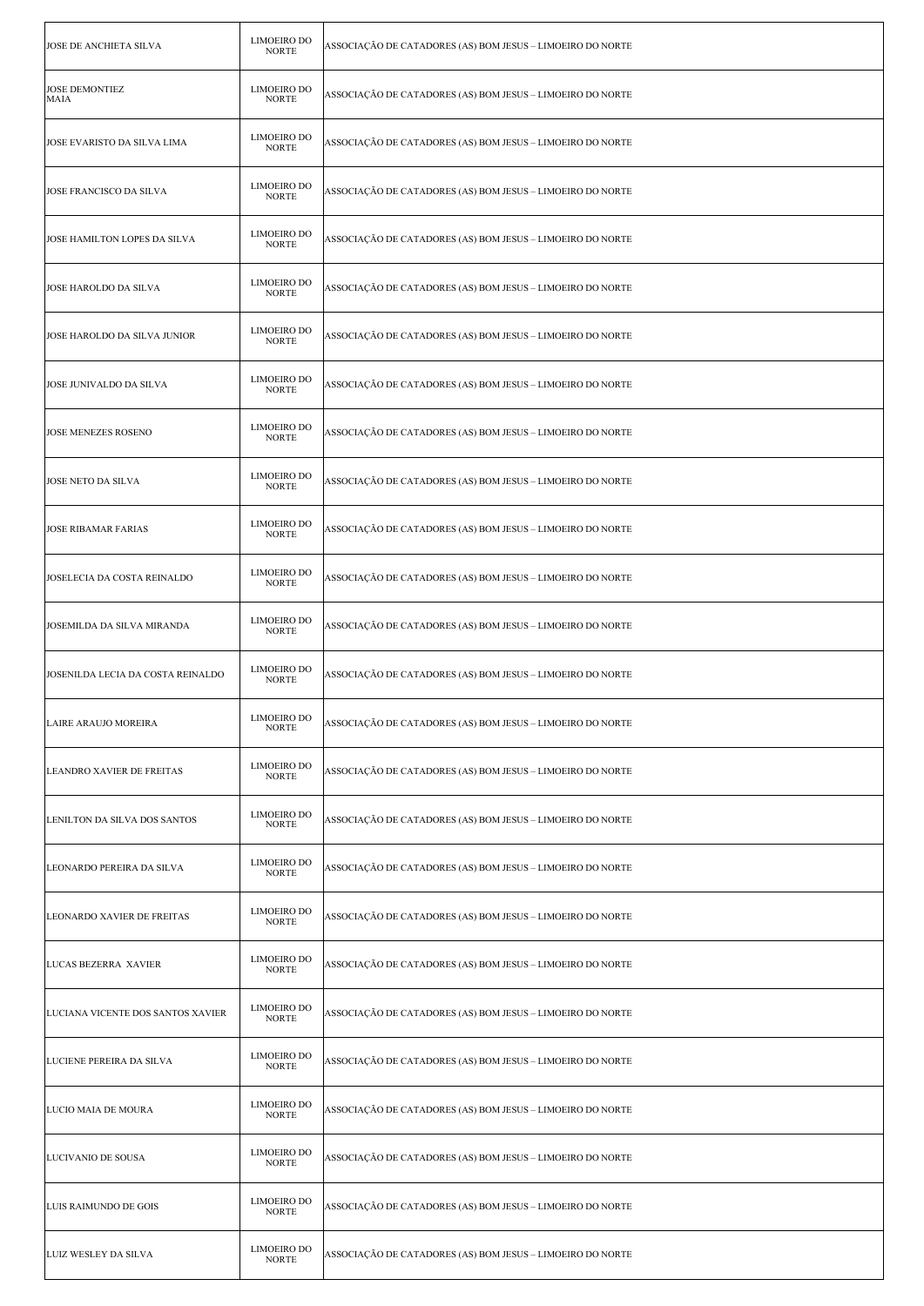| JOSE DE ANCHIETA SILVA            | <b>LIMOEIRO DO</b><br><b>NORTE</b> | ASSOCIAÇÃO DE CATADORES (AS) BOM JESUS – LIMOEIRO DO NORTE |
|-----------------------------------|------------------------------------|------------------------------------------------------------|
| <b>JOSE DEMONTIEZ</b><br>MAIA     | LIMOEIRO DO<br><b>NORTE</b>        | ASSOCIAÇÃO DE CATADORES (AS) BOM JESUS – LIMOEIRO DO NORTE |
| JOSE EVARISTO DA SILVA LIMA       | <b>LIMOEIRO DO</b><br><b>NORTE</b> | ASSOCIAÇÃO DE CATADORES (AS) BOM JESUS – LIMOEIRO DO NORTE |
| JOSE FRANCISCO DA SILVA           | <b>LIMOEIRO DO</b><br><b>NORTE</b> | ASSOCIAÇÃO DE CATADORES (AS) BOM JESUS – LIMOEIRO DO NORTE |
| JOSE HAMILTON LOPES DA SILVA      | <b>LIMOEIRO DO</b><br><b>NORTE</b> | ASSOCIAÇÃO DE CATADORES (AS) BOM JESUS - LIMOEIRO DO NORTE |
| JOSE HAROLDO DA SILVA             | <b>LIMOEIRO DO</b><br><b>NORTE</b> | ASSOCIAÇÃO DE CATADORES (AS) BOM JESUS – LIMOEIRO DO NORTE |
| JOSE HAROLDO DA SILVA JUNIOR      | <b>LIMOEIRO DO</b><br><b>NORTE</b> | ASSOCIAÇÃO DE CATADORES (AS) BOM JESUS – LIMOEIRO DO NORTE |
| JOSE JUNIVALDO DA SILVA           | LIMOEIRO DO<br><b>NORTE</b>        | ASSOCIAÇÃO DE CATADORES (AS) BOM JESUS – LIMOEIRO DO NORTE |
| JOSE MENEZES ROSENO               | <b>LIMOEIRO DO</b><br><b>NORTE</b> | ASSOCIAÇÃO DE CATADORES (AS) BOM JESUS – LIMOEIRO DO NORTE |
| JOSE NETO DA SILVA                | <b>LIMOEIRO DO</b><br><b>NORTE</b> | ASSOCIAÇÃO DE CATADORES (AS) BOM JESUS - LIMOEIRO DO NORTE |
| <b>JOSE RIBAMAR FARIAS</b>        | <b>LIMOEIRO DO</b><br><b>NORTE</b> | ASSOCIAÇÃO DE CATADORES (AS) BOM JESUS – LIMOEIRO DO NORTE |
| JOSELECIA DA COSTA REINALDO       | <b>LIMOEIRO DO</b><br><b>NORTE</b> | ASSOCIAÇÃO DE CATADORES (AS) BOM JESUS – LIMOEIRO DO NORTE |
| JOSEMILDA DA SILVA MIRANDA        | <b>LIMOEIRO DO</b><br><b>NORTE</b> | ASSOCIAÇÃO DE CATADORES (AS) BOM JESUS – LIMOEIRO DO NORTE |
| JOSENILDA LECIA DA COSTA REINALDO | <b>LIMOEIRO DO</b><br><b>NORTE</b> | ASSOCIAÇÃO DE CATADORES (AS) BOM JESUS – LIMOEIRO DO NORTE |
| LAIRE ARAUJO MOREIRA              | LIMOEIRO DO<br><b>NORTE</b>        | ASSOCIAÇÃO DE CATADORES (AS) BOM JESUS - LIMOEIRO DO NORTE |
| <b>LEANDRO XAVIER DE FREITAS</b>  | <b>LIMOEIRO DO</b><br><b>NORTE</b> | ASSOCIAÇÃO DE CATADORES (AS) BOM JESUS - LIMOEIRO DO NORTE |
| LENILTON DA SILVA DOS SANTOS      | <b>LIMOEIRO DO</b><br><b>NORTE</b> | ASSOCIAÇÃO DE CATADORES (AS) BOM JESUS – LIMOEIRO DO NORTE |
| LEONARDO PEREIRA DA SILVA         | LIMOEIRO DO<br><b>NORTE</b>        | ASSOCIAÇÃO DE CATADORES (AS) BOM JESUS – LIMOEIRO DO NORTE |
| <b>LEONARDO XAVIER DE FREITAS</b> | <b>LIMOEIRO DO</b><br><b>NORTE</b> | ASSOCIAÇÃO DE CATADORES (AS) BOM JESUS – LIMOEIRO DO NORTE |
| LUCAS BEZERRA XAVIER              | LIMOEIRO DO<br><b>NORTE</b>        | ASSOCIAÇÃO DE CATADORES (AS) BOM JESUS – LIMOEIRO DO NORTE |
| LUCIANA VICENTE DOS SANTOS XAVIER | <b>LIMOEIRO DO</b><br><b>NORTE</b> | ASSOCIAÇÃO DE CATADORES (AS) BOM JESUS - LIMOEIRO DO NORTE |
| LUCIENE PEREIRA DA SILVA          | <b>LIMOEIRO DO</b><br><b>NORTE</b> | ASSOCIAÇÃO DE CATADORES (AS) BOM JESUS – LIMOEIRO DO NORTE |
| LUCIO MAIA DE MOURA               | LIMOEIRO DO<br><b>NORTE</b>        | ASSOCIAÇÃO DE CATADORES (AS) BOM JESUS – LIMOEIRO DO NORTE |
| LUCIVANIO DE SOUSA                | <b>LIMOEIRO DO</b><br><b>NORTE</b> | ASSOCIAÇÃO DE CATADORES (AS) BOM JESUS – LIMOEIRO DO NORTE |
| LUIS RAIMUNDO DE GOIS             | <b>LIMOEIRO DO</b><br><b>NORTE</b> | ASSOCIAÇÃO DE CATADORES (AS) BOM JESUS – LIMOEIRO DO NORTE |
| <b>LUIZ WESLEY DA SILVA</b>       | <b>LIMOEIRO DO</b><br><b>NORTE</b> | ASSOCIAÇÃO DE CATADORES (AS) BOM JESUS – LIMOEIRO DO NORTE |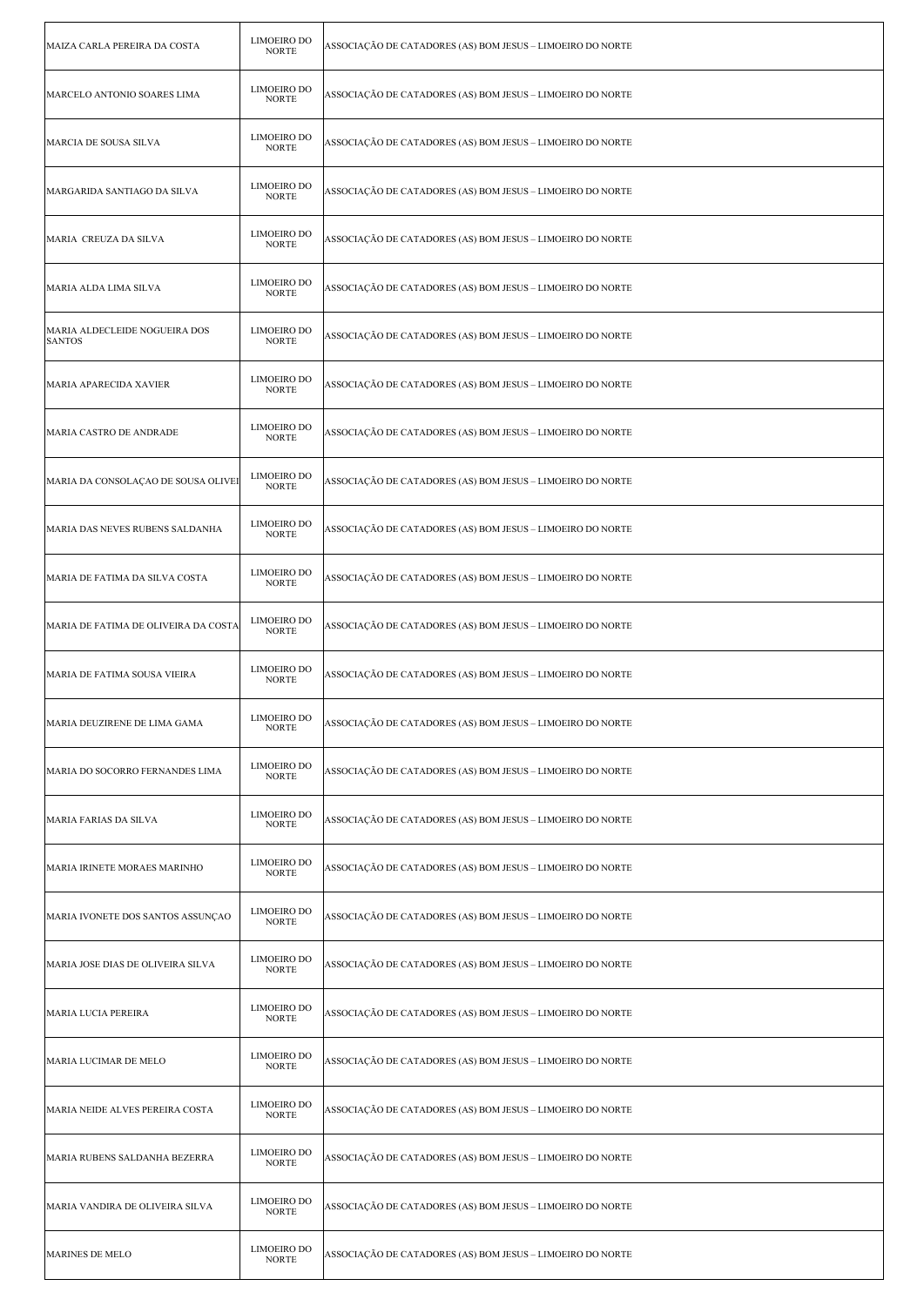| MAIZA CARLA PEREIRA DA COSTA                   | LIMOEIRO DO<br><b>NORTE</b>        | ASSOCIAÇÃO DE CATADORES (AS) BOM JESUS - LIMOEIRO DO NORTE |
|------------------------------------------------|------------------------------------|------------------------------------------------------------|
| MARCELO ANTONIO SOARES LIMA                    | <b>LIMOEIRO DO</b><br><b>NORTE</b> | ASSOCIAÇÃO DE CATADORES (AS) BOM JESUS – LIMOEIRO DO NORTE |
| MARCIA DE SOUSA SILVA                          | <b>LIMOEIRO DO</b><br><b>NORTE</b> | ASSOCIAÇÃO DE CATADORES (AS) BOM JESUS - LIMOEIRO DO NORTE |
| MARGARIDA SANTIAGO DA SILVA                    | <b>LIMOEIRO DO</b><br><b>NORTE</b> | ASSOCIAÇÃO DE CATADORES (AS) BOM JESUS – LIMOEIRO DO NORTE |
| MARIA CREUZA DA SILVA                          | <b>LIMOEIRO DO</b><br><b>NORTE</b> | ASSOCIAÇÃO DE CATADORES (AS) BOM JESUS - LIMOEIRO DO NORTE |
| MARIA ALDA LIMA SILVA                          | <b>LIMOEIRO DO</b><br><b>NORTE</b> | ASSOCIAÇÃO DE CATADORES (AS) BOM JESUS – LIMOEIRO DO NORTE |
| MARIA ALDECLEIDE NOGUEIRA DOS<br><b>SANTOS</b> | <b>LIMOEIRO DO</b><br><b>NORTE</b> | ASSOCIAÇÃO DE CATADORES (AS) BOM JESUS – LIMOEIRO DO NORTE |
| MARIA APARECIDA XAVIER                         | <b>LIMOEIRO DO</b><br><b>NORTE</b> | ASSOCIAÇÃO DE CATADORES (AS) BOM JESUS – LIMOEIRO DO NORTE |
| MARIA CASTRO DE ANDRADE                        | <b>LIMOEIRO DO</b><br><b>NORTE</b> | ASSOCIAÇÃO DE CATADORES (AS) BOM JESUS - LIMOEIRO DO NORTE |
| MARIA DA CONSOLAÇÃO DE SOUSA OLIVEI            | <b>LIMOEIRO DO</b><br><b>NORTE</b> | ASSOCIAÇÃO DE CATADORES (AS) BOM JESUS – LIMOEIRO DO NORTE |
| MARIA DAS NEVES RUBENS SALDANHA                | <b>LIMOEIRO DO</b><br><b>NORTE</b> | ASSOCIAÇÃO DE CATADORES (AS) BOM JESUS – LIMOEIRO DO NORTE |
| MARIA DE FATIMA DA SILVA COSTA                 | <b>LIMOEIRO DO</b><br><b>NORTE</b> | ASSOCIAÇÃO DE CATADORES (AS) BOM JESUS – LIMOEIRO DO NORTE |
| MARIA DE FATIMA DE OLIVEIRA DA COSTA           | <b>LIMOEIRO DO</b><br><b>NORTE</b> | ASSOCIAÇÃO DE CATADORES (AS) BOM JESUS – LIMOEIRO DO NORTE |
| MARIA DE FATIMA SOUSA VIEIRA                   | <b>LIMOEIRO DO</b><br><b>NORTE</b> | ASSOCIAÇÃO DE CATADORES (AS) BOM JESUS – LIMOEIRO DO NORTE |
| MARIA DEUZIRENE DE LIMA GAMA                   | LIMOEIRO DO<br><b>NORTE</b>        | ASSOCIAÇÃO DE CATADORES (AS) BOM JESUS – LIMOEIRO DO NORTE |
| MARIA DO SOCORRO FERNANDES LIMA                | <b>LIMOEIRO DO</b><br><b>NORTE</b> | ASSOCIAÇÃO DE CATADORES (AS) BOM JESUS – LIMOEIRO DO NORTE |
| MARIA FARIAS DA SILVA                          | <b>LIMOEIRO DO</b><br><b>NORTE</b> | ASSOCIAÇÃO DE CATADORES (AS) BOM JESUS – LIMOEIRO DO NORTE |
| MARIA IRINETE MORAES MARINHO                   | <b>LIMOEIRO DO</b><br><b>NORTE</b> | ASSOCIAÇÃO DE CATADORES (AS) BOM JESUS – LIMOEIRO DO NORTE |
| MARIA IVONETE DOS SANTOS ASSUNÇÃO              | <b>LIMOEIRO DO</b><br><b>NORTE</b> | ASSOCIAÇÃO DE CATADORES (AS) BOM JESUS - LIMOEIRO DO NORTE |
| MARIA JOSE DIAS DE OLIVEIRA SILVA              | LIMOEIRO DO<br><b>NORTE</b>        | ASSOCIAÇÃO DE CATADORES (AS) BOM JESUS – LIMOEIRO DO NORTE |
| MARIA LUCIA PEREIRA                            | <b>LIMOEIRO DO</b><br><b>NORTE</b> | ASSOCIAÇÃO DE CATADORES (AS) BOM JESUS – LIMOEIRO DO NORTE |
| MARIA LUCIMAR DE MELO                          | <b>LIMOEIRO DO</b><br><b>NORTE</b> | ASSOCIAÇÃO DE CATADORES (AS) BOM JESUS – LIMOEIRO DO NORTE |
| MARIA NEIDE ALVES PEREIRA COSTA                | <b>LIMOEIRO DO</b><br><b>NORTE</b> | ASSOCIAÇÃO DE CATADORES (AS) BOM JESUS – LIMOEIRO DO NORTE |
| MARIA RUBENS SALDANHA BEZERRA                  | <b>LIMOEIRO DO</b><br><b>NORTE</b> | ASSOCIAÇÃO DE CATADORES (AS) BOM JESUS – LIMOEIRO DO NORTE |
| MARIA VANDIRA DE OLIVEIRA SILVA                | <b>LIMOEIRO DO</b><br><b>NORTE</b> | ASSOCIAÇÃO DE CATADORES (AS) BOM JESUS – LIMOEIRO DO NORTE |
| MARINES DE MELO                                | <b>LIMOEIRO DO</b><br><b>NORTE</b> | ASSOCIAÇÃO DE CATADORES (AS) BOM JESUS – LIMOEIRO DO NORTE |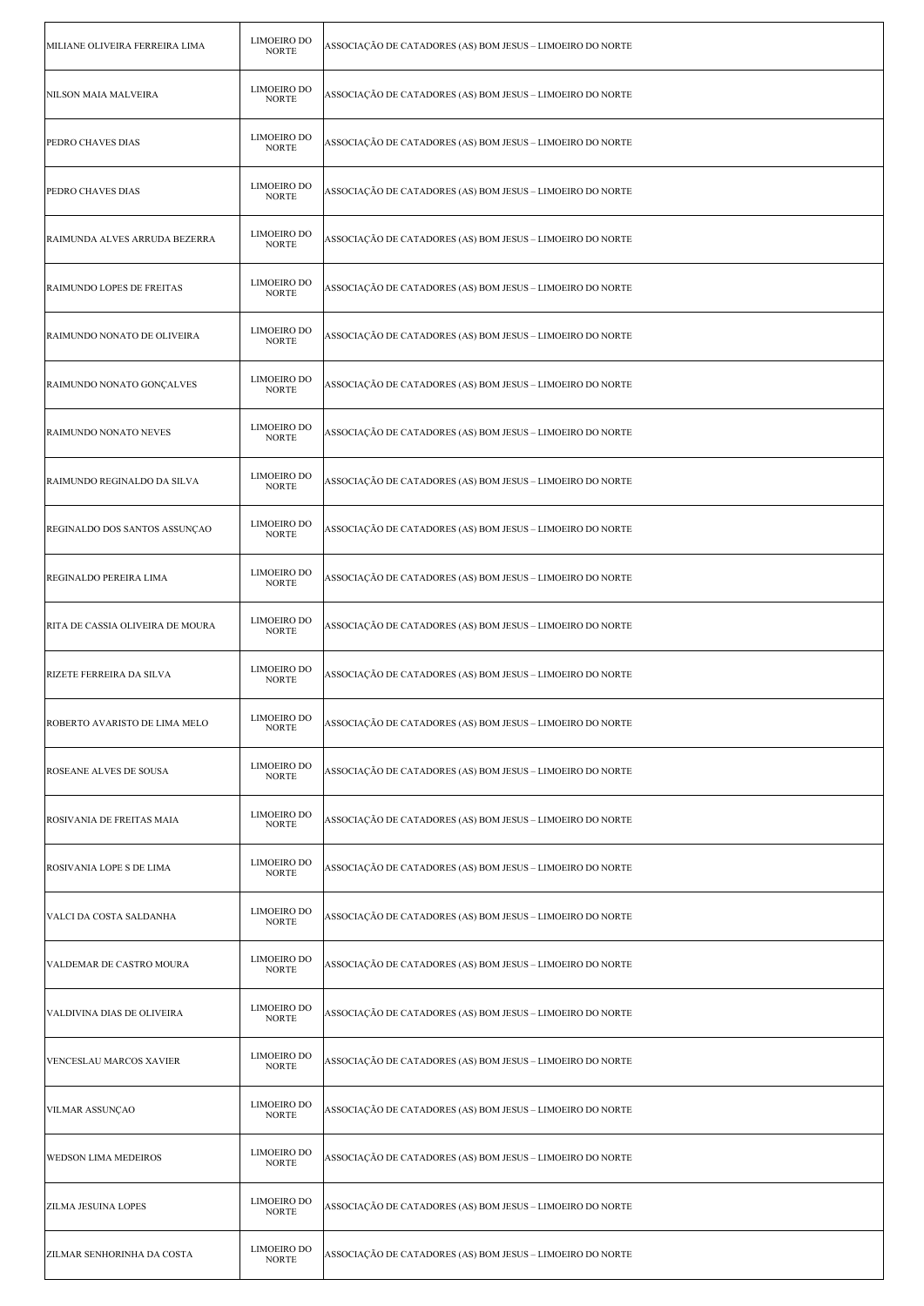| MILIANE OLIVEIRA FERREIRA LIMA   | <b>LIMOEIRO DO</b><br><b>NORTE</b> | ASSOCIAÇÃO DE CATADORES (AS) BOM JESUS – LIMOEIRO DO NORTE |
|----------------------------------|------------------------------------|------------------------------------------------------------|
| NILSON MAIA MALVEIRA             | LIMOEIRO DO<br><b>NORTE</b>        | ASSOCIAÇÃO DE CATADORES (AS) BOM JESUS – LIMOEIRO DO NORTE |
| PEDRO CHAVES DIAS                | <b>LIMOEIRO DO</b><br><b>NORTE</b> | ASSOCIAÇÃO DE CATADORES (AS) BOM JESUS – LIMOEIRO DO NORTE |
| PEDRO CHAVES DIAS                | <b>LIMOEIRO DO</b><br><b>NORTE</b> | ASSOCIAÇÃO DE CATADORES (AS) BOM JESUS – LIMOEIRO DO NORTE |
| RAIMUNDA ALVES ARRUDA BEZERRA    | LIMOEIRO DO<br><b>NORTE</b>        | ASSOCIAÇÃO DE CATADORES (AS) BOM JESUS – LIMOEIRO DO NORTE |
| RAIMUNDO LOPES DE FREITAS        | <b>LIMOEIRO DO</b><br><b>NORTE</b> | ASSOCIAÇÃO DE CATADORES (AS) BOM JESUS – LIMOEIRO DO NORTE |
| RAIMUNDO NONATO DE OLIVEIRA      | LIMOEIRO DO<br><b>NORTE</b>        | ASSOCIAÇÃO DE CATADORES (AS) BOM JESUS – LIMOEIRO DO NORTE |
| RAIMUNDO NONATO GONÇALVES        | <b>LIMOEIRO DO</b><br><b>NORTE</b> | ASSOCIAÇÃO DE CATADORES (AS) BOM JESUS – LIMOEIRO DO NORTE |
| RAIMUNDO NONATO NEVES            | <b>LIMOEIRO DO</b><br><b>NORTE</b> | ASSOCIAÇÃO DE CATADORES (AS) BOM JESUS – LIMOEIRO DO NORTE |
| RAIMUNDO REGINALDO DA SILVA      | LIMOEIRO DO<br><b>NORTE</b>        | ASSOCIAÇÃO DE CATADORES (AS) BOM JESUS – LIMOEIRO DO NORTE |
| REGINALDO DOS SANTOS ASSUNÇÃO    | <b>LIMOEIRO DO</b><br><b>NORTE</b> | ASSOCIAÇÃO DE CATADORES (AS) BOM JESUS – LIMOEIRO DO NORTE |
| REGINALDO PEREIRA LIMA           | LIMOEIRO DO<br><b>NORTE</b>        | ASSOCIAÇÃO DE CATADORES (AS) BOM JESUS – LIMOEIRO DO NORTE |
| RITA DE CASSIA OLIVEIRA DE MOURA | <b>LIMOEIRO DO</b><br><b>NORTE</b> | ASSOCIAÇÃO DE CATADORES (AS) BOM JESUS – LIMOEIRO DO NORTE |
| RIZETE FERREIRA DA SILVA         | LIMOEIRO DO<br><b>NORTE</b>        | ASSOCIAÇÃO DE CATADORES (AS) BOM JESUS – LIMOEIRO DO NORTE |
| ROBERTO AVARISTO DE LIMA MELO    | LIMOEIRO DO<br><b>NORTE</b>        | ASSOCIAÇÃO DE CATADORES (AS) BOM JESUS – LIMOEIRO DO NORTE |
| ROSEANE ALVES DE SOUSA           | LIMOEIRO DO<br><b>NORTE</b>        | ASSOCIAÇÃO DE CATADORES (AS) BOM JESUS – LIMOEIRO DO NORTE |
| ROSIVANIA DE FREITAS MAIA        | <b>LIMOEIRO DO</b><br><b>NORTE</b> | ASSOCIAÇÃO DE CATADORES (AS) BOM JESUS – LIMOEIRO DO NORTE |
| ROSIVANIA LOPE S DE LIMA         | <b>LIMOEIRO DO</b><br><b>NORTE</b> | ASSOCIAÇÃO DE CATADORES (AS) BOM JESUS – LIMOEIRO DO NORTE |
| VALCI DA COSTA SALDANHA          | <b>LIMOEIRO DO</b><br><b>NORTE</b> | ASSOCIAÇÃO DE CATADORES (AS) BOM JESUS – LIMOEIRO DO NORTE |
| VALDEMAR DE CASTRO MOURA         | LIMOEIRO DO<br><b>NORTE</b>        | ASSOCIAÇÃO DE CATADORES (AS) BOM JESUS – LIMOEIRO DO NORTE |
| VALDIVINA DIAS DE OLIVEIRA       | <b>LIMOEIRO DO</b><br><b>NORTE</b> | ASSOCIAÇÃO DE CATADORES (AS) BOM JESUS – LIMOEIRO DO NORTE |
| VENCESLAU MARCOS XAVIER          | <b>LIMOEIRO DO</b><br><b>NORTE</b> | ASSOCIAÇÃO DE CATADORES (AS) BOM JESUS – LIMOEIRO DO NORTE |
| VILMAR ASSUNÇAO                  | <b>LIMOEIRO DO</b><br><b>NORTE</b> | ASSOCIAÇÃO DE CATADORES (AS) BOM JESUS – LIMOEIRO DO NORTE |
| <b>WEDSON LIMA MEDEIROS</b>      | LIMOEIRO DO<br><b>NORTE</b>        | ASSOCIAÇÃO DE CATADORES (AS) BOM JESUS – LIMOEIRO DO NORTE |
| ZILMA JESUINA LOPES              | LIMOEIRO DO<br><b>NORTE</b>        | ASSOCIAÇÃO DE CATADORES (AS) BOM JESUS – LIMOEIRO DO NORTE |
| ZILMAR SENHORINHA DA COSTA       | LIMOEIRO DO<br><b>NORTE</b>        | ASSOCIAÇÃO DE CATADORES (AS) BOM JESUS – LIMOEIRO DO NORTE |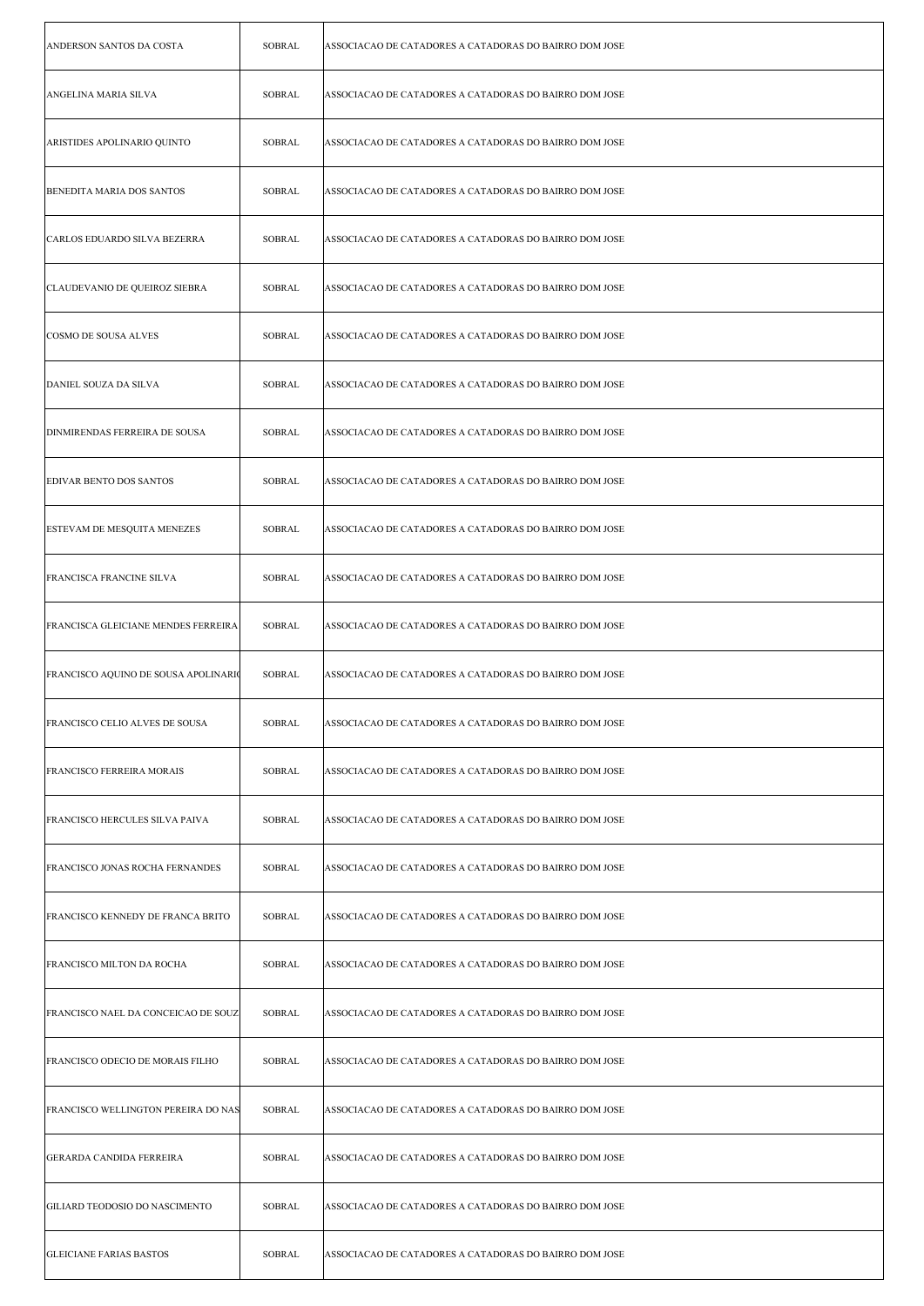| ANDERSON SANTOS DA COSTA             | <b>SOBRAL</b> | ASSOCIACAO DE CATADORES A CATADORAS DO BAIRRO DOM JOSE |
|--------------------------------------|---------------|--------------------------------------------------------|
| ANGELINA MARIA SILVA                 | <b>SOBRAL</b> | ASSOCIACAO DE CATADORES A CATADORAS DO BAIRRO DOM JOSE |
| ARISTIDES APOLINARIO QUINTO          | <b>SOBRAL</b> | ASSOCIACAO DE CATADORES A CATADORAS DO BAIRRO DOM JOSE |
| <b>BENEDITA MARIA DOS SANTOS</b>     | <b>SOBRAL</b> | ASSOCIACAO DE CATADORES A CATADORAS DO BAIRRO DOM JOSE |
| CARLOS EDUARDO SILVA BEZERRA         | <b>SOBRAL</b> | ASSOCIACAO DE CATADORES A CATADORAS DO BAIRRO DOM JOSE |
| CLAUDEVANIO DE QUEIROZ SIEBRA        | <b>SOBRAL</b> | ASSOCIACAO DE CATADORES A CATADORAS DO BAIRRO DOM JOSE |
| COSMO DE SOUSA ALVES                 | <b>SOBRAL</b> | ASSOCIACAO DE CATADORES A CATADORAS DO BAIRRO DOM JOSE |
| DANIEL SOUZA DA SILVA                | <b>SOBRAL</b> | ASSOCIACAO DE CATADORES A CATADORAS DO BAIRRO DOM JOSE |
| <b>DINMIRENDAS FERREIRA DE SOUSA</b> | <b>SOBRAL</b> | ASSOCIACAO DE CATADORES A CATADORAS DO BAIRRO DOM JOSE |
| <b>EDIVAR BENTO DOS SANTOS</b>       | <b>SOBRAL</b> | ASSOCIACAO DE CATADORES A CATADORAS DO BAIRRO DOM JOSE |
| ESTEVAM DE MESQUITA MENEZES          | <b>SOBRAL</b> | ASSOCIACAO DE CATADORES A CATADORAS DO BAIRRO DOM JOSE |
| FRANCISCA FRANCINE SILVA             | <b>SOBRAL</b> | ASSOCIACAO DE CATADORES A CATADORAS DO BAIRRO DOM JOSE |
| FRANCISCA GLEICIANE MENDES FERREIRA  | <b>SOBRAL</b> | ASSOCIACAO DE CATADORES A CATADORAS DO BAIRRO DOM JOSE |
| FRANCISCO AQUINO DE SOUSA APOLINARIO | <b>SOBRAL</b> | ASSOCIACAO DE CATADORES A CATADORAS DO BAIRRO DOM JOSE |
| FRANCISCO CELIO ALVES DE SOUSA       | <b>SOBRAL</b> | ASSOCIACAO DE CATADORES A CATADORAS DO BAIRRO DOM JOSE |
| <b>FRANCISCO FERREIRA MORAIS</b>     | <b>SOBRAL</b> | ASSOCIACAO DE CATADORES A CATADORAS DO BAIRRO DOM JOSE |
| FRANCISCO HERCULES SILVA PAIVA       | <b>SOBRAL</b> | ASSOCIACAO DE CATADORES A CATADORAS DO BAIRRO DOM JOSE |
| FRANCISCO JONAS ROCHA FERNANDES      | <b>SOBRAL</b> | ASSOCIACAO DE CATADORES A CATADORAS DO BAIRRO DOM JOSE |
| FRANCISCO KENNEDY DE FRANCA BRITO    | SOBRAL        | ASSOCIACAO DE CATADORES A CATADORAS DO BAIRRO DOM JOSE |
| <b>FRANCISCO MILTON DA ROCHA</b>     | <b>SOBRAL</b> | ASSOCIACAO DE CATADORES A CATADORAS DO BAIRRO DOM JOSE |
| FRANCISCO NAEL DA CONCEICAO DE SOUZ  | <b>SOBRAL</b> | ASSOCIACAO DE CATADORES A CATADORAS DO BAIRRO DOM JOSE |
| FRANCISCO ODECIO DE MORAIS FILHO     | <b>SOBRAL</b> | ASSOCIACAO DE CATADORES A CATADORAS DO BAIRRO DOM JOSE |
| FRANCISCO WELLINGTON PEREIRA DO NAS  | <b>SOBRAL</b> | ASSOCIACAO DE CATADORES A CATADORAS DO BAIRRO DOM JOSE |
| GERARDA CANDIDA FERREIRA             | <b>SOBRAL</b> | ASSOCIACAO DE CATADORES A CATADORAS DO BAIRRO DOM JOSE |
| GILIARD TEODOSIO DO NASCIMENTO       | <b>SOBRAL</b> | ASSOCIACAO DE CATADORES A CATADORAS DO BAIRRO DOM JOSE |
| <b>GLEICIANE FARIAS BASTOS</b>       | SOBRAL        | ASSOCIACAO DE CATADORES A CATADORAS DO BAIRRO DOM JOSE |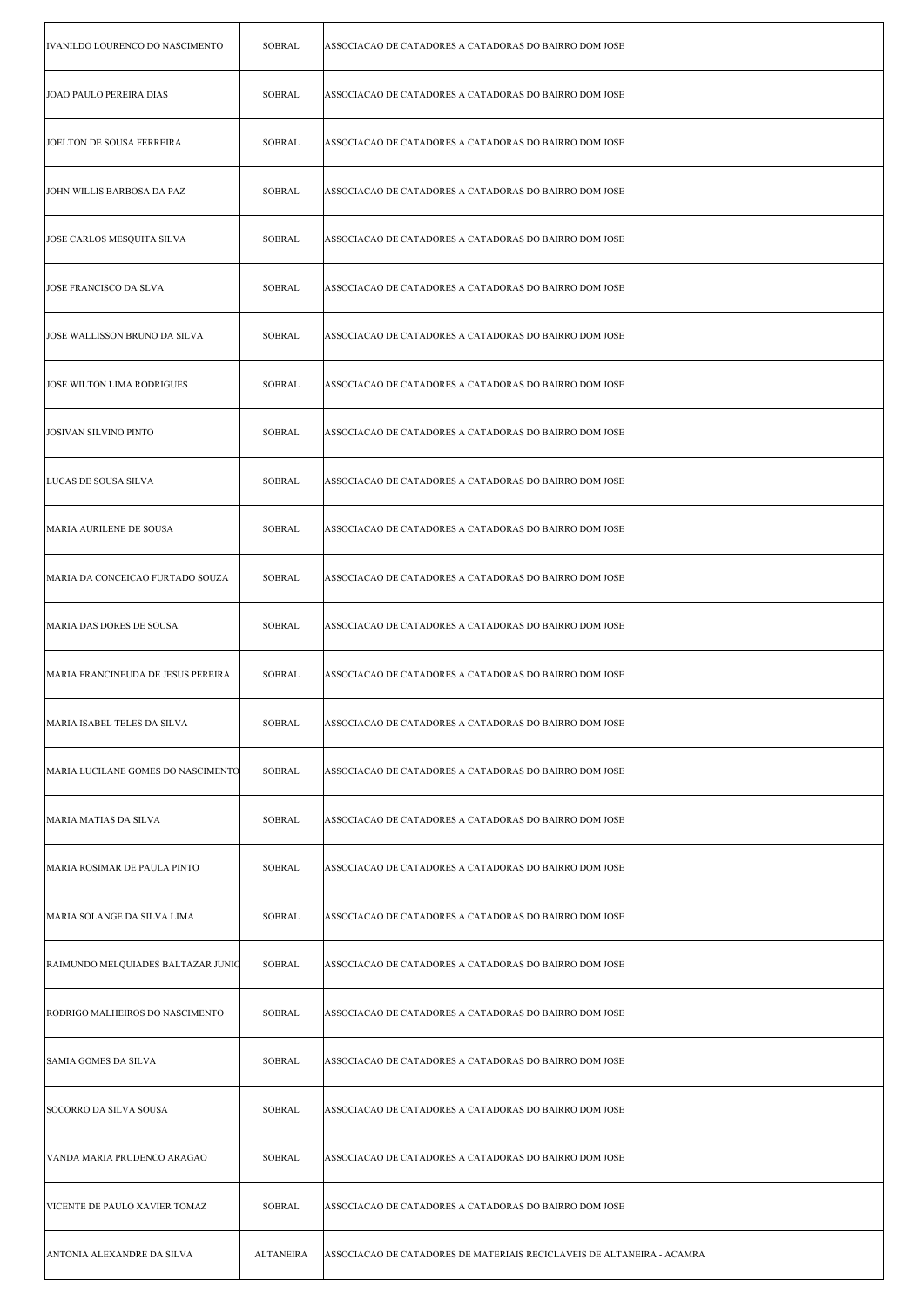| IVANILDO LOURENCO DO NASCIMENTO    | <b>SOBRAL</b>    | ASSOCIACAO DE CATADORES A CATADORAS DO BAIRRO DOM JOSE                 |
|------------------------------------|------------------|------------------------------------------------------------------------|
| JOAO PAULO PEREIRA DIAS            | SOBRAL           | ASSOCIACAO DE CATADORES A CATADORAS DO BAIRRO DOM JOSE                 |
| JOELTON DE SOUSA FERREIRA          | SOBRAL           | ASSOCIACAO DE CATADORES A CATADORAS DO BAIRRO DOM JOSE                 |
| JOHN WILLIS BARBOSA DA PAZ         | <b>SOBRAL</b>    | ASSOCIACAO DE CATADORES A CATADORAS DO BAIRRO DOM JOSE                 |
| JOSE CARLOS MESQUITA SILVA         | <b>SOBRAL</b>    | ASSOCIACAO DE CATADORES A CATADORAS DO BAIRRO DOM JOSE                 |
| JOSE FRANCISCO DA SLVA             | SOBRAL           | ASSOCIACAO DE CATADORES A CATADORAS DO BAIRRO DOM JOSE                 |
| JOSE WALLISSON BRUNO DA SILVA      | <b>SOBRAL</b>    | ASSOCIACAO DE CATADORES A CATADORAS DO BAIRRO DOM JOSE                 |
| JOSE WILTON LIMA RODRIGUES         | <b>SOBRAL</b>    | ASSOCIACAO DE CATADORES A CATADORAS DO BAIRRO DOM JOSE                 |
| <b>JOSIVAN SILVINO PINTO</b>       | <b>SOBRAL</b>    | ASSOCIACAO DE CATADORES A CATADORAS DO BAIRRO DOM JOSE                 |
| LUCAS DE SOUSA SILVA               | <b>SOBRAL</b>    | ASSOCIACAO DE CATADORES A CATADORAS DO BAIRRO DOM JOSE                 |
| MARIA AURILENE DE SOUSA            | SOBRAL           | ASSOCIACAO DE CATADORES A CATADORAS DO BAIRRO DOM JOSE                 |
| MARIA DA CONCEICAO FURTADO SOUZA   | <b>SOBRAL</b>    | ASSOCIACAO DE CATADORES A CATADORAS DO BAIRRO DOM JOSE                 |
| MARIA DAS DORES DE SOUSA           | <b>SOBRAL</b>    | ASSOCIACAO DE CATADORES A CATADORAS DO BAIRRO DOM JOSE                 |
| MARIA FRANCINEUDA DE JESUS PEREIRA | <b>SOBRAL</b>    | ASSOCIACAO DE CATADORES A CATADORAS DO BAIRRO DOM JOSE                 |
| MARIA ISABEL TELES DA SILVA        | SOBRAL           | ASSOCIACAO DE CATADORES A CATADORAS DO BAIRRO DOM JOSE                 |
| MARIA LUCILANE GOMES DO NASCIMENTO | <b>SOBRAL</b>    | ASSOCIACAO DE CATADORES A CATADORAS DO BAIRRO DOM JOSE                 |
| MARIA MATIAS DA SILVA              | SOBRAL           | ASSOCIACAO DE CATADORES A CATADORAS DO BAIRRO DOM JOSE                 |
| MARIA ROSIMAR DE PAULA PINTO       | SOBRAL           | ASSOCIACAO DE CATADORES A CATADORAS DO BAIRRO DOM JOSE                 |
| MARIA SOLANGE DA SILVA LIMA        | SOBRAL           | ASSOCIACAO DE CATADORES A CATADORAS DO BAIRRO DOM JOSE                 |
| RAIMUNDO MELQUIADES BALTAZAR JUNIC | SOBRAL           | ASSOCIACAO DE CATADORES A CATADORAS DO BAIRRO DOM JOSE                 |
| RODRIGO MALHEIROS DO NASCIMENTO    | SOBRAL           | ASSOCIACAO DE CATADORES A CATADORAS DO BAIRRO DOM JOSE                 |
| <b>SAMIA GOMES DA SILVA</b>        | SOBRAL           | ASSOCIACAO DE CATADORES A CATADORAS DO BAIRRO DOM JOSE                 |
| SOCORRO DA SILVA SOUSA             | SOBRAL           | ASSOCIACAO DE CATADORES A CATADORAS DO BAIRRO DOM JOSE                 |
| VANDA MARIA PRUDENCO ARAGAO        | SOBRAL           | ASSOCIACAO DE CATADORES A CATADORAS DO BAIRRO DOM JOSE                 |
| VICENTE DE PAULO XAVIER TOMAZ      | SOBRAL           | ASSOCIACAO DE CATADORES A CATADORAS DO BAIRRO DOM JOSE                 |
| ANTONIA ALEXANDRE DA SILVA         | <b>ALTANEIRA</b> | ASSOCIACAO DE CATADORES DE MATERIAIS RECICLAVEIS DE ALTANEIRA - ACAMRA |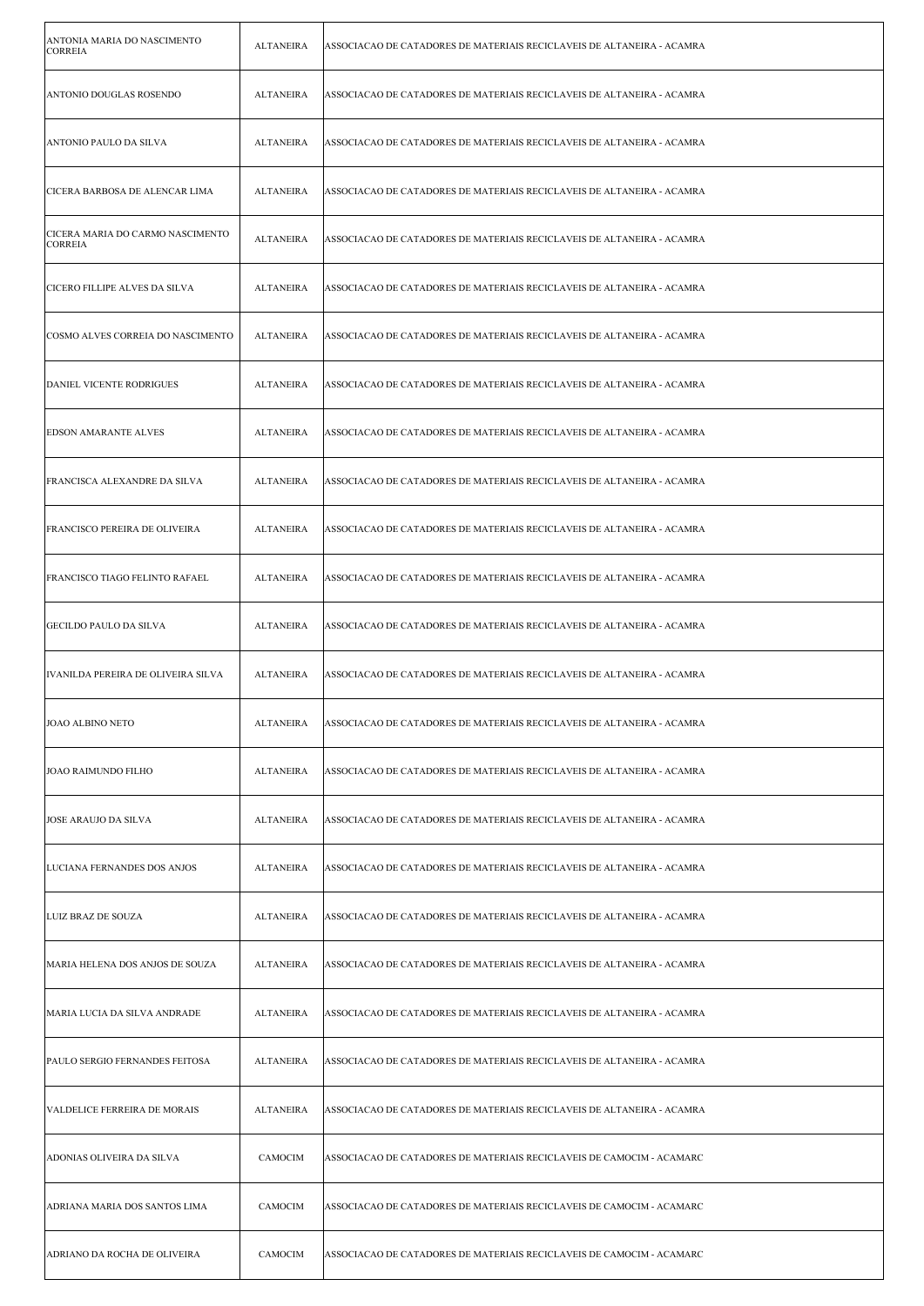| ANTONIA MARIA DO NASCIMENTO<br><b>CORREIA</b>      | <b>ALTANEIRA</b> | ASSOCIACAO DE CATADORES DE MATERIAIS RECICLAVEIS DE ALTANEIRA - ACAMRA |
|----------------------------------------------------|------------------|------------------------------------------------------------------------|
| ANTONIO DOUGLAS ROSENDO                            | ALTANEIRA        | ASSOCIACAO DE CATADORES DE MATERIAIS RECICLAVEIS DE ALTANEIRA - ACAMRA |
| ANTONIO PAULO DA SILVA                             | <b>ALTANEIRA</b> | ASSOCIACAO DE CATADORES DE MATERIAIS RECICLAVEIS DE ALTANEIRA - ACAMRA |
| CICERA BARBOSA DE ALENCAR LIMA                     | <b>ALTANEIRA</b> | ASSOCIACAO DE CATADORES DE MATERIAIS RECICLAVEIS DE ALTANEIRA - ACAMRA |
| CICERA MARIA DO CARMO NASCIMENTO<br><b>CORREIA</b> | <b>ALTANEIRA</b> | ASSOCIACAO DE CATADORES DE MATERIAIS RECICLAVEIS DE ALTANEIRA - ACAMRA |
| CICERO FILLIPE ALVES DA SILVA                      | <b>ALTANEIRA</b> | ASSOCIACAO DE CATADORES DE MATERIAIS RECICLAVEIS DE ALTANEIRA - ACAMRA |
| COSMO ALVES CORREIA DO NASCIMENTO                  | ALTANEIRA        | ASSOCIACAO DE CATADORES DE MATERIAIS RECICLAVEIS DE ALTANEIRA - ACAMRA |
| DANIEL VICENTE RODRIGUES                           | <b>ALTANEIRA</b> | ASSOCIACAO DE CATADORES DE MATERIAIS RECICLAVEIS DE ALTANEIRA - ACAMRA |
| <b>EDSON AMARANTE ALVES</b>                        | <b>ALTANEIRA</b> | ASSOCIACAO DE CATADORES DE MATERIAIS RECICLAVEIS DE ALTANEIRA - ACAMRA |
| FRANCISCA ALEXANDRE DA SILVA                       | <b>ALTANEIRA</b> | ASSOCIACAO DE CATADORES DE MATERIAIS RECICLAVEIS DE ALTANEIRA - ACAMRA |
| FRANCISCO PEREIRA DE OLIVEIRA                      | <b>ALTANEIRA</b> | ASSOCIACAO DE CATADORES DE MATERIAIS RECICLAVEIS DE ALTANEIRA - ACAMRA |
| FRANCISCO TIAGO FELINTO RAFAEL                     | <b>ALTANEIRA</b> | ASSOCIACAO DE CATADORES DE MATERIAIS RECICLAVEIS DE ALTANEIRA - ACAMRA |
| GECILDO PAULO DA SILVA                             | <b>ALTANEIRA</b> | ASSOCIACAO DE CATADORES DE MATERIAIS RECICLAVEIS DE ALTANEIRA - ACAMRA |
| IVANILDA PEREIRA DE OLIVEIRA SILVA                 | <b>ALTANEIRA</b> | ASSOCIACAO DE CATADORES DE MATERIAIS RECICLAVEIS DE ALTANEIRA - ACAMRA |
| JOAO ALBINO NETO                                   | <b>ALTANEIRA</b> | ASSOCIACAO DE CATADORES DE MATERIAIS RECICLAVEIS DE ALTANEIRA - ACAMRA |
| JOAO RAIMUNDO FILHO                                | <b>ALTANEIRA</b> | ASSOCIACAO DE CATADORES DE MATERIAIS RECICLAVEIS DE ALTANEIRA - ACAMRA |
| <b>JOSE ARAUJO DA SILVA</b>                        | <b>ALTANEIRA</b> | ASSOCIACAO DE CATADORES DE MATERIAIS RECICLAVEIS DE ALTANEIRA - ACAMRA |
| LUCIANA FERNANDES DOS ANJOS                        | <b>ALTANEIRA</b> | ASSOCIACAO DE CATADORES DE MATERIAIS RECICLAVEIS DE ALTANEIRA - ACAMRA |
| LUIZ BRAZ DE SOUZA                                 | <b>ALTANEIRA</b> | ASSOCIACAO DE CATADORES DE MATERIAIS RECICLAVEIS DE ALTANEIRA - ACAMRA |
| MARIA HELENA DOS ANJOS DE SOUZA                    | <b>ALTANEIRA</b> | ASSOCIACAO DE CATADORES DE MATERIAIS RECICLAVEIS DE ALTANEIRA - ACAMRA |
| MARIA LUCIA DA SILVA ANDRADE                       | <b>ALTANEIRA</b> | ASSOCIACAO DE CATADORES DE MATERIAIS RECICLAVEIS DE ALTANEIRA - ACAMRA |
| PAULO SERGIO FERNANDES FEITOSA                     | <b>ALTANEIRA</b> | ASSOCIACAO DE CATADORES DE MATERIAIS RECICLAVEIS DE ALTANEIRA - ACAMRA |
| VALDELICE FERREIRA DE MORAIS                       | <b>ALTANEIRA</b> | ASSOCIACAO DE CATADORES DE MATERIAIS RECICLAVEIS DE ALTANEIRA - ACAMRA |
| ADONIAS OLIVEIRA DA SILVA                          | CAMOCIM          | ASSOCIACAO DE CATADORES DE MATERIAIS RECICLAVEIS DE CAMOCIM - ACAMARC  |
| ADRIANA MARIA DOS SANTOS LIMA                      | CAMOCIM          | ASSOCIACAO DE CATADORES DE MATERIAIS RECICLAVEIS DE CAMOCIM - ACAMARC  |
| ADRIANO DA ROCHA DE OLIVEIRA                       | CAMOCIM          | ASSOCIACAO DE CATADORES DE MATERIAIS RECICLAVEIS DE CAMOCIM - ACAMARC  |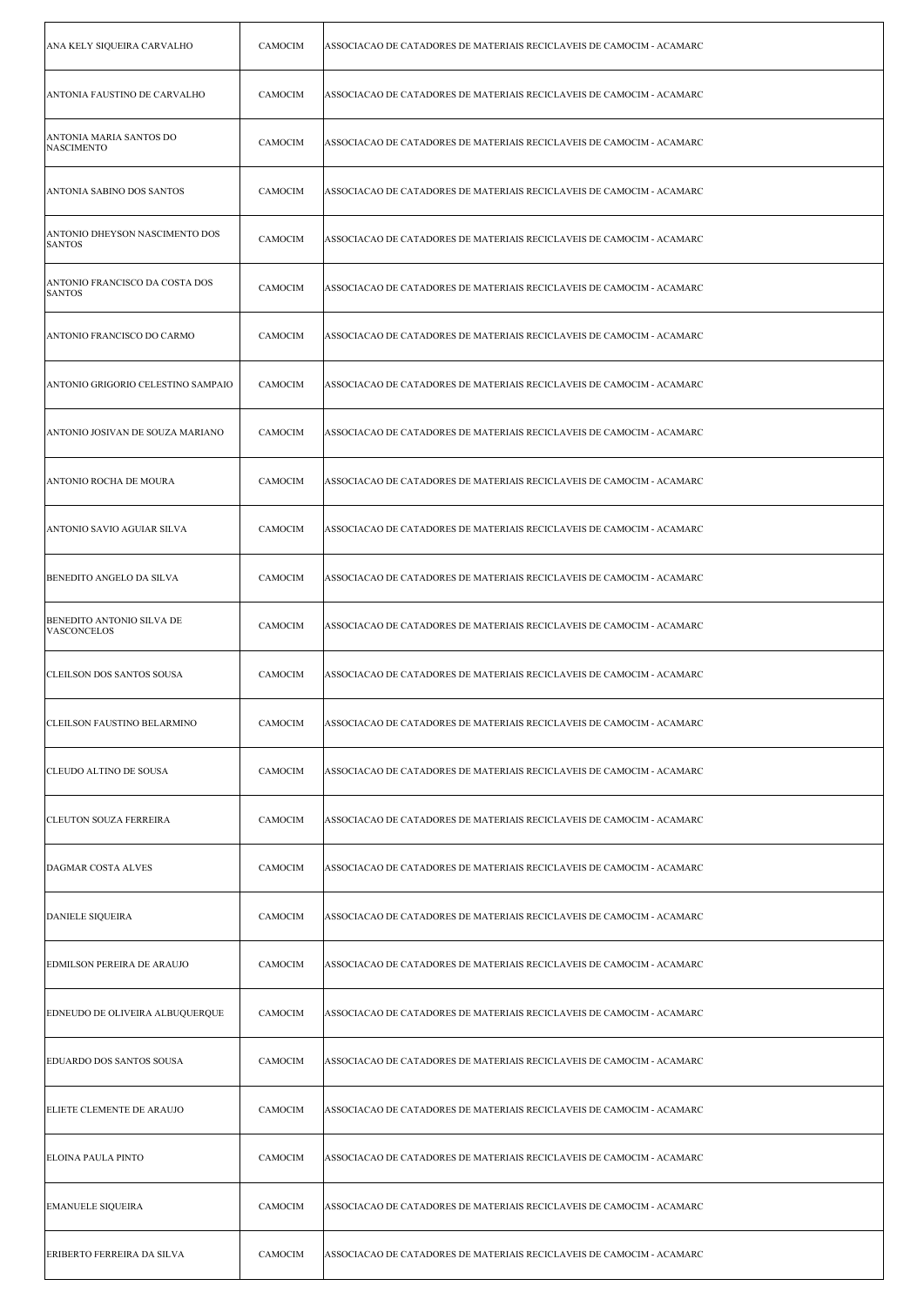| ANA KELY SIQUEIRA CARVALHO                             | <b>CAMOCIM</b> | ASSOCIACAO DE CATADORES DE MATERIAIS RECICLAVEIS DE CAMOCIM - ACAMARC |
|--------------------------------------------------------|----------------|-----------------------------------------------------------------------|
| ANTONIA FAUSTINO DE CARVALHO                           | CAMOCIM        | ASSOCIACAO DE CATADORES DE MATERIAIS RECICLAVEIS DE CAMOCIM - ACAMARC |
| ANTONIA MARIA SANTOS DO<br><b>NASCIMENTO</b>           | CAMOCIM        | ASSOCIACAO DE CATADORES DE MATERIAIS RECICLAVEIS DE CAMOCIM - ACAMARC |
| ANTONIA SABINO DOS SANTOS                              | CAMOCIM        | ASSOCIACAO DE CATADORES DE MATERIAIS RECICLAVEIS DE CAMOCIM - ACAMARC |
| ANTONIO DHEYSON NASCIMENTO DOS<br><b>SANTOS</b>        | <b>CAMOCIM</b> | ASSOCIACAO DE CATADORES DE MATERIAIS RECICLAVEIS DE CAMOCIM - ACAMARC |
| ANTONIO FRANCISCO DA COSTA DOS<br><b>SANTOS</b>        | CAMOCIM        | ASSOCIACAO DE CATADORES DE MATERIAIS RECICLAVEIS DE CAMOCIM - ACAMARC |
| ANTONIO FRANCISCO DO CARMO                             | CAMOCIM        | ASSOCIACAO DE CATADORES DE MATERIAIS RECICLAVEIS DE CAMOCIM - ACAMARC |
| ANTONIO GRIGORIO CELESTINO SAMPAIO                     | CAMOCIM        | ASSOCIACAO DE CATADORES DE MATERIAIS RECICLAVEIS DE CAMOCIM - ACAMARC |
| ANTONIO JOSIVAN DE SOUZA MARIANO                       | CAMOCIM        | ASSOCIACAO DE CATADORES DE MATERIAIS RECICLAVEIS DE CAMOCIM - ACAMARC |
| ANTONIO ROCHA DE MOURA                                 | <b>CAMOCIM</b> | ASSOCIACAO DE CATADORES DE MATERIAIS RECICLAVEIS DE CAMOCIM - ACAMARC |
| ANTONIO SAVIO AGUIAR SILVA                             | CAMOCIM        | ASSOCIACAO DE CATADORES DE MATERIAIS RECICLAVEIS DE CAMOCIM - ACAMARC |
| BENEDITO ANGELO DA SILVA                               | CAMOCIM        | ASSOCIACAO DE CATADORES DE MATERIAIS RECICLAVEIS DE CAMOCIM - ACAMARC |
| <b>BENEDITO ANTONIO SILVA DE</b><br><b>VASCONCELOS</b> | CAMOCIM        | ASSOCIACAO DE CATADORES DE MATERIAIS RECICLAVEIS DE CAMOCIM - ACAMARC |
| CLEILSON DOS SANTOS SOUSA                              | CAMOCIM        | ASSOCIACAO DE CATADORES DE MATERIAIS RECICLAVEIS DE CAMOCIM - ACAMARC |
| CLEILSON FAUSTINO BELARMINO                            | CAMOCIM        | ASSOCIACAO DE CATADORES DE MATERIAIS RECICLAVEIS DE CAMOCIM - ACAMARC |
| <b>CLEUDO ALTINO DE SOUSA</b>                          | CAMOCIM        | ASSOCIACAO DE CATADORES DE MATERIAIS RECICLAVEIS DE CAMOCIM - ACAMARC |
| <b>CLEUTON SOUZA FERREIRA</b>                          | CAMOCIM        | ASSOCIACAO DE CATADORES DE MATERIAIS RECICLAVEIS DE CAMOCIM - ACAMARC |
| <b>DAGMAR COSTA ALVES</b>                              | CAMOCIM        | ASSOCIACAO DE CATADORES DE MATERIAIS RECICLAVEIS DE CAMOCIM - ACAMARC |
| <b>DANIELE SIQUEIRA</b>                                | <b>CAMOCIM</b> | ASSOCIACAO DE CATADORES DE MATERIAIS RECICLAVEIS DE CAMOCIM - ACAMARC |
| <b>EDMILSON PEREIRA DE ARAUJO</b>                      | CAMOCIM        | ASSOCIACAO DE CATADORES DE MATERIAIS RECICLAVEIS DE CAMOCIM - ACAMARC |
| EDNEUDO DE OLIVEIRA ALBUQUERQUE                        | CAMOCIM        | ASSOCIACAO DE CATADORES DE MATERIAIS RECICLAVEIS DE CAMOCIM - ACAMARC |
| EDUARDO DOS SANTOS SOUSA                               | CAMOCIM        | ASSOCIACAO DE CATADORES DE MATERIAIS RECICLAVEIS DE CAMOCIM - ACAMARC |
| ELIETE CLEMENTE DE ARAUJO                              | CAMOCIM        | ASSOCIACAO DE CATADORES DE MATERIAIS RECICLAVEIS DE CAMOCIM - ACAMARC |
| ELOINA PAULA PINTO                                     | CAMOCIM        | ASSOCIACAO DE CATADORES DE MATERIAIS RECICLAVEIS DE CAMOCIM - ACAMARC |
| <b>EMANUELE SIQUEIRA</b>                               | CAMOCIM        | ASSOCIACAO DE CATADORES DE MATERIAIS RECICLAVEIS DE CAMOCIM - ACAMARC |
| <b>ERIBERTO FERREIRA DA SILVA</b>                      | CAMOCIM        | ASSOCIACAO DE CATADORES DE MATERIAIS RECICLAVEIS DE CAMOCIM - ACAMARC |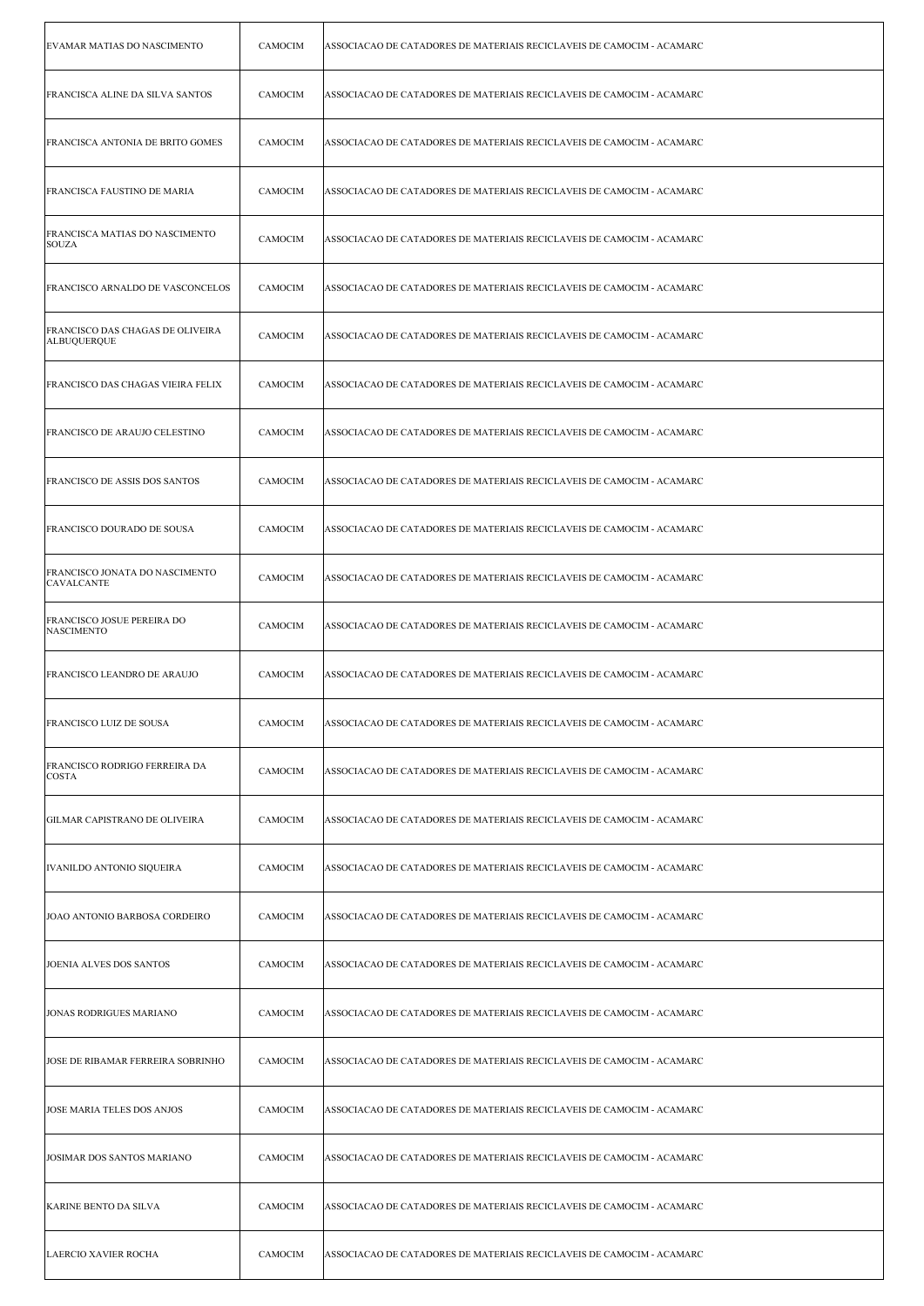| EVAMAR MATIAS DO NASCIMENTO                            | CAMOCIM | ASSOCIACAO DE CATADORES DE MATERIAIS RECICLAVEIS DE CAMOCIM - ACAMARC |
|--------------------------------------------------------|---------|-----------------------------------------------------------------------|
| FRANCISCA ALINE DA SILVA SANTOS                        | CAMOCIM | ASSOCIACAO DE CATADORES DE MATERIAIS RECICLAVEIS DE CAMOCIM - ACAMARC |
| FRANCISCA ANTONIA DE BRITO GOMES                       | CAMOCIM | ASSOCIACAO DE CATADORES DE MATERIAIS RECICLAVEIS DE CAMOCIM - ACAMARC |
| FRANCISCA FAUSTINO DE MARIA                            | CAMOCIM | ASSOCIACAO DE CATADORES DE MATERIAIS RECICLAVEIS DE CAMOCIM - ACAMARC |
| FRANCISCA MATIAS DO NASCIMENTO<br><b>SOUZA</b>         | CAMOCIM | ASSOCIACAO DE CATADORES DE MATERIAIS RECICLAVEIS DE CAMOCIM - ACAMARC |
| FRANCISCO ARNALDO DE VASCONCELOS                       | CAMOCIM | ASSOCIACAO DE CATADORES DE MATERIAIS RECICLAVEIS DE CAMOCIM - ACAMARC |
| FRANCISCO DAS CHAGAS DE OLIVEIRA<br><b>ALBUQUERQUE</b> | CAMOCIM | ASSOCIACAO DE CATADORES DE MATERIAIS RECICLAVEIS DE CAMOCIM - ACAMARC |
| FRANCISCO DAS CHAGAS VIEIRA FELIX                      | CAMOCIM | ASSOCIACAO DE CATADORES DE MATERIAIS RECICLAVEIS DE CAMOCIM - ACAMARC |
| FRANCISCO DE ARAUJO CELESTINO                          | CAMOCIM | ASSOCIACAO DE CATADORES DE MATERIAIS RECICLAVEIS DE CAMOCIM - ACAMARC |
| FRANCISCO DE ASSIS DOS SANTOS                          | CAMOCIM | ASSOCIACAO DE CATADORES DE MATERIAIS RECICLAVEIS DE CAMOCIM - ACAMARC |
| FRANCISCO DOURADO DE SOUSA                             | CAMOCIM | ASSOCIACAO DE CATADORES DE MATERIAIS RECICLAVEIS DE CAMOCIM - ACAMARC |
| FRANCISCO JONATA DO NASCIMENTO<br><b>CAVALCANTE</b>    | CAMOCIM | ASSOCIACAO DE CATADORES DE MATERIAIS RECICLAVEIS DE CAMOCIM - ACAMARC |
| FRANCISCO JOSUE PEREIRA DO<br>NASCIMENTO               | CAMOCIM | ASSOCIACAO DE CATADORES DE MATERIAIS RECICLAVEIS DE CAMOCIM - ACAMARC |
| FRANCISCO LEANDRO DE ARAUJO                            | CAMOCIM | ASSOCIACAO DE CATADORES DE MATERIAIS RECICLAVEIS DE CAMOCIM - ACAMARC |
| FRANCISCO LUIZ DE SOUSA                                | CAMOCIM | ASSOCIACAO DE CATADORES DE MATERIAIS RECICLAVEIS DE CAMOCIM - ACAMARC |
| <b>FRANCISCO RODRIGO FERREIRA DA</b><br><b>COSTA</b>   | CAMOCIM | ASSOCIACAO DE CATADORES DE MATERIAIS RECICLAVEIS DE CAMOCIM - ACAMARC |
| GILMAR CAPISTRANO DE OLIVEIRA                          | CAMOCIM | ASSOCIACAO DE CATADORES DE MATERIAIS RECICLAVEIS DE CAMOCIM - ACAMARC |
| IVANILDO ANTONIO SIQUEIRA                              | CAMOCIM | ASSOCIACAO DE CATADORES DE MATERIAIS RECICLAVEIS DE CAMOCIM - ACAMARC |
| JOAO ANTONIO BARBOSA CORDEIRO                          | CAMOCIM | ASSOCIACAO DE CATADORES DE MATERIAIS RECICLAVEIS DE CAMOCIM - ACAMARC |
| JOENIA ALVES DOS SANTOS                                | CAMOCIM | ASSOCIACAO DE CATADORES DE MATERIAIS RECICLAVEIS DE CAMOCIM - ACAMARC |
| JONAS RODRIGUES MARIANO                                | CAMOCIM | ASSOCIACAO DE CATADORES DE MATERIAIS RECICLAVEIS DE CAMOCIM - ACAMARC |
| JOSE DE RIBAMAR FERREIRA SOBRINHO                      | CAMOCIM | ASSOCIACAO DE CATADORES DE MATERIAIS RECICLAVEIS DE CAMOCIM - ACAMARC |
| JOSE MARIA TELES DOS ANJOS                             | CAMOCIM | ASSOCIACAO DE CATADORES DE MATERIAIS RECICLAVEIS DE CAMOCIM - ACAMARC |
| JOSIMAR DOS SANTOS MARIANO                             | CAMOCIM | ASSOCIACAO DE CATADORES DE MATERIAIS RECICLAVEIS DE CAMOCIM - ACAMARC |
| KARINE BENTO DA SILVA                                  | CAMOCIM | ASSOCIACAO DE CATADORES DE MATERIAIS RECICLAVEIS DE CAMOCIM - ACAMARC |
| LAERCIO XAVIER ROCHA                                   | CAMOCIM | ASSOCIACAO DE CATADORES DE MATERIAIS RECICLAVEIS DE CAMOCIM - ACAMARC |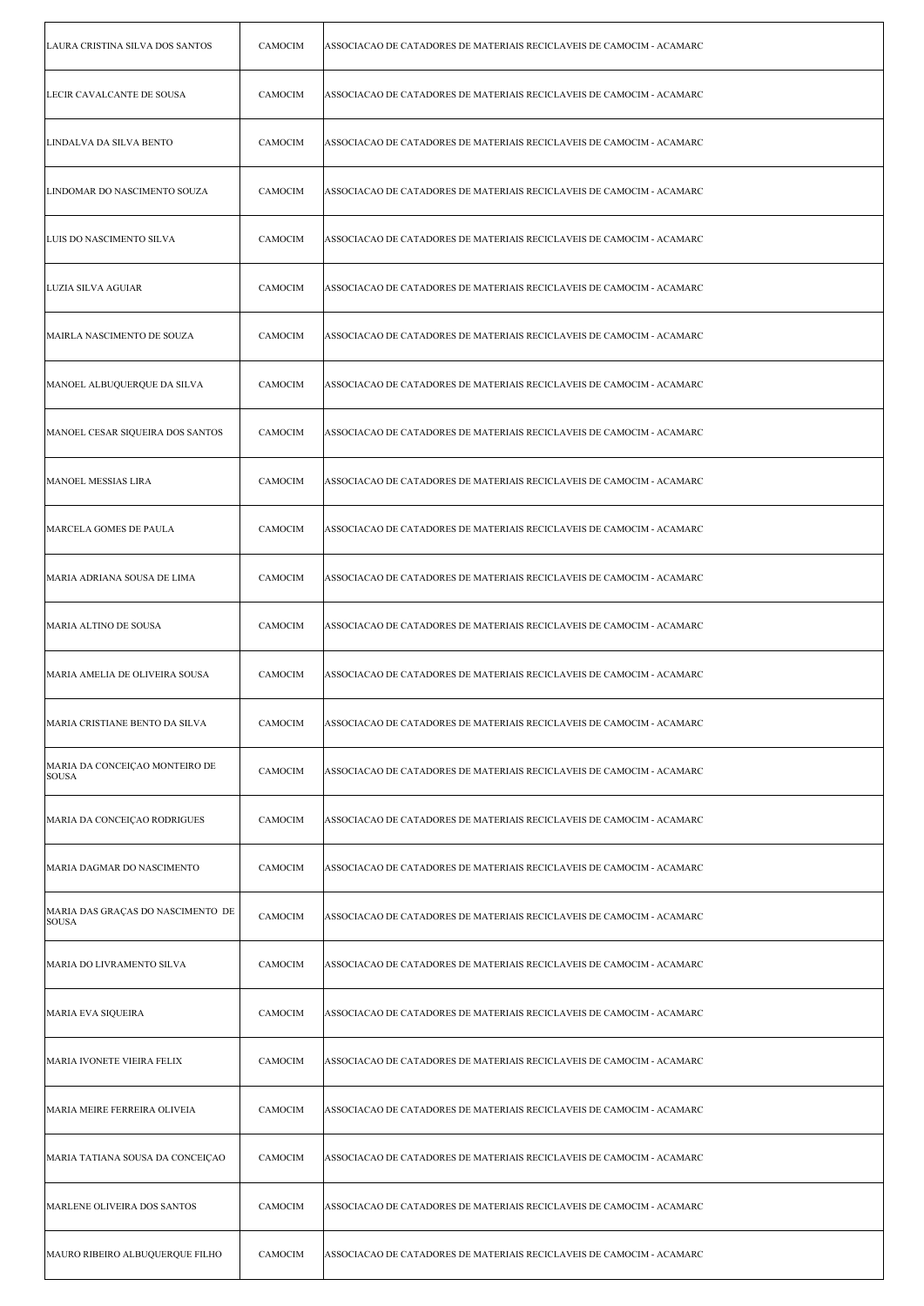| LAURA CRISTINA SILVA DOS SANTOS             | CAMOCIM        | ASSOCIACAO DE CATADORES DE MATERIAIS RECICLAVEIS DE CAMOCIM - ACAMARC |
|---------------------------------------------|----------------|-----------------------------------------------------------------------|
| LECIR CAVALCANTE DE SOUSA                   | CAMOCIM        | ASSOCIACAO DE CATADORES DE MATERIAIS RECICLAVEIS DE CAMOCIM - ACAMARC |
| LINDALVA DA SILVA BENTO                     | CAMOCIM        | ASSOCIACAO DE CATADORES DE MATERIAIS RECICLAVEIS DE CAMOCIM - ACAMARC |
| LINDOMAR DO NASCIMENTO SOUZA                | CAMOCIM        | ASSOCIACAO DE CATADORES DE MATERIAIS RECICLAVEIS DE CAMOCIM - ACAMARC |
| LUIS DO NASCIMENTO SILVA                    | CAMOCIM        | ASSOCIACAO DE CATADORES DE MATERIAIS RECICLAVEIS DE CAMOCIM - ACAMARC |
| LUZIA SILVA AGUIAR                          | CAMOCIM        | ASSOCIACAO DE CATADORES DE MATERIAIS RECICLAVEIS DE CAMOCIM - ACAMARC |
| MAIRLA NASCIMENTO DE SOUZA                  | CAMOCIM        | ASSOCIACAO DE CATADORES DE MATERIAIS RECICLAVEIS DE CAMOCIM - ACAMARC |
| MANOEL ALBUQUERQUE DA SILVA                 | CAMOCIM        | ASSOCIACAO DE CATADORES DE MATERIAIS RECICLAVEIS DE CAMOCIM - ACAMARC |
| MANOEL CESAR SIQUEIRA DOS SANTOS            | <b>CAMOCIM</b> | ASSOCIACAO DE CATADORES DE MATERIAIS RECICLAVEIS DE CAMOCIM - ACAMARC |
| MANOEL MESSIAS LIRA                         | CAMOCIM        | ASSOCIACAO DE CATADORES DE MATERIAIS RECICLAVEIS DE CAMOCIM - ACAMARC |
| MARCELA GOMES DE PAULA                      | CAMOCIM        | ASSOCIACAO DE CATADORES DE MATERIAIS RECICLAVEIS DE CAMOCIM - ACAMARC |
| MARIA ADRIANA SOUSA DE LIMA                 | CAMOCIM        | ASSOCIACAO DE CATADORES DE MATERIAIS RECICLAVEIS DE CAMOCIM - ACAMARC |
| MARIA ALTINO DE SOUSA                       | <b>CAMOCIM</b> | ASSOCIACAO DE CATADORES DE MATERIAIS RECICLAVEIS DE CAMOCIM - ACAMARC |
| MARIA AMELIA DE OLIVEIRA SOUSA              | CAMOCIM        | ASSOCIACAO DE CATADORES DE MATERIAIS RECICLAVEIS DE CAMOCIM - ACAMARC |
| MARIA CRISTIANE BENTO DA SILVA              | CAMOCIM        | ASSOCIACAO DE CATADORES DE MATERIAIS RECICLAVEIS DE CAMOCIM - ACAMARC |
| MARIA DA CONCEIÇAO MONTEIRO DE<br> SOUSA    | CAMOCIM        | ASSOCIACAO DE CATADORES DE MATERIAIS RECICLAVEIS DE CAMOCIM - ACAMARC |
| MARIA DA CONCEIÇÃO RODRIGUES                | CAMOCIM        | ASSOCIACAO DE CATADORES DE MATERIAIS RECICLAVEIS DE CAMOCIM - ACAMARC |
| MARIA DAGMAR DO NASCIMENTO                  | CAMOCIM        | ASSOCIACAO DE CATADORES DE MATERIAIS RECICLAVEIS DE CAMOCIM - ACAMARC |
| MARIA DAS GRAÇAS DO NASCIMENTO DE<br> SOUSA | CAMOCIM        | ASSOCIACAO DE CATADORES DE MATERIAIS RECICLAVEIS DE CAMOCIM - ACAMARC |
| MARIA DO LIVRAMENTO SILVA                   | CAMOCIM        | ASSOCIACAO DE CATADORES DE MATERIAIS RECICLAVEIS DE CAMOCIM - ACAMARC |
| MARIA EVA SIQUEIRA                          | CAMOCIM        | ASSOCIACAO DE CATADORES DE MATERIAIS RECICLAVEIS DE CAMOCIM - ACAMARC |
| MARIA IVONETE VIEIRA FELIX                  | CAMOCIM        | ASSOCIACAO DE CATADORES DE MATERIAIS RECICLAVEIS DE CAMOCIM - ACAMARC |
| MARIA MEIRE FERREIRA OLIVEIA                | CAMOCIM        | ASSOCIACAO DE CATADORES DE MATERIAIS RECICLAVEIS DE CAMOCIM - ACAMARC |
| MARIA TATIANA SOUSA DA CONCEIÇAO            | CAMOCIM        | ASSOCIACAO DE CATADORES DE MATERIAIS RECICLAVEIS DE CAMOCIM - ACAMARC |
| MARLENE OLIVEIRA DOS SANTOS                 | CAMOCIM        | ASSOCIACAO DE CATADORES DE MATERIAIS RECICLAVEIS DE CAMOCIM - ACAMARC |
| MAURO RIBEIRO ALBUQUERQUE FILHO             | CAMOCIM        | ASSOCIACAO DE CATADORES DE MATERIAIS RECICLAVEIS DE CAMOCIM - ACAMARC |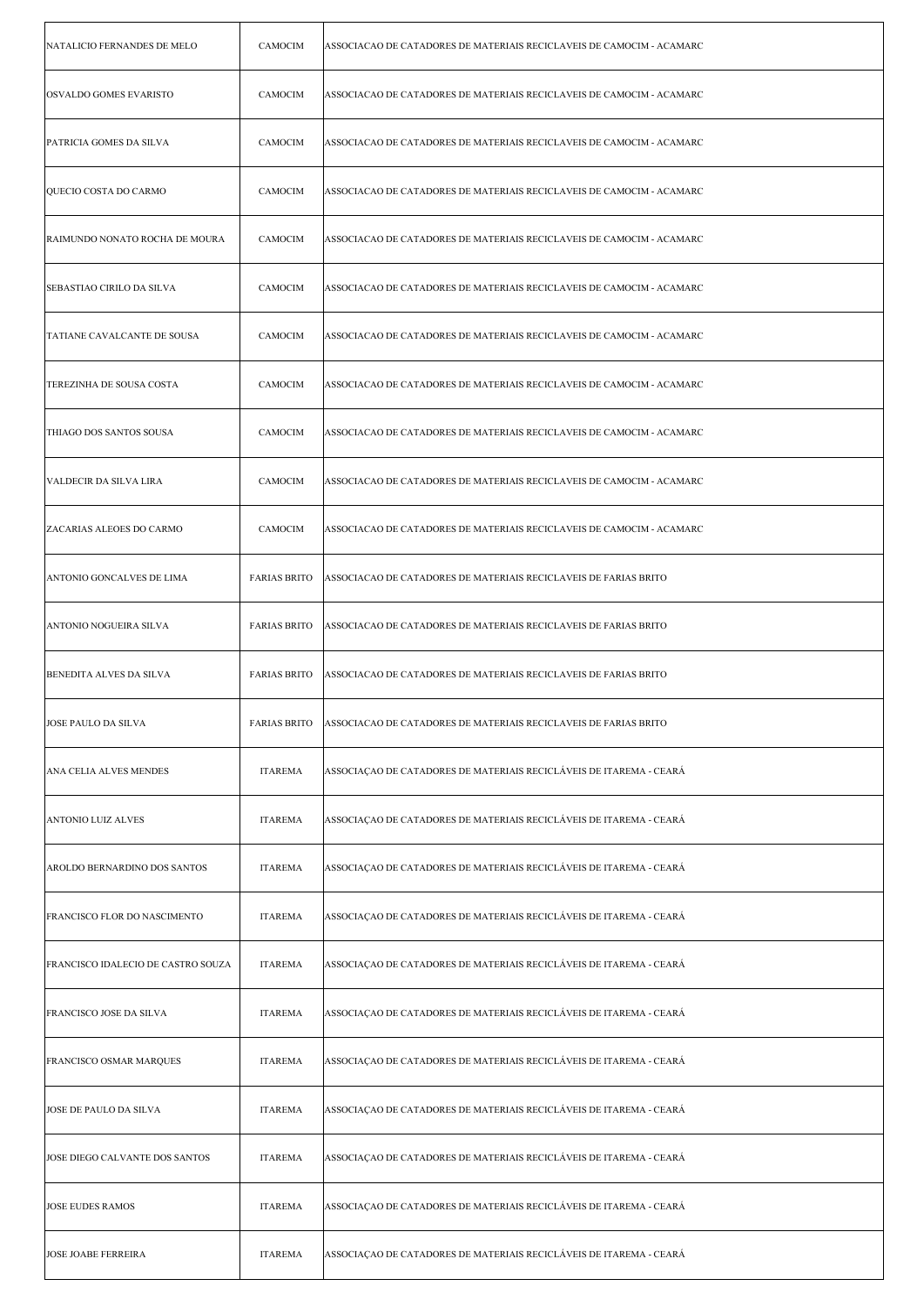| NATALICIO FERNANDES DE MELO        | CAMOCIM             | ASSOCIACAO DE CATADORES DE MATERIAIS RECICLAVEIS DE CAMOCIM - ACAMARC |
|------------------------------------|---------------------|-----------------------------------------------------------------------|
| <b>OSVALDO GOMES EVARISTO</b>      | CAMOCIM             | ASSOCIACAO DE CATADORES DE MATERIAIS RECICLAVEIS DE CAMOCIM - ACAMARC |
| PATRICIA GOMES DA SILVA            | <b>CAMOCIM</b>      | ASSOCIACAO DE CATADORES DE MATERIAIS RECICLAVEIS DE CAMOCIM - ACAMARC |
| QUECIO COSTA DO CARMO              | CAMOCIM             | ASSOCIACAO DE CATADORES DE MATERIAIS RECICLAVEIS DE CAMOCIM - ACAMARC |
| RAIMUNDO NONATO ROCHA DE MOURA     | CAMOCIM             | ASSOCIACAO DE CATADORES DE MATERIAIS RECICLAVEIS DE CAMOCIM - ACAMARC |
| SEBASTIAO CIRILO DA SILVA          | CAMOCIM             | ASSOCIACAO DE CATADORES DE MATERIAIS RECICLAVEIS DE CAMOCIM - ACAMARC |
| TATIANE CAVALCANTE DE SOUSA        | <b>CAMOCIM</b>      | ASSOCIACAO DE CATADORES DE MATERIAIS RECICLAVEIS DE CAMOCIM - ACAMARC |
| TEREZINHA DE SOUSA COSTA           | <b>CAMOCIM</b>      | ASSOCIACAO DE CATADORES DE MATERIAIS RECICLAVEIS DE CAMOCIM - ACAMARC |
| THIAGO DOS SANTOS SOUSA            | CAMOCIM             | ASSOCIACAO DE CATADORES DE MATERIAIS RECICLAVEIS DE CAMOCIM - ACAMARC |
| VALDECIR DA SILVA LIRA             | CAMOCIM             | ASSOCIACAO DE CATADORES DE MATERIAIS RECICLAVEIS DE CAMOCIM - ACAMARC |
| ZACARIAS ALEOES DO CARMO           | CAMOCIM             | ASSOCIACAO DE CATADORES DE MATERIAIS RECICLAVEIS DE CAMOCIM - ACAMARC |
| ANTONIO GONCALVES DE LIMA          | <b>FARIAS BRITO</b> | ASSOCIACAO DE CATADORES DE MATERIAIS RECICLAVEIS DE FARIAS BRITO      |
| ANTONIO NOGUEIRA SILVA             | <b>FARIAS BRITO</b> | ASSOCIACAO DE CATADORES DE MATERIAIS RECICLAVEIS DE FARIAS BRITO      |
|                                    |                     |                                                                       |
| BENEDITA ALVES DA SILVA            | <b>FARIAS BRITO</b> | ASSOCIACAO DE CATADORES DE MATERIAIS RECICLAVEIS DE FARIAS BRITO      |
| JOSE PAULO DA SILVA                | <b>FARIAS BRITO</b> | ASSOCIACAO DE CATADORES DE MATERIAIS RECICLAVEIS DE FARIAS BRITO      |
| ANA CELIA ALVES MENDES             | <b>ITAREMA</b>      | ASSOCIAÇÃO DE CATADORES DE MATERIAIS RECICLÁVEIS DE ITAREMA - CEARÁ   |
| <b>ANTONIO LUIZ ALVES</b>          | <b>ITAREMA</b>      | ASSOCIAÇÃO DE CATADORES DE MATERIAIS RECICLÁVEIS DE ITAREMA - CEARÁ   |
| AROLDO BERNARDINO DOS SANTOS       | <b>ITAREMA</b>      | ASSOCIAÇAO DE CATADORES DE MATERIAIS RECICLÁVEIS DE ITAREMA - CEARÁ   |
| FRANCISCO FLOR DO NASCIMENTO       | <b>ITAREMA</b>      | ASSOCIAÇAO DE CATADORES DE MATERIAIS RECICLÁVEIS DE ITAREMA - CEARÁ   |
| FRANCISCO IDALECIO DE CASTRO SOUZA | <b>ITAREMA</b>      | ASSOCIAÇÃO DE CATADORES DE MATERIAIS RECICLÁVEIS DE ITAREMA - CEARÁ   |
| <b>FRANCISCO JOSE DA SILVA</b>     | <b>ITAREMA</b>      | ASSOCIAÇÃO DE CATADORES DE MATERIAIS RECICLÁVEIS DE ITAREMA - CEARÁ   |
| FRANCISCO OSMAR MARQUES            | <b>ITAREMA</b>      | ASSOCIAÇÃO DE CATADORES DE MATERIAIS RECICLÁVEIS DE ITAREMA - CEARÁ   |
| JOSE DE PAULO DA SILVA             | <b>ITAREMA</b>      | ASSOCIAÇÃO DE CATADORES DE MATERIAIS RECICLÁVEIS DE ITAREMA - CEARÁ   |
| JOSE DIEGO CALVANTE DOS SANTOS     | <b>ITAREMA</b>      | ASSOCIAÇAO DE CATADORES DE MATERIAIS RECICLÁVEIS DE ITAREMA - CEARÁ   |
| <b>JOSE EUDES RAMOS</b>            | <b>ITAREMA</b>      | ASSOCIAÇÃO DE CATADORES DE MATERIAIS RECICLÁVEIS DE ITAREMA - CEARÁ   |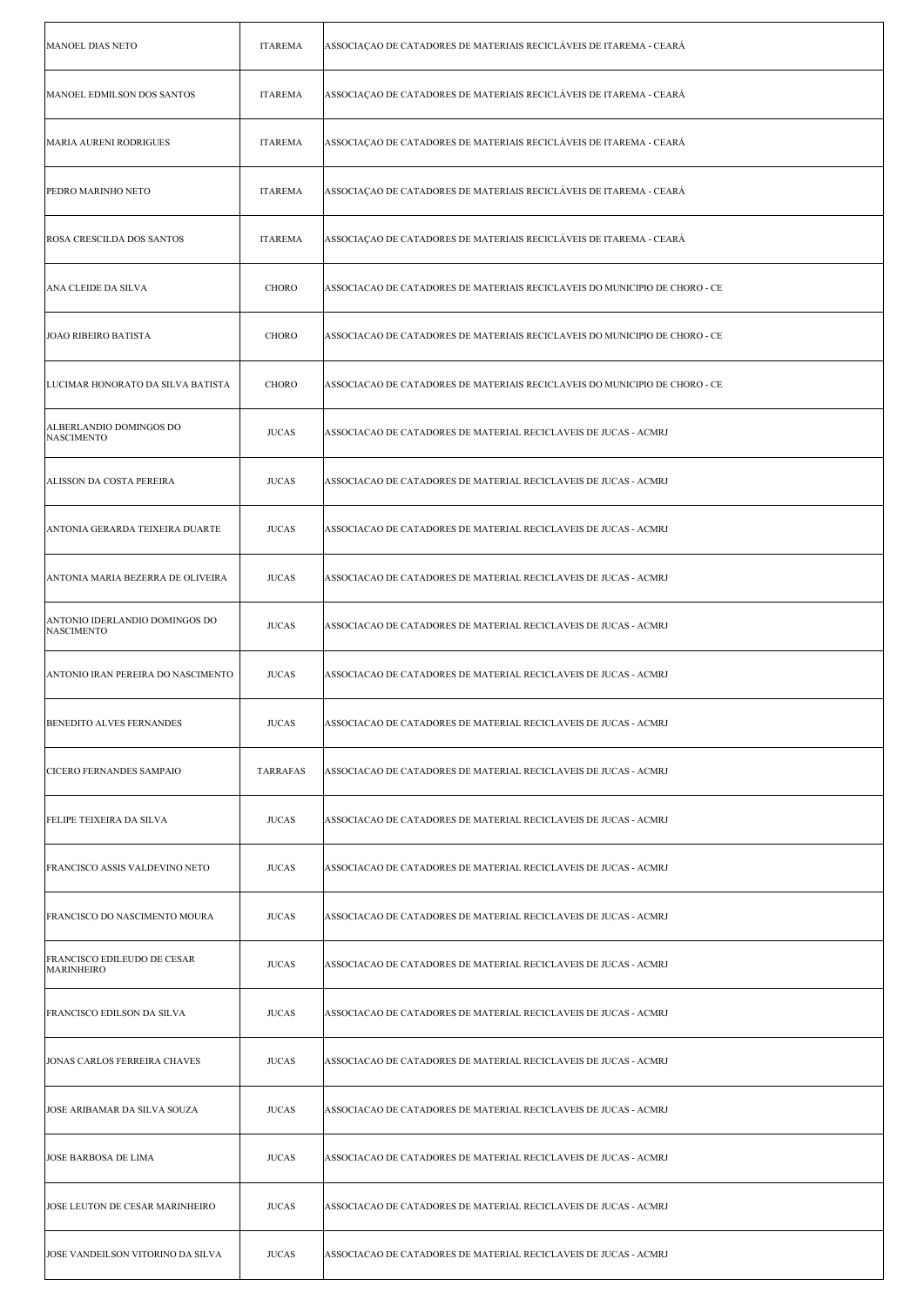| <b>MANOEL DIAS NETO</b>                                 | <b>ITAREMA</b>  | ASSOCIAÇÃO DE CATADORES DE MATERIAIS RECICLÁVEIS DE ITAREMA - CEARÁ         |
|---------------------------------------------------------|-----------------|-----------------------------------------------------------------------------|
| MANOEL EDMILSON DOS SANTOS                              | <b>ITAREMA</b>  | ASSOCIAÇÃO DE CATADORES DE MATERIAIS RECICLÁVEIS DE ITAREMA - CEARÁ         |
| <b>MARIA AURENI RODRIGUES</b>                           | <b>ITAREMA</b>  | ASSOCIAÇÃO DE CATADORES DE MATERIAIS RECICLÁVEIS DE ITAREMA - CEARÁ         |
| PEDRO MARINHO NETO                                      | <b>ITAREMA</b>  | ASSOCIAÇÃO DE CATADORES DE MATERIAIS RECICLÁVEIS DE ITAREMA - CEARÁ         |
| <b>ROSA CRESCILDA DOS SANTOS</b>                        | <b>ITAREMA</b>  | ASSOCIAÇÃO DE CATADORES DE MATERIAIS RECICLÁVEIS DE ITAREMA - CEARÁ         |
| ANA CLEIDE DA SILVA                                     | CHORO           | ASSOCIACAO DE CATADORES DE MATERIAIS RECICLAVEIS DO MUNICIPIO DE CHORO - CE |
| <b>JOAO RIBEIRO BATISTA</b>                             | CHORO           | ASSOCIACAO DE CATADORES DE MATERIAIS RECICLAVEIS DO MUNICIPIO DE CHORO - CE |
| LUCIMAR HONORATO DA SILVA BATISTA                       | <b>CHORO</b>    | ASSOCIACAO DE CATADORES DE MATERIAIS RECICLAVEIS DO MUNICIPIO DE CHORO - CE |
| ALBERLANDIO DOMINGOS DO<br><b>NASCIMENTO</b>            | <b>JUCAS</b>    | ASSOCIACAO DE CATADORES DE MATERIAL RECICLAVEIS DE JUCAS - ACMRJ            |
| ALISSON DA COSTA PEREIRA                                | <b>JUCAS</b>    | ASSOCIACAO DE CATADORES DE MATERIAL RECICLAVEIS DE JUCAS - ACMRJ            |
| ANTONIA GERARDA TEIXEIRA DUARTE                         | <b>JUCAS</b>    | ASSOCIACAO DE CATADORES DE MATERIAL RECICLAVEIS DE JUCAS - ACMRJ            |
| ANTONIA MARIA BEZERRA DE OLIVEIRA                       | <b>JUCAS</b>    | ASSOCIACAO DE CATADORES DE MATERIAL RECICLAVEIS DE JUCAS - ACMRJ            |
| ANTONIO IDERLANDIO DOMINGOS DO<br><b>NASCIMENTO</b>     | <b>JUCAS</b>    | ASSOCIACAO DE CATADORES DE MATERIAL RECICLAVEIS DE JUCAS - ACMRJ            |
| ANTONIO IRAN PEREIRA DO NASCIMENTO                      | <b>JUCAS</b>    | ASSOCIACAO DE CATADORES DE MATERIAL RECICLAVEIS DE JUCAS - ACMRJ            |
| BENEDITO ALVES FERNANDES                                | <b>JUCAS</b>    | ASSOCIACAO DE CATADORES DE MATERIAL RECICLAVEIS DE JUCAS - ACMRJ            |
| <b>CICERO FERNANDES SAMPAIO</b>                         | <b>TARRAFAS</b> | ASSOCIACAO DE CATADORES DE MATERIAL RECICLAVEIS DE JUCAS - ACMRJ            |
| FELIPE TEIXEIRA DA SILVA                                | <b>JUCAS</b>    | ASSOCIACAO DE CATADORES DE MATERIAL RECICLAVEIS DE JUCAS - ACMRJ            |
| FRANCISCO ASSIS VALDEVINO NETO                          | <b>JUCAS</b>    | ASSOCIACAO DE CATADORES DE MATERIAL RECICLAVEIS DE JUCAS - ACMRJ            |
| FRANCISCO DO NASCIMENTO MOURA                           | <b>JUCAS</b>    | ASSOCIACAO DE CATADORES DE MATERIAL RECICLAVEIS DE JUCAS - ACMRJ            |
| <b>FRANCISCO EDILEUDO DE CESAR</b><br><b>MARINHEIRO</b> | <b>JUCAS</b>    | ASSOCIACAO DE CATADORES DE MATERIAL RECICLAVEIS DE JUCAS - ACMRJ            |
| FRANCISCO EDILSON DA SILVA                              | <b>JUCAS</b>    | ASSOCIACAO DE CATADORES DE MATERIAL RECICLAVEIS DE JUCAS - ACMRJ            |
| JONAS CARLOS FERREIRA CHAVES                            | <b>JUCAS</b>    | ASSOCIACAO DE CATADORES DE MATERIAL RECICLAVEIS DE JUCAS - ACMRJ            |
| JOSE ARIBAMAR DA SILVA SOUZA                            | <b>JUCAS</b>    | ASSOCIACAO DE CATADORES DE MATERIAL RECICLAVEIS DE JUCAS - ACMRJ            |
| <b>JOSE BARBOSA DE LIMA</b>                             | <b>JUCAS</b>    | ASSOCIACAO DE CATADORES DE MATERIAL RECICLAVEIS DE JUCAS - ACMRJ            |
| JOSE LEUTON DE CESAR MARINHEIRO                         | <b>JUCAS</b>    | ASSOCIACAO DE CATADORES DE MATERIAL RECICLAVEIS DE JUCAS - ACMRJ            |
| JOSE VANDEILSON VITORINO DA SILVA                       | <b>JUCAS</b>    | ASSOCIACAO DE CATADORES DE MATERIAL RECICLAVEIS DE JUCAS - ACMRJ            |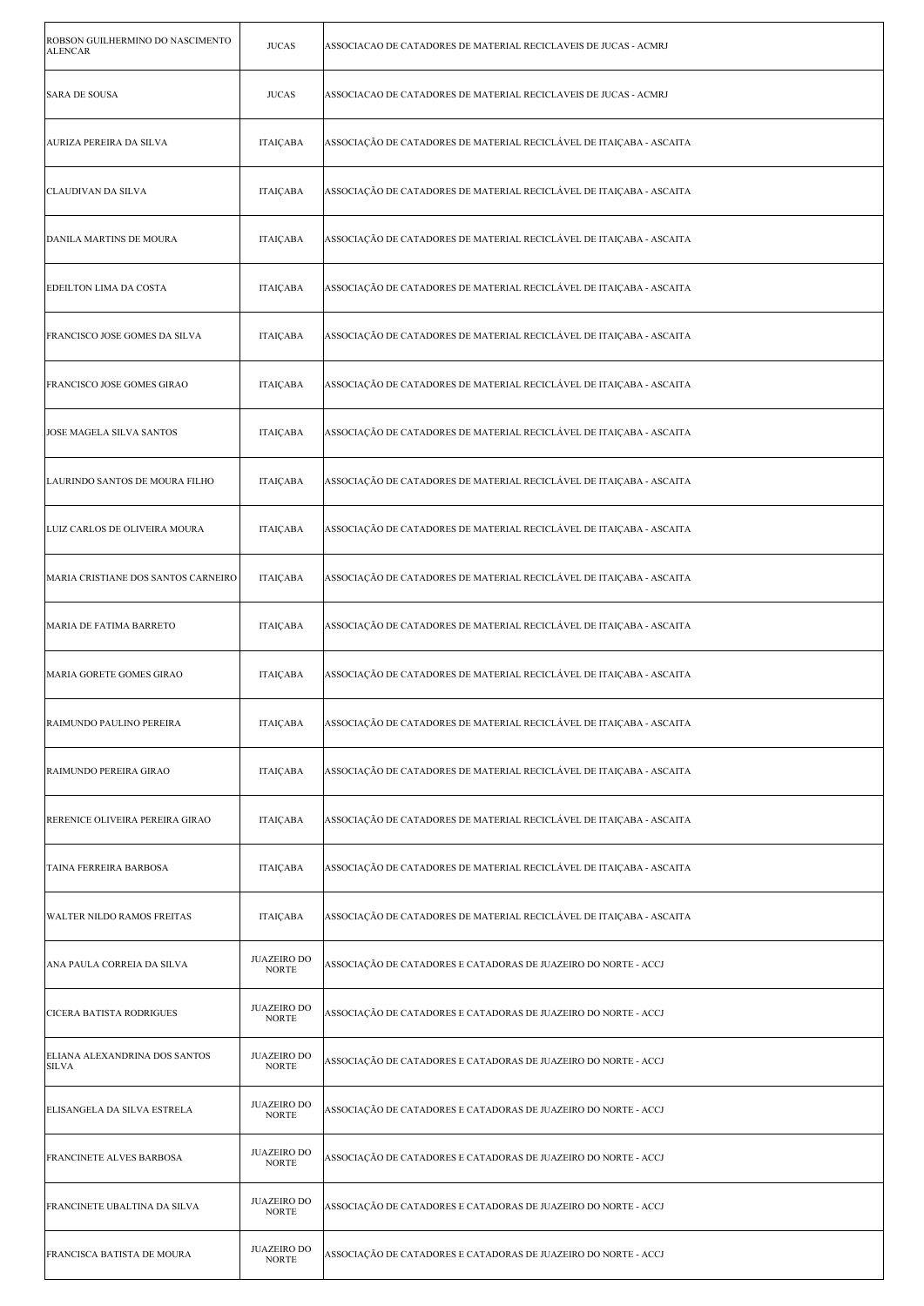| ROBSON GUILHERMINO DO NASCIMENTO<br><b>ALENCAR</b> | <b>JUCAS</b>                        | ASSOCIACAO DE CATADORES DE MATERIAL RECICLAVEIS DE JUCAS - ACMRJ     |
|----------------------------------------------------|-------------------------------------|----------------------------------------------------------------------|
| <b>SARA DE SOUSA</b>                               | <b>JUCAS</b>                        | ASSOCIACAO DE CATADORES DE MATERIAL RECICLAVEIS DE JUCAS - ACMRJ     |
| AURIZA PEREIRA DA SILVA                            | <b>ITAIÇABA</b>                     | ASSOCIAÇÃO DE CATADORES DE MATERIAL RECICLÁVEL DE ITAIÇABA - ASCAITA |
| CLAUDIVAN DA SILVA                                 | <b>ITAIÇABA</b>                     | ASSOCIAÇÃO DE CATADORES DE MATERIAL RECICLÁVEL DE ITAIÇABA - ASCAITA |
| <b>DANILA MARTINS DE MOURA</b>                     | ITAIÇABA                            | ASSOCIAÇÃO DE CATADORES DE MATERIAL RECICLÁVEL DE ITAIÇABA - ASCAITA |
| EDEILTON LIMA DA COSTA                             | <b>ITAIÇABA</b>                     | ASSOCIAÇÃO DE CATADORES DE MATERIAL RECICLÁVEL DE ITAIÇABA - ASCAITA |
| FRANCISCO JOSE GOMES DA SILVA                      | <b>ITAICABA</b>                     | ASSOCIAÇÃO DE CATADORES DE MATERIAL RECICLÁVEL DE ITAIÇABA - ASCAITA |
| <b>FRANCISCO JOSE GOMES GIRAO</b>                  | ITAIÇABA                            | ASSOCIAÇÃO DE CATADORES DE MATERIAL RECICLÁVEL DE ITAIÇABA - ASCAITA |
| JOSE MAGELA SILVA SANTOS                           | ITAIÇABA                            | ASSOCIAÇÃO DE CATADORES DE MATERIAL RECICLÁVEL DE ITAIÇABA - ASCAITA |
| LAURINDO SANTOS DE MOURA FILHO                     | ITAIÇABA                            | ASSOCIAÇÃO DE CATADORES DE MATERIAL RECICLÁVEL DE ITAIÇABA - ASCAITA |
| LUIZ CARLOS DE OLIVEIRA MOURA                      | ITAIÇABA                            | ASSOCIAÇÃO DE CATADORES DE MATERIAL RECICLÁVEL DE ITAIÇABA - ASCAITA |
| MARIA CRISTIANE DOS SANTOS CARNEIRO                | <b>ITAICABA</b>                     | ASSOCIAÇÃO DE CATADORES DE MATERIAL RECICLÁVEL DE ITAIÇABA - ASCAITA |
| MARIA DE FATIMA BARRETO                            | ITAIÇABA                            | ASSOCIAÇÃO DE CATADORES DE MATERIAL RECICLÁVEL DE ITAIÇABA - ASCAITA |
| MARIA GORETE GOMES GIRAO                           | ITAIÇABA                            | ASSOCIAÇÃO DE CATADORES DE MATERIAL RECICLÁVEL DE ITAIÇABA - ASCAITA |
| RAIMUNDO PAULINO PEREIRA                           | <b>ITAICABA</b>                     | ASSOCIAÇÃO DE CATADORES DE MATERIAL RECICLÁVEL DE ITAIÇABA - ASCAITA |
| RAIMUNDO PEREIRA GIRAO                             | ITAIÇABA                            | ASSOCIAÇÃO DE CATADORES DE MATERIAL RECICLÁVEL DE ITAIÇABA - ASCAITA |
| RERENICE OLIVEIRA PEREIRA GIRAO                    | <b>ITAICABA</b>                     | ASSOCIAÇÃO DE CATADORES DE MATERIAL RECICLÁVEL DE ITAIÇABA - ASCAITA |
| TAINA FERREIRA BARBOSA                             | <b>ITAICABA</b>                     | ASSOCIAÇÃO DE CATADORES DE MATERIAL RECICLÁVEL DE ITAICABA - ASCAITA |
| <b>WALTER NILDO RAMOS FREITAS</b>                  | <b>ITAIÇABA</b>                     | ASSOCIAÇÃO DE CATADORES DE MATERIAL RECICLÁVEL DE ITAIÇABA - ASCAITA |
| ANA PAULA CORREIA DA SILVA                         | <b>JUAZEIRO DO</b><br><b>NORTE</b>  | ASSOCIAÇÃO DE CATADORES E CATADORAS DE JUAZEIRO DO NORTE - ACCJ      |
| CICERA BATISTA RODRIGUES                           | <b>JUAZEIRO DO</b><br><b>NORTE</b>  | ASSOCIAÇÃO DE CATADORES E CATADORAS DE JUAZEIRO DO NORTE - ACCJ      |
| ELIANA ALEXANDRINA DOS SANTOS<br><b>SILVA</b>      | <b>JUAZEIRO DO</b><br><b>NORTE</b>  | ASSOCIAÇÃO DE CATADORES E CATADORAS DE JUAZEIRO DO NORTE - ACCJ      |
| ELISANGELA DA SILVA ESTRELA                        | <b>JUAZEIRO DO</b><br><b>NORTE</b>  | ASSOCIAÇÃO DE CATADORES E CATADORAS DE JUAZEIRO DO NORTE - ACCJ      |
| FRANCINETE ALVES BARBOSA                           | <b>JUAZEIRO DO</b><br><b>NORTE</b>  | ASSOCIAÇÃO DE CATADORES E CATADORAS DE JUAZEIRO DO NORTE - ACCJ      |
| FRANCINETE UBALTINA DA SILVA                       | <b>JUAZEIRO DO</b><br><b>NORTE</b>  | ASSOCIAÇÃO DE CATADORES E CATADORAS DE JUAZEIRO DO NORTE - ACCJ      |
| FRANCISCA BATISTA DE MOURA                         | <b>JUAZEIRO DO</b><br>$\sf{NORMAL}$ | ASSOCIAÇÃO DE CATADORES E CATADORAS DE JUAZEIRO DO NORTE - ACCJ      |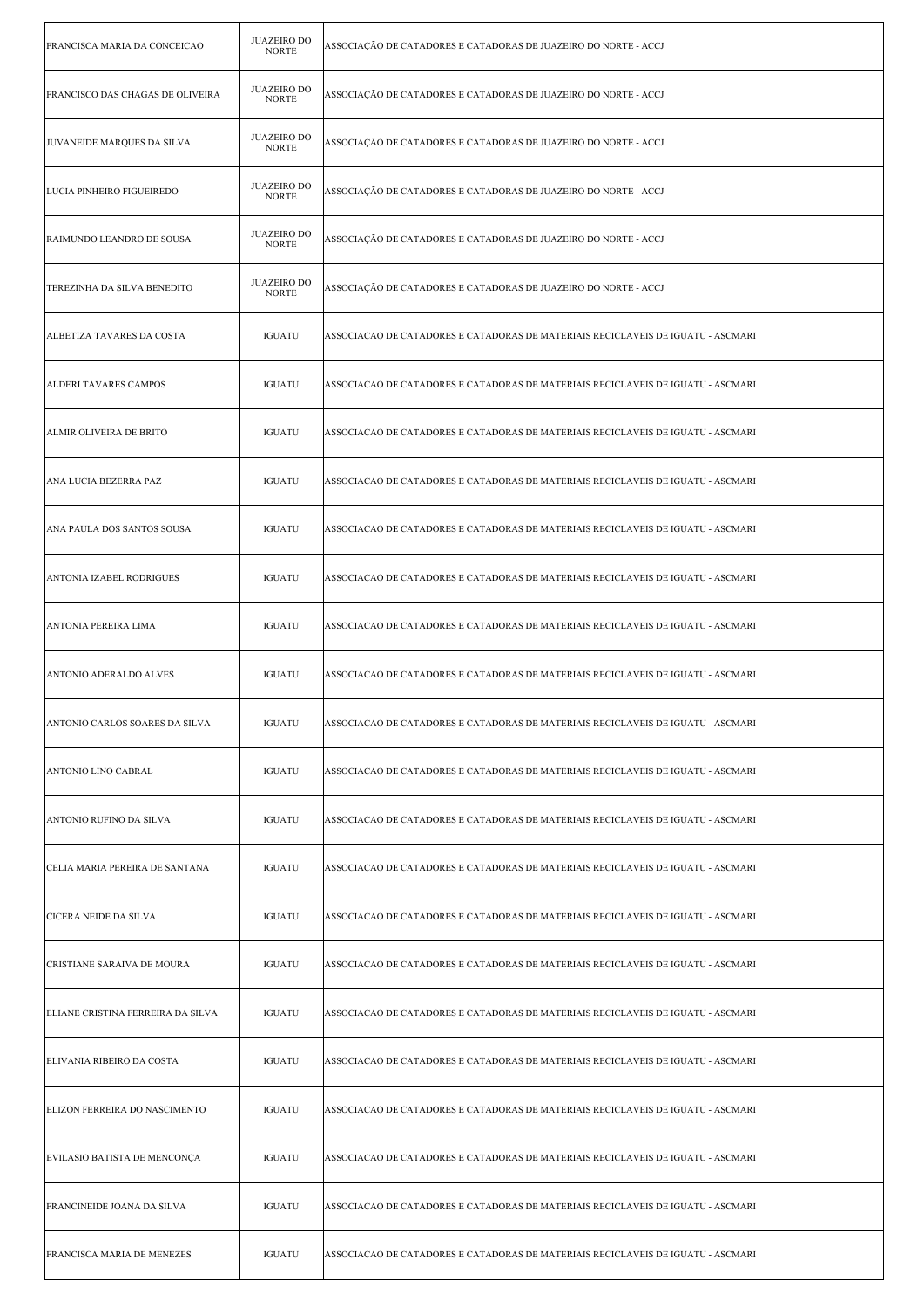| FRANCISCA MARIA DA CONCEICAO            | <b>JUAZEIRO DO</b><br><b>NORTE</b> | ASSOCIAÇÃO DE CATADORES E CATADORAS DE JUAZEIRO DO NORTE - ACCJ                  |
|-----------------------------------------|------------------------------------|----------------------------------------------------------------------------------|
| <b>FRANCISCO DAS CHAGAS DE OLIVEIRA</b> | <b>JUAZEIRO DO</b><br><b>NORTE</b> | ASSOCIAÇÃO DE CATADORES E CATADORAS DE JUAZEIRO DO NORTE - ACCJ                  |
| JUVANEIDE MARQUES DA SILVA              | <b>JUAZEIRO DO</b><br><b>NORTE</b> | ASSOCIAÇÃO DE CATADORES E CATADORAS DE JUAZEIRO DO NORTE - ACCJ                  |
| LUCIA PINHEIRO FIGUEIREDO               | <b>JUAZEIRO DO</b><br><b>NORTE</b> | ASSOCIAÇÃO DE CATADORES E CATADORAS DE JUAZEIRO DO NORTE - ACCJ                  |
| RAIMUNDO LEANDRO DE SOUSA               | <b>JUAZEIRO DO</b><br><b>NORTE</b> | ASSOCIAÇÃO DE CATADORES E CATADORAS DE JUAZEIRO DO NORTE - ACCJ                  |
| TEREZINHA DA SILVA BENEDITO             | <b>JUAZEIRO DO</b><br><b>NORTE</b> | ASSOCIAÇÃO DE CATADORES E CATADORAS DE JUAZEIRO DO NORTE - ACCJ                  |
| ALBETIZA TAVARES DA COSTA               | <b>IGUATU</b>                      | ASSOCIACAO DE CATADORES E CATADORAS DE MATERIAIS RECICLAVEIS DE IGUATU - ASCMARI |
| ALDERI TAVARES CAMPOS                   | <b>IGUATU</b>                      | ASSOCIACAO DE CATADORES E CATADORAS DE MATERIAIS RECICLAVEIS DE IGUATU - ASCMARI |
| ALMIR OLIVEIRA DE BRITO                 | <b>IGUATU</b>                      | ASSOCIACAO DE CATADORES E CATADORAS DE MATERIAIS RECICLAVEIS DE IGUATU - ASCMARI |
| ANA LUCIA BEZERRA PAZ                   | <b>IGUATU</b>                      | ASSOCIACAO DE CATADORES E CATADORAS DE MATERIAIS RECICLAVEIS DE IGUATU - ASCMARI |
| ANA PAULA DOS SANTOS SOUSA              | <b>IGUATU</b>                      | ASSOCIACAO DE CATADORES E CATADORAS DE MATERIAIS RECICLAVEIS DE IGUATU - ASCMARI |
| ANTONIA IZABEL RODRIGUES                | <b>IGUATU</b>                      | ASSOCIACAO DE CATADORES E CATADORAS DE MATERIAIS RECICLAVEIS DE IGUATU - ASCMARI |
| ANTONIA PEREIRA LIMA                    | <b>IGUATU</b>                      | ASSOCIACAO DE CATADORES E CATADORAS DE MATERIAIS RECICLAVEIS DE IGUATU - ASCMARI |
| ANTONIO ADERALDO ALVES                  | <b>IGUATU</b>                      | ASSOCIACAO DE CATADORES E CATADORAS DE MATERIAIS RECICLAVEIS DE IGUATU - ASCMARI |
| ANTONIO CARLOS SOARES DA SILVA          | <b>IGUATU</b>                      | ASSOCIACAO DE CATADORES E CATADORAS DE MATERIAIS RECICLAVEIS DE IGUATU - ASCMARI |
| ANTONIO LINO CABRAL                     | <b>IGUATU</b>                      | ASSOCIACAO DE CATADORES E CATADORAS DE MATERIAIS RECICLAVEIS DE IGUATU - ASCMARI |
| ANTONIO RUFINO DA SILVA                 | <b>IGUATU</b>                      | ASSOCIACAO DE CATADORES E CATADORAS DE MATERIAIS RECICLAVEIS DE IGUATU - ASCMARI |
| CELIA MARIA PEREIRA DE SANTANA          | <b>IGUATU</b>                      | ASSOCIACAO DE CATADORES E CATADORAS DE MATERIAIS RECICLAVEIS DE IGUATU - ASCMARI |
| CICERA NEIDE DA SILVA                   | <b>IGUATU</b>                      | ASSOCIACAO DE CATADORES E CATADORAS DE MATERIAIS RECICLAVEIS DE IGUATU - ASCMARI |
| CRISTIANE SARAIVA DE MOURA              | <b>IGUATU</b>                      | ASSOCIACAO DE CATADORES E CATADORAS DE MATERIAIS RECICLAVEIS DE IGUATU - ASCMARI |
| ELIANE CRISTINA FERREIRA DA SILVA       | <b>IGUATU</b>                      | ASSOCIACAO DE CATADORES E CATADORAS DE MATERIAIS RECICLAVEIS DE IGUATU - ASCMARI |
| ELIVANIA RIBEIRO DA COSTA               | <b>IGUATU</b>                      | ASSOCIACAO DE CATADORES E CATADORAS DE MATERIAIS RECICLAVEIS DE IGUATU - ASCMARI |
| ELIZON FERREIRA DO NASCIMENTO           | <b>IGUATU</b>                      | ASSOCIACAO DE CATADORES E CATADORAS DE MATERIAIS RECICLAVEIS DE IGUATU - ASCMARI |
| EVILASIO BATISTA DE MENCONÇA            | <b>IGUATU</b>                      | ASSOCIACAO DE CATADORES E CATADORAS DE MATERIAIS RECICLAVEIS DE IGUATU - ASCMARI |
| FRANCINEIDE JOANA DA SILVA              | <b>IGUATU</b>                      | ASSOCIACAO DE CATADORES E CATADORAS DE MATERIAIS RECICLAVEIS DE IGUATU - ASCMARI |
| FRANCISCA MARIA DE MENEZES              | <b>IGUATU</b>                      | ASSOCIACAO DE CATADORES E CATADORAS DE MATERIAIS RECICLAVEIS DE IGUATU - ASCMARI |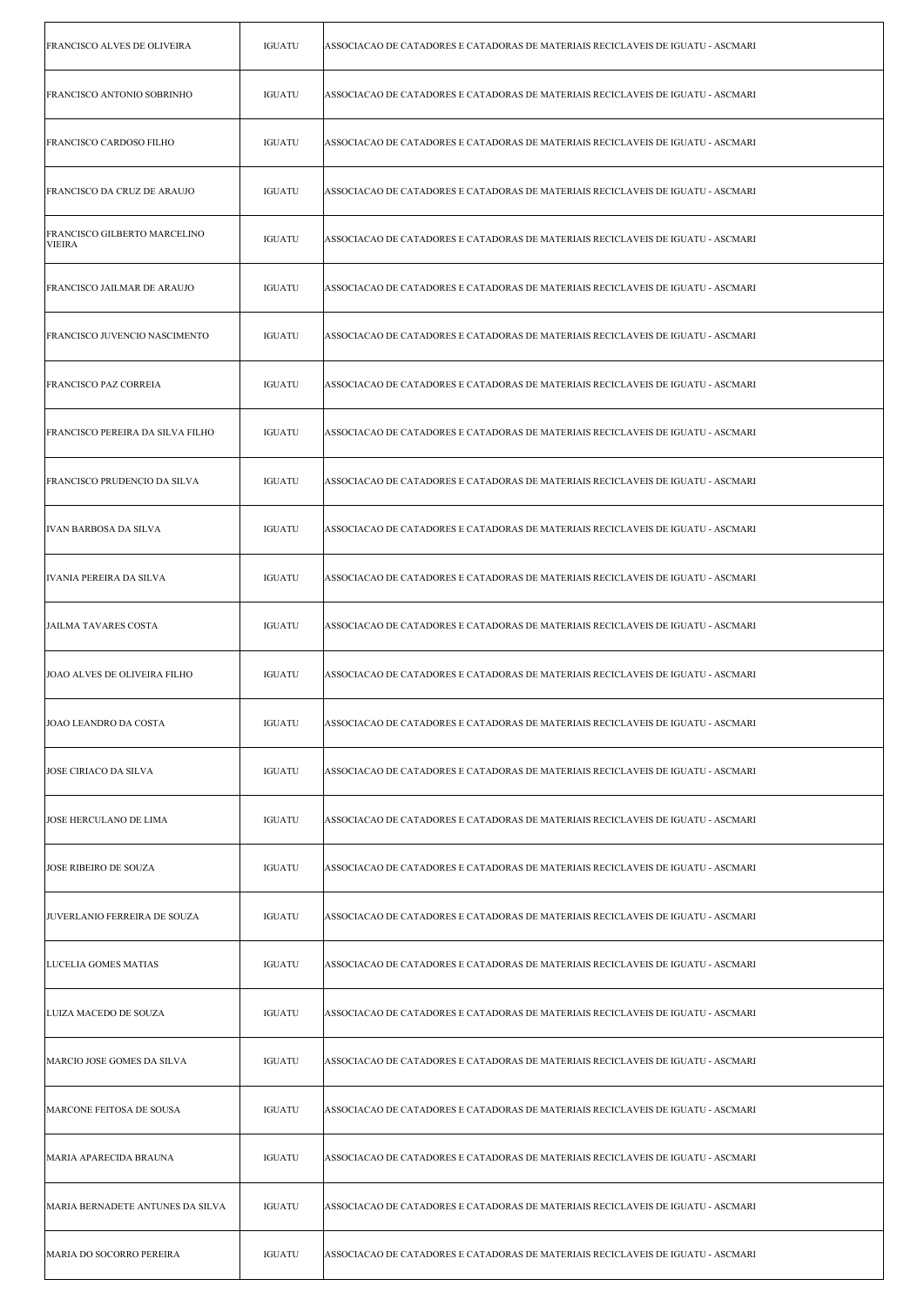| FRANCISCO ALVES DE OLIVEIRA                   | <b>IGUATU</b> | ASSOCIACAO DE CATADORES E CATADORAS DE MATERIAIS RECICLAVEIS DE IGUATU - ASCMARI |
|-----------------------------------------------|---------------|----------------------------------------------------------------------------------|
| FRANCISCO ANTONIO SOBRINHO                    | <b>IGUATU</b> | ASSOCIACAO DE CATADORES E CATADORAS DE MATERIAIS RECICLAVEIS DE IGUATU - ASCMARI |
| FRANCISCO CARDOSO FILHO                       | <b>IGUATU</b> | ASSOCIACAO DE CATADORES E CATADORAS DE MATERIAIS RECICLAVEIS DE IGUATU - ASCMARI |
| FRANCISCO DA CRUZ DE ARAUJO                   | IGUATU        | ASSOCIACAO DE CATADORES E CATADORAS DE MATERIAIS RECICLAVEIS DE IGUATU - ASCMARI |
| FRANCISCO GILBERTO MARCELINO<br><b>VIEIRA</b> | <b>IGUATU</b> | ASSOCIACAO DE CATADORES E CATADORAS DE MATERIAIS RECICLAVEIS DE IGUATU - ASCMARI |
| FRANCISCO JAILMAR DE ARAUJO                   | <b>IGUATU</b> | ASSOCIACAO DE CATADORES E CATADORAS DE MATERIAIS RECICLAVEIS DE IGUATU - ASCMARI |
| FRANCISCO JUVENCIO NASCIMENTO                 | <b>IGUATU</b> | ASSOCIACAO DE CATADORES E CATADORAS DE MATERIAIS RECICLAVEIS DE IGUATU - ASCMARI |
| <b>FRANCISCO PAZ CORREIA</b>                  | <b>IGUATU</b> | ASSOCIACAO DE CATADORES E CATADORAS DE MATERIAIS RECICLAVEIS DE IGUATU - ASCMARI |
| FRANCISCO PEREIRA DA SILVA FILHO              | <b>IGUATU</b> | ASSOCIACAO DE CATADORES E CATADORAS DE MATERIAIS RECICLAVEIS DE IGUATU - ASCMARI |
| FRANCISCO PRUDENCIO DA SILVA                  | <b>IGUATU</b> | ASSOCIACAO DE CATADORES E CATADORAS DE MATERIAIS RECICLAVEIS DE IGUATU - ASCMARI |
| <b>IVAN BARBOSA DA SILVA</b>                  | <b>IGUATU</b> | ASSOCIACAO DE CATADORES E CATADORAS DE MATERIAIS RECICLAVEIS DE IGUATU - ASCMARI |
| IVANIA PEREIRA DA SILVA                       | <b>IGUATU</b> | ASSOCIACAO DE CATADORES E CATADORAS DE MATERIAIS RECICLAVEIS DE IGUATU - ASCMARI |
| JAILMA TAVARES COSTA                          | <b>IGUATU</b> | ASSOCIACAO DE CATADORES E CATADORAS DE MATERIAIS RECICLAVEIS DE IGUATU - ASCMARI |
| JOAO ALVES DE OLIVEIRA FILHO                  | <b>IGUATU</b> | ASSOCIACAO DE CATADORES E CATADORAS DE MATERIAIS RECICLAVEIS DE IGUATU - ASCMARI |
| JOAO LEANDRO DA COSTA                         | IGUATU        | ASSOCIACAO DE CATADORES E CATADORAS DE MATERIAIS RECICLAVEIS DE IGUATU - ASCMARI |
| <b>JOSE CIRIACO DA SILVA</b>                  | <b>IGUATU</b> | ASSOCIACAO DE CATADORES E CATADORAS DE MATERIAIS RECICLAVEIS DE IGUATU - ASCMARI |
| JOSE HERCULANO DE LIMA                        | <b>IGUATU</b> | ASSOCIACAO DE CATADORES E CATADORAS DE MATERIAIS RECICLAVEIS DE IGUATU - ASCMARI |
| <b>JOSE RIBEIRO DE SOUZA</b>                  | <b>IGUATU</b> | ASSOCIACAO DE CATADORES E CATADORAS DE MATERIAIS RECICLAVEIS DE IGUATU - ASCMARI |
| JUVERLANIO FERREIRA DE SOUZA                  | <b>IGUATU</b> | ASSOCIACAO DE CATADORES E CATADORAS DE MATERIAIS RECICLAVEIS DE IGUATU - ASCMARI |
| LUCELIA GOMES MATIAS                          | <b>IGUATU</b> | ASSOCIACAO DE CATADORES E CATADORAS DE MATERIAIS RECICLAVEIS DE IGUATU - ASCMARI |
| LUIZA MACEDO DE SOUZA                         | <b>IGUATU</b> | ASSOCIACAO DE CATADORES E CATADORAS DE MATERIAIS RECICLAVEIS DE IGUATU - ASCMARI |
| MARCIO JOSE GOMES DA SILVA                    | <b>IGUATU</b> | ASSOCIACAO DE CATADORES E CATADORAS DE MATERIAIS RECICLAVEIS DE IGUATU - ASCMARI |
| MARCONE FEITOSA DE SOUSA                      | <b>IGUATU</b> | ASSOCIACAO DE CATADORES E CATADORAS DE MATERIAIS RECICLAVEIS DE IGUATU - ASCMARI |
| MARIA APARECIDA BRAUNA                        | <b>IGUATU</b> | ASSOCIACAO DE CATADORES E CATADORAS DE MATERIAIS RECICLAVEIS DE IGUATU - ASCMARI |
| MARIA BERNADETE ANTUNES DA SILVA              | <b>IGUATU</b> | ASSOCIACAO DE CATADORES E CATADORAS DE MATERIAIS RECICLAVEIS DE IGUATU - ASCMARI |
| MARIA DO SOCORRO PEREIRA                      | <b>IGUATU</b> | ASSOCIACAO DE CATADORES E CATADORAS DE MATERIAIS RECICLAVEIS DE IGUATU - ASCMARI |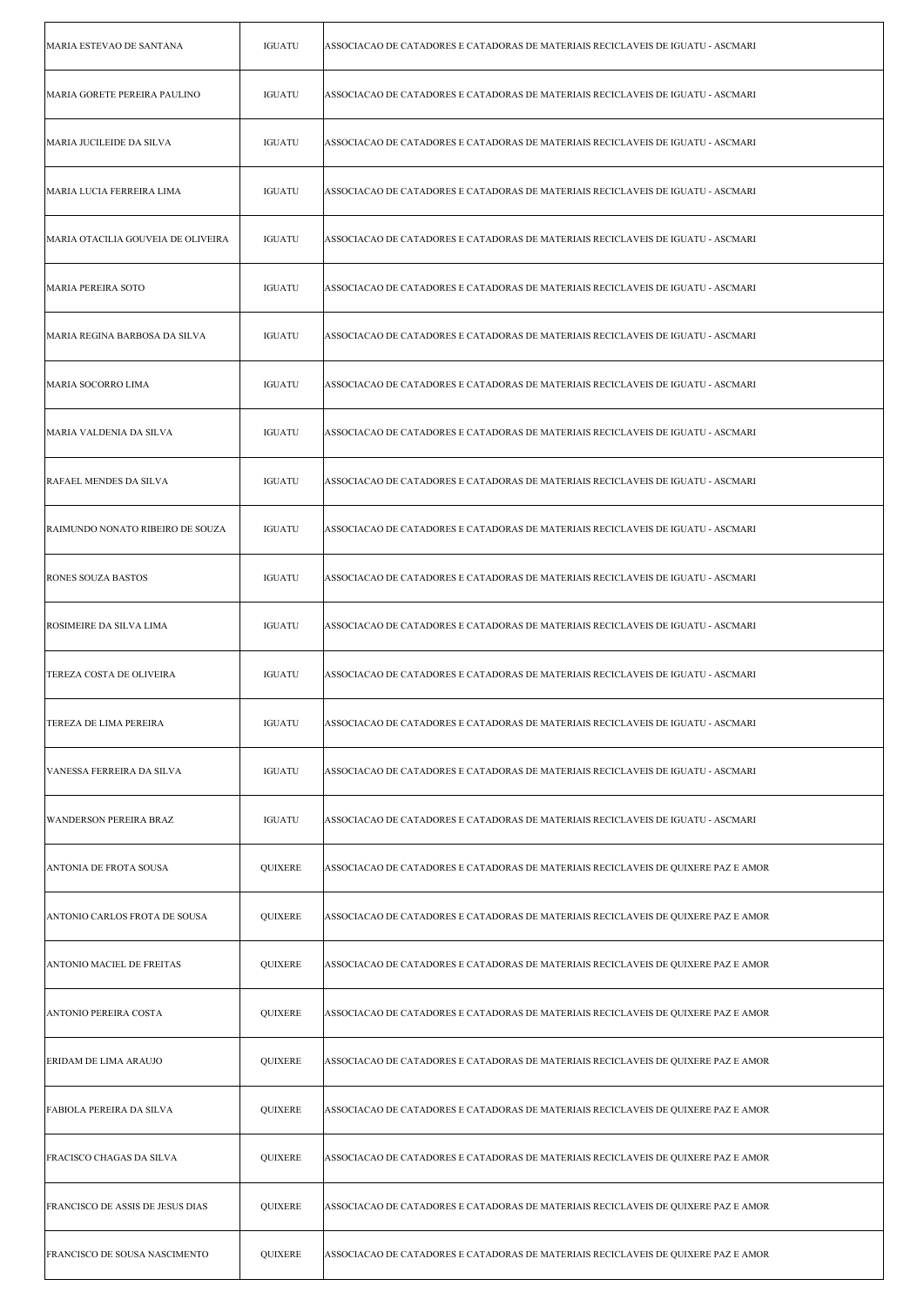| MARIA ESTEVAO DE SANTANA           | <b>IGUATU</b>  | ASSOCIACAO DE CATADORES E CATADORAS DE MATERIAIS RECICLAVEIS DE IGUATU - ASCMARI   |
|------------------------------------|----------------|------------------------------------------------------------------------------------|
| MARIA GORETE PEREIRA PAULINO       | <b>IGUATU</b>  | ASSOCIACAO DE CATADORES E CATADORAS DE MATERIAIS RECICLAVEIS DE IGUATU - ASCMARI   |
| MARIA JUCILEIDE DA SILVA           | <b>IGUATU</b>  | ASSOCIACAO DE CATADORES E CATADORAS DE MATERIAIS RECICLAVEIS DE IGUATU - ASCMARI   |
| MARIA LUCIA FERREIRA LIMA          | <b>IGUATU</b>  | ASSOCIACAO DE CATADORES E CATADORAS DE MATERIAIS RECICLAVEIS DE IGUATU - ASCMARI   |
| MARIA OTACILIA GOUVEIA DE OLIVEIRA | <b>IGUATU</b>  | ASSOCIACAO DE CATADORES E CATADORAS DE MATERIAIS RECICLAVEIS DE IGUATU - ASCMARI   |
| MARIA PEREIRA SOTO                 | <b>IGUATU</b>  | ASSOCIACAO DE CATADORES E CATADORAS DE MATERIAIS RECICLAVEIS DE IGUATU - ASCMARI   |
| MARIA REGINA BARBOSA DA SILVA      | <b>IGUATU</b>  | ASSOCIACAO DE CATADORES E CATADORAS DE MATERIAIS RECICLAVEIS DE IGUATU - ASCMARI   |
| MARIA SOCORRO LIMA                 | <b>IGUATU</b>  | ASSOCIACAO DE CATADORES E CATADORAS DE MATERIAIS RECICLAVEIS DE IGUATU - ASCMARI   |
| MARIA VALDENIA DA SILVA            | <b>IGUATU</b>  | ASSOCIACAO DE CATADORES E CATADORAS DE MATERIAIS RECICLAVEIS DE IGUATU - ASCMARI   |
| RAFAEL MENDES DA SILVA             | <b>IGUATU</b>  | ASSOCIACAO DE CATADORES E CATADORAS DE MATERIAIS RECICLAVEIS DE IGUATU - ASCMARI   |
| RAIMUNDO NONATO RIBEIRO DE SOUZA   | <b>IGUATU</b>  | ASSOCIACAO DE CATADORES E CATADORAS DE MATERIAIS RECICLAVEIS DE IGUATU - ASCMARI   |
| <b>RONES SOUZA BASTOS</b>          | <b>IGUATU</b>  | ASSOCIACAO DE CATADORES E CATADORAS DE MATERIAIS RECICLAVEIS DE IGUATU - ASCMARI   |
| <b>ROSIMEIRE DA SILVA LIMA</b>     | <b>IGUATU</b>  | ASSOCIACAO DE CATADORES E CATADORAS DE MATERIAIS RECICLAVEIS DE IGUATU - ASCMARI   |
| TEREZA COSTA DE OLIVEIRA           | <b>IGUATU</b>  | ASSOCIACAO DE CATADORES E CATADORAS DE MATERIAIS RECICLAVEIS DE IGUATU - ASCMARI   |
| TEREZA DE LIMA PEREIRA             | IGUATU         | ASSOCIACAO DE CATADORES E CATADORAS DE MATERIAIS RECICLAVEIS DE IGUATU - ASCMARI   |
| VANESSA FERREIRA DA SILVA          | <b>IGUATU</b>  | ASSOCIACAO DE CATADORES E CATADORAS DE MATERIAIS RECICLAVEIS DE IGUATU - ASCMARI   |
| WANDERSON PEREIRA BRAZ             | <b>IGUATU</b>  | ASSOCIACAO DE CATADORES E CATADORAS DE MATERIAIS RECICLAVEIS DE IGUATU - ASCMARI   |
| ANTONIA DE FROTA SOUSA             | QUIXERE        | ASSOCIACAO DE CATADORES E CATADORAS DE MATERIAIS RECICLAVEIS DE QUIXERE PAZ E AMOR |
| ANTONIO CARLOS FROTA DE SOUSA      | <b>QUIXERE</b> | ASSOCIACAO DE CATADORES E CATADORAS DE MATERIAIS RECICLAVEIS DE QUIXERE PAZ E AMOR |
| <b>ANTONIO MACIEL DE FREITAS</b>   | <b>QUIXERE</b> | ASSOCIACAO DE CATADORES E CATADORAS DE MATERIAIS RECICLAVEIS DE QUIXERE PAZ E AMOR |
| ANTONIO PEREIRA COSTA              | <b>QUIXERE</b> | ASSOCIACAO DE CATADORES E CATADORAS DE MATERIAIS RECICLAVEIS DE QUIXERE PAZ E AMOR |
| ERIDAM DE LIMA ARAUJO              | QUIXERE        | ASSOCIACAO DE CATADORES E CATADORAS DE MATERIAIS RECICLAVEIS DE QUIXERE PAZ E AMOR |
| <b>FABIOLA PEREIRA DA SILVA</b>    | <b>QUIXERE</b> | ASSOCIACAO DE CATADORES E CATADORAS DE MATERIAIS RECICLAVEIS DE QUIXERE PAZ E AMOR |
| <b>FRACISCO CHAGAS DA SILVA</b>    | <b>QUIXERE</b> | ASSOCIACAO DE CATADORES E CATADORAS DE MATERIAIS RECICLAVEIS DE QUIXERE PAZ E AMOR |
| FRANCISCO DE ASSIS DE JESUS DIAS   | <b>QUIXERE</b> | ASSOCIACAO DE CATADORES E CATADORAS DE MATERIAIS RECICLAVEIS DE QUIXERE PAZ E AMOR |
| FRANCISCO DE SOUSA NASCIMENTO      | <b>QUIXERE</b> | ASSOCIACAO DE CATADORES E CATADORAS DE MATERIAIS RECICLAVEIS DE QUIXERE PAZ E AMOR |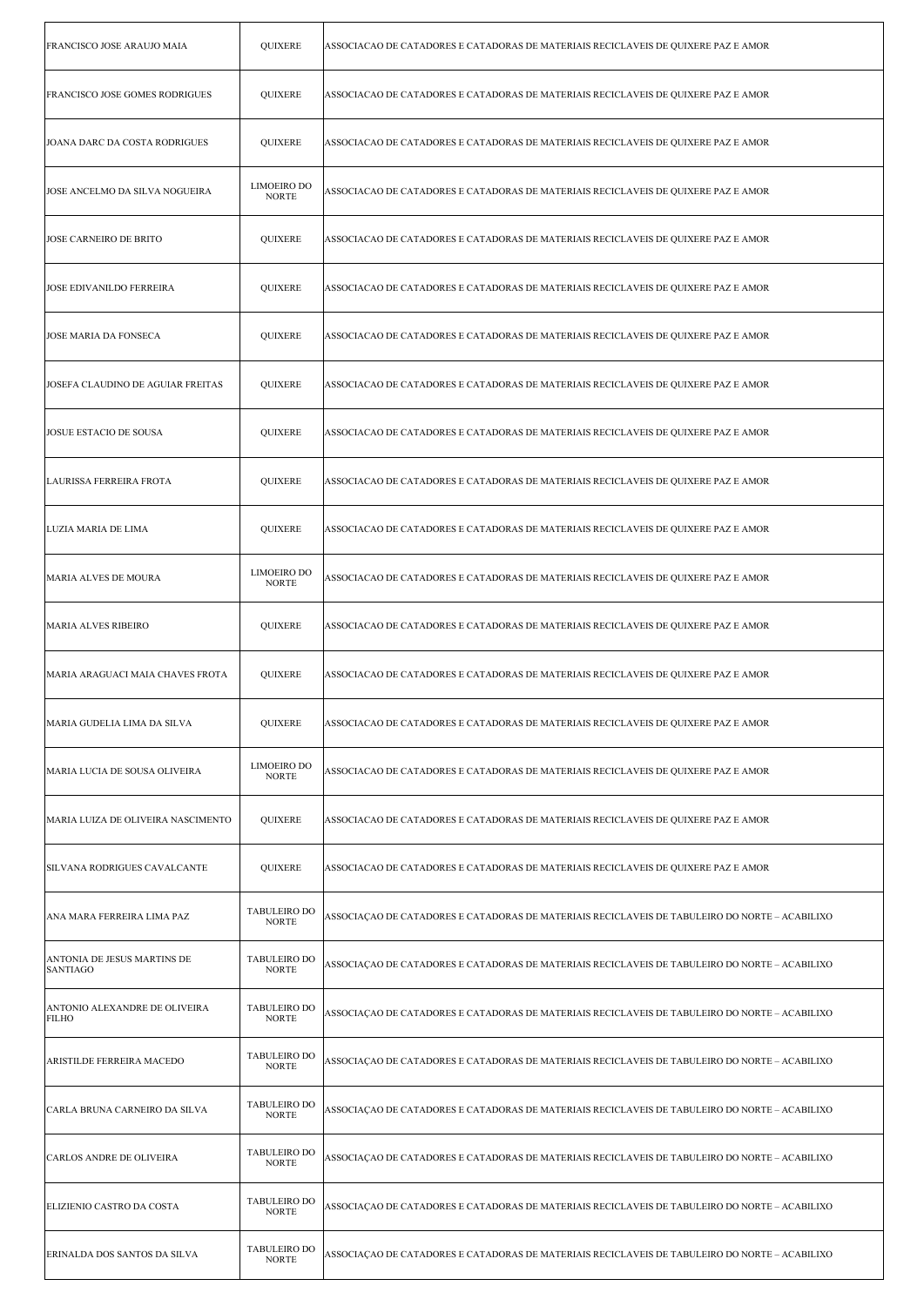| FRANCISCO JOSE ARAUJO MAIA                     | QUIXERE                             | ASSOCIACAO DE CATADORES E CATADORAS DE MATERIAIS RECICLAVEIS DE QUIXERE PAZ E AMOR             |
|------------------------------------------------|-------------------------------------|------------------------------------------------------------------------------------------------|
| <b>FRANCISCO JOSE GOMES RODRIGUES</b>          | QUIXERE                             | ASSOCIACAO DE CATADORES E CATADORAS DE MATERIAIS RECICLAVEIS DE QUIXERE PAZ E AMOR             |
| JOANA DARC DA COSTA RODRIGUES                  | QUIXERE                             | ASSOCIACAO DE CATADORES E CATADORAS DE MATERIAIS RECICLAVEIS DE QUIXERE PAZ E AMOR             |
| JOSE ANCELMO DA SILVA NOGUEIRA                 | <b>LIMOEIRO DO</b><br><b>NORTE</b>  | ASSOCIACAO DE CATADORES E CATADORAS DE MATERIAIS RECICLAVEIS DE QUIXERE PAZ E AMOR             |
| <b>JOSE CARNEIRO DE BRITO</b>                  | QUIXERE                             | ASSOCIACAO DE CATADORES E CATADORAS DE MATERIAIS RECICLAVEIS DE QUIXERE PAZ E AMOR             |
| <b>JOSE EDIVANILDO FERREIRA</b>                | QUIXERE                             | ASSOCIACAO DE CATADORES E CATADORAS DE MATERIAIS RECICLAVEIS DE QUIXERE PAZ E AMOR             |
| JOSE MARIA DA FONSECA                          | <b>QUIXERE</b>                      | ASSOCIACAO DE CATADORES E CATADORAS DE MATERIAIS RECICLAVEIS DE QUIXERE PAZ E AMOR             |
| JOSEFA CLAUDINO DE AGUIAR FREITAS              | QUIXERE                             | ASSOCIACAO DE CATADORES E CATADORAS DE MATERIAIS RECICLAVEIS DE QUIXERE PAZ E AMOR             |
| JOSUE ESTACIO DE SOUSA                         | <b>QUIXERE</b>                      | ASSOCIACAO DE CATADORES E CATADORAS DE MATERIAIS RECICLAVEIS DE QUIXERE PAZ E AMOR             |
| LAURISSA FERREIRA FROTA                        | QUIXERE                             | ASSOCIACAO DE CATADORES E CATADORAS DE MATERIAIS RECICLAVEIS DE QUIXERE PAZ E AMOR             |
| LUZIA MARIA DE LIMA                            | QUIXERE                             | ASSOCIACAO DE CATADORES E CATADORAS DE MATERIAIS RECICLAVEIS DE QUIXERE PAZ E AMOR             |
| MARIA ALVES DE MOURA                           | <b>LIMOEIRO DO</b><br><b>NORTE</b>  | ASSOCIACAO DE CATADORES E CATADORAS DE MATERIAIS RECICLAVEIS DE QUIXERE PAZ E AMOR             |
| <b>MARIA ALVES RIBEIRO</b>                     | QUIXERE                             | ASSOCIACAO DE CATADORES E CATADORAS DE MATERIAIS RECICLAVEIS DE QUIXERE PAZ E AMOR             |
| MARIA ARAGUACI MAIA CHAVES FROTA               | <b>QUIXERE</b>                      | ASSOCIACAO DE CATADORES E CATADORAS DE MATERIAIS RECICLAVEIS DE QUIXERE PAZ E AMOR             |
| MARIA GUDELIA LIMA DA SILVA                    | QUIXERE                             | ASSOCIACAO DE CATADORES E CATADORAS DE MATERIAIS RECICLAVEIS DE QUIXERE PAZ E AMOR             |
| MARIA LUCIA DE SOUSA OLIVEIRA                  | LIMOEIRO DO<br><b>NORTE</b>         | ASSOCIACAO DE CATADORES E CATADORAS DE MATERIAIS RECICLAVEIS DE QUIXERE PAZ E AMOR             |
| MARIA LUIZA DE OLIVEIRA NASCIMENTO             | <b>QUIXERE</b>                      | ASSOCIACAO DE CATADORES E CATADORAS DE MATERIAIS RECICLAVEIS DE QUIXERE PAZ E AMOR             |
| SILVANA RODRIGUES CAVALCANTE                   | <b>QUIXERE</b>                      | ASSOCIACAO DE CATADORES E CATADORAS DE MATERIAIS RECICLAVEIS DE QUIXERE PAZ E AMOR             |
| ANA MARA FERREIRA LIMA PAZ                     | <b>TABULEIRO DO</b><br><b>NORTE</b> | ASSOCIAÇÃO DE CATADORES E CATADORAS DE MATERIAIS RECICLAVEIS DE TABULEIRO DO NORTE – ACABILIXO |
| ANTONIA DE JESUS MARTINS DE<br><b>SANTIAGO</b> | TABULEIRO DO<br><b>NORTE</b>        | ASSOCIAÇÃO DE CATADORES E CATADORAS DE MATERIAIS RECICLAVEIS DE TABULEIRO DO NORTE – ACABILIXO |
| ANTONIO ALEXANDRE DE OLIVEIRA<br><b>FILHO</b>  | <b>TABULEIRO DO</b><br><b>NORTE</b> | ASSOCIAÇÃO DE CATADORES E CATADORAS DE MATERIAIS RECICLAVEIS DE TABULEIRO DO NORTE – ACABILIXO |
| ARISTILDE FERREIRA MACEDO                      | <b>TABULEIRO DO</b><br><b>NORTE</b> | ASSOCIAÇÃO DE CATADORES E CATADORAS DE MATERIAIS RECICLAVEIS DE TABULEIRO DO NORTE – ACABILIXO |
| CARLA BRUNA CARNEIRO DA SILVA                  | TABULEIRO DO<br><b>NORTE</b>        | ASSOCIAÇÃO DE CATADORES E CATADORAS DE MATERIAIS RECICLAVEIS DE TABULEIRO DO NORTE – ACABILIXO |
| CARLOS ANDRE DE OLIVEIRA                       | <b>TABULEIRO DO</b><br><b>NORTE</b> | ASSOCIAÇÃO DE CATADORES E CATADORAS DE MATERIAIS RECICLAVEIS DE TABULEIRO DO NORTE – ACABILIXO |
| ELIZIENIO CASTRO DA COSTA                      | TABULEIRO DO<br><b>NORTE</b>        | ASSOCIAÇÃO DE CATADORES E CATADORAS DE MATERIAIS RECICLAVEIS DE TABULEIRO DO NORTE – ACABILIXO |
| ERINALDA DOS SANTOS DA SILVA                   | TABULEIRO DO<br><b>NORTE</b>        | ASSOCIAÇÃO DE CATADORES E CATADORAS DE MATERIAIS RECICLAVEIS DE TABULEIRO DO NORTE – ACABILIXO |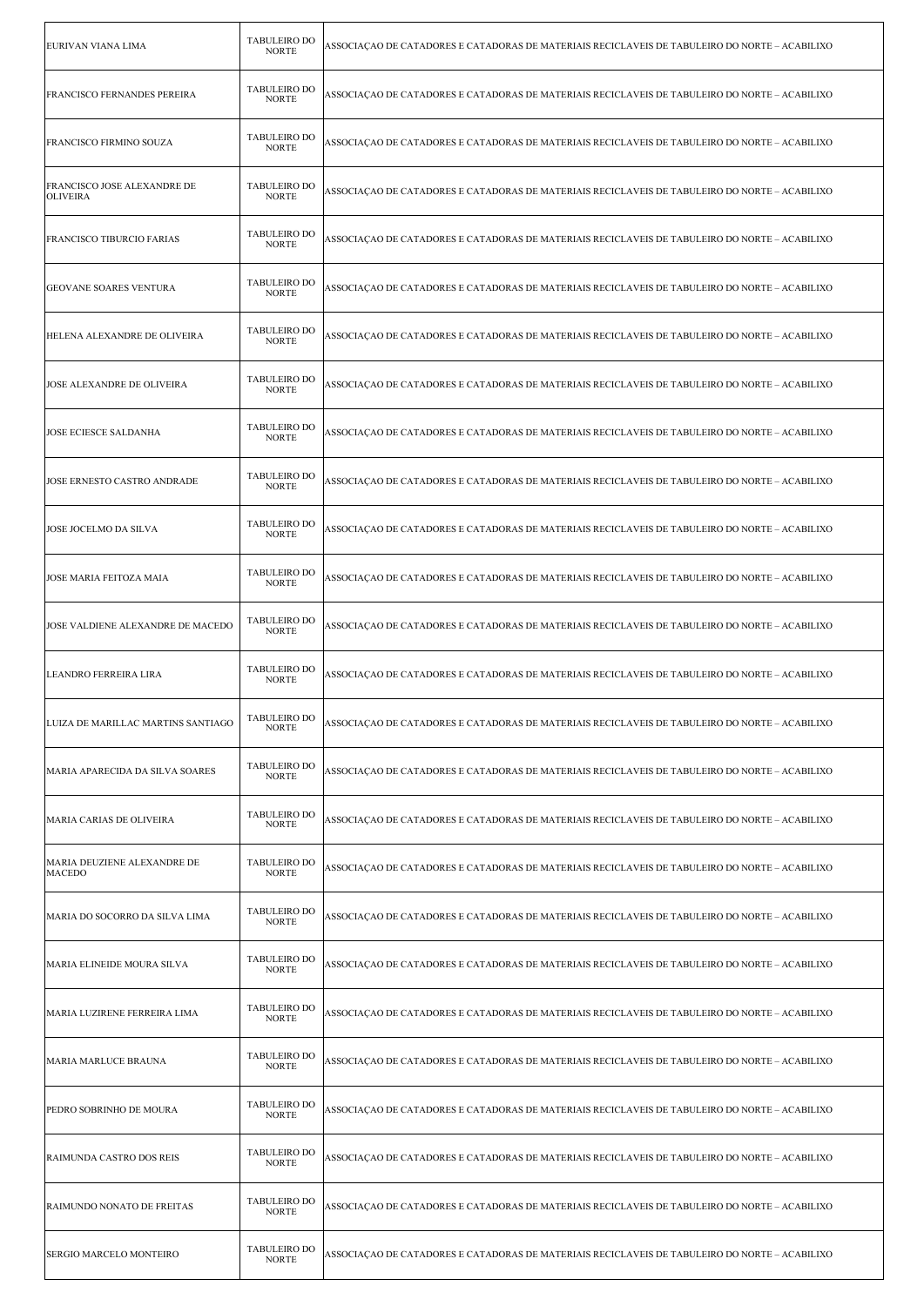| EURIVAN VIANA LIMA                             | TABULEIRO DO<br><b>NORTE</b>        | ASSOCIAÇÃO DE CATADORES E CATADORAS DE MATERIAIS RECICLAVEIS DE TABULEIRO DO NORTE – ACABILIXO |
|------------------------------------------------|-------------------------------------|------------------------------------------------------------------------------------------------|
| <b>FRANCISCO FERNANDES PEREIRA</b>             | <b>TABULEIRO DO</b><br><b>NORTE</b> | ASSOCIAÇÃO DE CATADORES E CATADORAS DE MATERIAIS RECICLAVEIS DE TABULEIRO DO NORTE – ACABILIXO |
| FRANCISCO FIRMINO SOUZA                        | <b>TABULEIRO DO</b><br><b>NORTE</b> | ASSOCIAÇÃO DE CATADORES E CATADORAS DE MATERIAIS RECICLAVEIS DE TABULEIRO DO NORTE – ACABILIXO |
| FRANCISCO JOSE ALEXANDRE DE<br><b>OLIVEIRA</b> | <b>TABULEIRO DO</b><br><b>NORTE</b> | ASSOCIAÇÃO DE CATADORES E CATADORAS DE MATERIAIS RECICLAVEIS DE TABULEIRO DO NORTE – ACABILIXO |
| <b>FRANCISCO TIBURCIO FARIAS</b>               | <b>TABULEIRO DO</b><br><b>NORTE</b> | ASSOCIAÇÃO DE CATADORES E CATADORAS DE MATERIAIS RECICLAVEIS DE TABULEIRO DO NORTE – ACABILIXO |
| <b>GEOVANE SOARES VENTURA</b>                  | <b>TABULEIRO DO</b><br><b>NORTE</b> | ASSOCIAÇÃO DE CATADORES E CATADORAS DE MATERIAIS RECICLAVEIS DE TABULEIRO DO NORTE – ACABILIXO |
| HELENA ALEXANDRE DE OLIVEIRA                   | <b>TABULEIRO DO</b><br><b>NORTE</b> | ASSOCIAÇÃO DE CATADORES E CATADORAS DE MATERIAIS RECICLAVEIS DE TABULEIRO DO NORTE – ACABILIXO |
| JOSE ALEXANDRE DE OLIVEIRA                     | <b>TABULEIRO DO</b><br><b>NORTE</b> | ASSOCIACAO DE CATADORES E CATADORAS DE MATERIAIS RECICLAVEIS DE TABULEIRO DO NORTE – ACABILIXO |
| JOSE ECIESCE SALDANHA                          | <b>TABULEIRO DO</b><br><b>NORTE</b> | ASSOCIAÇÃO DE CATADORES E CATADORAS DE MATERIAIS RECICLAVEIS DE TABULEIRO DO NORTE – ACABILIXO |
| JOSE ERNESTO CASTRO ANDRADE                    | <b>TABULEIRO DO</b><br><b>NORTE</b> | ASSOCIAÇÃO DE CATADORES E CATADORAS DE MATERIAIS RECICLAVEIS DE TABULEIRO DO NORTE – ACABILIXO |
| JOSE JOCELMO DA SILVA                          | <b>TABULEIRO DO</b><br><b>NORTE</b> | ASSOCIAÇÃO DE CATADORES E CATADORAS DE MATERIAIS RECICLAVEIS DE TABULEIRO DO NORTE – ACABILIXO |
| JOSE MARIA FEITOZA MAIA                        | TABULEIRO DO<br><b>NORTE</b>        | ASSOCIAÇÃO DE CATADORES E CATADORAS DE MATERIAIS RECICLAVEIS DE TABULEIRO DO NORTE – ACABILIXO |
| JOSE VALDIENE ALEXANDRE DE MACEDO              | <b>TABULEIRO DO</b><br><b>NORTE</b> | ASSOCIAÇÃO DE CATADORES E CATADORAS DE MATERIAIS RECICLAVEIS DE TABULEIRO DO NORTE – ACABILIXO |
| LEANDRO FERREIRA LIRA                          | <b>TABULEIRO DO</b><br><b>NORTE</b> | ASSOCIACAO DE CATADORES E CATADORAS DE MATERIAIS RECICLAVEIS DE TABULEIRO DO NORTE – ACABILIXO |
| LUIZA DE MARILLAC MARTINS SANTIAGO             | <b>TABULEIRO DO</b><br><b>NORTE</b> | ASSOCIAÇÃO DE CATADORES E CATADORAS DE MATERIAIS RECICLAVEIS DE TABULEIRO DO NORTE – ACABILIXO |
| MARIA APARECIDA DA SILVA SOARES                | <b>TABULEIRO DO</b><br><b>NORTE</b> | ASSOCIAÇÃO DE CATADORES E CATADORAS DE MATERIAIS RECICLAVEIS DE TABULEIRO DO NORTE – ACABILIXO |
| MARIA CARIAS DE OLIVEIRA                       | <b>TABULEIRO DO</b><br><b>NORTE</b> | ASSOCIACAO DE CATADORES E CATADORAS DE MATERIAIS RECICLAVEIS DE TABULEIRO DO NORTE – ACABILIXO |
| MARIA DEUZIENE ALEXANDRE DE<br><b>MACEDO</b>   | <b>TABULEIRO DO</b><br><b>NORTE</b> | ASSOCIAÇÃO DE CATADORES E CATADORAS DE MATERIAIS RECICLAVEIS DE TABULEIRO DO NORTE – ACABILIXO |
| MARIA DO SOCORRO DA SILVA LIMA                 | <b>TABULEIRO DO</b><br><b>NORTE</b> | ASSOCIAÇÃO DE CATADORES E CATADORAS DE MATERIAIS RECICLAVEIS DE TABULEIRO DO NORTE – ACABILIXO |
| MARIA ELINEIDE MOURA SILVA                     | <b>TABULEIRO DO</b><br><b>NORTE</b> | ASSOCIAÇÃO DE CATADORES E CATADORAS DE MATERIAIS RECICLAVEIS DE TABULEIRO DO NORTE – ACABILIXO |
| MARIA LUZIRENE FERREIRA LIMA                   | <b>TABULEIRO DO</b><br><b>NORTE</b> | ASSOCIAÇÃO DE CATADORES E CATADORAS DE MATERIAIS RECICLAVEIS DE TABULEIRO DO NORTE – ACABILIXO |
| MARIA MARLUCE BRAUNA                           | <b>TABULEIRO DO</b><br><b>NORTE</b> | ASSOCIAÇÃO DE CATADORES E CATADORAS DE MATERIAIS RECICLAVEIS DE TABULEIRO DO NORTE – ACABILIXO |
| PEDRO SOBRINHO DE MOURA                        | <b>TABULEIRO DO</b><br><b>NORTE</b> | ASSOCIAÇÃO DE CATADORES E CATADORAS DE MATERIAIS RECICLAVEIS DE TABULEIRO DO NORTE – ACABILIXO |
| RAIMUNDA CASTRO DOS REIS                       | <b>TABULEIRO DO</b><br><b>NORTE</b> | ASSOCIAÇÃO DE CATADORES E CATADORAS DE MATERIAIS RECICLAVEIS DE TABULEIRO DO NORTE – ACABILIXO |
|                                                |                                     |                                                                                                |
| RAIMUNDO NONATO DE FREITAS                     | <b>TABULEIRO DO</b><br><b>NORTE</b> | ASSOCIAÇÃO DE CATADORES E CATADORAS DE MATERIAIS RECICLAVEIS DE TABULEIRO DO NORTE – ACABILIXO |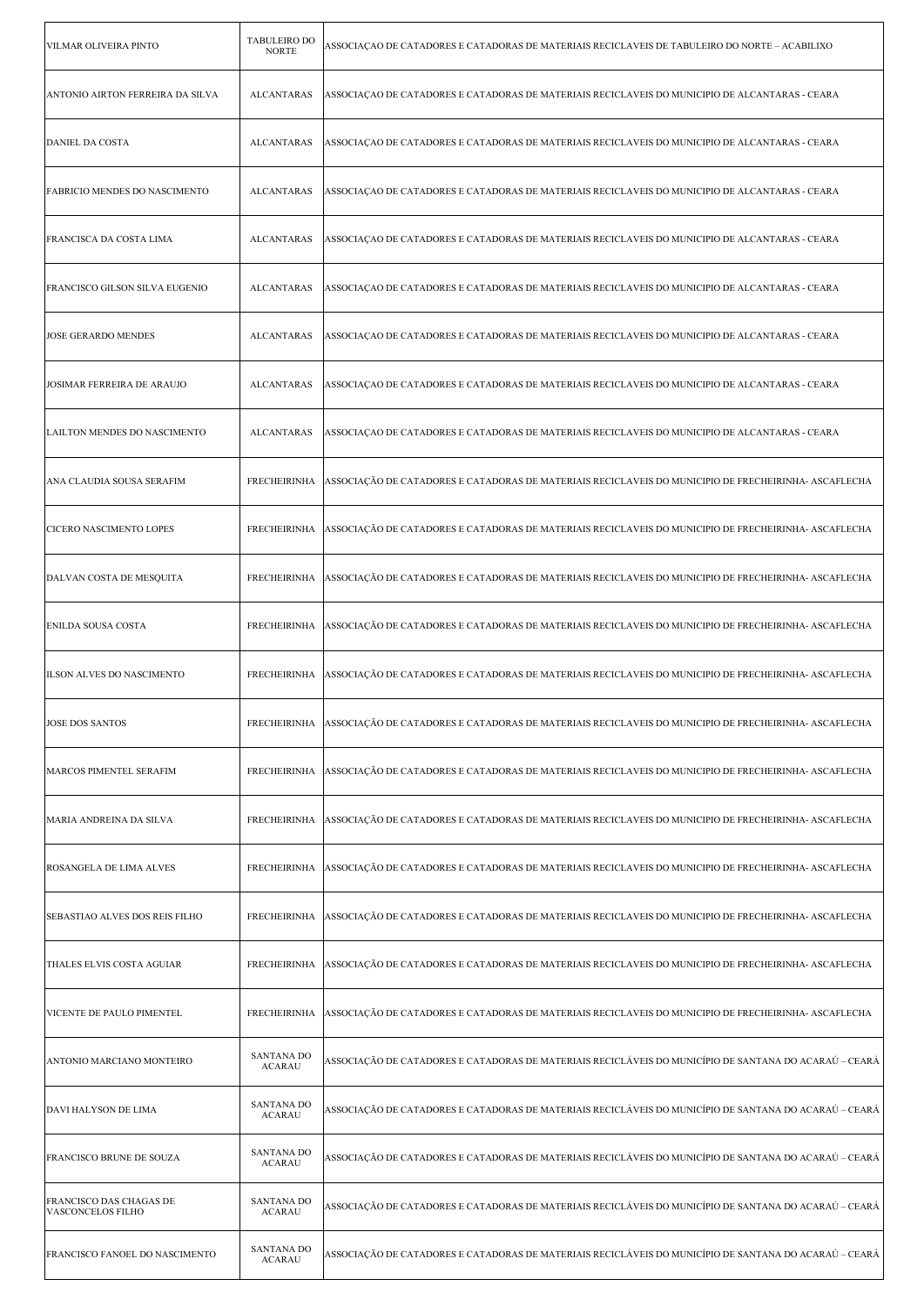| VILMAR OLIVEIRA PINTO                               | <b>TABULEIRO DO</b><br><b>NORTE</b> | ASSOCIAÇÃO DE CATADORES E CATADORAS DE MATERIAIS RECICLAVEIS DE TABULEIRO DO NORTE – ACABILIXO                     |
|-----------------------------------------------------|-------------------------------------|--------------------------------------------------------------------------------------------------------------------|
| ANTONIO AIRTON FERREIRA DA SILVA                    | <b>ALCANTARAS</b>                   | ASSOCIAÇÃO DE CATADORES E CATADORAS DE MATERIAIS RECICLAVEIS DO MUNICIPIO DE ALCANTARAS - CEARA                    |
| <b>DANIEL DA COSTA</b>                              | <b>ALCANTARAS</b>                   | ASSOCIAÇÃO DE CATADORES E CATADORAS DE MATERIAIS RECICLAVEIS DO MUNICIPIO DE ALCANTARAS - CEARA                    |
| FABRICIO MENDES DO NASCIMENTO                       | <b>ALCANTARAS</b>                   | ASSOCIAÇÃO DE CATADORES E CATADORAS DE MATERIAIS RECICLAVEIS DO MUNICIPIO DE ALCANTARAS - CEARA                    |
| FRANCISCA DA COSTA LIMA                             | <b>ALCANTARAS</b>                   | ASSOCIAÇÃO DE CATADORES E CATADORAS DE MATERIAIS RECICLAVEIS DO MUNICIPIO DE ALCANTARAS - CEARA                    |
| FRANCISCO GILSON SILVA EUGENIO                      | <b>ALCANTARAS</b>                   | ASSOCIAÇÃO DE CATADORES E CATADORAS DE MATERIAIS RECICLAVEIS DO MUNICIPIO DE ALCANTARAS - CEARA                    |
| <b>JOSE GERARDO MENDES</b>                          | <b>ALCANTARAS</b>                   | ASSOCIAÇÃO DE CATADORES E CATADORAS DE MATERIAIS RECICLAVEIS DO MUNICIPIO DE ALCANTARAS - CEARA                    |
| JOSIMAR FERREIRA DE ARAUJO                          | <b>ALCANTARAS</b>                   | ASSOCIAÇÃO DE CATADORES E CATADORAS DE MATERIAIS RECICLAVEIS DO MUNICIPIO DE ALCANTARAS - CEARA                    |
| LAILTON MENDES DO NASCIMENTO                        | <b>ALCANTARAS</b>                   | ASSOCIAÇÃO DE CATADORES E CATADORAS DE MATERIAIS RECICLAVEIS DO MUNICIPIO DE ALCANTARAS - CEARA                    |
| ANA CLAUDIA SOUSA SERAFIM                           | <b>FRECHEIRINHA</b>                 | ASSOCIAÇÃO DE CATADORES E CATADORAS DE MATERIAIS RECICLAVEIS DO MUNICIPIO DE FRECHEIRINHA- ASCAFLECHA              |
| CICERO NASCIMENTO LOPES                             | <b>FRECHEIRINHA</b>                 | ASSOCIAÇÃO DE CATADORES E CATADORAS DE MATERIAIS RECICLAVEIS DO MUNICIPIO DE FRECHEIRINHA- ASCAFLECHA              |
| DALVAN COSTA DE MESQUITA                            | <b>FRECHEIRINHA</b>                 | ASSOCIAÇÃO DE CATADORES E CATADORAS DE MATERIAIS RECICLAVEIS DO MUNICIPIO DE FRECHEIRINHA- ASCAFLECHA              |
| <b>ENILDA SOUSA COSTA</b>                           | <b>FRECHEIRINHA</b>                 | ASSOCIAÇÃO DE CATADORES E CATADORAS DE MATERIAIS RECICLAVEIS DO MUNICIPIO DE FRECHEIRINHA- ASCAFLECHA              |
|                                                     |                                     |                                                                                                                    |
| ILSON ALVES DO NASCIMENTO                           | <b>FRECHEIRINHA</b>                 | ASSOCIAÇÃO DE CATADORES E CATADORAS DE MATERIAIS RECICLAVEIS DO MUNICIPIO DE FRECHEIRINHA- ASCAFLECHA              |
| JOSE DOS SANTOS                                     |                                     | FRECHEIRINHA ASSOCIAÇÃO DE CATADORES E CATADORAS DE MATERIAIS RECICLAVEIS DO MUNICIPIO DE FRECHEIRINHA- ASCAFLECHA |
| MARCOS PIMENTEL SERAFIM                             | <b>FRECHEIRINHA</b>                 | ASSOCIAÇÃO DE CATADORES E CATADORAS DE MATERIAIS RECICLAVEIS DO MUNICIPIO DE FRECHEIRINHA- ASCAFLECHA              |
| MARIA ANDREINA DA SILVA                             | <b>FRECHEIRINHA</b>                 | ASSOCIAÇÃO DE CATADORES E CATADORAS DE MATERIAIS RECICLAVEIS DO MUNICIPIO DE FRECHEIRINHA- ASCAFLECHA              |
| ROSANGELA DE LIMA ALVES                             | <b>FRECHEIRINHA</b>                 | ASSOCIAÇÃO DE CATADORES E CATADORAS DE MATERIAIS RECICLAVEIS DO MUNICIPIO DE FRECHEIRINHA- ASCAFLECHA              |
| <b>SEBASTIAO ALVES DOS REIS FILHO</b>               | <b>FRECHEIRINHA</b>                 | ASSOCIAÇÃO DE CATADORES E CATADORAS DE MATERIAIS RECICLAVEIS DO MUNICIPIO DE FRECHEIRINHA- ASCAFLECHA              |
| THALES ELVIS COSTA AGUIAR                           | <b>FRECHEIRINHA</b>                 | ASSOCIAÇÃO DE CATADORES E CATADORAS DE MATERIAIS RECICLAVEIS DO MUNICIPIO DE FRECHEIRINHA- ASCAFLECHA              |
| VICENTE DE PAULO PIMENTEL                           | <b>FRECHEIRINHA</b>                 | ASSOCIAÇÃO DE CATADORES E CATADORAS DE MATERIAIS RECICLAVEIS DO MUNICIPIO DE FRECHEIRINHA- ASCAFLECHA              |
| ANTONIO MARCIANO MONTEIRO                           | <b>SANTANA DO</b><br><b>ACARAU</b>  | ASSOCIAÇÃO DE CATADORES E CATADORAS DE MATERIAIS RECICLÁVEIS DO MUNICÍPIO DE SANTANA DO ACARAÚ – CEARÁ             |
| DAVI HALYSON DE LIMA                                | <b>SANTANA DO</b><br><b>ACARAU</b>  | ASSOCIAÇÃO DE CATADORES E CATADORAS DE MATERIAIS RECICLÁVEIS DO MUNICÍPIO DE SANTANA DO ACARAÚ – CEARÁ             |
| FRANCISCO BRUNE DE SOUZA                            | <b>SANTANA DO</b><br><b>ACARAU</b>  | ASSOCIAÇÃO DE CATADORES E CATADORAS DE MATERIAIS RECICLÁVEIS DO MUNICÍPIO DE SANTANA DO ACARAÚ – CEARÁ             |
| FRANCISCO DAS CHAGAS DE<br><b>VASCONCELOS FILHO</b> | SANTANA DO<br><b>ACARAU</b>         | ASSOCIAÇÃO DE CATADORES E CATADORAS DE MATERIAIS RECICLÁVEIS DO MUNICÍPIO DE SANTANA DO ACARAÚ – CEARÁ             |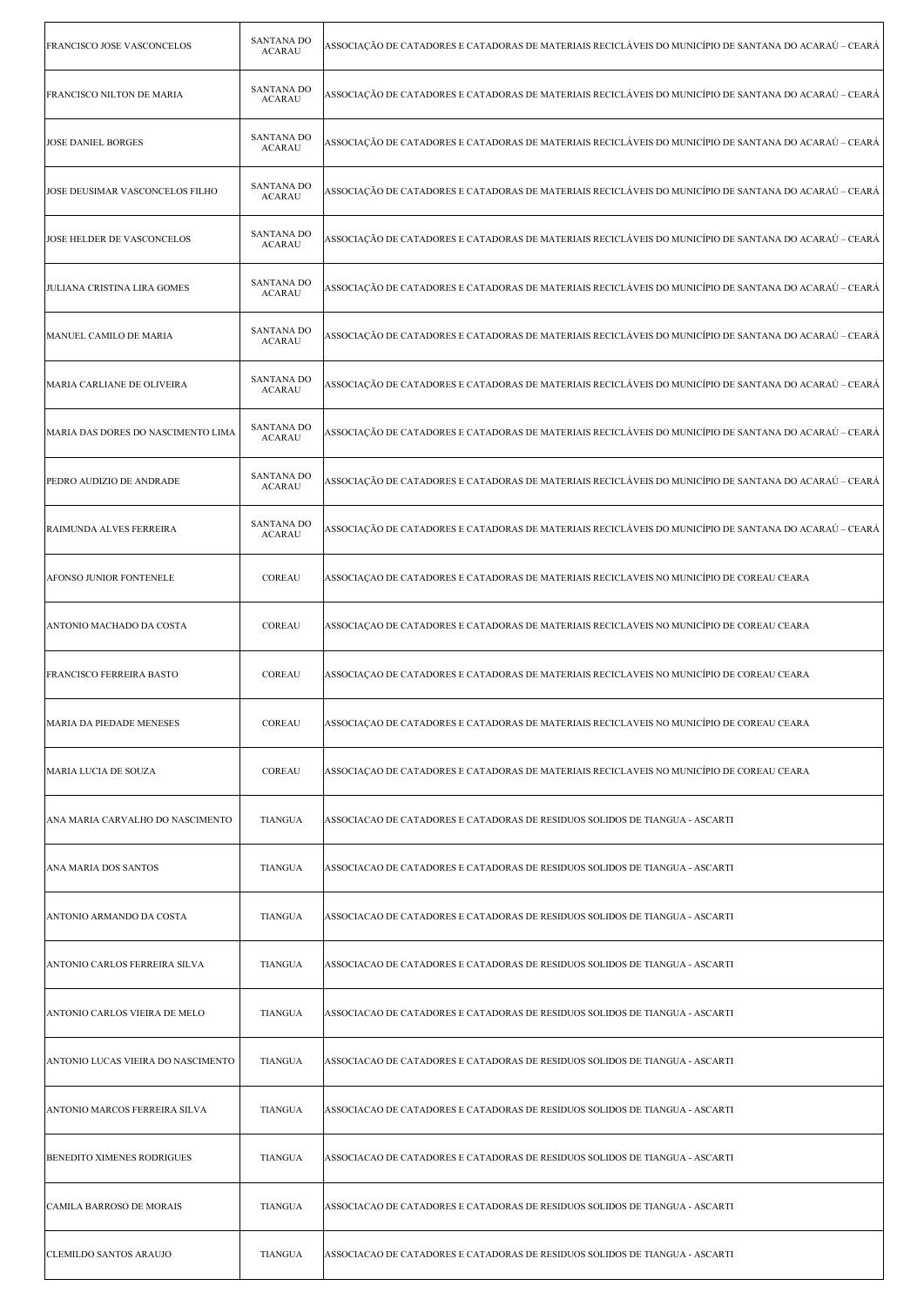| FRANCISCO JOSE VASCONCELOS         | <b>SANTANA DO</b><br><b>ACARAU</b> | ASSOCIAÇÃO DE CATADORES E CATADORAS DE MATERIAIS RECICLÁVEIS DO MUNICÍPIO DE SANTANA DO ACARAÚ – CEARÁ |
|------------------------------------|------------------------------------|--------------------------------------------------------------------------------------------------------|
| FRANCISCO NILTON DE MARIA          | <b>SANTANA DO</b><br><b>ACARAU</b> | ASSOCIAÇÃO DE CATADORES E CATADORAS DE MATERIAIS RECICLÁVEIS DO MUNICÍPIO DE SANTANA DO ACARAÚ – CEARÁ |
| <b>JOSE DANIEL BORGES</b>          | <b>SANTANA DO</b><br><b>ACARAU</b> | ASSOCIAÇÃO DE CATADORES E CATADORAS DE MATERIAIS RECICLÁVEIS DO MUNICÍPIO DE SANTANA DO ACARAÚ – CEARÁ |
| JOSE DEUSIMAR VASCONCELOS FILHO    | <b>SANTANA DO</b><br><b>ACARAU</b> | ASSOCIAÇÃO DE CATADORES E CATADORAS DE MATERIAIS RECICLÁVEIS DO MUNICÍPIO DE SANTANA DO ACARAÚ – CEARÁ |
| JOSE HELDER DE VASCONCELOS         | <b>SANTANA DO</b><br><b>ACARAU</b> | ASSOCIAÇÃO DE CATADORES E CATADORAS DE MATERIAIS RECICLÁVEIS DO MUNICÍPIO DE SANTANA DO ACARAÚ – CEARÁ |
| <b>JULIANA CRISTINA LIRA GOMES</b> | <b>SANTANA DO</b><br><b>ACARAU</b> | ASSOCIAÇÃO DE CATADORES E CATADORAS DE MATERIAIS RECICLÁVEIS DO MUNICÍPIO DE SANTANA DO ACARAÚ – CEARÁ |
| MANUEL CAMILO DE MARIA             | <b>SANTANA DO</b><br><b>ACARAU</b> | ASSOCIAÇÃO DE CATADORES E CATADORAS DE MATERIAIS RECICLÁVEIS DO MUNICÍPIO DE SANTANA DO ACARAÚ – CEARÁ |
| MARIA CARLIANE DE OLIVEIRA         | <b>SANTANA DO</b><br><b>ACARAU</b> | ASSOCIAÇÃO DE CATADORES E CATADORAS DE MATERIAIS RECICLÁVEIS DO MUNICÍPIO DE SANTANA DO ACARAÚ – CEARÁ |
| MARIA DAS DORES DO NASCIMENTO LIMA | <b>SANTANA DO</b><br><b>ACARAU</b> | ASSOCIAÇÃO DE CATADORES E CATADORAS DE MATERIAIS RECICLÁVEIS DO MUNICÍPIO DE SANTANA DO ACARAÚ – CEARÁ |
| PEDRO AUDIZIO DE ANDRADE           | <b>SANTANA DO</b><br><b>ACARAU</b> | ASSOCIAÇÃO DE CATADORES E CATADORAS DE MATERIAIS RECICLÁVEIS DO MUNICÍPIO DE SANTANA DO ACARAÚ – CEARÁ |
| RAIMUNDA ALVES FERREIRA            | <b>SANTANA DO</b><br><b>ACARAU</b> | ASSOCIAÇÃO DE CATADORES E CATADORAS DE MATERIAIS RECICLÁVEIS DO MUNICÍPIO DE SANTANA DO ACARAÚ – CEARÁ |
| AFONSO JUNIOR FONTENELE            | COREAU                             | ASSOCIAÇÃO DE CATADORES E CATADORAS DE MATERIAIS RECICLAVEIS NO MUNICÍPIO DE COREAU CEARA              |
| ANTONIO MACHADO DA COSTA           | COREAU                             | ASSOCIAÇÃO DE CATADORES E CATADORAS DE MATERIAIS RECICLAVEIS NO MUNICÍPIO DE COREAU CEARA              |
|                                    |                                    |                                                                                                        |
| <b>FRANCISCO FERREIRA BASTO</b>    | COREAU                             | ASSOCIAÇÃO DE CATADORES E CATADORAS DE MATERIAIS RECICLAVEIS NO MUNICÍPIO DE COREAU CEARA              |
| MARIA DA PIEDADE MENESES           | COREAU                             | ASSOCIAÇÃO DE CATADORES E CATADORAS DE MATERIAIS RECICLAVEIS NO MUNICÍPIO DE COREAU CEARA              |
| MARIA LUCIA DE SOUZA               | COREAU                             | ASSOCIACAO DE CATADORES E CATADORAS DE MATERIAIS RECICLAVEIS NO MUNICÍPIO DE COREAU CEARA              |
| ANA MARIA CARVALHO DO NASCIMENTO   | <b>TIANGUA</b>                     | ASSOCIACAO DE CATADORES E CATADORAS DE RESIDUOS SOLIDOS DE TIANGUA - ASCARTI                           |
| ANA MARIA DOS SANTOS               | <b>TIANGUA</b>                     | ASSOCIACAO DE CATADORES E CATADORAS DE RESIDUOS SOLIDOS DE TIANGUA - ASCARTI                           |
| ANTONIO ARMANDO DA COSTA           | <b>TIANGUA</b>                     | ASSOCIACAO DE CATADORES E CATADORAS DE RESIDUOS SOLIDOS DE TIANGUA - ASCARTI                           |
| ANTONIO CARLOS FERREIRA SILVA      | <b>TIANGUA</b>                     | ASSOCIACAO DE CATADORES E CATADORAS DE RESIDUOS SOLIDOS DE TIANGUA - ASCARTI                           |
| ANTONIO CARLOS VIEIRA DE MELO      | <b>TIANGUA</b>                     | ASSOCIACAO DE CATADORES E CATADORAS DE RESIDUOS SOLIDOS DE TIANGUA - ASCARTI                           |
| ANTONIO LUCAS VIEIRA DO NASCIMENTO | <b>TIANGUA</b>                     | ASSOCIACAO DE CATADORES E CATADORAS DE RESIDUOS SOLIDOS DE TIANGUA - ASCARTI                           |
| ANTONIO MARCOS FERREIRA SILVA      | <b>TIANGUA</b>                     | ASSOCIACAO DE CATADORES E CATADORAS DE RESIDUOS SOLIDOS DE TIANGUA - ASCARTI                           |
| <b>BENEDITO XIMENES RODRIGUES</b>  | <b>TIANGUA</b>                     | ASSOCIACAO DE CATADORES E CATADORAS DE RESIDUOS SOLIDOS DE TIANGUA - ASCARTI                           |
| CAMILA BARROSO DE MORAIS           | <b>TIANGUA</b>                     | ASSOCIACAO DE CATADORES E CATADORAS DE RESIDUOS SOLIDOS DE TIANGUA - ASCARTI                           |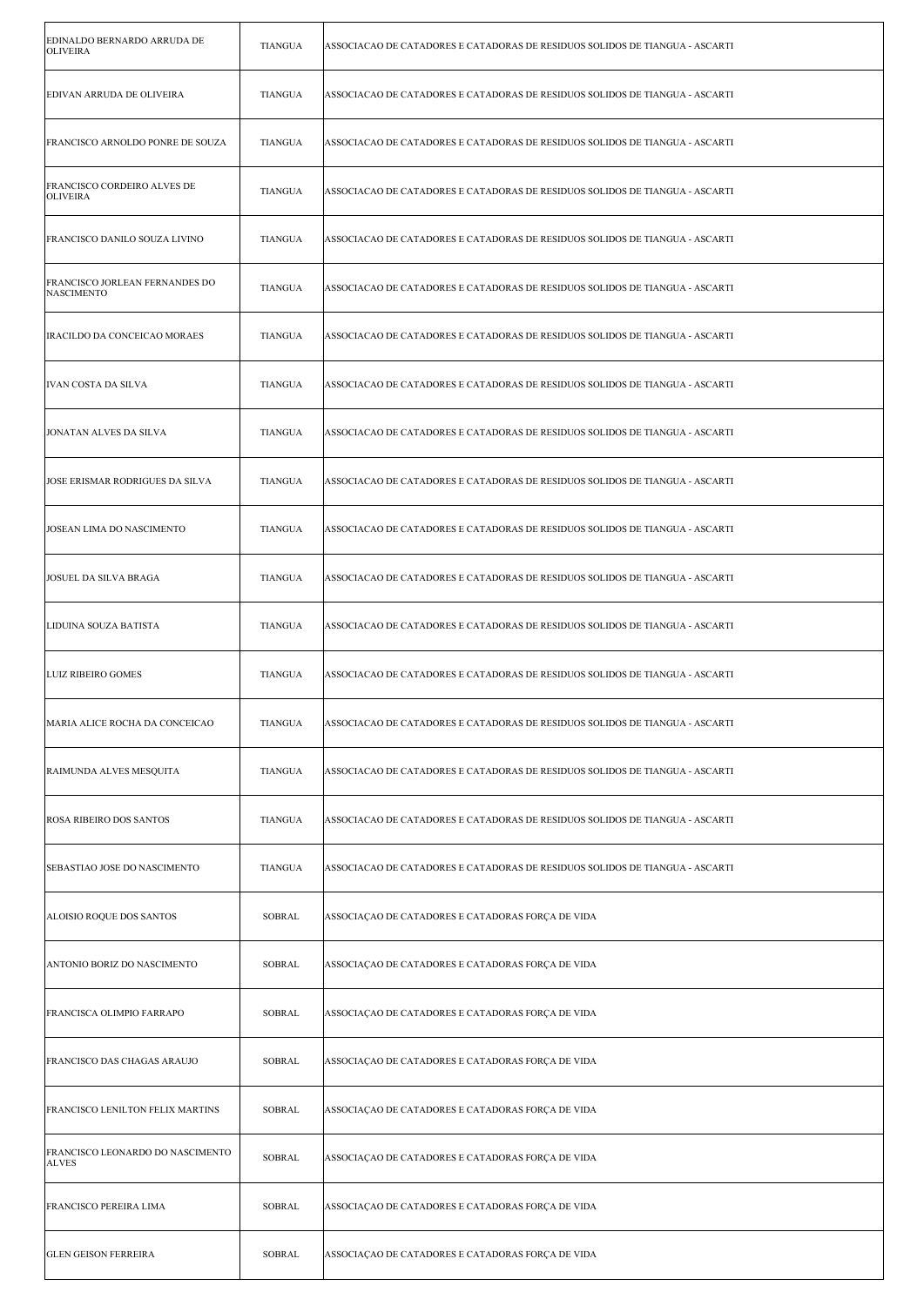| EDINALDO BERNARDO ARRUDA DE<br><b>OLIVEIRA</b>        | <b>TIANGUA</b> | ASSOCIACAO DE CATADORES E CATADORAS DE RESIDUOS SOLIDOS DE TIANGUA - ASCARTI |
|-------------------------------------------------------|----------------|------------------------------------------------------------------------------|
| EDIVAN ARRUDA DE OLIVEIRA                             | TIANGUA        | ASSOCIACAO DE CATADORES E CATADORAS DE RESIDUOS SOLIDOS DE TIANGUA - ASCARTI |
| FRANCISCO ARNOLDO PONRE DE SOUZA                      | <b>TIANGUA</b> | ASSOCIACAO DE CATADORES E CATADORAS DE RESIDUOS SOLIDOS DE TIANGUA - ASCARTI |
| <b>FRANCISCO CORDEIRO ALVES DE</b><br><b>OLIVEIRA</b> | <b>TIANGUA</b> | ASSOCIACAO DE CATADORES E CATADORAS DE RESIDUOS SOLIDOS DE TIANGUA - ASCARTI |
| <b>FRANCISCO DANILO SOUZA LIVINO</b>                  | <b>TIANGUA</b> | ASSOCIACAO DE CATADORES E CATADORAS DE RESIDUOS SOLIDOS DE TIANGUA - ASCARTI |
| FRANCISCO JORLEAN FERNANDES DO<br><b>NASCIMENTO</b>   | <b>TIANGUA</b> | ASSOCIACAO DE CATADORES E CATADORAS DE RESIDUOS SOLIDOS DE TIANGUA - ASCARTI |
| IRACILDO DA CONCEICAO MORAES                          | <b>TIANGUA</b> | ASSOCIACAO DE CATADORES E CATADORAS DE RESIDUOS SOLIDOS DE TIANGUA - ASCARTI |
| IVAN COSTA DA SILVA                                   | <b>TIANGUA</b> | ASSOCIACAO DE CATADORES E CATADORAS DE RESIDUOS SOLIDOS DE TIANGUA - ASCARTI |
| JONATAN ALVES DA SILVA                                | TIANGUA        | ASSOCIACAO DE CATADORES E CATADORAS DE RESIDUOS SOLIDOS DE TIANGUA - ASCARTI |
| JOSE ERISMAR RODRIGUES DA SILVA                       | <b>TIANGUA</b> | ASSOCIACAO DE CATADORES E CATADORAS DE RESIDUOS SOLIDOS DE TIANGUA - ASCARTI |
| JOSEAN LIMA DO NASCIMENTO                             | <b>TIANGUA</b> | ASSOCIACAO DE CATADORES E CATADORAS DE RESIDUOS SOLIDOS DE TIANGUA - ASCARTI |
| JOSUEL DA SILVA BRAGA                                 | <b>TIANGUA</b> | ASSOCIACAO DE CATADORES E CATADORAS DE RESIDUOS SOLIDOS DE TIANGUA - ASCARTI |
| LIDUINA SOUZA BATISTA                                 | TIANGUA        | ASSOCIACAO DE CATADORES E CATADORAS DE RESIDUOS SOLIDOS DE TIANGUA - ASCARTI |
| LUIZ RIBEIRO GOMES                                    | <b>TIANGUA</b> | ASSOCIACAO DE CATADORES E CATADORAS DE RESIDUOS SOLIDOS DE TIANGUA - ASCARTI |
| MARIA ALICE ROCHA DA CONCEICAO                        | <b>TIANGUA</b> | ASSOCIACAO DE CATADORES E CATADORAS DE RESIDUOS SOLIDOS DE TIANGUA - ASCARTI |
| RAIMUNDA ALVES MESQUITA                               | <b>TIANGUA</b> | ASSOCIACAO DE CATADORES E CATADORAS DE RESIDUOS SOLIDOS DE TIANGUA - ASCARTI |
| ROSA RIBEIRO DOS SANTOS                               | <b>TIANGUA</b> | ASSOCIACAO DE CATADORES E CATADORAS DE RESIDUOS SOLIDOS DE TIANGUA - ASCARTI |
| SEBASTIAO JOSE DO NASCIMENTO                          | TIANGUA        | ASSOCIACAO DE CATADORES E CATADORAS DE RESIDUOS SOLIDOS DE TIANGUA - ASCARTI |
| ALOISIO ROQUE DOS SANTOS                              | <b>SOBRAL</b>  | ASSOCIAÇÃO DE CATADORES E CATADORAS FORÇA DE VIDA                            |
| ANTONIO BORIZ DO NASCIMENTO                           | <b>SOBRAL</b>  | ASSOCIAÇÃO DE CATADORES E CATADORAS FORÇA DE VIDA                            |
| FRANCISCA OLIMPIO FARRAPO                             | <b>SOBRAL</b>  | ASSOCIAÇÃO DE CATADORES E CATADORAS FORÇA DE VIDA                            |
| FRANCISCO DAS CHAGAS ARAUJO                           | <b>SOBRAL</b>  | ASSOCIAÇÃO DE CATADORES E CATADORAS FORÇA DE VIDA                            |
| FRANCISCO LENILTON FELIX MARTINS                      | SOBRAL         | ASSOCIAÇÃO DE CATADORES E CATADORAS FORÇA DE VIDA                            |
| FRANCISCO LEONARDO DO NASCIMENTO<br><b>ALVES</b>      | <b>SOBRAL</b>  | ASSOCIAÇÃO DE CATADORES E CATADORAS FORÇA DE VIDA                            |
| FRANCISCO PEREIRA LIMA                                | <b>SOBRAL</b>  | ASSOCIAÇÃO DE CATADORES E CATADORAS FORÇA DE VIDA                            |
| <b>GLEN GEISON FERREIRA</b>                           | <b>SOBRAL</b>  | ASSOCIAÇÃO DE CATADORES E CATADORAS FORÇA DE VIDA                            |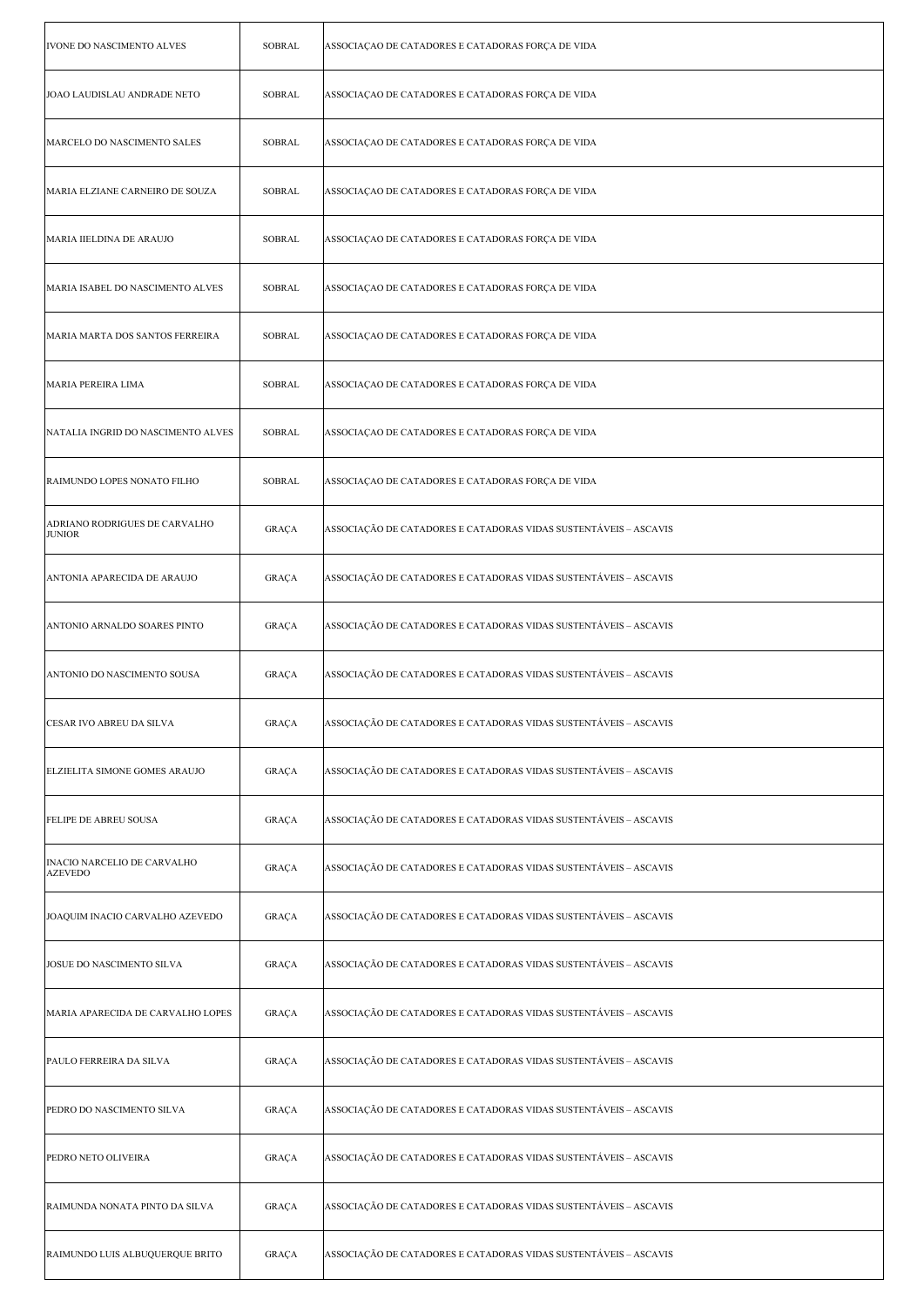| IVONE DO NASCIMENTO ALVES                            | <b>SOBRAL</b> | ASSOCIAÇÃO DE CATADORES E CATADORAS FORÇA DE VIDA                |
|------------------------------------------------------|---------------|------------------------------------------------------------------|
| JOAO LAUDISLAU ANDRADE NETO                          | SOBRAL        | ASSOCIAÇÃO DE CATADORES E CATADORAS FORÇA DE VIDA                |
| MARCELO DO NASCIMENTO SALES                          | SOBRAL        | ASSOCIAÇÃO DE CATADORES E CATADORAS FORÇA DE VIDA                |
| MARIA ELZIANE CARNEIRO DE SOUZA                      | <b>SOBRAL</b> | ASSOCIAÇÃO DE CATADORES E CATADORAS FORÇA DE VIDA                |
| MARIA IIELDINA DE ARAUJO                             | <b>SOBRAL</b> | ASSOCIAÇÃO DE CATADORES E CATADORAS FORÇA DE VIDA                |
| MARIA ISABEL DO NASCIMENTO ALVES                     | SOBRAL        | ASSOCIAÇÃO DE CATADORES E CATADORAS FORÇA DE VIDA                |
| MARIA MARTA DOS SANTOS FERREIRA                      | SOBRAL        | ASSOCIAÇÃO DE CATADORES E CATADORAS FORÇA DE VIDA                |
| MARIA PEREIRA LIMA                                   | SOBRAL        | ASSOCIAÇÃO DE CATADORES E CATADORAS FORÇA DE VIDA                |
| NATALIA INGRID DO NASCIMENTO ALVES                   | <b>SOBRAL</b> | ASSOCIAÇÃO DE CATADORES E CATADORAS FORÇA DE VIDA                |
| RAIMUNDO LOPES NONATO FILHO                          | <b>SOBRAL</b> | ASSOCIAÇÃO DE CATADORES E CATADORAS FORÇA DE VIDA                |
| ADRIANO RODRIGUES DE CARVALHO<br><b>JUNIOR</b>       | GRAÇA         | ASSOCIAÇÃO DE CATADORES E CATADORAS VIDAS SUSTENTÁVEIS - ASCAVIS |
| ANTONIA APARECIDA DE ARAUJO                          | GRAÇA         | ASSOCIAÇÃO DE CATADORES E CATADORAS VIDAS SUSTENTÁVEIS – ASCAVIS |
| ANTONIO ARNALDO SOARES PINTO                         | GRAÇA         | ASSOCIAÇÃO DE CATADORES E CATADORAS VIDAS SUSTENTÁVEIS - ASCAVIS |
| ANTONIO DO NASCIMENTO SOUSA                          | GRAÇA         | ASSOCIAÇÃO DE CATADORES E CATADORAS VIDAS SUSTENTÁVEIS - ASCAVIS |
| CESAR IVO ABREU DA SILVA                             | GRAÇA         | ASSOCIAÇÃO DE CATADORES E CATADORAS VIDAS SUSTENTÁVEIS – ASCAVIS |
| ELZIELITA SIMONE GOMES ARAUJO                        | GRAÇA         | ASSOCIAÇÃO DE CATADORES E CATADORAS VIDAS SUSTENTÁVEIS - ASCAVIS |
| FELIPE DE ABREU SOUSA                                | GRAÇA         | ASSOCIAÇÃO DE CATADORES E CATADORAS VIDAS SUSTENTÁVEIS - ASCAVIS |
| <b>INACIO NARCELIO DE CARVALHO</b><br><b>AZEVEDO</b> | GRAÇA         | ASSOCIAÇÃO DE CATADORES E CATADORAS VIDAS SUSTENTÁVEIS – ASCAVIS |
| JOAQUIM INACIO CARVALHO AZEVEDO                      | GRAÇA         | ASSOCIAÇÃO DE CATADORES E CATADORAS VIDAS SUSTENTÁVEIS - ASCAVIS |
| JOSUE DO NASCIMENTO SILVA                            | GRAÇA         | ASSOCIAÇÃO DE CATADORES E CATADORAS VIDAS SUSTENTÁVEIS - ASCAVIS |
| MARIA APARECIDA DE CARVALHO LOPES                    | GRAÇA         | ASSOCIAÇÃO DE CATADORES E CATADORAS VIDAS SUSTENTÁVEIS - ASCAVIS |
| PAULO FERREIRA DA SILVA                              | GRAÇA         | ASSOCIAÇÃO DE CATADORES E CATADORAS VIDAS SUSTENTÁVEIS - ASCAVIS |
| PEDRO DO NASCIMENTO SILVA                            | GRAÇA         | ASSOCIAÇÃO DE CATADORES E CATADORAS VIDAS SUSTENTÁVEIS - ASCAVIS |
| PEDRO NETO OLIVEIRA                                  | GRAÇA         | ASSOCIAÇÃO DE CATADORES E CATADORAS VIDAS SUSTENTÁVEIS - ASCAVIS |
| RAIMUNDA NONATA PINTO DA SILVA                       | GRAÇA         | ASSOCIAÇÃO DE CATADORES E CATADORAS VIDAS SUSTENTÁVEIS - ASCAVIS |
| RAIMUNDO LUIS ALBUQUERQUE BRITO                      | GRAÇA         | ASSOCIAÇÃO DE CATADORES E CATADORAS VIDAS SUSTENTÁVEIS – ASCAVIS |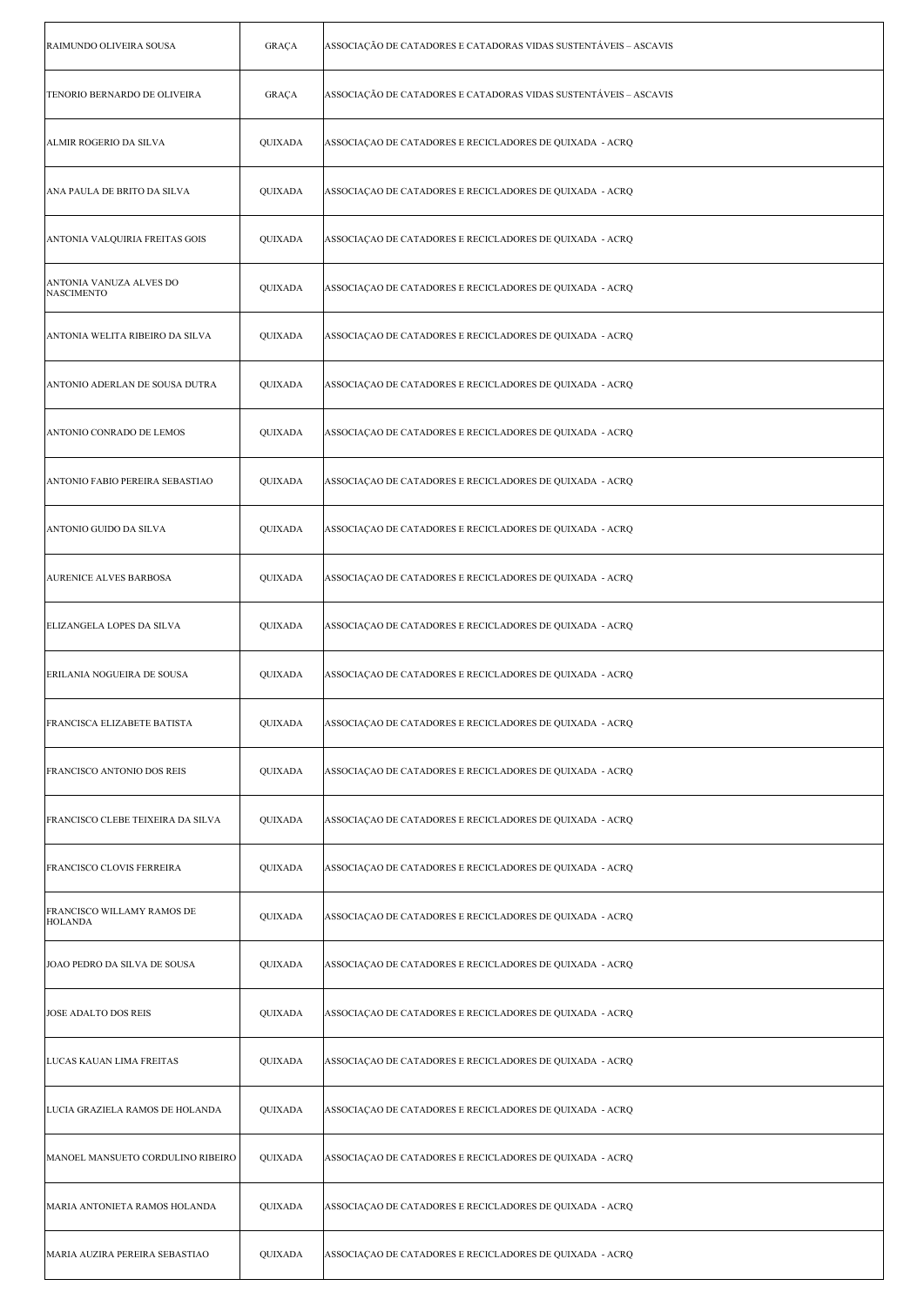| RAIMUNDO OLIVEIRA SOUSA                      | GRAÇA          | ASSOCIAÇÃO DE CATADORES E CATADORAS VIDAS SUSTENTÁVEIS – ASCAVIS |
|----------------------------------------------|----------------|------------------------------------------------------------------|
| TENORIO BERNARDO DE OLIVEIRA                 | GRAÇA          | ASSOCIAÇÃO DE CATADORES E CATADORAS VIDAS SUSTENTÁVEIS – ASCAVIS |
| ALMIR ROGERIO DA SILVA                       | QUIXADA        | ASSOCIAÇÃO DE CATADORES E RECICLADORES DE QUIXADA - ACRQ         |
| ANA PAULA DE BRITO DA SILVA                  | QUIXADA        | ASSOCIAÇÃO DE CATADORES E RECICLADORES DE QUIXADA - ACRQ         |
| ANTONIA VALQUIRIA FREITAS GOIS               | QUIXADA        | ASSOCIAÇAO DE CATADORES E RECICLADORES DE QUIXADA  - ACRQ        |
| ANTONIA VANUZA ALVES DO<br><b>NASCIMENTO</b> | QUIXADA        | ASSOCIAÇÃO DE CATADORES E RECICLADORES DE QUIXADA - ACRQ         |
| ANTONIA WELITA RIBEIRO DA SILVA              | QUIXADA        | ASSOCIAÇÃO DE CATADORES E RECICLADORES DE QUIXADA - ACRQ         |
| ANTONIO ADERLAN DE SOUSA DUTRA               | QUIXADA        | ASSOCIAÇAO DE CATADORES E RECICLADORES DE QUIXADA  - ACRQ        |
| ANTONIO CONRADO DE LEMOS                     | QUIXADA        | ASSOCIAÇÃO DE CATADORES E RECICLADORES DE QUIXADA - ACRQ         |
| ANTONIO FABIO PEREIRA SEBASTIAO              | QUIXADA        | ASSOCIAÇAO DE CATADORES E RECICLADORES DE QUIXADA  - ACRQ        |
| ANTONIO GUIDO DA SILVA                       | QUIXADA        | ASSOCIAÇÃO DE CATADORES E RECICLADORES DE QUIXADA - ACRQ         |
| <b>AURENICE ALVES BARBOSA</b>                | QUIXADA        | ASSOCIAÇAO DE CATADORES E RECICLADORES DE QUIXADA  - ACRQ        |
| ELIZANGELA LOPES DA SILVA                    | QUIXADA        | ASSOCIAÇAO DE CATADORES E RECICLADORES DE QUIXADA  - ACRQ        |
| ERILANIA NOGUEIRA DE SOUSA                   | QUIXADA        | ASSOCIAÇÃO DE CATADORES E RECICLADORES DE QUIXADA - ACRQ         |
| FRANCISCA ELIZABETE BATISTA                  | <b>QUIXADA</b> | ASSOCIAÇÃO DE CATADORES E RECICLADORES DE QUIXADA - ACRQ         |
| <b>FRANCISCO ANTONIO DOS REIS</b>            | QUIXADA        | ASSOCIAÇÃO DE CATADORES E RECICLADORES DE QUIXADA - ACRQ         |
| FRANCISCO CLEBE TEIXEIRA DA SILVA            | QUIXADA        | ASSOCIAÇAO DE CATADORES E RECICLADORES DE QUIXADA  - ACRQ        |
| <b>FRANCISCO CLOVIS FERREIRA</b>             | QUIXADA        | ASSOCIAÇÃO DE CATADORES E RECICLADORES DE QUIXADA - ACRQ         |
| FRANCISCO WILLAMY RAMOS DE<br><b>HOLANDA</b> | QUIXADA        | ASSOCIAÇÃO DE CATADORES E RECICLADORES DE QUIXADA - ACRQ         |
| JOAO PEDRO DA SILVA DE SOUSA                 | QUIXADA        | ASSOCIAÇÃO DE CATADORES E RECICLADORES DE QUIXADA - ACRQ         |
| <b>JOSE ADALTO DOS REIS</b>                  | QUIXADA        | ASSOCIAÇÃO DE CATADORES E RECICLADORES DE QUIXADA - ACRQ         |
| LUCAS KAUAN LIMA FREITAS                     | QUIXADA        | ASSOCIAÇAO DE CATADORES E RECICLADORES DE QUIXADA  - ACRQ        |
| LUCIA GRAZIELA RAMOS DE HOLANDA              | QUIXADA        | ASSOCIAÇÃO DE CATADORES E RECICLADORES DE QUIXADA - ACRQ         |
| MANOEL MANSUETO CORDULINO RIBEIRO            | QUIXADA        | ASSOCIAÇÃO DE CATADORES E RECICLADORES DE QUIXADA - ACRQ         |
| MARIA ANTONIETA RAMOS HOLANDA                | QUIXADA        | ASSOCIAÇÃO DE CATADORES E RECICLADORES DE QUIXADA - ACRQ         |
| MARIA AUZIRA PEREIRA SEBASTIAO               | QUIXADA        | ASSOCIAÇAO DE CATADORES E RECICLADORES DE QUIXADA  - ACRQ        |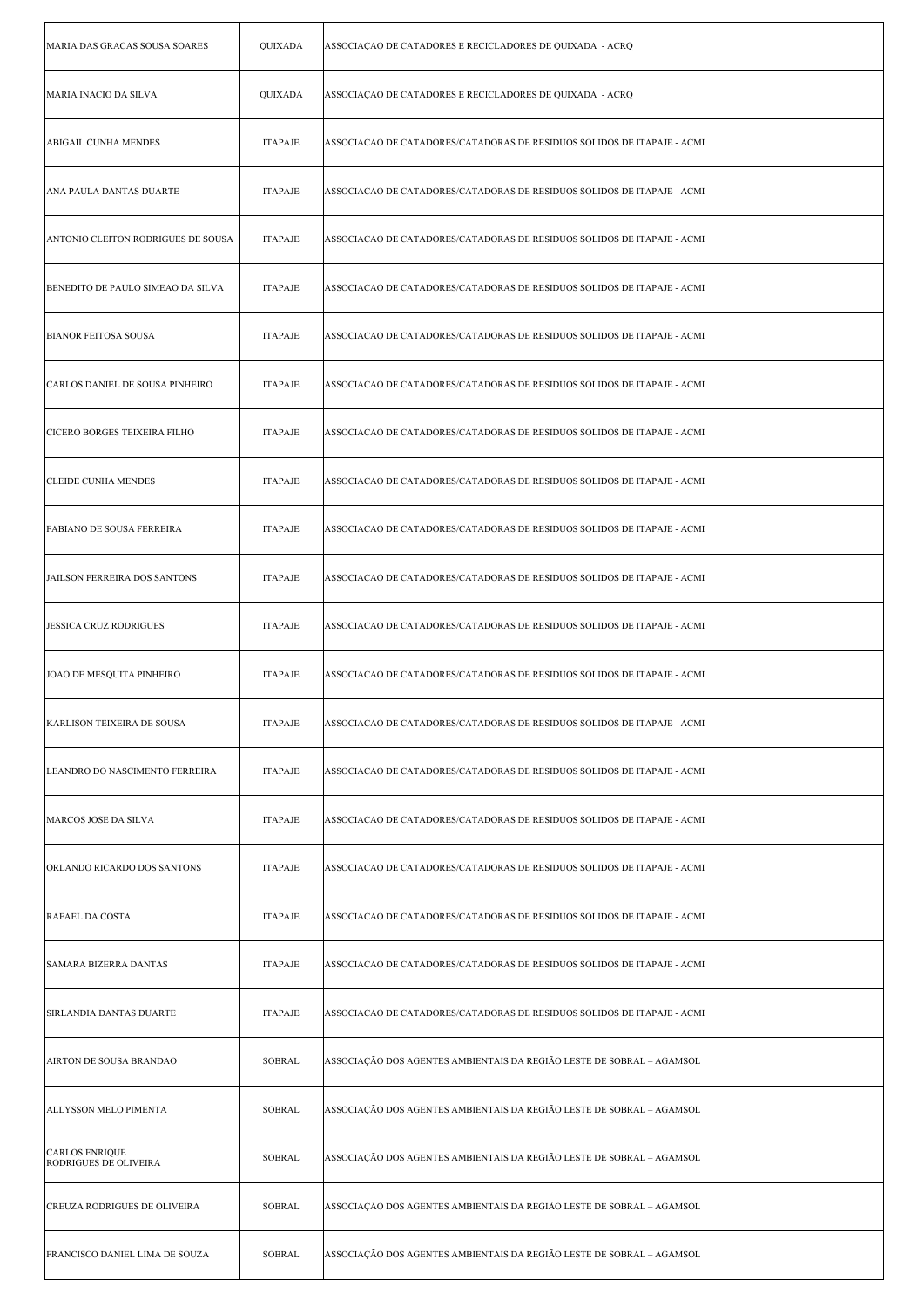| MARIA DAS GRACAS SOUSA SOARES                  | QUIXADA        | ASSOCIAÇÃO DE CATADORES E RECICLADORES DE QUIXADA - ACRQ                |
|------------------------------------------------|----------------|-------------------------------------------------------------------------|
| MARIA INACIO DA SILVA                          | QUIXADA        | ASSOCIAÇÃO DE CATADORES E RECICLADORES DE QUIXADA - ACRQ                |
| ABIGAIL CUNHA MENDES                           | <b>ITAPAJE</b> | ASSOCIACAO DE CATADORES/CATADORAS DE RESIDUOS SOLIDOS DE ITAPAJE - ACMI |
| ANA PAULA DANTAS DUARTE                        | <b>ITAPAJE</b> | ASSOCIACAO DE CATADORES/CATADORAS DE RESIDUOS SOLIDOS DE ITAPAJE - ACMI |
| ANTONIO CLEITON RODRIGUES DE SOUSA             | <b>ITAPAJE</b> | ASSOCIACAO DE CATADORES/CATADORAS DE RESIDUOS SOLIDOS DE ITAPAJE - ACMI |
| BENEDITO DE PAULO SIMEAO DA SILVA              | <b>ITAPAJE</b> | ASSOCIACAO DE CATADORES/CATADORAS DE RESIDUOS SOLIDOS DE ITAPAJE - ACMI |
| <b>BIANOR FEITOSA SOUSA</b>                    | <b>ITAPAJE</b> | ASSOCIACAO DE CATADORES/CATADORAS DE RESIDUOS SOLIDOS DE ITAPAJE - ACMI |
| CARLOS DANIEL DE SOUSA PINHEIRO                | <b>ITAPAJE</b> | ASSOCIACAO DE CATADORES/CATADORAS DE RESIDUOS SOLIDOS DE ITAPAJE - ACMI |
| CICERO BORGES TEIXEIRA FILHO                   | <b>ITAPAJE</b> | ASSOCIACAO DE CATADORES/CATADORAS DE RESIDUOS SOLIDOS DE ITAPAJE - ACMI |
| <b>CLEIDE CUNHA MENDES</b>                     | <b>ITAPAJE</b> | ASSOCIACAO DE CATADORES/CATADORAS DE RESIDUOS SOLIDOS DE ITAPAJE - ACMI |
| FABIANO DE SOUSA FERREIRA                      | <b>ITAPAJE</b> | ASSOCIACAO DE CATADORES/CATADORAS DE RESIDUOS SOLIDOS DE ITAPAJE - ACMI |
| <b>JAILSON FERREIRA DOS SANTONS</b>            | <b>ITAPAJE</b> | ASSOCIACAO DE CATADORES/CATADORAS DE RESIDUOS SOLIDOS DE ITAPAJE - ACMI |
| <b>JESSICA CRUZ RODRIGUES</b>                  | <b>ITAPAJE</b> | ASSOCIACAO DE CATADORES/CATADORAS DE RESIDUOS SOLIDOS DE ITAPAJE - ACMI |
| JOAO DE MESQUITA PINHEIRO                      | <b>ITAPAJE</b> | ASSOCIACAO DE CATADORES/CATADORAS DE RESIDUOS SOLIDOS DE ITAPAJE - ACMI |
| KARLISON TEIXEIRA DE SOUSA                     | <b>ITAPAJE</b> | ASSOCIACAO DE CATADORES/CATADORAS DE RESIDUOS SOLIDOS DE ITAPAJE - ACMI |
| LEANDRO DO NASCIMENTO FERREIRA                 | <b>ITAPAJE</b> | ASSOCIACAO DE CATADORES/CATADORAS DE RESIDUOS SOLIDOS DE ITAPAJE - ACMI |
| MARCOS JOSE DA SILVA                           | <b>ITAPAJE</b> | ASSOCIACAO DE CATADORES/CATADORAS DE RESIDUOS SOLIDOS DE ITAPAJE - ACMI |
| ORLANDO RICARDO DOS SANTONS                    | <b>ITAPAJE</b> | ASSOCIACAO DE CATADORES/CATADORAS DE RESIDUOS SOLIDOS DE ITAPAJE - ACMI |
| <b>RAFAEL DA COSTA</b>                         | <b>ITAPAJE</b> | ASSOCIACAO DE CATADORES/CATADORAS DE RESIDUOS SOLIDOS DE ITAPAJE - ACMI |
| SAMARA BIZERRA DANTAS                          | <b>ITAPAJE</b> | ASSOCIACAO DE CATADORES/CATADORAS DE RESIDUOS SOLIDOS DE ITAPAJE - ACMI |
| SIRLANDIA DANTAS DUARTE                        | <b>ITAPAJE</b> | ASSOCIACAO DE CATADORES/CATADORAS DE RESIDUOS SOLIDOS DE ITAPAJE - ACMI |
| AIRTON DE SOUSA BRANDAO                        | <b>SOBRAL</b>  | ASSOCIAÇÃO DOS AGENTES AMBIENTAIS DA REGIÃO LESTE DE SOBRAL – AGAMSOL   |
| ALLYSSON MELO PIMENTA                          | SOBRAL         | ASSOCIAÇÃO DOS AGENTES AMBIENTAIS DA REGIÃO LESTE DE SOBRAL – AGAMSOL   |
| <b>CARLOS ENRIQUE</b><br>RODRIGUES DE OLIVEIRA | <b>SOBRAL</b>  | ASSOCIAÇÃO DOS AGENTES AMBIENTAIS DA REGIÃO LESTE DE SOBRAL – AGAMSOL   |
| CREUZA RODRIGUES DE OLIVEIRA                   | <b>SOBRAL</b>  | ASSOCIAÇÃO DOS AGENTES AMBIENTAIS DA REGIÃO LESTE DE SOBRAL – AGAMSOL   |
| FRANCISCO DANIEL LIMA DE SOUZA                 | <b>SOBRAL</b>  | ASSOCIAÇÃO DOS AGENTES AMBIENTAIS DA REGIÃO LESTE DE SOBRAL – AGAMSOL   |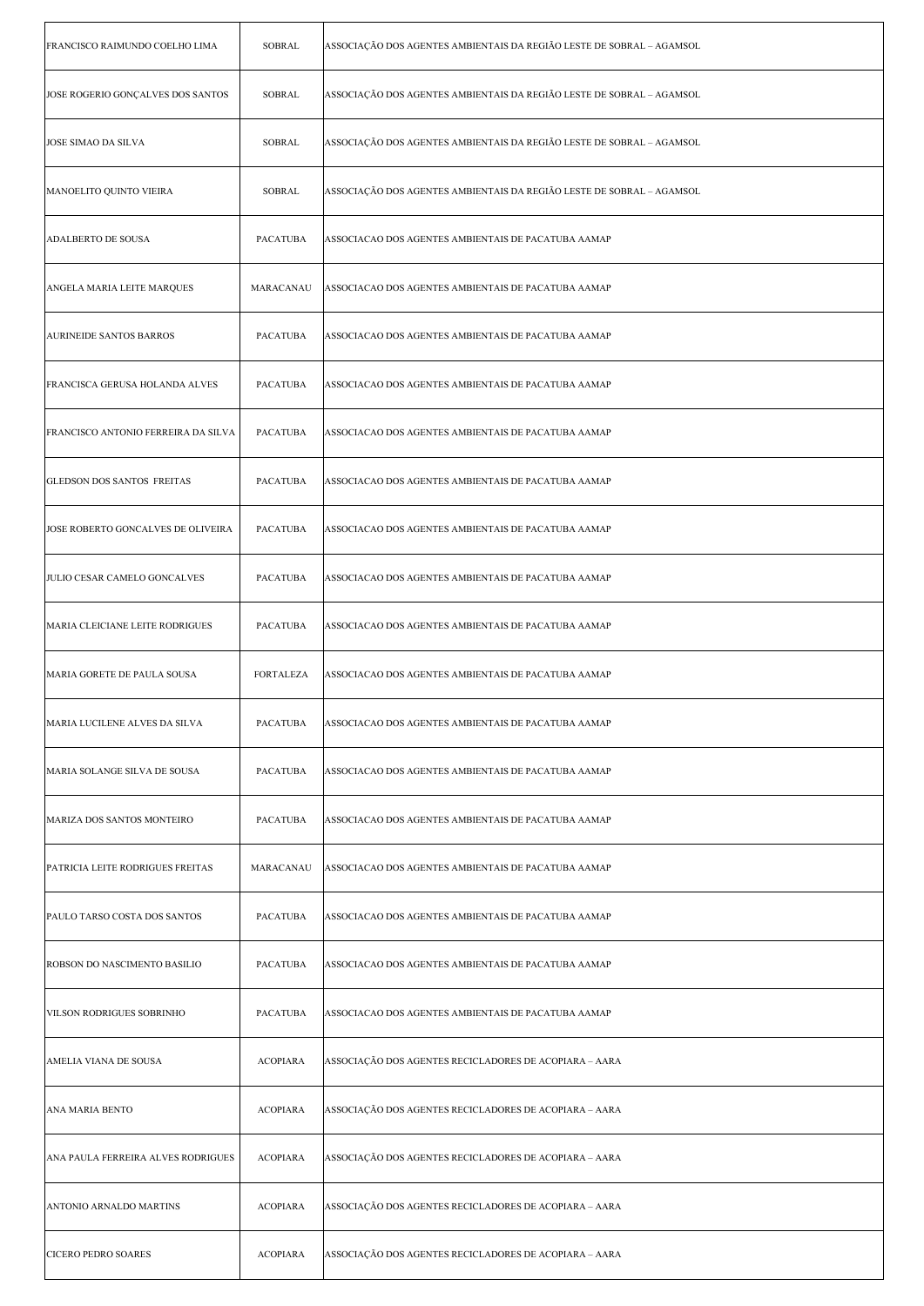| FRANCISCO RAIMUNDO COELHO LIMA      | <b>SOBRAL</b>    | ASSOCIAÇÃO DOS AGENTES AMBIENTAIS DA REGIÃO LESTE DE SOBRAL – AGAMSOL |
|-------------------------------------|------------------|-----------------------------------------------------------------------|
| JOSE ROGERIO GONÇALVES DOS SANTOS   | <b>SOBRAL</b>    | ASSOCIAÇÃO DOS AGENTES AMBIENTAIS DA REGIÃO LESTE DE SOBRAL – AGAMSOL |
| <b>JOSE SIMAO DA SILVA</b>          | SOBRAL           | ASSOCIAÇÃO DOS AGENTES AMBIENTAIS DA REGIÃO LESTE DE SOBRAL - AGAMSOL |
| MANOELITO QUINTO VIEIRA             | SOBRAL           | ASSOCIAÇÃO DOS AGENTES AMBIENTAIS DA REGIÃO LESTE DE SOBRAL - AGAMSOL |
| ADALBERTO DE SOUSA                  | <b>PACATUBA</b>  | ASSOCIACAO DOS AGENTES AMBIENTAIS DE PACATUBA AAMAP                   |
| ANGELA MARIA LEITE MARQUES          | MARACANAU        | ASSOCIACAO DOS AGENTES AMBIENTAIS DE PACATUBA AAMAP                   |
| <b>AURINEIDE SANTOS BARROS</b>      | <b>PACATUBA</b>  | ASSOCIACAO DOS AGENTES AMBIENTAIS DE PACATUBA AAMAP                   |
| FRANCISCA GERUSA HOLANDA ALVES      | PACATUBA         | ASSOCIACAO DOS AGENTES AMBIENTAIS DE PACATUBA AAMAP                   |
| FRANCISCO ANTONIO FERREIRA DA SILVA | PACATUBA         | ASSOCIACAO DOS AGENTES AMBIENTAIS DE PACATUBA AAMAP                   |
| <b>GLEDSON DOS SANTOS FREITAS</b>   | <b>PACATUBA</b>  | ASSOCIACAO DOS AGENTES AMBIENTAIS DE PACATUBA AAMAP                   |
| JOSE ROBERTO GONCALVES DE OLIVEIRA  | <b>PACATUBA</b>  | ASSOCIACAO DOS AGENTES AMBIENTAIS DE PACATUBA AAMAP                   |
| JULIO CESAR CAMELO GONCALVES        | <b>PACATUBA</b>  | ASSOCIACAO DOS AGENTES AMBIENTAIS DE PACATUBA AAMAP                   |
| MARIA CLEICIANE LEITE RODRIGUES     | PACATUBA         | ASSOCIACAO DOS AGENTES AMBIENTAIS DE PACATUBA AAMAP                   |
| MARIA GORETE DE PAULA SOUSA         | <b>FORTALEZA</b> | ASSOCIACAO DOS AGENTES AMBIENTAIS DE PACATUBA AAMAP                   |
| MARIA LUCILENE ALVES DA SILVA       | PACATUBA         | ASSOCIACAO DOS AGENTES AMBIENTAIS DE PACATUBA AAMAP                   |
| MARIA SOLANGE SILVA DE SOUSA        | PACATUBA         | ASSOCIACAO DOS AGENTES AMBIENTAIS DE PACATUBA AAMAP                   |
| MARIZA DOS SANTOS MONTEIRO          | <b>PACATUBA</b>  | ASSOCIACAO DOS AGENTES AMBIENTAIS DE PACATUBA AAMAP                   |
| PATRICIA LEITE RODRIGUES FREITAS    | MARACANAU        | ASSOCIACAO DOS AGENTES AMBIENTAIS DE PACATUBA AAMAP                   |
| PAULO TARSO COSTA DOS SANTOS        | PACATUBA         | ASSOCIACAO DOS AGENTES AMBIENTAIS DE PACATUBA AAMAP                   |
| ROBSON DO NASCIMENTO BASILIO        | PACATUBA         | ASSOCIACAO DOS AGENTES AMBIENTAIS DE PACATUBA AAMAP                   |
| VILSON RODRIGUES SOBRINHO           | PACATUBA         | ASSOCIACAO DOS AGENTES AMBIENTAIS DE PACATUBA AAMAP                   |
| AMELIA VIANA DE SOUSA               | <b>ACOPIARA</b>  | ASSOCIAÇÃO DOS AGENTES RECICLADORES DE ACOPIARA - AARA                |
| ANA MARIA BENTO                     | <b>ACOPIARA</b>  | ASSOCIAÇÃO DOS AGENTES RECICLADORES DE ACOPIARA - AARA                |
| ANA PAULA FERREIRA ALVES RODRIGUES  | <b>ACOPIARA</b>  | ASSOCIAÇÃO DOS AGENTES RECICLADORES DE ACOPIARA - AARA                |
| ANTONIO ARNALDO MARTINS             | <b>ACOPIARA</b>  | ASSOCIAÇÃO DOS AGENTES RECICLADORES DE ACOPIARA – AARA                |
| CICERO PEDRO SOARES                 | <b>ACOPIARA</b>  | ASSOCIAÇÃO DOS AGENTES RECICLADORES DE ACOPIARA – AARA                |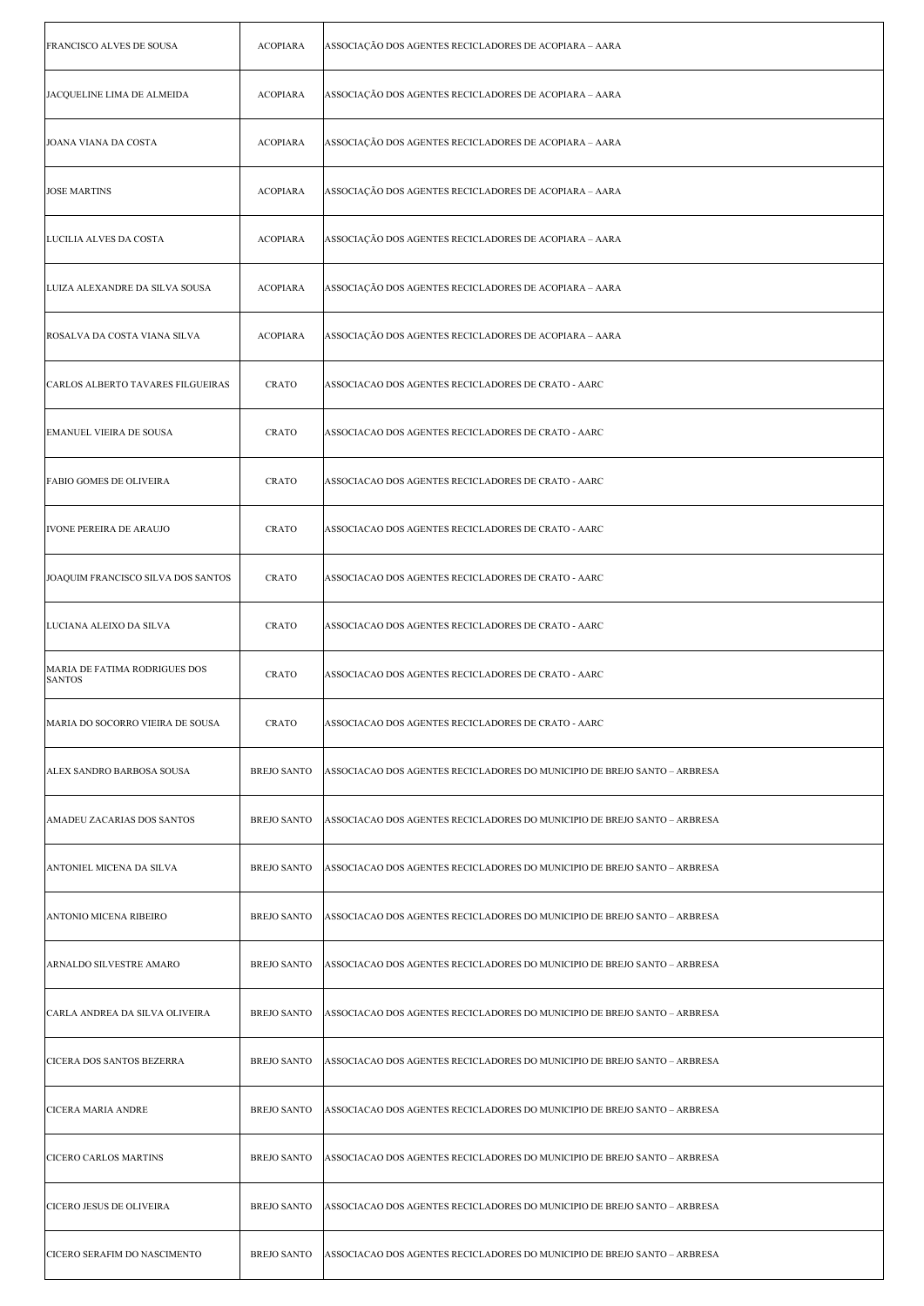| FRANCISCO ALVES DE SOUSA                       | <b>ACOPIARA</b>    | ASSOCIAÇÃO DOS AGENTES RECICLADORES DE ACOPIARA - AARA                    |
|------------------------------------------------|--------------------|---------------------------------------------------------------------------|
| JACQUELINE LIMA DE ALMEIDA                     | <b>ACOPIARA</b>    | ASSOCIAÇÃO DOS AGENTES RECICLADORES DE ACOPIARA - AARA                    |
| JOANA VIANA DA COSTA                           | <b>ACOPIARA</b>    | ASSOCIAÇÃO DOS AGENTES RECICLADORES DE ACOPIARA - AARA                    |
| <b>JOSE MARTINS</b>                            | <b>ACOPIARA</b>    | ASSOCIAÇÃO DOS AGENTES RECICLADORES DE ACOPIARA - AARA                    |
| LUCILIA ALVES DA COSTA                         | <b>ACOPIARA</b>    | ASSOCIAÇÃO DOS AGENTES RECICLADORES DE ACOPIARA - AARA                    |
| LUIZA ALEXANDRE DA SILVA SOUSA                 | <b>ACOPIARA</b>    | ASSOCIAÇÃO DOS AGENTES RECICLADORES DE ACOPIARA - AARA                    |
| ROSALVA DA COSTA VIANA SILVA                   | <b>ACOPIARA</b>    | ASSOCIAÇÃO DOS AGENTES RECICLADORES DE ACOPIARA - AARA                    |
| CARLOS ALBERTO TAVARES FILGUEIRAS              | <b>CRATO</b>       | ASSOCIACAO DOS AGENTES RECICLADORES DE CRATO - AARC                       |
| EMANUEL VIEIRA DE SOUSA                        | <b>CRATO</b>       | ASSOCIACAO DOS AGENTES RECICLADORES DE CRATO - AARC                       |
| <b>FABIO GOMES DE OLIVEIRA</b>                 | <b>CRATO</b>       | ASSOCIACAO DOS AGENTES RECICLADORES DE CRATO - AARC                       |
| IVONE PEREIRA DE ARAUJO                        | <b>CRATO</b>       | ASSOCIACAO DOS AGENTES RECICLADORES DE CRATO - AARC                       |
| JOAQUIM FRANCISCO SILVA DOS SANTOS             | <b>CRATO</b>       | ASSOCIACAO DOS AGENTES RECICLADORES DE CRATO - AARC                       |
| LUCIANA ALEIXO DA SILVA                        | <b>CRATO</b>       | ASSOCIACAO DOS AGENTES RECICLADORES DE CRATO - AARC                       |
| MARIA DE FATIMA RODRIGUES DOS<br><b>SANTOS</b> | <b>CRATO</b>       | ASSOCIACAO DOS AGENTES RECICLADORES DE CRATO - AARC                       |
| MARIA DO SOCORRO VIEIRA DE SOUSA               | CRATO              | ASSOCIACAO DOS AGENTES RECICLADORES DE CRATO - AARC                       |
| <b>ALEX SANDRO BARBOSA SOUSA</b>               | <b>BREJO SANTO</b> | ASSOCIACAO DOS AGENTES RECICLADORES DO MUNICIPIO DE BREJO SANTO - ARBRESA |
| AMADEU ZACARIAS DOS SANTOS                     | <b>BREJO SANTO</b> | ASSOCIACAO DOS AGENTES RECICLADORES DO MUNICIPIO DE BREJO SANTO - ARBRESA |
| ANTONIEL MICENA DA SILVA                       | <b>BREJO SANTO</b> | ASSOCIACAO DOS AGENTES RECICLADORES DO MUNICIPIO DE BREJO SANTO – ARBRESA |
| ANTONIO MICENA RIBEIRO                         | <b>BREJO SANTO</b> | ASSOCIACAO DOS AGENTES RECICLADORES DO MUNICIPIO DE BREJO SANTO – ARBRESA |
| ARNALDO SILVESTRE AMARO                        | <b>BREJO SANTO</b> | ASSOCIACAO DOS AGENTES RECICLADORES DO MUNICIPIO DE BREJO SANTO - ARBRESA |
| CARLA ANDREA DA SILVA OLIVEIRA                 | <b>BREJO SANTO</b> | ASSOCIACAO DOS AGENTES RECICLADORES DO MUNICIPIO DE BREJO SANTO - ARBRESA |
| CICERA DOS SANTOS BEZERRA                      | <b>BREJO SANTO</b> | ASSOCIACAO DOS AGENTES RECICLADORES DO MUNICIPIO DE BREJO SANTO - ARBRESA |
| CICERA MARIA ANDRE                             | <b>BREJO SANTO</b> | ASSOCIACAO DOS AGENTES RECICLADORES DO MUNICIPIO DE BREJO SANTO - ARBRESA |
| <b>CICERO CARLOS MARTINS</b>                   | <b>BREJO SANTO</b> | ASSOCIACAO DOS AGENTES RECICLADORES DO MUNICIPIO DE BREJO SANTO - ARBRESA |
| CICERO JESUS DE OLIVEIRA                       | <b>BREJO SANTO</b> | ASSOCIACAO DOS AGENTES RECICLADORES DO MUNICIPIO DE BREJO SANTO - ARBRESA |
| CICERO SERAFIM DO NASCIMENTO                   | <b>BREJO SANTO</b> | ASSOCIACAO DOS AGENTES RECICLADORES DO MUNICIPIO DE BREJO SANTO - ARBRESA |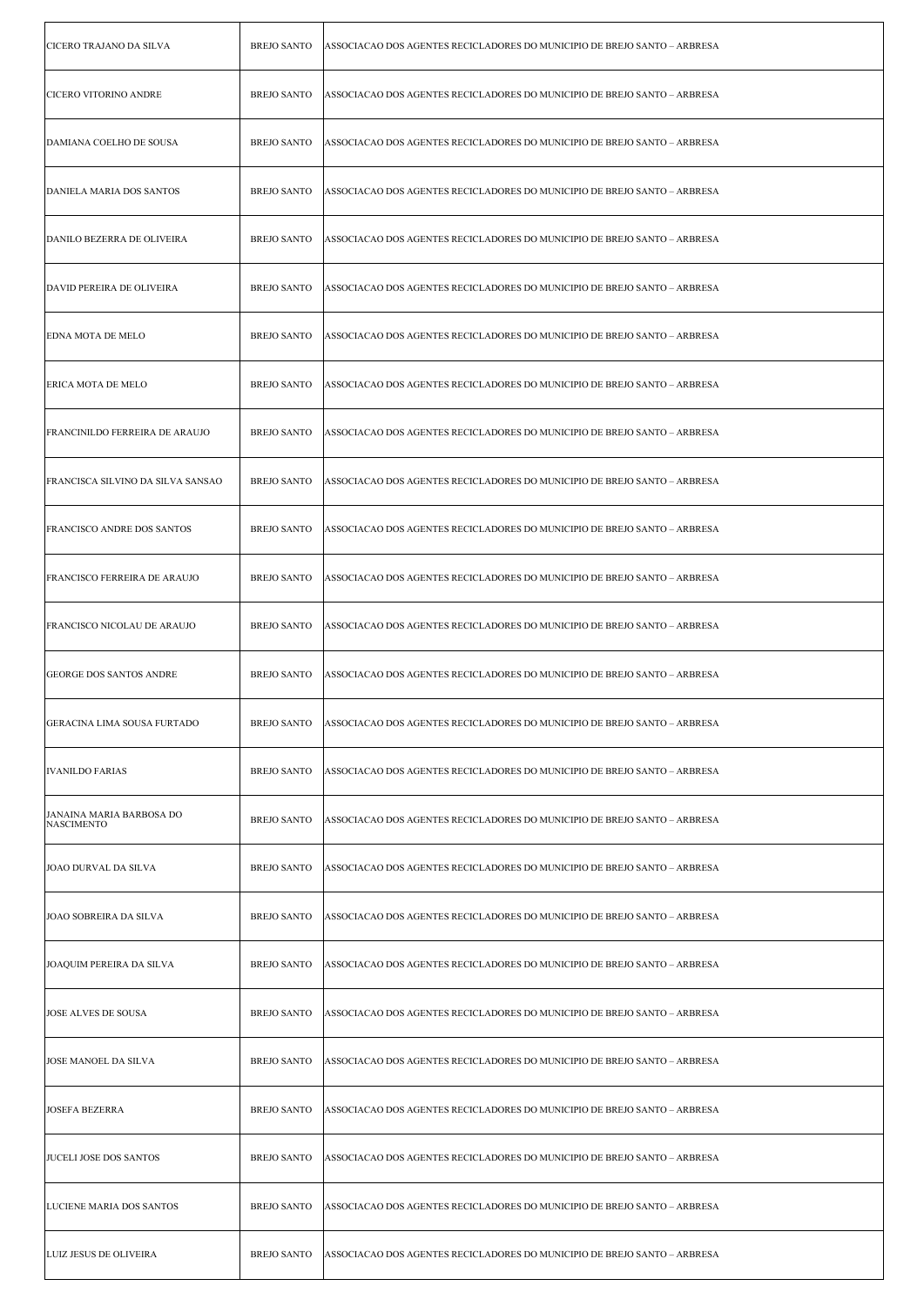| CICERO TRAJANO DA SILVA                       | <b>BREJO SANTO</b> | ASSOCIACAO DOS AGENTES RECICLADORES DO MUNICIPIO DE BREJO SANTO - ARBRESA |
|-----------------------------------------------|--------------------|---------------------------------------------------------------------------|
| <b>CICERO VITORINO ANDRE</b>                  | <b>BREJO SANTO</b> | ASSOCIACAO DOS AGENTES RECICLADORES DO MUNICIPIO DE BREJO SANTO – ARBRESA |
| DAMIANA COELHO DE SOUSA                       | <b>BREJO SANTO</b> | ASSOCIACAO DOS AGENTES RECICLADORES DO MUNICIPIO DE BREJO SANTO - ARBRESA |
| DANIELA MARIA DOS SANTOS                      | <b>BREJO SANTO</b> | ASSOCIACAO DOS AGENTES RECICLADORES DO MUNICIPIO DE BREJO SANTO – ARBRESA |
| <b>DANILO BEZERRA DE OLIVEIRA</b>             | <b>BREJO SANTO</b> | ASSOCIACAO DOS AGENTES RECICLADORES DO MUNICIPIO DE BREJO SANTO - ARBRESA |
| <b>DAVID PEREIRA DE OLIVEIRA</b>              | <b>BREJO SANTO</b> | ASSOCIACAO DOS AGENTES RECICLADORES DO MUNICIPIO DE BREJO SANTO – ARBRESA |
| <b>EDNA MOTA DE MELO</b>                      | <b>BREJO SANTO</b> | ASSOCIACAO DOS AGENTES RECICLADORES DO MUNICIPIO DE BREJO SANTO – ARBRESA |
| <b>ERICA MOTA DE MELO</b>                     | <b>BREJO SANTO</b> | ASSOCIACAO DOS AGENTES RECICLADORES DO MUNICIPIO DE BREJO SANTO - ARBRESA |
| <b>FRANCINILDO FERREIRA DE ARAUJO</b>         | <b>BREJO SANTO</b> | ASSOCIACAO DOS AGENTES RECICLADORES DO MUNICIPIO DE BREJO SANTO - ARBRESA |
| <b>FRANCISCA SILVINO DA SILVA SANSAO</b>      | <b>BREJO SANTO</b> | ASSOCIACAO DOS AGENTES RECICLADORES DO MUNICIPIO DE BREJO SANTO - ARBRESA |
| FRANCISCO ANDRE DOS SANTOS                    | <b>BREJO SANTO</b> | ASSOCIACAO DOS AGENTES RECICLADORES DO MUNICIPIO DE BREJO SANTO – ARBRESA |
| <b>FRANCISCO FERREIRA DE ARAUJO</b>           | <b>BREJO SANTO</b> | ASSOCIACAO DOS AGENTES RECICLADORES DO MUNICIPIO DE BREJO SANTO – ARBRESA |
| <b>FRANCISCO NICOLAU DE ARAUJO</b>            | <b>BREJO SANTO</b> | ASSOCIACAO DOS AGENTES RECICLADORES DO MUNICIPIO DE BREJO SANTO - ARBRESA |
| <b>GEORGE DOS SANTOS ANDRE</b>                | <b>BREJO SANTO</b> | ASSOCIACAO DOS AGENTES RECICLADORES DO MUNICIPIO DE BREJO SANTO - ARBRESA |
| GERACINA LIMA SOUSA FURTADO                   | <b>BREJO SANTO</b> | ASSOCIACAO DOS AGENTES RECICLADORES DO MUNICIPIO DE BREJO SANTO - ARBRESA |
| <b>IVANILDO FARIAS</b>                        | <b>BREJO SANTO</b> | ASSOCIACAO DOS AGENTES RECICLADORES DO MUNICIPIO DE BREJO SANTO – ARBRESA |
| JANAINA MARIA BARBOSA DO<br><b>NASCIMENTO</b> | <b>BREJO SANTO</b> | ASSOCIACAO DOS AGENTES RECICLADORES DO MUNICIPIO DE BREJO SANTO – ARBRESA |
| JOAO DURVAL DA SILVA                          | <b>BREJO SANTO</b> | ASSOCIACAO DOS AGENTES RECICLADORES DO MUNICIPIO DE BREJO SANTO - ARBRESA |
| JOAO SOBREIRA DA SILVA                        | <b>BREJO SANTO</b> | ASSOCIACAO DOS AGENTES RECICLADORES DO MUNICIPIO DE BREJO SANTO – ARBRESA |
| JOAQUIM PEREIRA DA SILVA                      | <b>BREJO SANTO</b> | ASSOCIACAO DOS AGENTES RECICLADORES DO MUNICIPIO DE BREJO SANTO – ARBRESA |
| <b>JOSE ALVES DE SOUSA</b>                    | <b>BREJO SANTO</b> | ASSOCIACAO DOS AGENTES RECICLADORES DO MUNICIPIO DE BREJO SANTO – ARBRESA |
| JOSE MANOEL DA SILVA                          | <b>BREJO SANTO</b> | ASSOCIACAO DOS AGENTES RECICLADORES DO MUNICIPIO DE BREJO SANTO – ARBRESA |
| <b>JOSEFA BEZERRA</b>                         | <b>BREJO SANTO</b> | ASSOCIACAO DOS AGENTES RECICLADORES DO MUNICIPIO DE BREJO SANTO - ARBRESA |
| JUCELI JOSE DOS SANTOS                        | <b>BREJO SANTO</b> | ASSOCIACAO DOS AGENTES RECICLADORES DO MUNICIPIO DE BREJO SANTO - ARBRESA |
| LUCIENE MARIA DOS SANTOS                      | <b>BREJO SANTO</b> | ASSOCIACAO DOS AGENTES RECICLADORES DO MUNICIPIO DE BREJO SANTO – ARBRESA |
| LUIZ JESUS DE OLIVEIRA                        | <b>BREJO SANTO</b> | ASSOCIACAO DOS AGENTES RECICLADORES DO MUNICIPIO DE BREJO SANTO - ARBRESA |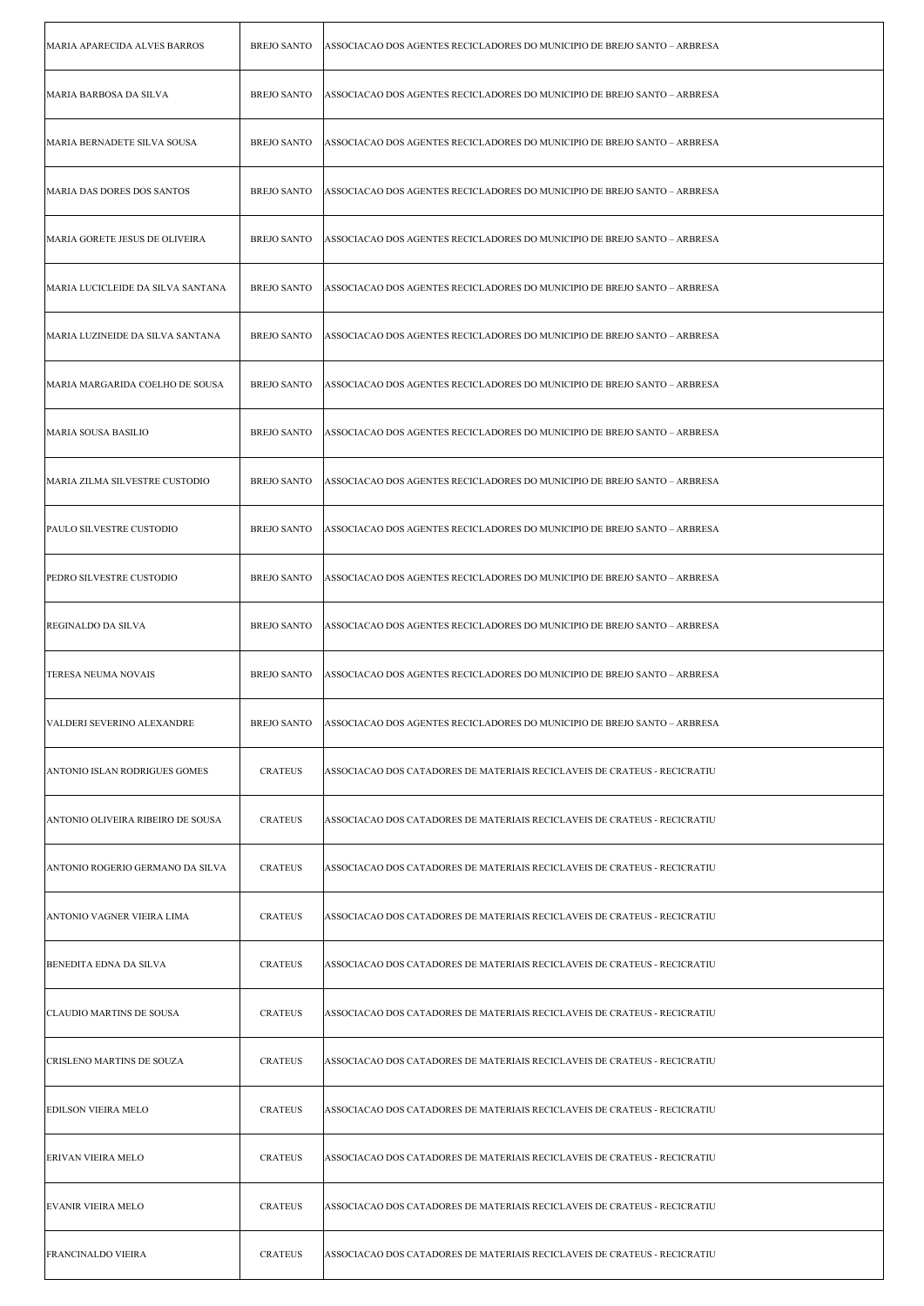| MARIA APARECIDA ALVES BARROS      | <b>BREJO SANTO</b> | ASSOCIACAO DOS AGENTES RECICLADORES DO MUNICIPIO DE BREJO SANTO – ARBRESA |
|-----------------------------------|--------------------|---------------------------------------------------------------------------|
| MARIA BARBOSA DA SILVA            | <b>BREJO SANTO</b> | ASSOCIACAO DOS AGENTES RECICLADORES DO MUNICIPIO DE BREJO SANTO – ARBRESA |
| MARIA BERNADETE SILVA SOUSA       | <b>BREJO SANTO</b> | ASSOCIACAO DOS AGENTES RECICLADORES DO MUNICIPIO DE BREJO SANTO - ARBRESA |
| MARIA DAS DORES DOS SANTOS        | <b>BREJO SANTO</b> | ASSOCIACAO DOS AGENTES RECICLADORES DO MUNICIPIO DE BREJO SANTO – ARBRESA |
| MARIA GORETE JESUS DE OLIVEIRA    | <b>BREJO SANTO</b> | ASSOCIACAO DOS AGENTES RECICLADORES DO MUNICIPIO DE BREJO SANTO - ARBRESA |
| MARIA LUCICLEIDE DA SILVA SANTANA | <b>BREJO SANTO</b> | ASSOCIACAO DOS AGENTES RECICLADORES DO MUNICIPIO DE BREJO SANTO – ARBRESA |
| MARIA LUZINEIDE DA SILVA SANTANA  | <b>BREJO SANTO</b> | ASSOCIACAO DOS AGENTES RECICLADORES DO MUNICIPIO DE BREJO SANTO – ARBRESA |
| MARIA MARGARIDA COELHO DE SOUSA   | <b>BREJO SANTO</b> | ASSOCIACAO DOS AGENTES RECICLADORES DO MUNICIPIO DE BREJO SANTO - ARBRESA |
| MARIA SOUSA BASILIO               | <b>BREJO SANTO</b> | ASSOCIACAO DOS AGENTES RECICLADORES DO MUNICIPIO DE BREJO SANTO - ARBRESA |
| MARIA ZILMA SILVESTRE CUSTODIO    | <b>BREJO SANTO</b> | ASSOCIACAO DOS AGENTES RECICLADORES DO MUNICIPIO DE BREJO SANTO – ARBRESA |
| PAULO SILVESTRE CUSTODIO          | <b>BREJO SANTO</b> | ASSOCIACAO DOS AGENTES RECICLADORES DO MUNICIPIO DE BREJO SANTO - ARBRESA |
| PEDRO SILVESTRE CUSTODIO          | <b>BREJO SANTO</b> | ASSOCIACAO DOS AGENTES RECICLADORES DO MUNICIPIO DE BREJO SANTO – ARBRESA |
| <b>REGINALDO DA SILVA</b>         | <b>BREJO SANTO</b> | ASSOCIACAO DOS AGENTES RECICLADORES DO MUNICIPIO DE BREJO SANTO - ARBRESA |
| <b>TERESA NEUMA NOVAIS</b>        | <b>BREJO SANTO</b> | ASSOCIACAO DOS AGENTES RECICLADORES DO MUNICIPIO DE BREJO SANTO – ARBRESA |
| VALDERI SEVERINO ALEXANDRE        | <b>BREJO SANTO</b> | ASSOCIACAO DOS AGENTES RECICLADORES DO MUNICIPIO DE BREJO SANTO – ARBRESA |
| ANTONIO ISLAN RODRIGUES GOMES     | <b>CRATEUS</b>     | ASSOCIACAO DOS CATADORES DE MATERIAIS RECICLAVEIS DE CRATEUS - RECICRATIU |
| ANTONIO OLIVEIRA RIBEIRO DE SOUSA | <b>CRATEUS</b>     | ASSOCIACAO DOS CATADORES DE MATERIAIS RECICLAVEIS DE CRATEUS - RECICRATIU |
| ANTONIO ROGERIO GERMANO DA SILVA  | <b>CRATEUS</b>     | ASSOCIACAO DOS CATADORES DE MATERIAIS RECICLAVEIS DE CRATEUS - RECICRATIU |
| ANTONIO VAGNER VIEIRA LIMA        | <b>CRATEUS</b>     | ASSOCIACAO DOS CATADORES DE MATERIAIS RECICLAVEIS DE CRATEUS - RECICRATIU |
| BENEDITA EDNA DA SILVA            | <b>CRATEUS</b>     | ASSOCIACAO DOS CATADORES DE MATERIAIS RECICLAVEIS DE CRATEUS - RECICRATIU |
| CLAUDIO MARTINS DE SOUSA          | <b>CRATEUS</b>     | ASSOCIACAO DOS CATADORES DE MATERIAIS RECICLAVEIS DE CRATEUS - RECICRATIU |
| CRISLENO MARTINS DE SOUZA         | <b>CRATEUS</b>     | ASSOCIACAO DOS CATADORES DE MATERIAIS RECICLAVEIS DE CRATEUS - RECICRATIU |
| <b>EDILSON VIEIRA MELO</b>        | <b>CRATEUS</b>     | ASSOCIACAO DOS CATADORES DE MATERIAIS RECICLAVEIS DE CRATEUS - RECICRATIU |
| <b>ERIVAN VIEIRA MELO</b>         | <b>CRATEUS</b>     | ASSOCIACAO DOS CATADORES DE MATERIAIS RECICLAVEIS DE CRATEUS - RECICRATIU |
| EVANIR VIEIRA MELO                | <b>CRATEUS</b>     | ASSOCIACAO DOS CATADORES DE MATERIAIS RECICLAVEIS DE CRATEUS - RECICRATIU |
| FRANCINALDO VIEIRA                | <b>CRATEUS</b>     | ASSOCIACAO DOS CATADORES DE MATERIAIS RECICLAVEIS DE CRATEUS - RECICRATIU |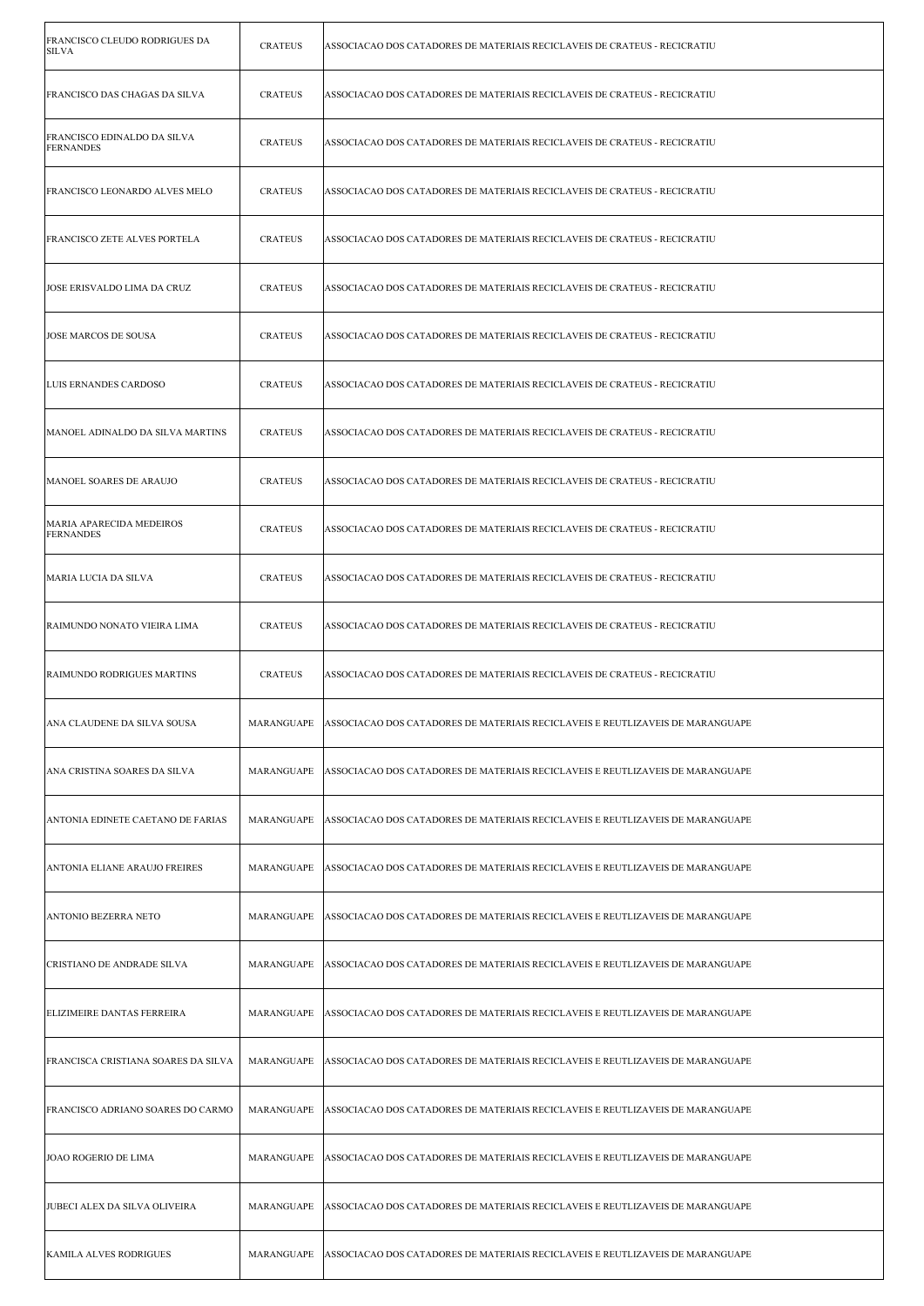| FRANCISCO CLEUDO RODRIGUES DA<br>SILVA          | <b>CRATEUS</b> | ASSOCIACAO DOS CATADORES DE MATERIAIS RECICLAVEIS DE CRATEUS - RECICRATIU      |
|-------------------------------------------------|----------------|--------------------------------------------------------------------------------|
| FRANCISCO DAS CHAGAS DA SILVA                   | <b>CRATEUS</b> | ASSOCIACAO DOS CATADORES DE MATERIAIS RECICLAVEIS DE CRATEUS - RECICRATIU      |
| FRANCISCO EDINALDO DA SILVA<br><b>FERNANDES</b> | <b>CRATEUS</b> | ASSOCIACAO DOS CATADORES DE MATERIAIS RECICLAVEIS DE CRATEUS - RECICRATIU      |
| <b>FRANCISCO LEONARDO ALVES MELO</b>            | <b>CRATEUS</b> | ASSOCIACAO DOS CATADORES DE MATERIAIS RECICLAVEIS DE CRATEUS - RECICRATIU      |
| <b>FRANCISCO ZETE ALVES PORTELA</b>             | <b>CRATEUS</b> | ASSOCIACAO DOS CATADORES DE MATERIAIS RECICLAVEIS DE CRATEUS - RECICRATIU      |
| JOSE ERISVALDO LIMA DA CRUZ                     | <b>CRATEUS</b> | ASSOCIACAO DOS CATADORES DE MATERIAIS RECICLAVEIS DE CRATEUS - RECICRATIU      |
| <b>JOSE MARCOS DE SOUSA</b>                     | <b>CRATEUS</b> | ASSOCIACAO DOS CATADORES DE MATERIAIS RECICLAVEIS DE CRATEUS - RECICRATIU      |
| LUIS ERNANDES CARDOSO                           | <b>CRATEUS</b> | ASSOCIACAO DOS CATADORES DE MATERIAIS RECICLAVEIS DE CRATEUS - RECICRATIU      |
| MANOEL ADINALDO DA SILVA MARTINS                | <b>CRATEUS</b> | ASSOCIACAO DOS CATADORES DE MATERIAIS RECICLAVEIS DE CRATEUS - RECICRATIU      |
| MANOEL SOARES DE ARAUJO                         | <b>CRATEUS</b> | ASSOCIACAO DOS CATADORES DE MATERIAIS RECICLAVEIS DE CRATEUS - RECICRATIU      |
| MARIA APARECIDA MEDEIROS<br><b>FERNANDES</b>    | <b>CRATEUS</b> | ASSOCIACAO DOS CATADORES DE MATERIAIS RECICLAVEIS DE CRATEUS - RECICRATIU      |
| MARIA LUCIA DA SILVA                            | <b>CRATEUS</b> | ASSOCIACAO DOS CATADORES DE MATERIAIS RECICLAVEIS DE CRATEUS - RECICRATIU      |
| RAIMUNDO NONATO VIEIRA LIMA                     | <b>CRATEUS</b> | ASSOCIACAO DOS CATADORES DE MATERIAIS RECICLAVEIS DE CRATEUS - RECICRATIU      |
| RAIMUNDO RODRIGUES MARTINS                      | <b>CRATEUS</b> | ASSOCIACAO DOS CATADORES DE MATERIAIS RECICLAVEIS DE CRATEUS - RECICRATIU      |
| ANA CLAUDENE DA SILVA SOUSA                     | MARANGUAPE     | ASSOCIACAO DOS CATADORES DE MATERIAIS RECICLAVEIS E REUTLIZAVEIS DE MARANGUAPE |
| ANA CRISTINA SOARES DA SILVA                    | MARANGUAPE     | ASSOCIACAO DOS CATADORES DE MATERIAIS RECICLAVEIS E REUTLIZAVEIS DE MARANGUAPE |
| ANTONIA EDINETE CAETANO DE FARIAS               | MARANGUAPE     | ASSOCIACAO DOS CATADORES DE MATERIAIS RECICLAVEIS E REUTLIZAVEIS DE MARANGUAPE |
| ANTONIA ELIANE ARAUJO FREIRES                   | MARANGUAPE     | ASSOCIACAO DOS CATADORES DE MATERIAIS RECICLAVEIS E REUTLIZAVEIS DE MARANGUAPE |
| ANTONIO BEZERRA NETO                            | MARANGUAPE     | ASSOCIACAO DOS CATADORES DE MATERIAIS RECICLAVEIS E REUTLIZAVEIS DE MARANGUAPE |
| CRISTIANO DE ANDRADE SILVA                      | MARANGUAPE     | ASSOCIACAO DOS CATADORES DE MATERIAIS RECICLAVEIS E REUTLIZAVEIS DE MARANGUAPE |
| ELIZIMEIRE DANTAS FERREIRA                      | MARANGUAPE     | ASSOCIACAO DOS CATADORES DE MATERIAIS RECICLAVEIS E REUTLIZAVEIS DE MARANGUAPE |
| FRANCISCA CRISTIANA SOARES DA SILVA             | MARANGUAPE     | ASSOCIACAO DOS CATADORES DE MATERIAIS RECICLAVEIS E REUTLIZAVEIS DE MARANGUAPE |
| FRANCISCO ADRIANO SOARES DO CARMO               | MARANGUAPE     | ASSOCIACAO DOS CATADORES DE MATERIAIS RECICLAVEIS E REUTLIZAVEIS DE MARANGUAPE |
| <b>JOAO ROGERIO DE LIMA</b>                     | MARANGUAPE     | ASSOCIACAO DOS CATADORES DE MATERIAIS RECICLAVEIS E REUTLIZAVEIS DE MARANGUAPE |
| JUBECI ALEX DA SILVA OLIVEIRA                   | MARANGUAPE     | ASSOCIACAO DOS CATADORES DE MATERIAIS RECICLAVEIS E REUTLIZAVEIS DE MARANGUAPE |
| <b>KAMILA ALVES RODRIGUES</b>                   | MARANGUAPE     | ASSOCIACAO DOS CATADORES DE MATERIAIS RECICLAVEIS E REUTLIZAVEIS DE MARANGUAPE |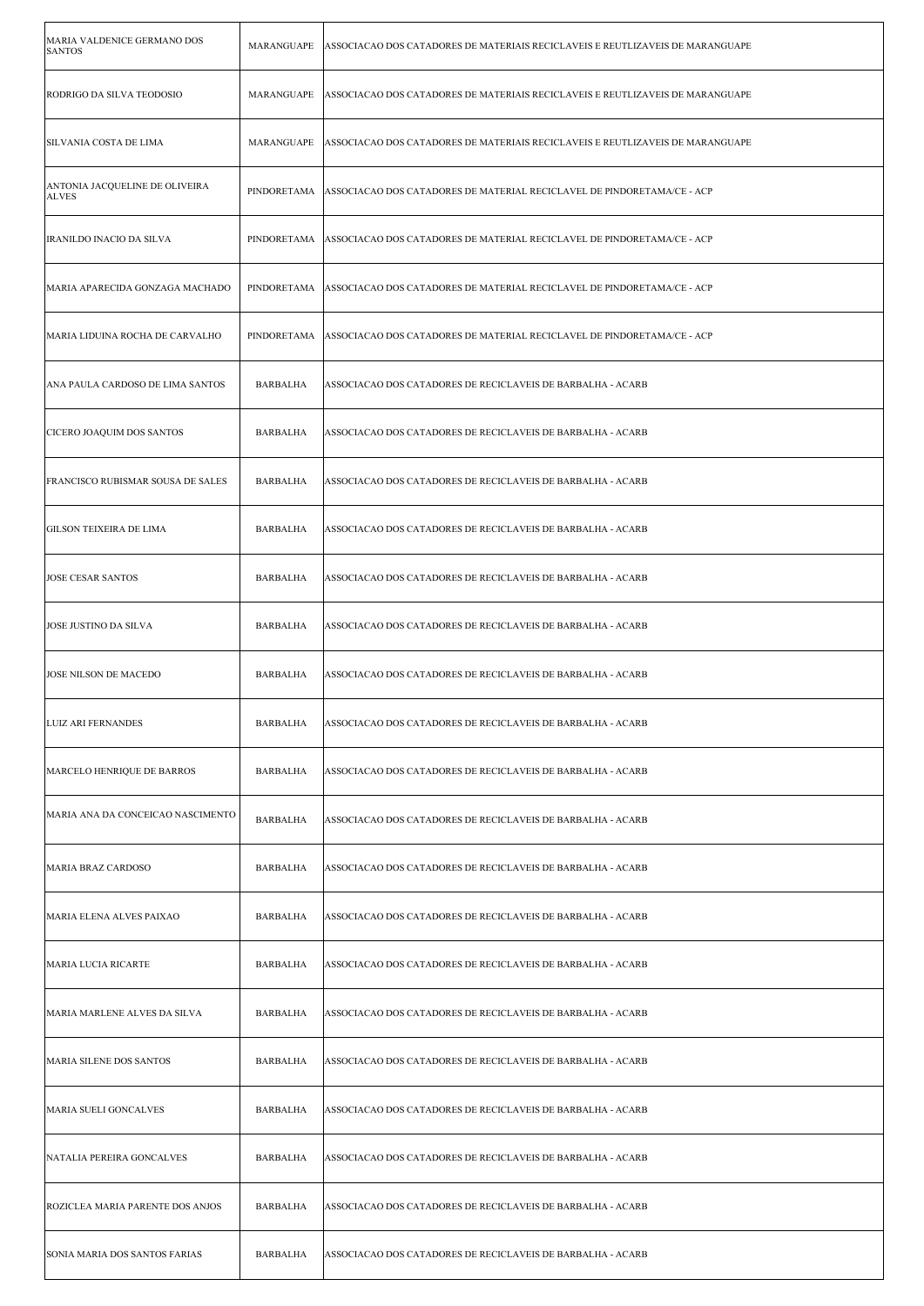| MARIA VALDENICE GERMANO DOS<br><b>SANTOS</b>   | MARANGUAPE      | ASSOCIACAO DOS CATADORES DE MATERIAIS RECICLAVEIS E REUTLIZAVEIS DE MARANGUAPE |
|------------------------------------------------|-----------------|--------------------------------------------------------------------------------|
| RODRIGO DA SILVA TEODOSIO                      | MARANGUAPE      | ASSOCIACAO DOS CATADORES DE MATERIAIS RECICLAVEIS E REUTLIZAVEIS DE MARANGUAPE |
| SILVANIA COSTA DE LIMA                         | MARANGUAPE      | ASSOCIACAO DOS CATADORES DE MATERIAIS RECICLAVEIS E REUTLIZAVEIS DE MARANGUAPE |
| ANTONIA JACQUELINE DE OLIVEIRA<br><b>ALVES</b> | PINDORETAMA     | ASSOCIACAO DOS CATADORES DE MATERIAL RECICLAVEL DE PINDORETAMA/CE - ACP        |
| IRANILDO INACIO DA SILVA                       | PINDORETAMA     | ASSOCIACAO DOS CATADORES DE MATERIAL RECICLAVEL DE PINDORETAMA/CE - ACP        |
| MARIA APARECIDA GONZAGA MACHADO                | PINDORETAMA     | ASSOCIACAO DOS CATADORES DE MATERIAL RECICLAVEL DE PINDORETAMA/CE - ACP        |
| MARIA LIDUINA ROCHA DE CARVALHO                | PINDORETAMA     | ASSOCIACAO DOS CATADORES DE MATERIAL RECICLAVEL DE PINDORETAMA/CE - ACP        |
| ANA PAULA CARDOSO DE LIMA SANTOS               | BARBALHA        | ASSOCIACAO DOS CATADORES DE RECICLAVEIS DE BARBALHA - ACARB                    |
| CICERO JOAQUIM DOS SANTOS                      | <b>BARBALHA</b> | ASSOCIACAO DOS CATADORES DE RECICLAVEIS DE BARBALHA - ACARB                    |
| FRANCISCO RUBISMAR SOUSA DE SALES              | <b>BARBALHA</b> | ASSOCIACAO DOS CATADORES DE RECICLAVEIS DE BARBALHA - ACARB                    |
| <b>GILSON TEIXEIRA DE LIMA</b>                 | <b>BARBALHA</b> | ASSOCIACAO DOS CATADORES DE RECICLAVEIS DE BARBALHA - ACARB                    |
| <b>JOSE CESAR SANTOS</b>                       | <b>BARBALHA</b> | ASSOCIACAO DOS CATADORES DE RECICLAVEIS DE BARBALHA - ACARB                    |
| <b>JOSE JUSTINO DA SILVA</b>                   | <b>BARBALHA</b> | ASSOCIACAO DOS CATADORES DE RECICLAVEIS DE BARBALHA - ACARB                    |
| JOSE NILSON DE MACEDO                          | BARBALHA        | ASSOCIACAO DOS CATADORES DE RECICLAVEIS DE BARBALHA - ACARB                    |
| LUIZ ARI FERNANDES                             | BARBALHA        | ASSOCIACAO DOS CATADORES DE RECICLAVEIS DE BARBALHA - ACARB                    |
| MARCELO HENRIQUE DE BARROS                     | BARBALHA        | ASSOCIACAO DOS CATADORES DE RECICLAVEIS DE BARBALHA - ACARB                    |
| MARIA ANA DA CONCEICAO NASCIMENTO              | BARBALHA        | ASSOCIACAO DOS CATADORES DE RECICLAVEIS DE BARBALHA - ACARB                    |
| <b>MARIA BRAZ CARDOSO</b>                      | <b>BARBALHA</b> | ASSOCIACAO DOS CATADORES DE RECICLAVEIS DE BARBALHA - ACARB                    |
| MARIA ELENA ALVES PAIXAO                       | BARBALHA        | ASSOCIACAO DOS CATADORES DE RECICLAVEIS DE BARBALHA - ACARB                    |
| MARIA LUCIA RICARTE                            | <b>BARBALHA</b> | ASSOCIACAO DOS CATADORES DE RECICLAVEIS DE BARBALHA - ACARB                    |
| MARIA MARLENE ALVES DA SILVA                   | BARBALHA        | ASSOCIACAO DOS CATADORES DE RECICLAVEIS DE BARBALHA - ACARB                    |
| MARIA SILENE DOS SANTOS                        | <b>BARBALHA</b> | ASSOCIACAO DOS CATADORES DE RECICLAVEIS DE BARBALHA - ACARB                    |
| MARIA SUELI GONCALVES                          | BARBALHA        | ASSOCIACAO DOS CATADORES DE RECICLAVEIS DE BARBALHA - ACARB                    |
| NATALIA PEREIRA GONCALVES                      | BARBALHA        | ASSOCIACAO DOS CATADORES DE RECICLAVEIS DE BARBALHA - ACARB                    |
| ROZICLEA MARIA PARENTE DOS ANJOS               | <b>BARBALHA</b> | ASSOCIACAO DOS CATADORES DE RECICLAVEIS DE BARBALHA - ACARB                    |
| SONIA MARIA DOS SANTOS FARIAS                  | BARBALHA        | ASSOCIACAO DOS CATADORES DE RECICLAVEIS DE BARBALHA - ACARB                    |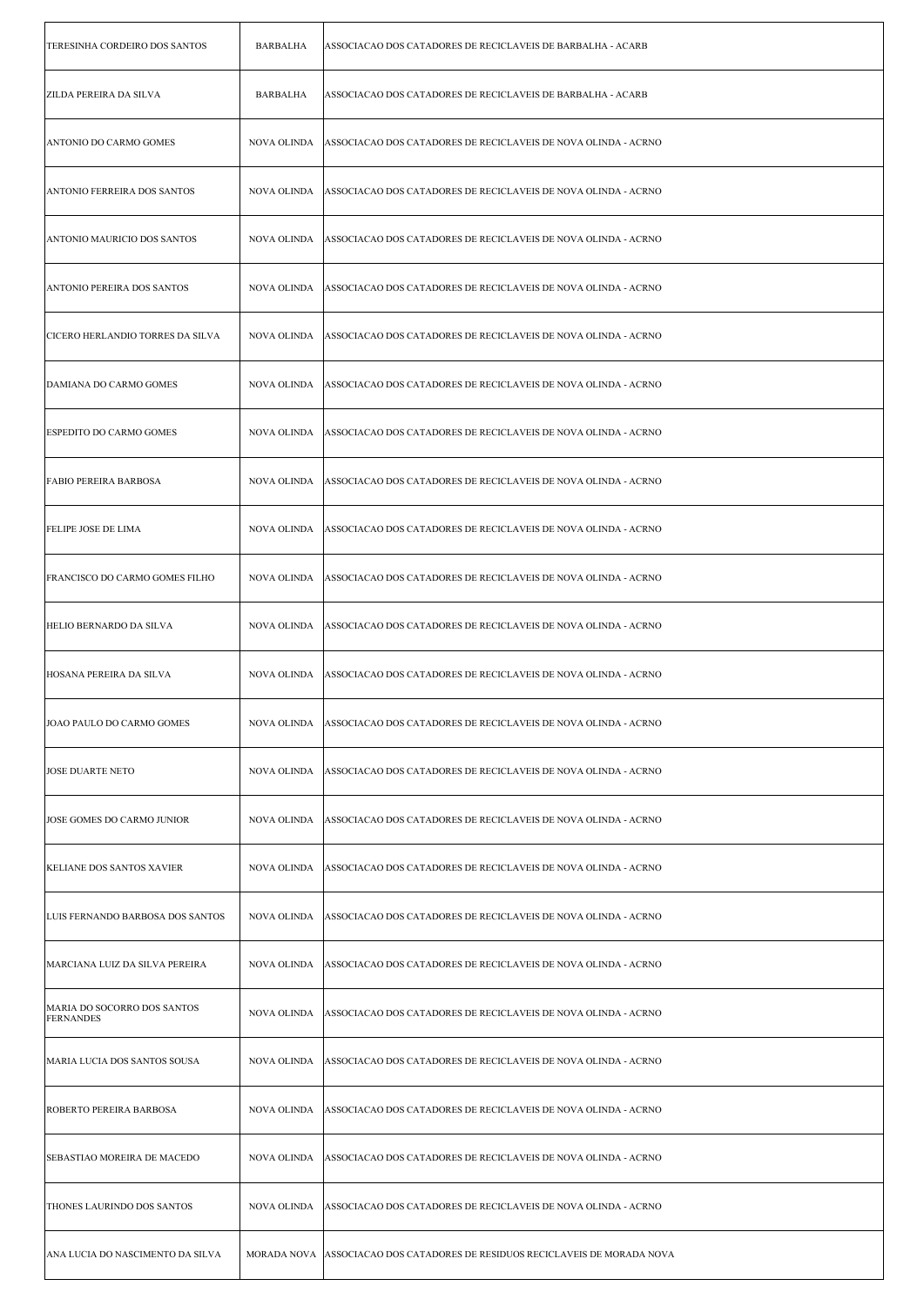| TERESINHA CORDEIRO DOS SANTOS                   | <b>BARBALHA</b>    | ASSOCIACAO DOS CATADORES DE RECICLAVEIS DE BARBALHA - ACARB                 |
|-------------------------------------------------|--------------------|-----------------------------------------------------------------------------|
| <b>ZILDA PEREIRA DA SILVA</b>                   | BARBALHA           | ASSOCIACAO DOS CATADORES DE RECICLAVEIS DE BARBALHA - ACARB                 |
| ANTONIO DO CARMO GOMES                          | NOVA OLINDA        | ASSOCIACAO DOS CATADORES DE RECICLAVEIS DE NOVA OLINDA - ACRNO              |
| <b>ANTONIO FERREIRA DOS SANTOS</b>              | NOVA OLINDA        | ASSOCIACAO DOS CATADORES DE RECICLAVEIS DE NOVA OLINDA - ACRNO              |
| ANTONIO MAURICIO DOS SANTOS                     | NOVA OLINDA        | ASSOCIACAO DOS CATADORES DE RECICLAVEIS DE NOVA OLINDA - ACRNO              |
| ANTONIO PEREIRA DOS SANTOS                      | NOVA OLINDA        | ASSOCIACAO DOS CATADORES DE RECICLAVEIS DE NOVA OLINDA - ACRNO              |
| CICERO HERLANDIO TORRES DA SILVA                | NOVA OLINDA        | ASSOCIACAO DOS CATADORES DE RECICLAVEIS DE NOVA OLINDA - ACRNO              |
| DAMIANA DO CARMO GOMES                          | NOVA OLINDA        | ASSOCIACAO DOS CATADORES DE RECICLAVEIS DE NOVA OLINDA - ACRNO              |
| <b>ESPEDITO DO CARMO GOMES</b>                  | NOVA OLINDA        | ASSOCIACAO DOS CATADORES DE RECICLAVEIS DE NOVA OLINDA - ACRNO              |
| <b>FABIO PEREIRA BARBOSA</b>                    | NOVA OLINDA        | ASSOCIACAO DOS CATADORES DE RECICLAVEIS DE NOVA OLINDA - ACRNO              |
| <b>FELIPE JOSE DE LIMA</b>                      | NOVA OLINDA        | ASSOCIACAO DOS CATADORES DE RECICLAVEIS DE NOVA OLINDA - ACRNO              |
| FRANCISCO DO CARMO GOMES FILHO                  | NOVA OLINDA        | ASSOCIACAO DOS CATADORES DE RECICLAVEIS DE NOVA OLINDA - ACRNO              |
| HELIO BERNARDO DA SILVA                         | NOVA OLINDA        | ASSOCIACAO DOS CATADORES DE RECICLAVEIS DE NOVA OLINDA - ACRNO              |
| HOSANA PEREIRA DA SILVA                         | NOVA OLINDA        | ASSOCIACAO DOS CATADORES DE RECICLAVEIS DE NOVA OLINDA - ACRNO              |
| JOAO PAULO DO CARMO GOMES                       | NOVA OLINDA        | ASSOCIACAO DOS CATADORES DE RECICLAVEIS DE NOVA OLINDA - ACRNO              |
| <b>JOSE DUARTE NETO</b>                         | NOVA OLINDA        | ASSOCIACAO DOS CATADORES DE RECICLAVEIS DE NOVA OLINDA - ACRNO              |
| JOSE GOMES DO CARMO JUNIOR                      | <b>NOVA OLINDA</b> | ASSOCIACAO DOS CATADORES DE RECICLAVEIS DE NOVA OLINDA - ACRNO              |
| KELIANE DOS SANTOS XAVIER                       | NOVA OLINDA        | ASSOCIACAO DOS CATADORES DE RECICLAVEIS DE NOVA OLINDA - ACRNO              |
| LUIS FERNANDO BARBOSA DOS SANTOS                | NOVA OLINDA        | ASSOCIACAO DOS CATADORES DE RECICLAVEIS DE NOVA OLINDA - ACRNO              |
| MARCIANA LUIZ DA SILVA PEREIRA                  | NOVA OLINDA        | ASSOCIACAO DOS CATADORES DE RECICLAVEIS DE NOVA OLINDA - ACRNO              |
| MARIA DO SOCORRO DOS SANTOS<br><b>FERNANDES</b> | NOVA OLINDA        | ASSOCIACAO DOS CATADORES DE RECICLAVEIS DE NOVA OLINDA - ACRNO              |
| MARIA LUCIA DOS SANTOS SOUSA                    | NOVA OLINDA        | ASSOCIACAO DOS CATADORES DE RECICLAVEIS DE NOVA OLINDA - ACRNO              |
| ROBERTO PEREIRA BARBOSA                         | NOVA OLINDA        | ASSOCIACAO DOS CATADORES DE RECICLAVEIS DE NOVA OLINDA - ACRNO              |
| SEBASTIAO MOREIRA DE MACEDO                     | NOVA OLINDA        | ASSOCIACAO DOS CATADORES DE RECICLAVEIS DE NOVA OLINDA - ACRNO              |
| THONES LAURINDO DOS SANTOS                      | NOVA OLINDA        | ASSOCIACAO DOS CATADORES DE RECICLAVEIS DE NOVA OLINDA - ACRNO              |
| ANA LUCIA DO NASCIMENTO DA SILVA                |                    | MORADA NOVA ASSOCIACAO DOS CATADORES DE RESIDUOS RECICLAVEIS DE MORADA NOVA |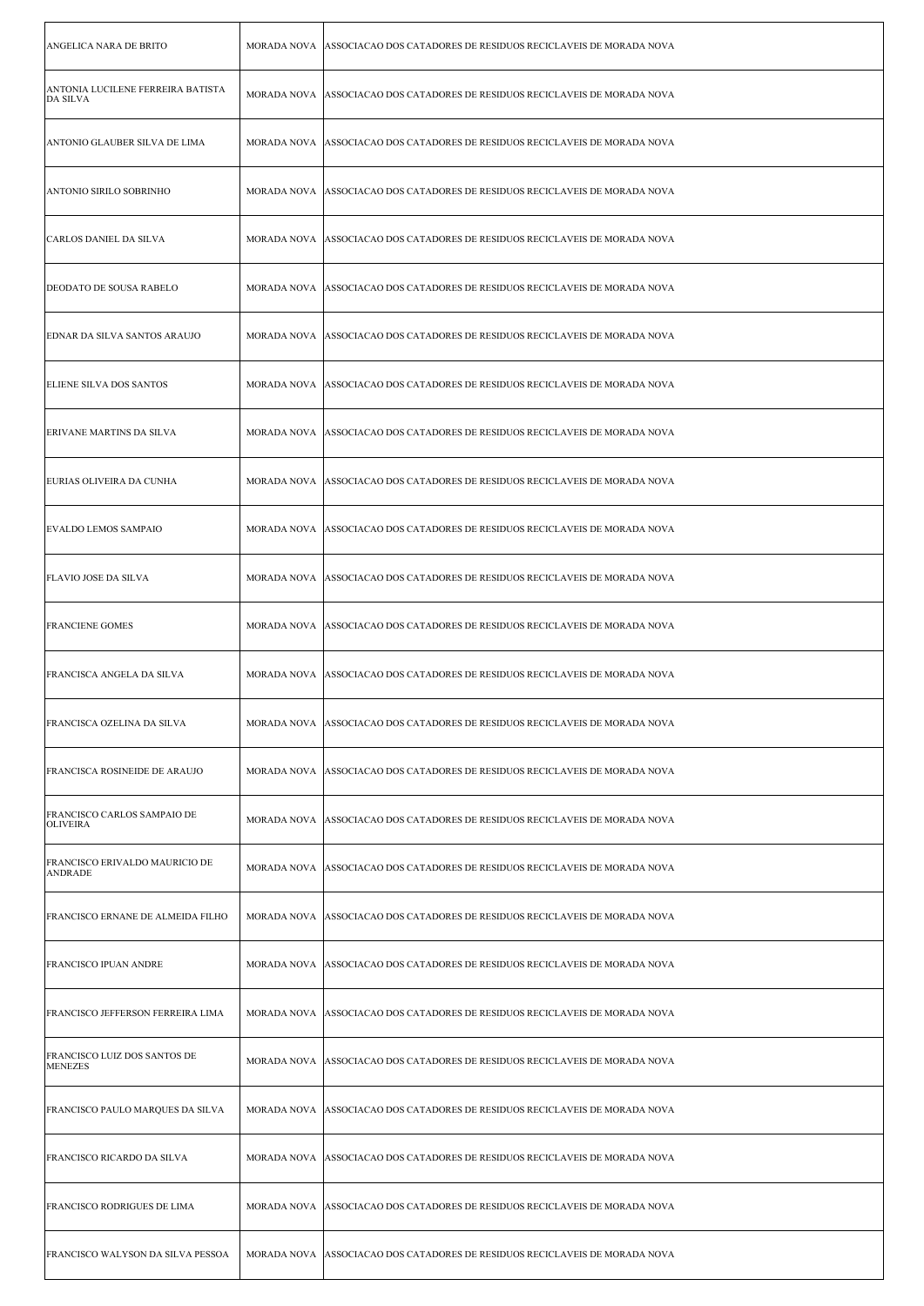| ANGELICA NARA DE BRITO                                |                    | MORADA NOVA ASSOCIACAO DOS CATADORES DE RESIDUOS RECICLAVEIS DE MORADA NOVA   |
|-------------------------------------------------------|--------------------|-------------------------------------------------------------------------------|
| ANTONIA LUCILENE FERREIRA BATISTA<br>DA SILVA         |                    | MORADA NOVA ASSOCIACAO DOS CATADORES DE RESIDUOS RECICLAVEIS DE MORADA NOVA   |
| ANTONIO GLAUBER SILVA DE LIMA                         |                    | MORADA NOVA ASSOCIACAO DOS CATADORES DE RESIDUOS RECICLAVEIS DE MORADA NOVA   |
| ANTONIO SIRILO SOBRINHO                               |                    | MORADA NOVA   ASSOCIACAO DOS CATADORES DE RESIDUOS RECICLAVEIS DE MORADA NOVA |
| CARLOS DANIEL DA SILVA                                |                    | MORADA NOVA ASSOCIACAO DOS CATADORES DE RESIDUOS RECICLAVEIS DE MORADA NOVA   |
| <b>DEODATO DE SOUSA RABELO</b>                        |                    | MORADA NOVA ASSOCIACAO DOS CATADORES DE RESIDUOS RECICLAVEIS DE MORADA NOVA   |
| EDNAR DA SILVA SANTOS ARAUJO                          |                    | MORADA NOVA ASSOCIACAO DOS CATADORES DE RESIDUOS RECICLAVEIS DE MORADA NOVA   |
| <b>ELIENE SILVA DOS SANTOS</b>                        |                    | MORADA NOVA ASSOCIACAO DOS CATADORES DE RESIDUOS RECICLAVEIS DE MORADA NOVA   |
| ERIVANE MARTINS DA SILVA                              |                    | MORADA NOVA   ASSOCIACAO DOS CATADORES DE RESIDUOS RECICLAVEIS DE MORADA NOVA |
| EURIAS OLIVEIRA DA CUNHA                              |                    | MORADA NOVA   ASSOCIACAO DOS CATADORES DE RESIDUOS RECICLAVEIS DE MORADA NOVA |
| <b>EVALDO LEMOS SAMPAIO</b>                           |                    | MORADA NOVA ASSOCIACAO DOS CATADORES DE RESIDUOS RECICLAVEIS DE MORADA NOVA   |
| <b>FLAVIO JOSE DA SILVA</b>                           |                    | MORADA NOVA ASSOCIACAO DOS CATADORES DE RESIDUOS RECICLAVEIS DE MORADA NOVA   |
| <b>FRANCIENE GOMES</b>                                |                    | MORADA NOVA ASSOCIACAO DOS CATADORES DE RESIDUOS RECICLAVEIS DE MORADA NOVA   |
| FRANCISCA ANGELA DA SILVA                             |                    | MORADA NOVA ASSOCIACAO DOS CATADORES DE RESIDUOS RECICLAVEIS DE MORADA NOVA   |
| FRANCISCA OZELINA DA SILVA                            | MORADA NOVA        | ASSOCIACAO DOS CATADORES DE RESIDUOS RECICLAVEIS DE MORADA NOVA               |
| <b>FRANCISCA ROSINEIDE DE ARAUJO</b>                  |                    | MORADA NOVA ASSOCIACAO DOS CATADORES DE RESIDUOS RECICLAVEIS DE MORADA NOVA   |
| <b>FRANCISCO CARLOS SAMPAIO DE</b><br><b>OLIVEIRA</b> |                    | MORADA NOVA ASSOCIACAO DOS CATADORES DE RESIDUOS RECICLAVEIS DE MORADA NOVA   |
| FRANCISCO ERIVALDO MAURICIO DE<br><b>ANDRADE</b>      |                    | MORADA NOVA   ASSOCIACAO DOS CATADORES DE RESIDUOS RECICLAVEIS DE MORADA NOVA |
| FRANCISCO ERNANE DE ALMEIDA FILHO                     | <b>MORADA NOVA</b> | ASSOCIACAO DOS CATADORES DE RESIDUOS RECICLAVEIS DE MORADA NOVA               |
| <b>FRANCISCO IPUAN ANDRE</b>                          |                    | MORADA NOVA ASSOCIACAO DOS CATADORES DE RESIDUOS RECICLAVEIS DE MORADA NOVA   |
| FRANCISCO JEFFERSON FERREIRA LIMA                     |                    | MORADA NOVA ASSOCIACAO DOS CATADORES DE RESIDUOS RECICLAVEIS DE MORADA NOVA   |
| FRANCISCO LUIZ DOS SANTOS DE<br><b>MENEZES</b>        | <b>MORADA NOVA</b> | ASSOCIACAO DOS CATADORES DE RESIDUOS RECICLAVEIS DE MORADA NOVA               |
| FRANCISCO PAULO MARQUES DA SILVA                      | <b>MORADA NOVA</b> | ASSOCIACAO DOS CATADORES DE RESIDUOS RECICLAVEIS DE MORADA NOVA               |
| FRANCISCO RICARDO DA SILVA                            | MORADA NOVA        | ASSOCIACAO DOS CATADORES DE RESIDUOS RECICLAVEIS DE MORADA NOVA               |
| <b>FRANCISCO RODRIGUES DE LIMA</b>                    |                    | MORADA NOVA ASSOCIACAO DOS CATADORES DE RESIDUOS RECICLAVEIS DE MORADA NOVA   |
| FRANCISCO WALYSON DA SILVA PESSOA                     |                    | MORADA NOVA ASSOCIACAO DOS CATADORES DE RESIDUOS RECICLAVEIS DE MORADA NOVA   |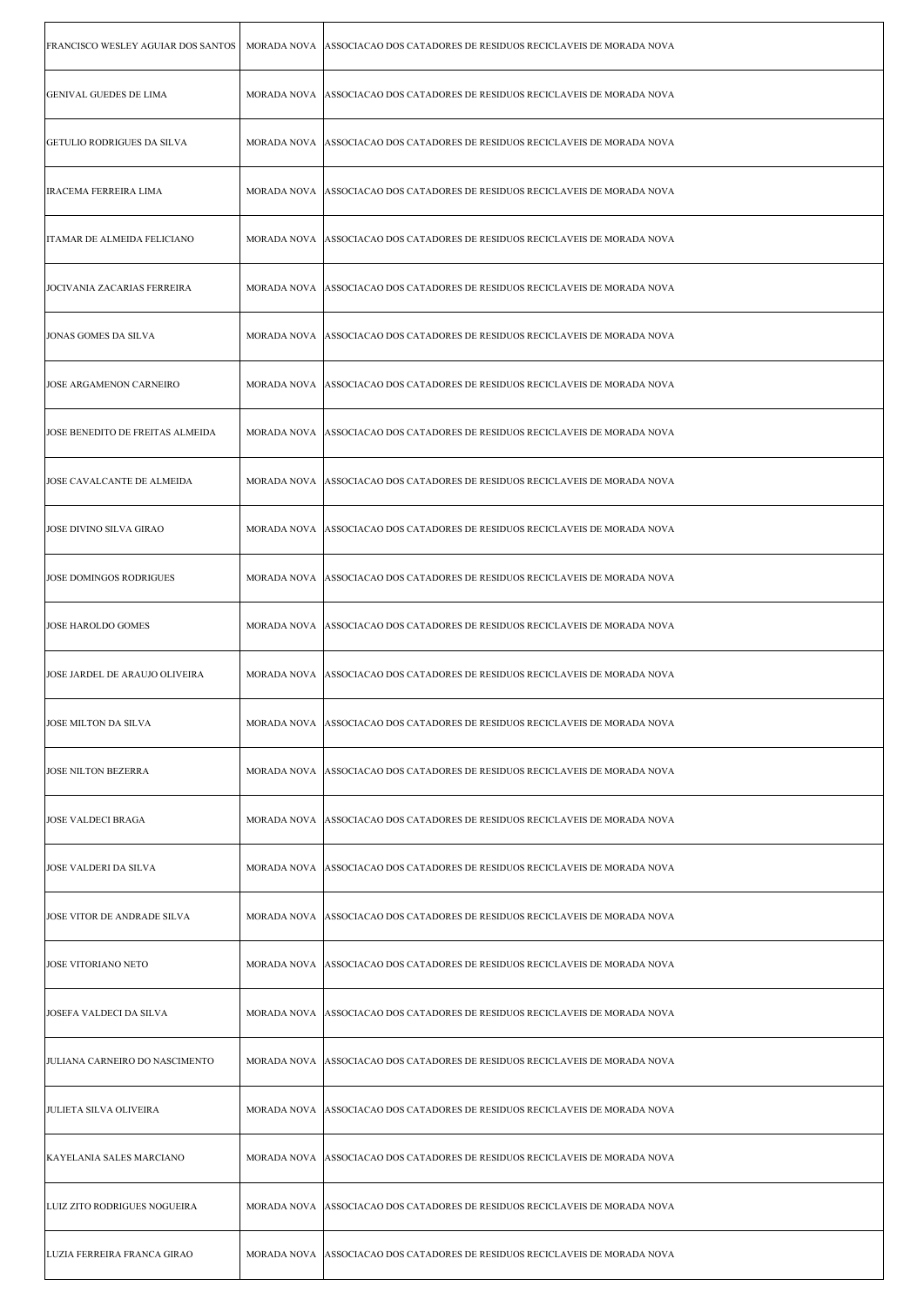| FRANCISCO WESLEY AGUIAR DOS SANTOS | MORADA NOVA ASSOCIACAO DOS CATADORES DE RESIDUOS RECICLAVEIS DE MORADA NOVA   |
|------------------------------------|-------------------------------------------------------------------------------|
| <b>GENIVAL GUEDES DE LIMA</b>      | MORADA NOVA ASSOCIACAO DOS CATADORES DE RESIDUOS RECICLAVEIS DE MORADA NOVA   |
| <b>GETULIO RODRIGUES DA SILVA</b>  | MORADA NOVA ASSOCIACAO DOS CATADORES DE RESIDUOS RECICLAVEIS DE MORADA NOVA   |
| <b>IRACEMA FERREIRA LIMA</b>       | MORADA NOVA ASSOCIACAO DOS CATADORES DE RESIDUOS RECICLAVEIS DE MORADA NOVA   |
| ITAMAR DE ALMEIDA FELICIANO        | MORADA NOVA   ASSOCIACAO DOS CATADORES DE RESIDUOS RECICLAVEIS DE MORADA NOVA |
| JOCIVANIA ZACARIAS FERREIRA        | MORADA NOVA ASSOCIACAO DOS CATADORES DE RESIDUOS RECICLAVEIS DE MORADA NOVA   |
| JONAS GOMES DA SILVA               | MORADA NOVA ASSOCIACAO DOS CATADORES DE RESIDUOS RECICLAVEIS DE MORADA NOVA   |
| JOSE ARGAMENON CARNEIRO            | MORADA NOVA ASSOCIACAO DOS CATADORES DE RESIDUOS RECICLAVEIS DE MORADA NOVA   |
| JOSE BENEDITO DE FREITAS ALMEIDA   | MORADA NOVA ASSOCIACAO DOS CATADORES DE RESIDUOS RECICLAVEIS DE MORADA NOVA   |
| JOSE CAVALCANTE DE ALMEIDA         | MORADA NOVA   ASSOCIACAO DOS CATADORES DE RESIDUOS RECICLAVEIS DE MORADA NOVA |
| <b>JOSE DIVINO SILVA GIRAO</b>     | MORADA NOVA ASSOCIACAO DOS CATADORES DE RESIDUOS RECICLAVEIS DE MORADA NOVA   |
| JOSE DOMINGOS RODRIGUES            | MORADA NOVA ASSOCIACAO DOS CATADORES DE RESIDUOS RECICLAVEIS DE MORADA NOVA   |
| <b>JOSE HAROLDO GOMES</b>          | MORADA NOVA ASSOCIACAO DOS CATADORES DE RESIDUOS RECICLAVEIS DE MORADA NOVA   |
| JOSE JARDEL DE ARAUJO OLIVEIRA     | MORADA NOVA ASSOCIACAO DOS CATADORES DE RESIDUOS RECICLAVEIS DE MORADA NOVA   |
| JOSE MILTON DA SILVA               | MORADA NOVA   ASSOCIACAO DOS CATADORES DE RESIDUOS RECICLAVEIS DE MORADA NOVA |
| <b>JOSE NILTON BEZERRA</b>         | MORADA NOVA ASSOCIACAO DOS CATADORES DE RESIDUOS RECICLAVEIS DE MORADA NOVA   |
| <b>JOSE VALDECI BRAGA</b>          | MORADA NOVA ASSOCIACAO DOS CATADORES DE RESIDUOS RECICLAVEIS DE MORADA NOVA   |
| <b>JOSE VALDERI DA SILVA</b>       | MORADA NOVA ASSOCIACAO DOS CATADORES DE RESIDUOS RECICLAVEIS DE MORADA NOVA   |
| JOSE VITOR DE ANDRADE SILVA        | MORADA NOVA ASSOCIACAO DOS CATADORES DE RESIDUOS RECICLAVEIS DE MORADA NOVA   |
| JOSE VITORIANO NETO                | MORADA NOVA ASSOCIACAO DOS CATADORES DE RESIDUOS RECICLAVEIS DE MORADA NOVA   |
| JOSEFA VALDECI DA SILVA            | MORADA NOVA ASSOCIACAO DOS CATADORES DE RESIDUOS RECICLAVEIS DE MORADA NOVA   |
| JULIANA CARNEIRO DO NASCIMENTO     | MORADA NOVA ASSOCIACAO DOS CATADORES DE RESIDUOS RECICLAVEIS DE MORADA NOVA   |
| <b>JULIETA SILVA OLIVEIRA</b>      | MORADA NOVA ASSOCIACAO DOS CATADORES DE RESIDUOS RECICLAVEIS DE MORADA NOVA   |
| KAYELANIA SALES MARCIANO           | MORADA NOVA ASSOCIACAO DOS CATADORES DE RESIDUOS RECICLAVEIS DE MORADA NOVA   |
| LUIZ ZITO RODRIGUES NOGUEIRA       | MORADA NOVA ASSOCIACAO DOS CATADORES DE RESIDUOS RECICLAVEIS DE MORADA NOVA   |
| LUZIA FERREIRA FRANCA GIRAO        | MORADA NOVA ASSOCIACAO DOS CATADORES DE RESIDUOS RECICLAVEIS DE MORADA NOVA   |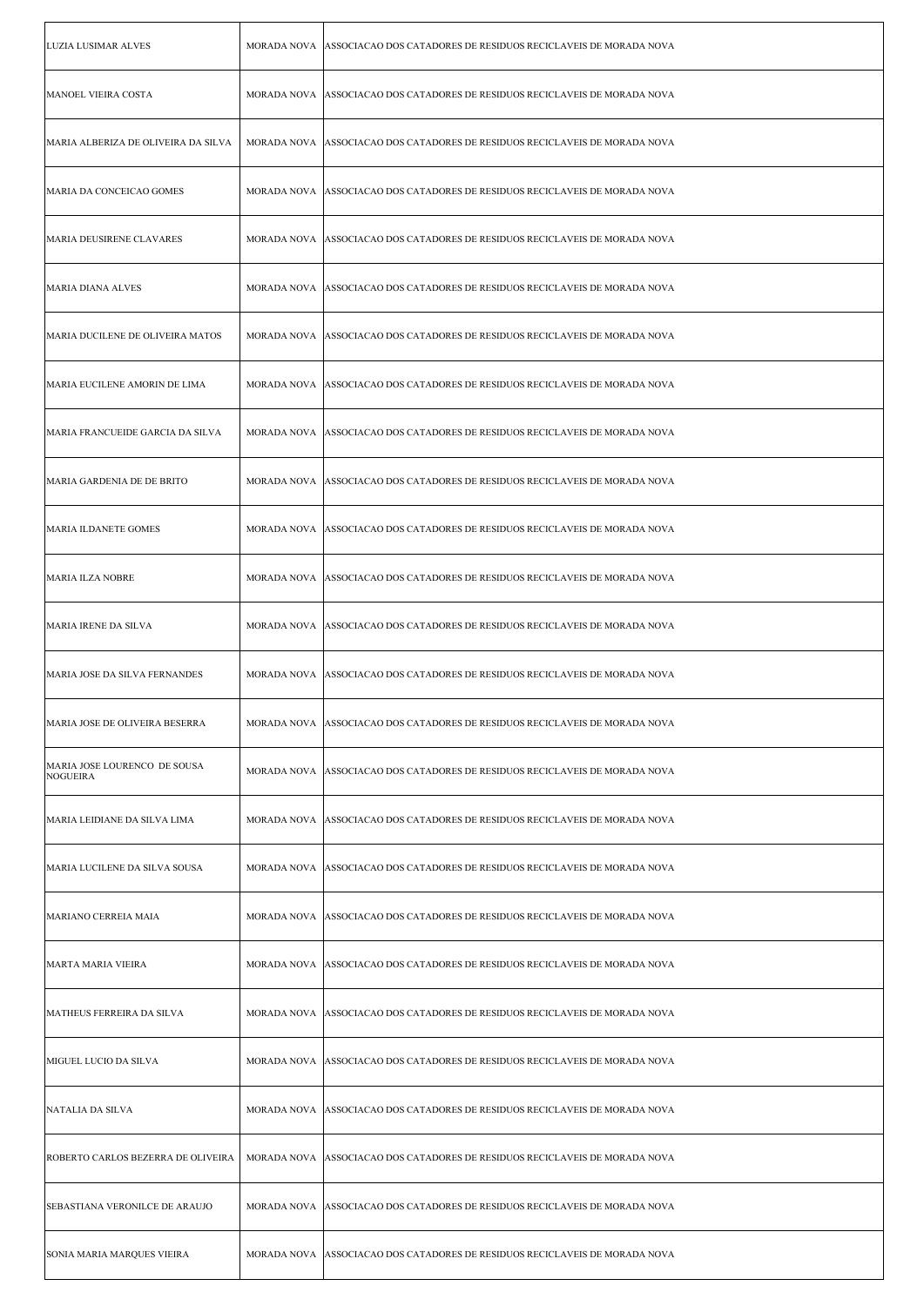| LUZIA LUSIMAR ALVES                             |                    | MORADA NOVA ASSOCIACAO DOS CATADORES DE RESIDUOS RECICLAVEIS DE MORADA NOVA   |
|-------------------------------------------------|--------------------|-------------------------------------------------------------------------------|
| MANOEL VIEIRA COSTA                             |                    | MORADA NOVA   ASSOCIACAO DOS CATADORES DE RESIDUOS RECICLAVEIS DE MORADA NOVA |
| MARIA ALBERIZA DE OLIVEIRA DA SILVA             |                    | MORADA NOVA ASSOCIACAO DOS CATADORES DE RESIDUOS RECICLAVEIS DE MORADA NOVA   |
| MARIA DA CONCEICAO GOMES                        |                    | MORADA NOVA ASSOCIACAO DOS CATADORES DE RESIDUOS RECICLAVEIS DE MORADA NOVA   |
| MARIA DEUSIRENE CLAVARES                        |                    | MORADA NOVA   ASSOCIACAO DOS CATADORES DE RESIDUOS RECICLAVEIS DE MORADA NOVA |
| MARIA DIANA ALVES                               | MORADA NOVA        | ASSOCIACAO DOS CATADORES DE RESIDUOS RECICLAVEIS DE MORADA NOVA               |
| MARIA DUCILENE DE OLIVEIRA MATOS                |                    | MORADA NOVA ASSOCIACAO DOS CATADORES DE RESIDUOS RECICLAVEIS DE MORADA NOVA   |
| MARIA EUCILENE AMORIN DE LIMA                   |                    | MORADA NOVA ASSOCIACAO DOS CATADORES DE RESIDUOS RECICLAVEIS DE MORADA NOVA   |
| MARIA FRANCUEIDE GARCIA DA SILVA                |                    | MORADA NOVA ASSOCIACAO DOS CATADORES DE RESIDUOS RECICLAVEIS DE MORADA NOVA   |
| MARIA GARDENIA DE DE BRITO                      |                    | MORADA NOVA   ASSOCIACAO DOS CATADORES DE RESIDUOS RECICLAVEIS DE MORADA NOVA |
| MARIA ILDANETE GOMES                            | MORADA NOVA        | ASSOCIACAO DOS CATADORES DE RESIDUOS RECICLAVEIS DE MORADA NOVA               |
| <b>MARIA ILZA NOBRE</b>                         |                    | MORADA NOVA ASSOCIACAO DOS CATADORES DE RESIDUOS RECICLAVEIS DE MORADA NOVA   |
| MARIA IRENE DA SILVA                            |                    | MORADA NOVA ASSOCIACAO DOS CATADORES DE RESIDUOS RECICLAVEIS DE MORADA NOVA   |
| MARIA JOSE DA SILVA FERNANDES                   |                    | MORADA NOVA ASSOCIACAO DOS CATADORES DE RESIDUOS RECICLAVEIS DE MORADA NOVA   |
| MARIA JOSE DE OLIVEIRA BESERRA                  |                    | MORADA NOVA   ASSOCIACAO DOS CATADORES DE RESIDUOS RECICLAVEIS DE MORADA NOVA |
| MARIA JOSE LOURENCO DE SOUSA<br><b>NOGUEIRA</b> | MORADA NOVA        | ASSOCIACAO DOS CATADORES DE RESIDUOS RECICLAVEIS DE MORADA NOVA               |
| MARIA LEIDIANE DA SILVA LIMA                    | MORADA NOVA        | ASSOCIACAO DOS CATADORES DE RESIDUOS RECICLAVEIS DE MORADA NOVA               |
| MARIA LUCILENE DA SILVA SOUSA                   |                    | MORADA NOVA ASSOCIACAO DOS CATADORES DE RESIDUOS RECICLAVEIS DE MORADA NOVA   |
| MARIANO CERREIA MAIA                            |                    | MORADA NOVA ASSOCIACAO DOS CATADORES DE RESIDUOS RECICLAVEIS DE MORADA NOVA   |
| MARTA MARIA VIEIRA                              |                    |                                                                               |
|                                                 | MORADA NOVA        | ASSOCIACAO DOS CATADORES DE RESIDUOS RECICLAVEIS DE MORADA NOVA               |
| MATHEUS FERREIRA DA SILVA                       | MORADA NOVA        | ASSOCIACAO DOS CATADORES DE RESIDUOS RECICLAVEIS DE MORADA NOVA               |
| MIGUEL LUCIO DA SILVA                           | <b>MORADA NOVA</b> | ASSOCIACAO DOS CATADORES DE RESIDUOS RECICLAVEIS DE MORADA NOVA               |
| NATALIA DA SILVA                                |                    | MORADA NOVA ASSOCIACAO DOS CATADORES DE RESIDUOS RECICLAVEIS DE MORADA NOVA   |
| ROBERTO CARLOS BEZERRA DE OLIVEIRA              | MORADA NOVA        | ASSOCIACAO DOS CATADORES DE RESIDUOS RECICLAVEIS DE MORADA NOVA               |
| SEBASTIANA VERONILCE DE ARAUJO                  | <b>MORADA NOVA</b> | ASSOCIACAO DOS CATADORES DE RESIDUOS RECICLAVEIS DE MORADA NOVA               |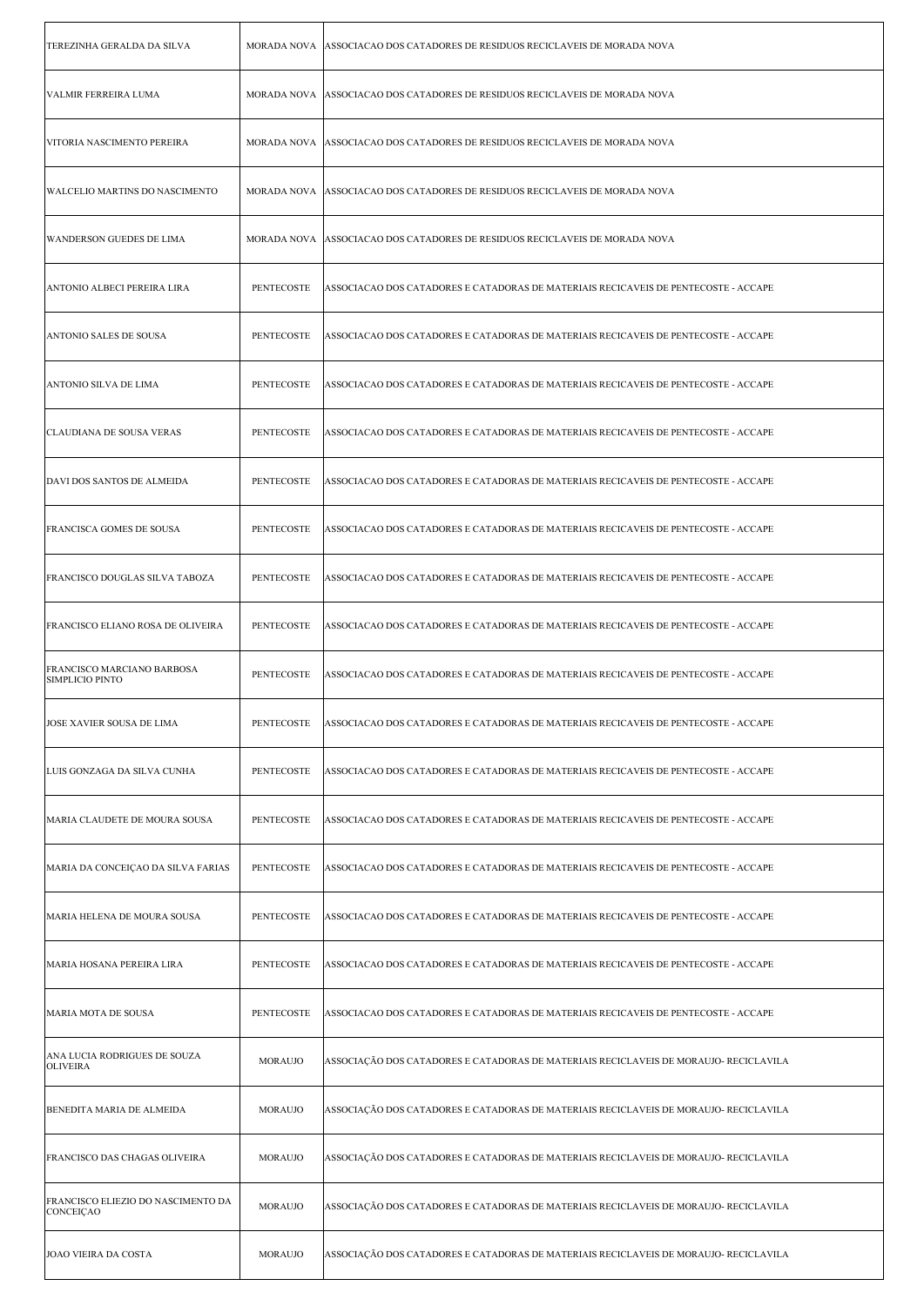| TEREZINHA GERALDA DA SILVA                           |                   | MORADA NOVA   ASSOCIACAO DOS CATADORES DE RESIDUOS RECICLAVEIS DE MORADA NOVA         |
|------------------------------------------------------|-------------------|---------------------------------------------------------------------------------------|
| VALMIR FERREIRA LUMA                                 |                   | MORADA NOVA ASSOCIACAO DOS CATADORES DE RESIDUOS RECICLAVEIS DE MORADA NOVA           |
| VITORIA NASCIMENTO PEREIRA                           |                   | MORADA NOVA ASSOCIACAO DOS CATADORES DE RESIDUOS RECICLAVEIS DE MORADA NOVA           |
| WALCELIO MARTINS DO NASCIMENTO                       |                   | MORADA NOVA ASSOCIACAO DOS CATADORES DE RESIDUOS RECICLAVEIS DE MORADA NOVA           |
| WANDERSON GUEDES DE LIMA                             |                   | MORADA NOVA   ASSOCIACAO DOS CATADORES DE RESIDUOS RECICLAVEIS DE MORADA NOVA         |
| ANTONIO ALBECI PEREIRA LIRA                          | <b>PENTECOSTE</b> | ASSOCIACAO DOS CATADORES E CATADORAS DE MATERIAIS RECICAVEIS DE PENTECOSTE - ACCAPE   |
| ANTONIO SALES DE SOUSA                               | <b>PENTECOSTE</b> | ASSOCIACAO DOS CATADORES E CATADORAS DE MATERIAIS RECICAVEIS DE PENTECOSTE - ACCAPE   |
| ANTONIO SILVA DE LIMA                                | PENTECOSTE        | ASSOCIACAO DOS CATADORES E CATADORAS DE MATERIAIS RECICAVEIS DE PENTECOSTE - ACCAPE   |
| CLAUDIANA DE SOUSA VERAS                             | PENTECOSTE        | ASSOCIACAO DOS CATADORES E CATADORAS DE MATERIAIS RECICAVEIS DE PENTECOSTE - ACCAPE   |
| DAVI DOS SANTOS DE ALMEIDA                           | <b>PENTECOSTE</b> | ASSOCIACAO DOS CATADORES E CATADORAS DE MATERIAIS RECICAVEIS DE PENTECOSTE - ACCAPE   |
| FRANCISCA GOMES DE SOUSA                             | PENTECOSTE        | ASSOCIACAO DOS CATADORES E CATADORAS DE MATERIAIS RECICAVEIS DE PENTECOSTE - ACCAPE   |
| FRANCISCO DOUGLAS SILVA TABOZA                       | PENTECOSTE        | ASSOCIACAO DOS CATADORES E CATADORAS DE MATERIAIS RECICAVEIS DE PENTECOSTE - ACCAPE   |
| FRANCISCO ELIANO ROSA DE OLIVEIRA                    | PENTECOSTE        | ASSOCIACAO DOS CATADORES E CATADORAS DE MATERIAIS RECICAVEIS DE PENTECOSTE - ACCAPE   |
| FRANCISCO MARCIANO BARBOSA<br><b>SIMPLICIO PINTO</b> | PENTECOSTE        | ASSOCIACAO DOS CATADORES E CATADORAS DE MATERIAIS RECICAVEIS DE PENTECOSTE - ACCAPE   |
| JOSE XAVIER SOUSA DE LIMA                            | PENTECOSTE        | ASSOCIACAO DOS CATADORES E CATADORAS DE MATERIAIS RECICAVEIS DE PENTECOSTE - ACCAPE   |
| LUIS GONZAGA DA SILVA CUNHA                          | PENTECOSTE        | ASSOCIACAO DOS CATADORES E CATADORAS DE MATERIAIS RECICAVEIS DE PENTECOSTE - ACCAPE   |
| MARIA CLAUDETE DE MOURA SOUSA                        | PENTECOSTE        | ASSOCIACAO DOS CATADORES E CATADORAS DE MATERIAIS RECICAVEIS DE PENTECOSTE - ACCAPE   |
| MARIA DA CONCEIÇAO DA SILVA FARIAS                   | PENTECOSTE        | ASSOCIACAO DOS CATADORES E CATADORAS DE MATERIAIS RECICAVEIS DE PENTECOSTE - ACCAPE   |
| MARIA HELENA DE MOURA SOUSA                          | <b>PENTECOSTE</b> | ASSOCIACAO DOS CATADORES E CATADORAS DE MATERIAIS RECICAVEIS DE PENTECOSTE - ACCAPE   |
| MARIA HOSANA PEREIRA LIRA                            | <b>PENTECOSTE</b> | ASSOCIACAO DOS CATADORES E CATADORAS DE MATERIAIS RECICAVEIS DE PENTECOSTE - ACCAPE   |
| MARIA MOTA DE SOUSA                                  | PENTECOSTE        | ASSOCIACAO DOS CATADORES E CATADORAS DE MATERIAIS RECICAVEIS DE PENTECOSTE - ACCAPE   |
| ANA LUCIA RODRIGUES DE SOUZA<br><b>OLIVEIRA</b>      | MORAUJO           | ASSOCIAÇÃO DOS CATADORES E CATADORAS DE MATERIAIS RECICLAVEIS DE MORAUJO- RECICLAVILA |
| BENEDITA MARIA DE ALMEIDA                            | MORAUJO           | ASSOCIAÇÃO DOS CATADORES E CATADORAS DE MATERIAIS RECICLAVEIS DE MORAUJO- RECICLAVILA |
| FRANCISCO DAS CHAGAS OLIVEIRA                        | <b>MORAUJO</b>    | ASSOCIAÇÃO DOS CATADORES E CATADORAS DE MATERIAIS RECICLAVEIS DE MORAUJO- RECICLAVILA |
| FRANCISCO ELIEZIO DO NASCIMENTO DA<br>CONCEIÇAO      | <b>MORAUJO</b>    | ASSOCIAÇÃO DOS CATADORES E CATADORAS DE MATERIAIS RECICLAVEIS DE MORAUJO- RECICLAVILA |
| JOAO VIEIRA DA COSTA                                 | <b>MORAUJO</b>    | ASSOCIAÇÃO DOS CATADORES E CATADORAS DE MATERIAIS RECICLAVEIS DE MORAUJO- RECICLAVILA |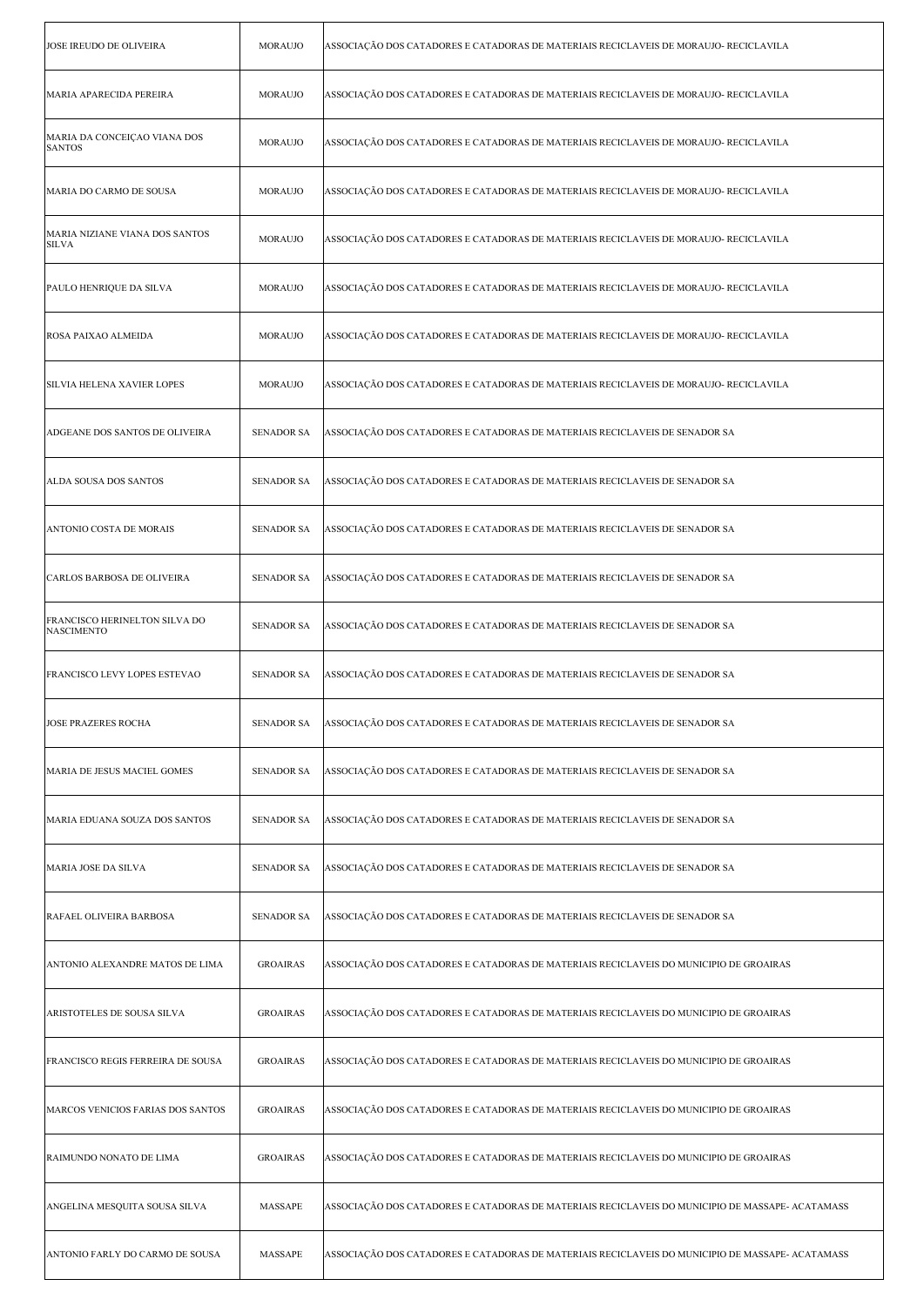| <b>JOSE IREUDO DE OLIVEIRA</b>                     | MORAUJO           | ASSOCIAÇÃO DOS CATADORES E CATADORAS DE MATERIAIS RECICLAVEIS DE MORAUJO- RECICLAVILA            |
|----------------------------------------------------|-------------------|--------------------------------------------------------------------------------------------------|
| MARIA APARECIDA PEREIRA                            | MORAUJO           | ASSOCIAÇÃO DOS CATADORES E CATADORAS DE MATERIAIS RECICLAVEIS DE MORAUJO- RECICLAVILA            |
| MARIA DA CONCEIÇAO VIANA DOS<br><b>SANTOS</b>      | <b>MORAUJO</b>    | ASSOCIAÇÃO DOS CATADORES E CATADORAS DE MATERIAIS RECICLAVEIS DE MORAUJO- RECICLAVILA            |
| MARIA DO CARMO DE SOUSA                            | <b>MORAUJO</b>    | ASSOCIAÇÃO DOS CATADORES E CATADORAS DE MATERIAIS RECICLAVEIS DE MORAUJO- RECICLAVILA            |
| MARIA NIZIANE VIANA DOS SANTOS<br><b>SILVA</b>     | MORAUJO           | ASSOCIAÇÃO DOS CATADORES E CATADORAS DE MATERIAIS RECICLAVEIS DE MORAUJO- RECICLAVILA            |
| PAULO HENRIQUE DA SILVA                            | <b>MORAUJO</b>    | ASSOCIAÇÃO DOS CATADORES E CATADORAS DE MATERIAIS RECICLAVEIS DE MORAUJO- RECICLAVILA            |
| ROSA PAIXAO ALMEIDA                                | <b>MORAUJO</b>    | ASSOCIAÇÃO DOS CATADORES E CATADORAS DE MATERIAIS RECICLAVEIS DE MORAUJO- RECICLAVILA            |
| SILVIA HELENA XAVIER LOPES                         | <b>MORAUJO</b>    | ASSOCIAÇÃO DOS CATADORES E CATADORAS DE MATERIAIS RECICLAVEIS DE MORAUJO- RECICLAVILA            |
| ADGEANE DOS SANTOS DE OLIVEIRA                     | <b>SENADOR SA</b> | ASSOCIAÇÃO DOS CATADORES E CATADORAS DE MATERIAIS RECICLAVEIS DE SENADOR SA                      |
| ALDA SOUSA DOS SANTOS                              | <b>SENADOR SA</b> | ASSOCIAÇÃO DOS CATADORES E CATADORAS DE MATERIAIS RECICLAVEIS DE SENADOR SA                      |
| ANTONIO COSTA DE MORAIS                            | <b>SENADOR SA</b> | ASSOCIAÇÃO DOS CATADORES E CATADORAS DE MATERIAIS RECICLAVEIS DE SENADOR SA                      |
| CARLOS BARBOSA DE OLIVEIRA                         | <b>SENADOR SA</b> | ASSOCIAÇÃO DOS CATADORES E CATADORAS DE MATERIAIS RECICLAVEIS DE SENADOR SA                      |
| FRANCISCO HERINELTON SILVA DO<br><b>NASCIMENTO</b> | <b>SENADOR SA</b> | ASSOCIAÇÃO DOS CATADORES E CATADORAS DE MATERIAIS RECICLAVEIS DE SENADOR SA                      |
| FRANCISCO LEVY LOPES ESTEVAO                       | <b>SENADOR SA</b> | ASSOCIAÇÃO DOS CATADORES E CATADORAS DE MATERIAIS RECICLAVEIS DE SENADOR SA                      |
| <b>JOSE PRAZERES ROCHA</b>                         |                   | SENADOR SA   ASSOCIAÇÃO DOS CATADORES E CATADORAS DE MATERIAIS RECICLAVEIS DE SENADOR SA         |
| MARIA DE JESUS MACIEL GOMES                        | <b>SENADOR SA</b> | ASSOCIAÇÃO DOS CATADORES E CATADORAS DE MATERIAIS RECICLAVEIS DE SENADOR SA                      |
| MARIA EDUANA SOUZA DOS SANTOS                      | <b>SENADOR SA</b> | ASSOCIAÇÃO DOS CATADORES E CATADORAS DE MATERIAIS RECICLAVEIS DE SENADOR SA                      |
| MARIA JOSE DA SILVA                                | <b>SENADOR SA</b> | ASSOCIAÇÃO DOS CATADORES E CATADORAS DE MATERIAIS RECICLAVEIS DE SENADOR SA                      |
| RAFAEL OLIVEIRA BARBOSA                            | <b>SENADOR SA</b> | ASSOCIAÇÃO DOS CATADORES E CATADORAS DE MATERIAIS RECICLAVEIS DE SENADOR SA                      |
| ANTONIO ALEXANDRE MATOS DE LIMA                    | <b>GROAIRAS</b>   | ASSOCIAÇÃO DOS CATADORES E CATADORAS DE MATERIAIS RECICLAVEIS DO MUNICIPIO DE GROAIRAS           |
| ARISTOTELES DE SOUSA SILVA                         | <b>GROAIRAS</b>   | ASSOCIAÇÃO DOS CATADORES E CATADORAS DE MATERIAIS RECICLAVEIS DO MUNICIPIO DE GROAIRAS           |
| FRANCISCO REGIS FERREIRA DE SOUSA                  | <b>GROAIRAS</b>   | ASSOCIAÇÃO DOS CATADORES E CATADORAS DE MATERIAIS RECICLAVEIS DO MUNICIPIO DE GROAIRAS           |
| MARCOS VENICIOS FARIAS DOS SANTOS                  | <b>GROAIRAS</b>   | ASSOCIAÇÃO DOS CATADORES E CATADORAS DE MATERIAIS RECICLAVEIS DO MUNICIPIO DE GROAIRAS           |
| RAIMUNDO NONATO DE LIMA                            | <b>GROAIRAS</b>   | ASSOCIAÇÃO DOS CATADORES E CATADORAS DE MATERIAIS RECICLAVEIS DO MUNICIPIO DE GROAIRAS           |
| ANGELINA MESQUITA SOUSA SILVA                      | MASSAPE           | ASSOCIAÇÃO DOS CATADORES E CATADORAS DE MATERIAIS RECICLAVEIS DO MUNICIPIO DE MASSAPE- ACATAMASS |
| ANTONIO FARLY DO CARMO DE SOUSA                    | MASSAPE           | ASSOCIAÇÃO DOS CATADORES E CATADORAS DE MATERIAIS RECICLAVEIS DO MUNICIPIO DE MASSAPE- ACATAMASS |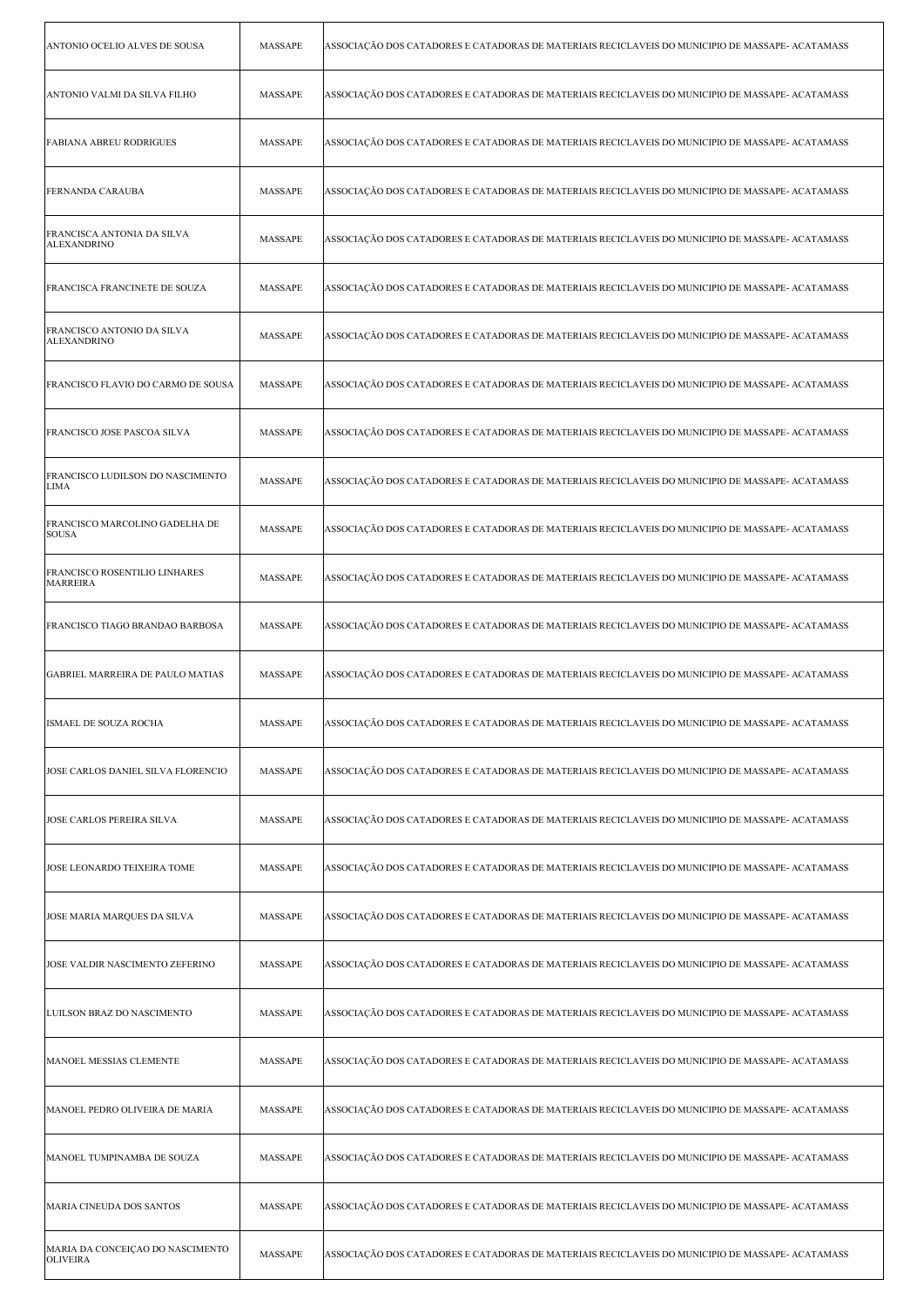| ANTONIO OCELIO ALVES DE SOUSA                       | <b>MASSAPE</b> | ASSOCIAÇÃO DOS CATADORES E CATADORAS DE MATERIAIS RECICLAVEIS DO MUNICIPIO DE MASSAPE- ACATAMASS |
|-----------------------------------------------------|----------------|--------------------------------------------------------------------------------------------------|
| ANTONIO VALMI DA SILVA FILHO                        | MASSAPE        | ASSOCIAÇÃO DOS CATADORES E CATADORAS DE MATERIAIS RECICLAVEIS DO MUNICIPIO DE MASSAPE- ACATAMASS |
| FABIANA ABREU RODRIGUES                             | <b>MASSAPE</b> | ASSOCIAÇÃO DOS CATADORES E CATADORAS DE MATERIAIS RECICLAVEIS DO MUNICIPIO DE MASSAPE- ACATAMASS |
| <b>FERNANDA CARAUBA</b>                             | MASSAPE        | ASSOCIAÇÃO DOS CATADORES E CATADORAS DE MATERIAIS RECICLAVEIS DO MUNICIPIO DE MASSAPE- ACATAMASS |
| FRANCISCA ANTONIA DA SILVA<br><b>ALEXANDRINO</b>    | <b>MASSAPE</b> | ASSOCIAÇÃO DOS CATADORES E CATADORAS DE MATERIAIS RECICLAVEIS DO MUNICIPIO DE MASSAPE- ACATAMASS |
| FRANCISCA FRANCINETE DE SOUZA                       | MASSAPE        | ASSOCIAÇÃO DOS CATADORES E CATADORAS DE MATERIAIS RECICLAVEIS DO MUNICIPIO DE MASSAPE- ACATAMASS |
| FRANCISCO ANTONIO DA SILVA<br><b>ALEXANDRINO</b>    | <b>MASSAPE</b> | ASSOCIAÇÃO DOS CATADORES E CATADORAS DE MATERIAIS RECICLAVEIS DO MUNICIPIO DE MASSAPE- ACATAMASS |
| FRANCISCO FLAVIO DO CARMO DE SOUSA                  | <b>MASSAPE</b> | ASSOCIAÇÃO DOS CATADORES E CATADORAS DE MATERIAIS RECICLAVEIS DO MUNICIPIO DE MASSAPE- ACATAMASS |
| FRANCISCO JOSE PASCOA SILVA                         | MASSAPE        | ASSOCIAÇÃO DOS CATADORES E CATADORAS DE MATERIAIS RECICLAVEIS DO MUNICIPIO DE MASSAPE- ACATAMASS |
| FRANCISCO LUDILSON DO NASCIMENTO<br><b>LIMA</b>     | MASSAPE        | ASSOCIAÇÃO DOS CATADORES E CATADORAS DE MATERIAIS RECICLAVEIS DO MUNICIPIO DE MASSAPE- ACATAMASS |
| FRANCISCO MARCOLINO GADELHA DE<br><b>SOUSA</b>      | MASSAPE        | ASSOCIAÇÃO DOS CATADORES E CATADORAS DE MATERIAIS RECICLAVEIS DO MUNICIPIO DE MASSAPE- ACATAMASS |
| FRANCISCO ROSENTILIO LINHARES<br><b>MARREIRA</b>    | <b>MASSAPE</b> | ASSOCIAÇÃO DOS CATADORES E CATADORAS DE MATERIAIS RECICLAVEIS DO MUNICIPIO DE MASSAPE- ACATAMASS |
| FRANCISCO TIAGO BRANDAO BARBOSA                     | MASSAPE        | ASSOCIAÇÃO DOS CATADORES E CATADORAS DE MATERIAIS RECICLAVEIS DO MUNICIPIO DE MASSAPE- ACATAMASS |
| <b>GABRIEL MARREIRA DE PAULO MATIAS</b>             | MASSAPE        | ASSOCIAÇÃO DOS CATADORES E CATADORAS DE MATERIAIS RECICLAVEIS DO MUNICIPIO DE MASSAPE- ACATAMASS |
| ISMAEL DE SOUZA ROCHA                               | MASSAPE        | ASSOCIAÇÃO DOS CATADORES E CATADORAS DE MATERIAIS RECICLAVEIS DO MUNICIPIO DE MASSAPE- ACATAMASS |
| JOSE CARLOS DANIEL SILVA FLORENCIO                  | MASSAPE        | ASSOCIAÇÃO DOS CATADORES E CATADORAS DE MATERIAIS RECICLAVEIS DO MUNICIPIO DE MASSAPE- ACATAMASS |
| JOSE CARLOS PEREIRA SILVA                           | MASSAPE        | ASSOCIAÇÃO DOS CATADORES E CATADORAS DE MATERIAIS RECICLAVEIS DO MUNICIPIO DE MASSAPE- ACATAMASS |
| JOSE LEONARDO TEIXEIRA TOME                         | MASSAPE        | ASSOCIAÇÃO DOS CATADORES E CATADORAS DE MATERIAIS RECICLAVEIS DO MUNICIPIO DE MASSAPE- ACATAMASS |
| JOSE MARIA MARQUES DA SILVA                         | MASSAPE        | ASSOCIAÇÃO DOS CATADORES E CATADORAS DE MATERIAIS RECICLAVEIS DO MUNICIPIO DE MASSAPE- ACATAMASS |
| JOSE VALDIR NASCIMENTO ZEFERINO                     | MASSAPE        | ASSOCIAÇÃO DOS CATADORES E CATADORAS DE MATERIAIS RECICLAVEIS DO MUNICIPIO DE MASSAPE- ACATAMASS |
| LUILSON BRAZ DO NASCIMENTO                          | MASSAPE        | ASSOCIAÇÃO DOS CATADORES E CATADORAS DE MATERIAIS RECICLAVEIS DO MUNICIPIO DE MASSAPE- ACATAMASS |
| MANOEL MESSIAS CLEMENTE                             | MASSAPE        | ASSOCIAÇÃO DOS CATADORES E CATADORAS DE MATERIAIS RECICLAVEIS DO MUNICIPIO DE MASSAPE- ACATAMASS |
| MANOEL PEDRO OLIVEIRA DE MARIA                      | MASSAPE        | ASSOCIAÇÃO DOS CATADORES E CATADORAS DE MATERIAIS RECICLAVEIS DO MUNICIPIO DE MASSAPE- ACATAMASS |
| MANOEL TUMPINAMBA DE SOUZA                          | MASSAPE        | ASSOCIAÇÃO DOS CATADORES E CATADORAS DE MATERIAIS RECICLAVEIS DO MUNICIPIO DE MASSAPE- ACATAMASS |
| MARIA CINEUDA DOS SANTOS                            | MASSAPE        | ASSOCIAÇÃO DOS CATADORES E CATADORAS DE MATERIAIS RECICLAVEIS DO MUNICIPIO DE MASSAPE- ACATAMASS |
| MARIA DA CONCEIÇAO DO NASCIMENTO<br><b>OLIVEIRA</b> | MASSAPE        | ASSOCIAÇÃO DOS CATADORES E CATADORAS DE MATERIAIS RECICLAVEIS DO MUNICIPIO DE MASSAPE- ACATAMASS |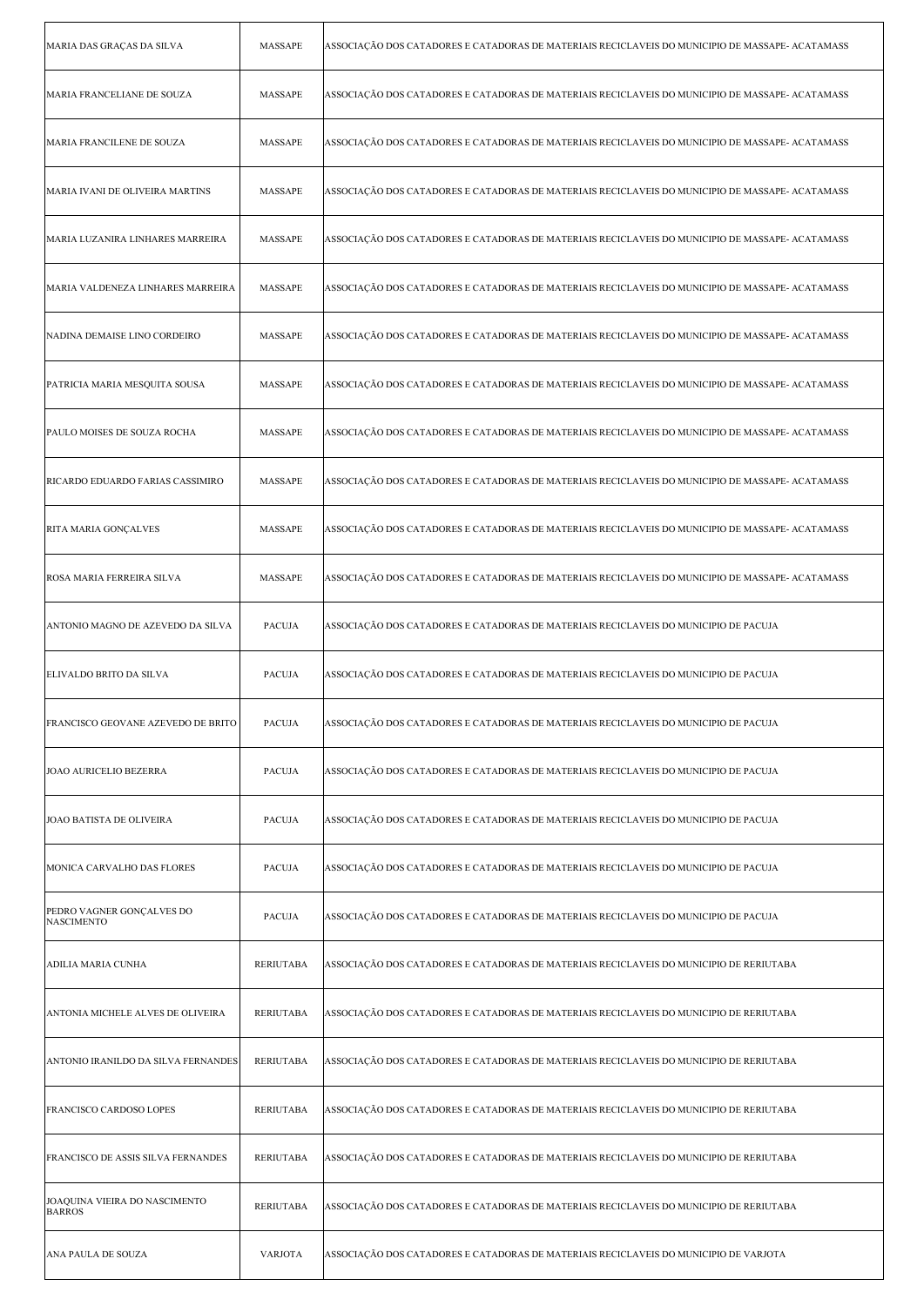| MARIA DAS GRAÇAS DA SILVA                      | MASSAPE          | ASSOCIAÇÃO DOS CATADORES E CATADORAS DE MATERIAIS RECICLAVEIS DO MUNICIPIO DE MASSAPE- ACATAMASS |
|------------------------------------------------|------------------|--------------------------------------------------------------------------------------------------|
| MARIA FRANCELIANE DE SOUZA                     | MASSAPE          | ASSOCIAÇÃO DOS CATADORES E CATADORAS DE MATERIAIS RECICLAVEIS DO MUNICIPIO DE MASSAPE- ACATAMASS |
| MARIA FRANCILENE DE SOUZA                      | MASSAPE          | ASSOCIAÇÃO DOS CATADORES E CATADORAS DE MATERIAIS RECICLAVEIS DO MUNICIPIO DE MASSAPE- ACATAMASS |
| MARIA IVANI DE OLIVEIRA MARTINS                | MASSAPE          | ASSOCIAÇÃO DOS CATADORES E CATADORAS DE MATERIAIS RECICLAVEIS DO MUNICIPIO DE MASSAPE- ACATAMASS |
| MARIA LUZANIRA LINHARES MARREIRA               | MASSAPE          | ASSOCIAÇÃO DOS CATADORES E CATADORAS DE MATERIAIS RECICLAVEIS DO MUNICIPIO DE MASSAPE- ACATAMASS |
| MARIA VALDENEZA LINHARES MARREIRA              | MASSAPE          | ASSOCIAÇÃO DOS CATADORES E CATADORAS DE MATERIAIS RECICLAVEIS DO MUNICIPIO DE MASSAPE- ACATAMASS |
| NADINA DEMAISE LINO CORDEIRO                   | MASSAPE          | ASSOCIAÇÃO DOS CATADORES E CATADORAS DE MATERIAIS RECICLAVEIS DO MUNICIPIO DE MASSAPE- ACATAMASS |
| PATRICIA MARIA MESQUITA SOUSA                  | MASSAPE          | ASSOCIAÇÃO DOS CATADORES E CATADORAS DE MATERIAIS RECICLAVEIS DO MUNICIPIO DE MASSAPE- ACATAMASS |
| PAULO MOISES DE SOUZA ROCHA                    | MASSAPE          | ASSOCIAÇÃO DOS CATADORES E CATADORAS DE MATERIAIS RECICLAVEIS DO MUNICIPIO DE MASSAPE- ACATAMASS |
| RICARDO EDUARDO FARIAS CASSIMIRO               | MASSAPE          | ASSOCIAÇÃO DOS CATADORES E CATADORAS DE MATERIAIS RECICLAVEIS DO MUNICIPIO DE MASSAPE- ACATAMASS |
| RITA MARIA GONÇALVES                           | MASSAPE          | ASSOCIAÇÃO DOS CATADORES E CATADORAS DE MATERIAIS RECICLAVEIS DO MUNICIPIO DE MASSAPE- ACATAMASS |
| ROSA MARIA FERREIRA SILVA                      | MASSAPE          | ASSOCIAÇÃO DOS CATADORES E CATADORAS DE MATERIAIS RECICLAVEIS DO MUNICIPIO DE MASSAPE- ACATAMASS |
| ANTONIO MAGNO DE AZEVEDO DA SILVA              | <b>PACUJA</b>    | ASSOCIAÇÃO DOS CATADORES E CATADORAS DE MATERIAIS RECICLAVEIS DO MUNICIPIO DE PACUJA             |
| ELIVALDO BRITO DA SILVA                        | PACUJA           | ASSOCIAÇÃO DOS CATADORES E CATADORAS DE MATERIAIS RECICLAVEIS DO MUNICIPIO DE PACUJA             |
| FRANCISCO GEOVANE AZEVEDO DE BRITO             | <b>PACUJA</b>    | ASSOCIAÇÃO DOS CATADORES E CATADORAS DE MATERIAIS RECICLAVEIS DO MUNICIPIO DE PACUJA             |
| JOAO AURICELIO BEZERRA                         | <b>PACUJA</b>    | ASSOCIAÇÃO DOS CATADORES E CATADORAS DE MATERIAIS RECICLAVEIS DO MUNICIPIO DE PACUJA             |
| JOAO BATISTA DE OLIVEIRA                       | <b>PACUJA</b>    | ASSOCIAÇÃO DOS CATADORES E CATADORAS DE MATERIAIS RECICLAVEIS DO MUNICIPIO DE PACUJA             |
| MONICA CARVALHO DAS FLORES                     | <b>PACUJA</b>    | ASSOCIAÇÃO DOS CATADORES E CATADORAS DE MATERIAIS RECICLAVEIS DO MUNICIPIO DE PACUJA             |
| PEDRO VAGNER GONÇALVES DO<br><b>NASCIMENTO</b> | <b>PACUJA</b>    | ASSOCIAÇÃO DOS CATADORES E CATADORAS DE MATERIAIS RECICLAVEIS DO MUNICIPIO DE PACUJA             |
| ADILIA MARIA CUNHA                             | <b>RERIUTABA</b> | ASSOCIAÇÃO DOS CATADORES E CATADORAS DE MATERIAIS RECICLAVEIS DO MUNICIPIO DE RERIUTABA          |
| ANTONIA MICHELE ALVES DE OLIVEIRA              | <b>RERIUTABA</b> | ASSOCIAÇÃO DOS CATADORES E CATADORAS DE MATERIAIS RECICLAVEIS DO MUNICIPIO DE RERIUTABA          |
| ANTONIO IRANILDO DA SILVA FERNANDES            | <b>RERIUTABA</b> | ASSOCIAÇÃO DOS CATADORES E CATADORAS DE MATERIAIS RECICLAVEIS DO MUNICIPIO DE RERIUTABA          |
| FRANCISCO CARDOSO LOPES                        | <b>RERIUTABA</b> | ASSOCIAÇÃO DOS CATADORES E CATADORAS DE MATERIAIS RECICLAVEIS DO MUNICIPIO DE RERIUTABA          |
| FRANCISCO DE ASSIS SILVA FERNANDES             | <b>RERIUTABA</b> | ASSOCIAÇÃO DOS CATADORES E CATADORAS DE MATERIAIS RECICLAVEIS DO MUNICIPIO DE RERIUTABA          |
| JOAQUINA VIEIRA DO NASCIMENTO<br><b>BARROS</b> | <b>RERIUTABA</b> | ASSOCIAÇÃO DOS CATADORES E CATADORAS DE MATERIAIS RECICLAVEIS DO MUNICIPIO DE RERIUTABA          |
| ANA PAULA DE SOUZA                             | <b>VARJOTA</b>   | ASSOCIAÇÃO DOS CATADORES E CATADORAS DE MATERIAIS RECICLAVEIS DO MUNICIPIO DE VARJOTA            |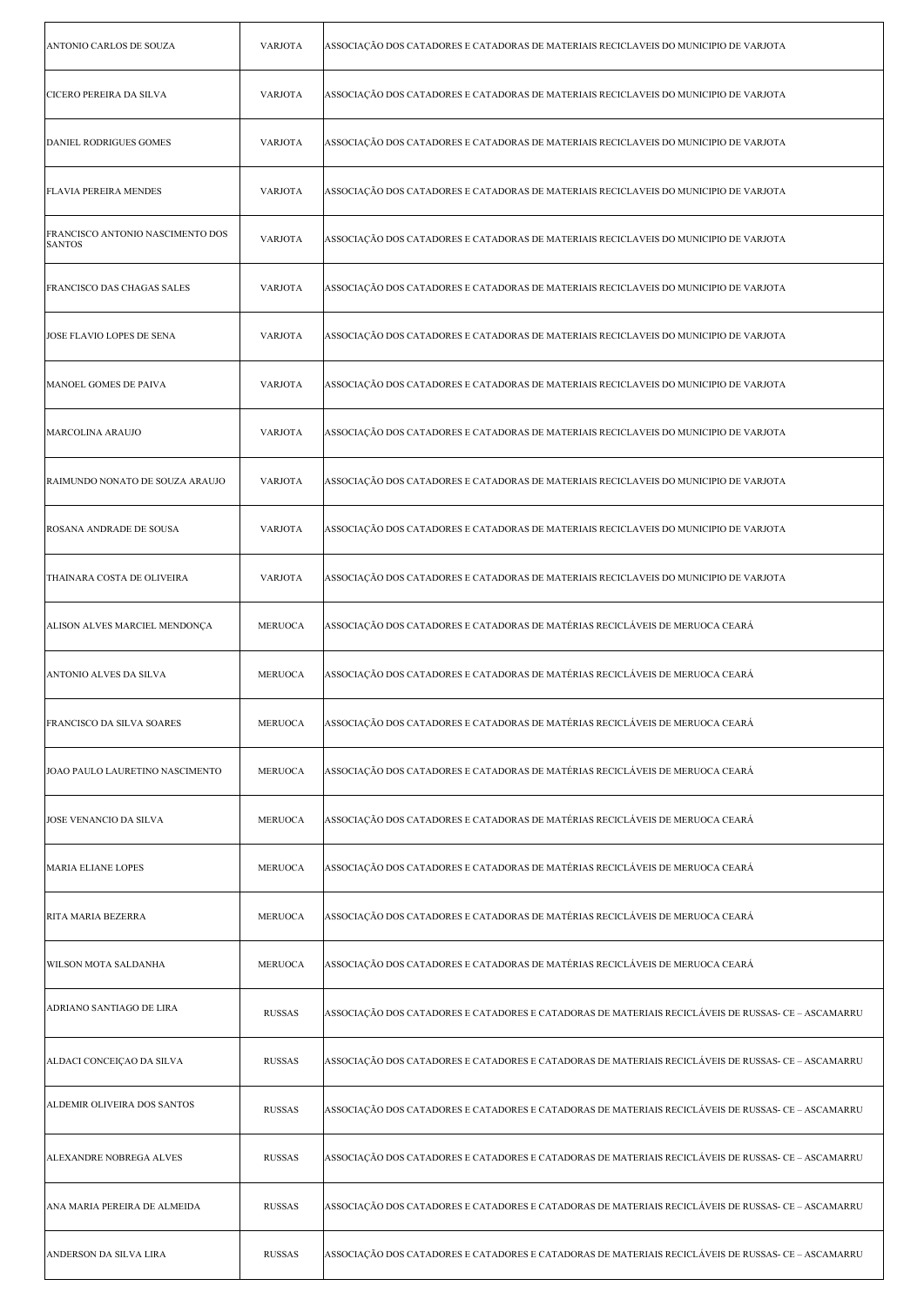| ANTONIO CARLOS DE SOUZA                           | <b>VARJOTA</b> | ASSOCIAÇÃO DOS CATADORES E CATADORAS DE MATERIAIS RECICLAVEIS DO MUNICIPIO DE VARJOTA               |
|---------------------------------------------------|----------------|-----------------------------------------------------------------------------------------------------|
| CICERO PEREIRA DA SILVA                           | <b>VARJOTA</b> | ASSOCIAÇÃO DOS CATADORES E CATADORAS DE MATERIAIS RECICLAVEIS DO MUNICIPIO DE VARJOTA               |
| DANIEL RODRIGUES GOMES                            | <b>VARJOTA</b> | ASSOCIAÇÃO DOS CATADORES E CATADORAS DE MATERIAIS RECICLAVEIS DO MUNICIPIO DE VARJOTA               |
| <b>FLAVIA PEREIRA MENDES</b>                      | <b>VARJOTA</b> | ASSOCIAÇÃO DOS CATADORES E CATADORAS DE MATERIAIS RECICLAVEIS DO MUNICIPIO DE VARJOTA               |
| FRANCISCO ANTONIO NASCIMENTO DOS<br><b>SANTOS</b> | <b>VARJOTA</b> | ASSOCIAÇÃO DOS CATADORES E CATADORAS DE MATERIAIS RECICLAVEIS DO MUNICIPIO DE VARJOTA               |
| FRANCISCO DAS CHAGAS SALES                        | <b>VARJOTA</b> | ASSOCIAÇÃO DOS CATADORES E CATADORAS DE MATERIAIS RECICLAVEIS DO MUNICIPIO DE VARJOTA               |
| JOSE FLAVIO LOPES DE SENA                         | <b>VARJOTA</b> | ASSOCIAÇÃO DOS CATADORES E CATADORAS DE MATERIAIS RECICLAVEIS DO MUNICIPIO DE VARJOTA               |
| MANOEL GOMES DE PAIVA                             | <b>VARJOTA</b> | ASSOCIAÇÃO DOS CATADORES E CATADORAS DE MATERIAIS RECICLAVEIS DO MUNICIPIO DE VARJOTA               |
| MARCOLINA ARAUJO                                  | <b>VARJOTA</b> | ASSOCIAÇÃO DOS CATADORES E CATADORAS DE MATERIAIS RECICLAVEIS DO MUNICIPIO DE VARJOTA               |
| RAIMUNDO NONATO DE SOUZA ARAUJO                   | <b>VARJOTA</b> | ASSOCIAÇÃO DOS CATADORES E CATADORAS DE MATERIAIS RECICLAVEIS DO MUNICIPIO DE VARJOTA               |
| ROSANA ANDRADE DE SOUSA                           | <b>VARJOTA</b> | ASSOCIAÇÃO DOS CATADORES E CATADORAS DE MATERIAIS RECICLAVEIS DO MUNICIPIO DE VARJOTA               |
| THAINARA COSTA DE OLIVEIRA                        | <b>VARJOTA</b> | ASSOCIAÇÃO DOS CATADORES E CATADORAS DE MATERIAIS RECICLAVEIS DO MUNICIPIO DE VARJOTA               |
| ALISON ALVES MARCIEL MENDONÇA                     | <b>MERUOCA</b> | ASSOCIAÇÃO DOS CATADORES E CATADORAS DE MATÉRIAS RECICLÁVEIS DE MERUOCA CEARÁ                       |
| ANTONIO ALVES DA SILVA                            | <b>MERUOCA</b> | ASSOCIAÇÃO DOS CATADORES E CATADORAS DE MATÉRIAS RECICLÁVEIS DE MERUOCA CEARÁ                       |
| FRANCISCO DA SILVA SOARES                         | MERUOCA        | ASSOCIAÇÃO DOS CATADORES E CATADORAS DE MATÉRIAS RECICLÁVEIS DE MERUOCA CEARÁ                       |
| JOAO PAULO LAURETINO NASCIMENTO                   | <b>MERUOCA</b> | ASSOCIAÇÃO DOS CATADORES E CATADORAS DE MATÉRIAS RECICLÁVEIS DE MERUOCA CEARÁ                       |
| JOSE VENANCIO DA SILVA                            | <b>MERUOCA</b> | ASSOCIAÇÃO DOS CATADORES E CATADORAS DE MATÉRIAS RECICLÁVEIS DE MERUOCA CEARÁ                       |
| <b>MARIA ELIANE LOPES</b>                         | <b>MERUOCA</b> | ASSOCIAÇÃO DOS CATADORES E CATADORAS DE MATÉRIAS RECICLÁVEIS DE MERUOCA CEARÁ                       |
| RITA MARIA BEZERRA                                | <b>MERUOCA</b> | ASSOCIAÇÃO DOS CATADORES E CATADORAS DE MATÉRIAS RECICLÁVEIS DE MERUOCA CEARÁ                       |
| WILSON MOTA SALDANHA                              | <b>MERUOCA</b> | ASSOCIAÇÃO DOS CATADORES E CATADORAS DE MATÉRIAS RECICLÁVEIS DE MERUOCA CEARÁ                       |
| ADRIANO SANTIAGO DE LIRA                          | <b>RUSSAS</b>  | ASSOCIAÇÃO DOS CATADORES E CATADORES E CATADORAS DE MATERIAIS RECICLÁVEIS DE RUSSAS- CE - ASCAMARRU |
| ALDACI CONCEIÇAO DA SILVA                         | <b>RUSSAS</b>  | ASSOCIAÇÃO DOS CATADORES E CATADORES E CATADORAS DE MATERIAIS RECICLÁVEIS DE RUSSAS- CE – ASCAMARRU |
| <b>ALDEMIR OLIVEIRA DOS SANTOS</b>                | <b>RUSSAS</b>  | ASSOCIAÇÃO DOS CATADORES E CATADORES E CATADORAS DE MATERIAIS RECICLÁVEIS DE RUSSAS- CE - ASCAMARRU |
| ALEXANDRE NOBREGA ALVES                           | <b>RUSSAS</b>  | ASSOCIAÇÃO DOS CATADORES E CATADORES E CATADORAS DE MATERIAIS RECICLÁVEIS DE RUSSAS- CE - ASCAMARRU |
| ANA MARIA PEREIRA DE ALMEIDA                      | <b>RUSSAS</b>  | ASSOCIAÇÃO DOS CATADORES E CATADORES E CATADORAS DE MATERIAIS RECICLÁVEIS DE RUSSAS- CE – ASCAMARRU |
| ANDERSON DA SILVA LIRA                            | <b>RUSSAS</b>  | ASSOCIAÇÃO DOS CATADORES E CATADORES E CATADORAS DE MATERIAIS RECICLÁVEIS DE RUSSAS- CE - ASCAMARRU |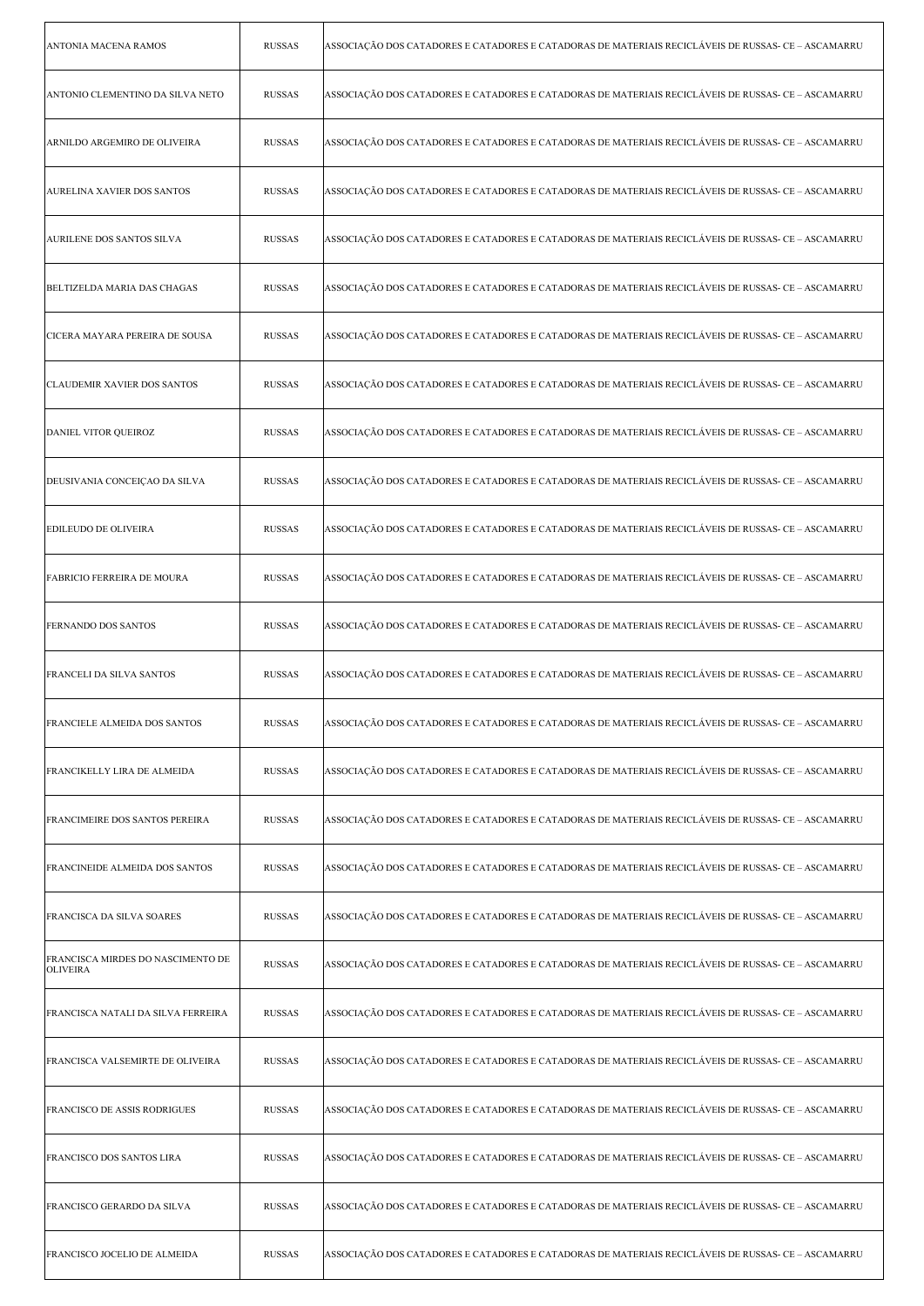| <b>ANTONIA MACENA RAMOS</b>                          | <b>RUSSAS</b> | ASSOCIAÇÃO DOS CATADORES E CATADORES E CATADORAS DE MATERIAIS RECICLÁVEIS DE RUSSAS- CE – ASCAMARRU |
|------------------------------------------------------|---------------|-----------------------------------------------------------------------------------------------------|
| ANTONIO CLEMENTINO DA SILVA NETO                     | <b>RUSSAS</b> | ASSOCIAÇÃO DOS CATADORES E CATADORES E CATADORAS DE MATERIAIS RECICLÁVEIS DE RUSSAS- CE – ASCAMARRU |
| ARNILDO ARGEMIRO DE OLIVEIRA                         | <b>RUSSAS</b> | ASSOCIAÇÃO DOS CATADORES E CATADORES E CATADORAS DE MATERIAIS RECICLÁVEIS DE RUSSAS- CE – ASCAMARRU |
| <b>AURELINA XAVIER DOS SANTOS</b>                    | <b>RUSSAS</b> | ASSOCIAÇÃO DOS CATADORES E CATADORES E CATADORAS DE MATERIAIS RECICLÁVEIS DE RUSSAS- CE – ASCAMARRU |
| <b>AURILENE DOS SANTOS SILVA</b>                     | <b>RUSSAS</b> | ASSOCIAÇÃO DOS CATADORES E CATADORES E CATADORAS DE MATERIAIS RECICLÁVEIS DE RUSSAS- CE - ASCAMARRU |
| BELTIZELDA MARIA DAS CHAGAS                          | <b>RUSSAS</b> | ASSOCIAÇÃO DOS CATADORES E CATADORES E CATADORAS DE MATERIAIS RECICLÁVEIS DE RUSSAS- CE – ASCAMARRU |
| CICERA MAYARA PEREIRA DE SOUSA                       | <b>RUSSAS</b> | ASSOCIAÇÃO DOS CATADORES E CATADORES E CATADORAS DE MATERIAIS RECICLÁVEIS DE RUSSAS- CE – ASCAMARRU |
| <b>CLAUDEMIR XAVIER DOS SANTOS</b>                   | <b>RUSSAS</b> | ASSOCIAÇÃO DOS CATADORES E CATADORES E CATADORAS DE MATERIAIS RECICLÁVEIS DE RUSSAS- CE – ASCAMARRU |
| DANIEL VITOR QUEIROZ                                 | <b>RUSSAS</b> | ASSOCIAÇÃO DOS CATADORES E CATADORES E CATADORAS DE MATERIAIS RECICLÁVEIS DE RUSSAS- CE – ASCAMARRU |
| DEUSIVANIA CONCEIÇAO DA SILVA                        | <b>RUSSAS</b> | ASSOCIAÇÃO DOS CATADORES E CATADORES E CATADORAS DE MATERIAIS RECICLÁVEIS DE RUSSAS- CE – ASCAMARRU |
| <b>EDILEUDO DE OLIVEIRA</b>                          | <b>RUSSAS</b> | ASSOCIAÇÃO DOS CATADORES E CATADORES E CATADORAS DE MATERIAIS RECICLÁVEIS DE RUSSAS- CE – ASCAMARRU |
| FABRICIO FERREIRA DE MOURA                           | <b>RUSSAS</b> | ASSOCIAÇÃO DOS CATADORES E CATADORES E CATADORAS DE MATERIAIS RECICLÁVEIS DE RUSSAS- CE – ASCAMARRU |
| FERNANDO DOS SANTOS                                  | <b>RUSSAS</b> | ASSOCIAÇÃO DOS CATADORES E CATADORES E CATADORAS DE MATERIAIS RECICLÁVEIS DE RUSSAS- CE – ASCAMARRU |
| FRANCELI DA SILVA SANTOS                             | <b>RUSSAS</b> | ASSOCIAÇÃO DOS CATADORES E CATADORES E CATADORAS DE MATERIAIS RECICLÁVEIS DE RUSSAS- CE – ASCAMARRU |
| FRANCIELE ALMEIDA DOS SANTOS                         | RUSSAS        | ASSOCIAÇÃO DOS CATADORES E CATADORES E CATADORAS DE MATERIAIS RECICLÁVEIS DE RUSSAS- CE – ASCAMARRU |
| FRANCIKELLY LIRA DE ALMEIDA                          | <b>RUSSAS</b> | ASSOCIAÇÃO DOS CATADORES E CATADORES E CATADORAS DE MATERIAIS RECICLÁVEIS DE RUSSAS- CE – ASCAMARRU |
| FRANCIMEIRE DOS SANTOS PEREIRA                       | <b>RUSSAS</b> | ASSOCIAÇÃO DOS CATADORES E CATADORES E CATADORAS DE MATERIAIS RECICLÁVEIS DE RUSSAS- CE – ASCAMARRU |
| FRANCINEIDE ALMEIDA DOS SANTOS                       | <b>RUSSAS</b> | ASSOCIAÇÃO DOS CATADORES E CATADORES E CATADORAS DE MATERIAIS RECICLÁVEIS DE RUSSAS- CE - ASCAMARRU |
| FRANCISCA DA SILVA SOARES                            | <b>RUSSAS</b> | ASSOCIAÇÃO DOS CATADORES E CATADORES E CATADORAS DE MATERIAIS RECICLÁVEIS DE RUSSAS- CE – ASCAMARRU |
| FRANCISCA MIRDES DO NASCIMENTO DE<br><b>OLIVEIRA</b> | <b>RUSSAS</b> | ASSOCIAÇÃO DOS CATADORES E CATADORES E CATADORAS DE MATERIAIS RECICLÁVEIS DE RUSSAS- CE – ASCAMARRU |
| FRANCISCA NATALI DA SILVA FERREIRA                   | <b>RUSSAS</b> | ASSOCIAÇÃO DOS CATADORES E CATADORES E CATADORAS DE MATERIAIS RECICLÁVEIS DE RUSSAS- CE – ASCAMARRU |
| FRANCISCA VALSEMIRTE DE OLIVEIRA                     | <b>RUSSAS</b> | ASSOCIAÇÃO DOS CATADORES E CATADORES E CATADORAS DE MATERIAIS RECICLÁVEIS DE RUSSAS- CE – ASCAMARRU |
| FRANCISCO DE ASSIS RODRIGUES                         | <b>RUSSAS</b> | ASSOCIAÇÃO DOS CATADORES E CATADORES E CATADORAS DE MATERIAIS RECICLÁVEIS DE RUSSAS- CE - ASCAMARRU |
| FRANCISCO DOS SANTOS LIRA                            | <b>RUSSAS</b> | ASSOCIAÇÃO DOS CATADORES E CATADORES E CATADORAS DE MATERIAIS RECICLÁVEIS DE RUSSAS- CE – ASCAMARRU |
| FRANCISCO GERARDO DA SILVA                           | <b>RUSSAS</b> | ASSOCIAÇÃO DOS CATADORES E CATADORES E CATADORAS DE MATERIAIS RECICLÁVEIS DE RUSSAS- CE – ASCAMARRU |
| FRANCISCO JOCELIO DE ALMEIDA                         | <b>RUSSAS</b> | ASSOCIAÇÃO DOS CATADORES E CATADORES E CATADORAS DE MATERIAIS RECICLÁVEIS DE RUSSAS- CE – ASCAMARRU |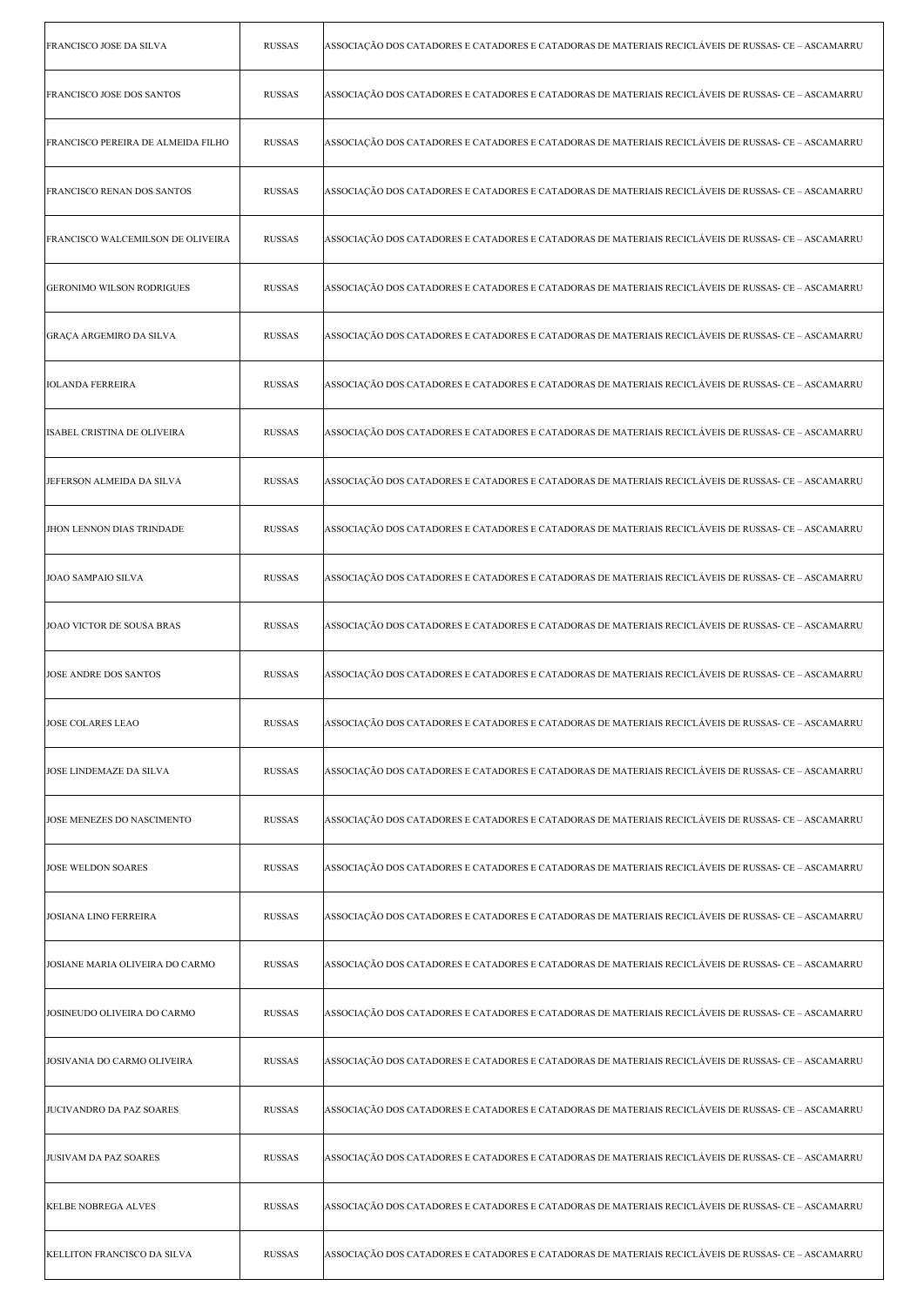| <b>FRANCISCO JOSE DA SILVA</b>     | <b>RUSSAS</b> | ASSOCIAÇÃO DOS CATADORES E CATADORES E CATADORAS DE MATERIAIS RECICLÁVEIS DE RUSSAS- CE - ASCAMARRU |
|------------------------------------|---------------|-----------------------------------------------------------------------------------------------------|
| <b>FRANCISCO JOSE DOS SANTOS</b>   | <b>RUSSAS</b> | ASSOCIAÇÃO DOS CATADORES E CATADORES E CATADORAS DE MATERIAIS RECICLÁVEIS DE RUSSAS- CE – ASCAMARRU |
| FRANCISCO PEREIRA DE ALMEIDA FILHO | <b>RUSSAS</b> | ASSOCIAÇÃO DOS CATADORES E CATADORES E CATADORAS DE MATERIAIS RECICLÁVEIS DE RUSSAS- CE - ASCAMARRU |
| <b>FRANCISCO RENAN DOS SANTOS</b>  | <b>RUSSAS</b> | ASSOCIAÇÃO DOS CATADORES E CATADORES E CATADORAS DE MATERIAIS RECICLÁVEIS DE RUSSAS- CE - ASCAMARRU |
| FRANCISCO WALCEMILSON DE OLIVEIRA  | <b>RUSSAS</b> | ASSOCIAÇÃO DOS CATADORES E CATADORES E CATADORAS DE MATERIAIS RECICLÁVEIS DE RUSSAS- CE - ASCAMARRU |
| <b>GERONIMO WILSON RODRIGUES</b>   | <b>RUSSAS</b> | ASSOCIAÇÃO DOS CATADORES E CATADORES E CATADORAS DE MATERIAIS RECICLÁVEIS DE RUSSAS- CE – ASCAMARRU |
| GRAÇA ARGEMIRO DA SILVA            | <b>RUSSAS</b> | ASSOCIAÇÃO DOS CATADORES E CATADORES E CATADORAS DE MATERIAIS RECICLÁVEIS DE RUSSAS- CE – ASCAMARRU |
| <b>IOLANDA FERREIRA</b>            | <b>RUSSAS</b> | ASSOCIAÇÃO DOS CATADORES E CATADORES E CATADORAS DE MATERIAIS RECICLÁVEIS DE RUSSAS- CE - ASCAMARRU |
| ISABEL CRISTINA DE OLIVEIRA        | <b>RUSSAS</b> | ASSOCIAÇÃO DOS CATADORES E CATADORES E CATADORAS DE MATERIAIS RECICLÁVEIS DE RUSSAS- CE - ASCAMARRU |
| JEFERSON ALMEIDA DA SILVA          | <b>RUSSAS</b> | ASSOCIAÇÃO DOS CATADORES E CATADORES E CATADORAS DE MATERIAIS RECICLÁVEIS DE RUSSAS- CE - ASCAMARRU |
| JHON LENNON DIAS TRINDADE          | <b>RUSSAS</b> | ASSOCIAÇÃO DOS CATADORES E CATADORES E CATADORAS DE MATERIAIS RECICLÁVEIS DE RUSSAS- CE – ASCAMARRU |
| <b>JOAO SAMPAIO SILVA</b>          | <b>RUSSAS</b> | ASSOCIAÇÃO DOS CATADORES E CATADORES E CATADORAS DE MATERIAIS RECICLÁVEIS DE RUSSAS- CE – ASCAMARRU |
| JOAO VICTOR DE SOUSA BRAS          | <b>RUSSAS</b> | ASSOCIAÇÃO DOS CATADORES E CATADORES E CATADORAS DE MATERIAIS RECICLÁVEIS DE RUSSAS- CE - ASCAMARRU |
| JOSE ANDRE DOS SANTOS              | <b>RUSSAS</b> | ASSOCIAÇÃO DOS CATADORES E CATADORES E CATADORAS DE MATERIAIS RECICLÁVEIS DE RUSSAS- CE - ASCAMARRU |
| JOSE COLARES LEAO                  | RUSSAS        | ASSOCIAÇÃO DOS CATADORES E CATADORES E CATADORAS DE MATERIAIS RECICLÁVEIS DE RUSSAS- CE – ASCAMARRU |
| JOSE LINDEMAZE DA SILVA            | <b>RUSSAS</b> | ASSOCIAÇÃO DOS CATADORES E CATADORES E CATADORAS DE MATERIAIS RECICLÁVEIS DE RUSSAS- CE - ASCAMARRU |
| JOSE MENEZES DO NASCIMENTO         | <b>RUSSAS</b> | ASSOCIAÇÃO DOS CATADORES E CATADORES E CATADORAS DE MATERIAIS RECICLÁVEIS DE RUSSAS- CE - ASCAMARRU |
| <b>JOSE WELDON SOARES</b>          | <b>RUSSAS</b> | ASSOCIAÇÃO DOS CATADORES E CATADORES E CATADORAS DE MATERIAIS RECICLÁVEIS DE RUSSAS- CE - ASCAMARRU |
| <b>JOSIANA LINO FERREIRA</b>       | <b>RUSSAS</b> | ASSOCIAÇÃO DOS CATADORES E CATADORES E CATADORAS DE MATERIAIS RECICLÁVEIS DE RUSSAS- CE - ASCAMARRU |
| JOSIANE MARIA OLIVEIRA DO CARMO    | <b>RUSSAS</b> | ASSOCIAÇÃO DOS CATADORES E CATADORES E CATADORAS DE MATERIAIS RECICLÁVEIS DE RUSSAS- CE – ASCAMARRU |
| JOSINEUDO OLIVEIRA DO CARMO        | <b>RUSSAS</b> | ASSOCIAÇÃO DOS CATADORES E CATADORES E CATADORAS DE MATERIAIS RECICLÁVEIS DE RUSSAS- CE - ASCAMARRU |
| JOSIVANIA DO CARMO OLIVEIRA        | <b>RUSSAS</b> | ASSOCIAÇÃO DOS CATADORES E CATADORES E CATADORAS DE MATERIAIS RECICLÁVEIS DE RUSSAS- CE - ASCAMARRU |
| JUCIVANDRO DA PAZ SOARES           | <b>RUSSAS</b> | ASSOCIAÇÃO DOS CATADORES E CATADORES E CATADORAS DE MATERIAIS RECICLÁVEIS DE RUSSAS- CE - ASCAMARRU |
| JUSIVAM DA PAZ SOARES              | <b>RUSSAS</b> | ASSOCIAÇÃO DOS CATADORES E CATADORES E CATADORAS DE MATERIAIS RECICLÁVEIS DE RUSSAS- CE - ASCAMARRU |
| <b>KELBE NOBREGA ALVES</b>         | <b>RUSSAS</b> | ASSOCIAÇÃO DOS CATADORES E CATADORES E CATADORAS DE MATERIAIS RECICLÁVEIS DE RUSSAS- CE - ASCAMARRU |
| KELLITON FRANCISCO DA SILVA        | <b>RUSSAS</b> | ASSOCIAÇÃO DOS CATADORES E CATADORES E CATADORAS DE MATERIAIS RECICLÁVEIS DE RUSSAS- CE – ASCAMARRU |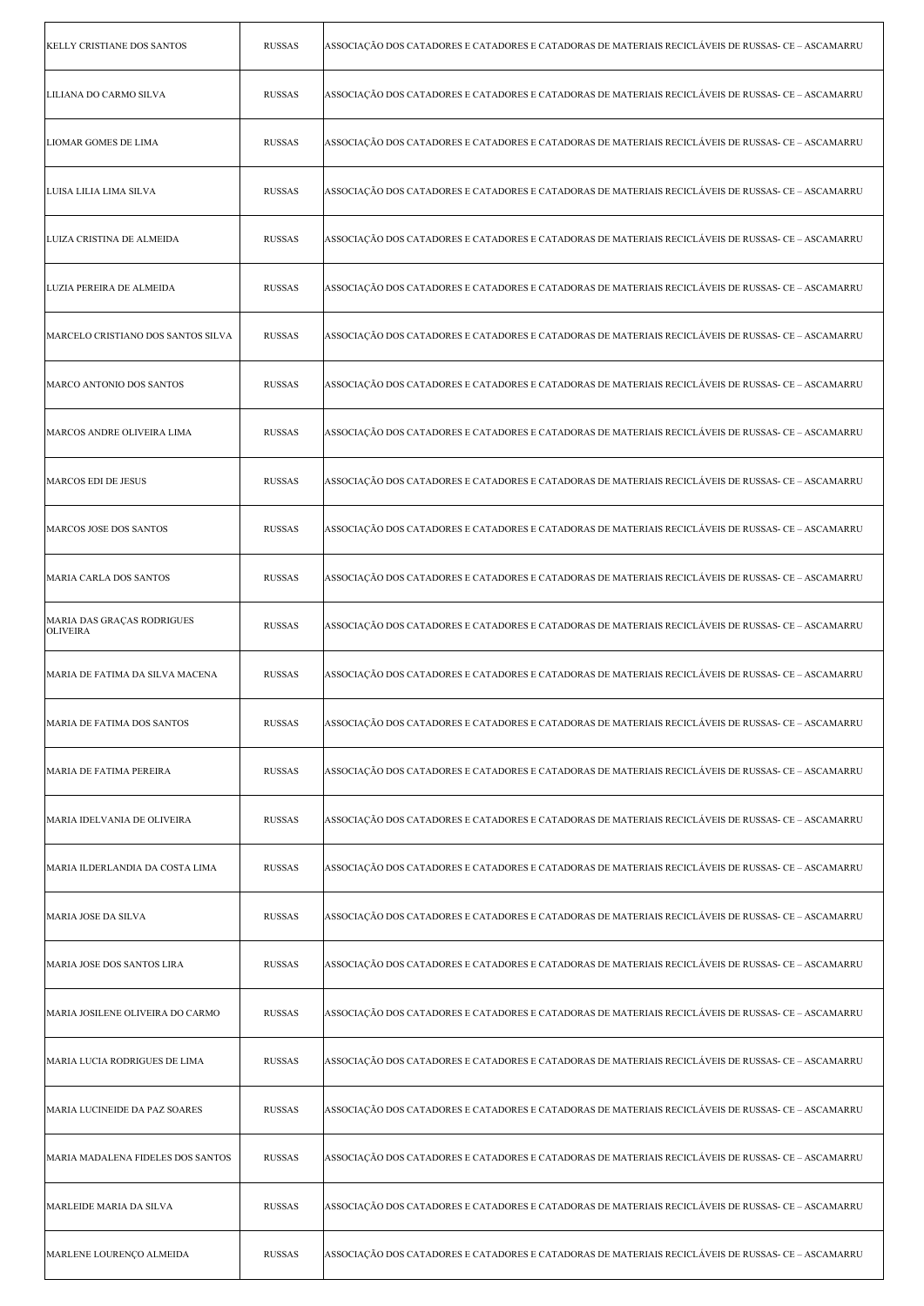| <b>KELLY CRISTIANE DOS SANTOS</b>             | <b>RUSSAS</b> | ASSOCIAÇÃO DOS CATADORES E CATADORES E CATADORAS DE MATERIAIS RECICLÁVEIS DE RUSSAS- CE - ASCAMARRU |
|-----------------------------------------------|---------------|-----------------------------------------------------------------------------------------------------|
| LILIANA DO CARMO SILVA                        | <b>RUSSAS</b> | ASSOCIAÇÃO DOS CATADORES E CATADORES E CATADORAS DE MATERIAIS RECICLÁVEIS DE RUSSAS- CE – ASCAMARRU |
| <b>LIOMAR GOMES DE LIMA</b>                   | <b>RUSSAS</b> | ASSOCIAÇÃO DOS CATADORES E CATADORES E CATADORAS DE MATERIAIS RECICLÁVEIS DE RUSSAS- CE – ASCAMARRU |
| LUISA LILIA LIMA SILVA                        | <b>RUSSAS</b> | ASSOCIAÇÃO DOS CATADORES E CATADORES E CATADORAS DE MATERIAIS RECICLÁVEIS DE RUSSAS- CE - ASCAMARRU |
| LUIZA CRISTINA DE ALMEIDA                     | <b>RUSSAS</b> | ASSOCIAÇÃO DOS CATADORES E CATADORES E CATADORAS DE MATERIAIS RECICLÁVEIS DE RUSSAS- CE - ASCAMARRU |
| LUZIA PEREIRA DE ALMEIDA                      | <b>RUSSAS</b> | ASSOCIAÇÃO DOS CATADORES E CATADORES E CATADORAS DE MATERIAIS RECICLÁVEIS DE RUSSAS- CE – ASCAMARRU |
| MARCELO CRISTIANO DOS SANTOS SILVA            | <b>RUSSAS</b> | ASSOCIAÇÃO DOS CATADORES E CATADORES E CATADORAS DE MATERIAIS RECICLÁVEIS DE RUSSAS- CE - ASCAMARRU |
| MARCO ANTONIO DOS SANTOS                      | <b>RUSSAS</b> | ASSOCIAÇÃO DOS CATADORES E CATADORES E CATADORAS DE MATERIAIS RECICLÁVEIS DE RUSSAS- CE - ASCAMARRU |
| MARCOS ANDRE OLIVEIRA LIMA                    | <b>RUSSAS</b> | ASSOCIAÇÃO DOS CATADORES E CATADORES E CATADORAS DE MATERIAIS RECICLÁVEIS DE RUSSAS- CE - ASCAMARRU |
| MARCOS EDI DE JESUS                           | <b>RUSSAS</b> | ASSOCIAÇÃO DOS CATADORES E CATADORES E CATADORAS DE MATERIAIS RECICLÁVEIS DE RUSSAS- CE - ASCAMARRU |
| MARCOS JOSE DOS SANTOS                        | <b>RUSSAS</b> | ASSOCIAÇÃO DOS CATADORES E CATADORES E CATADORAS DE MATERIAIS RECICLÁVEIS DE RUSSAS- CE – ASCAMARRU |
| MARIA CARLA DOS SANTOS                        | <b>RUSSAS</b> | ASSOCIAÇÃO DOS CATADORES E CATADORES E CATADORAS DE MATERIAIS RECICLÁVEIS DE RUSSAS- CE - ASCAMARRU |
| MARIA DAS GRAÇAS RODRIGUES<br><b>OLIVEIRA</b> | <b>RUSSAS</b> | ASSOCIAÇÃO DOS CATADORES E CATADORES E CATADORAS DE MATERIAIS RECICLÁVEIS DE RUSSAS- CE - ASCAMARRU |
| MARIA DE FATIMA DA SILVA MACENA               | <b>RUSSAS</b> | ASSOCIAÇÃO DOS CATADORES E CATADORES E CATADORAS DE MATERIAIS RECICLÁVEIS DE RUSSAS- CE - ASCAMARRU |
| MARIA DE FATIMA DOS SANTOS                    | RUSSAS        | ASSOCIAÇÃO DOS CATADORES E CATADORES E CATADORAS DE MATERIAIS RECICLÁVEIS DE RUSSAS- CE – ASCAMARRU |
| MARIA DE FATIMA PEREIRA                       | <b>RUSSAS</b> | ASSOCIAÇÃO DOS CATADORES E CATADORES E CATADORAS DE MATERIAIS RECICLÁVEIS DE RUSSAS- CE - ASCAMARRU |
| MARIA IDELVANIA DE OLIVEIRA                   | <b>RUSSAS</b> | ASSOCIAÇÃO DOS CATADORES E CATADORES E CATADORAS DE MATERIAIS RECICLÁVEIS DE RUSSAS- CE – ASCAMARRU |
| MARIA ILDERLANDIA DA COSTA LIMA               | <b>RUSSAS</b> | ASSOCIAÇÃO DOS CATADORES E CATADORES E CATADORAS DE MATERIAIS RECICLÁVEIS DE RUSSAS- CE – ASCAMARRU |
| <b>MARIA JOSE DA SILVA</b>                    | <b>RUSSAS</b> | ASSOCIAÇÃO DOS CATADORES E CATADORES E CATADORAS DE MATERIAIS RECICLÁVEIS DE RUSSAS- CE - ASCAMARRU |
| MARIA JOSE DOS SANTOS LIRA                    | <b>RUSSAS</b> | ASSOCIAÇÃO DOS CATADORES E CATADORES E CATADORAS DE MATERIAIS RECICLÁVEIS DE RUSSAS- CE - ASCAMARRU |
| MARIA JOSILENE OLIVEIRA DO CARMO              | <b>RUSSAS</b> | ASSOCIAÇÃO DOS CATADORES E CATADORES E CATADORAS DE MATERIAIS RECICLÁVEIS DE RUSSAS- CE - ASCAMARRU |
| MARIA LUCIA RODRIGUES DE LIMA                 | <b>RUSSAS</b> | ASSOCIAÇÃO DOS CATADORES E CATADORES E CATADORAS DE MATERIAIS RECICLÁVEIS DE RUSSAS- CE - ASCAMARRU |
| MARIA LUCINEIDE DA PAZ SOARES                 | <b>RUSSAS</b> | ASSOCIAÇÃO DOS CATADORES E CATADORES E CATADORAS DE MATERIAIS RECICLÁVEIS DE RUSSAS- CE – ASCAMARRU |
| MARIA MADALENA FIDELES DOS SANTOS             | <b>RUSSAS</b> | ASSOCIAÇÃO DOS CATADORES E CATADORES E CATADORAS DE MATERIAIS RECICLÁVEIS DE RUSSAS- CE - ASCAMARRU |
| MARLEIDE MARIA DA SILVA                       | <b>RUSSAS</b> | ASSOCIAÇÃO DOS CATADORES E CATADORES E CATADORAS DE MATERIAIS RECICLÁVEIS DE RUSSAS- CE - ASCAMARRU |
| MARLENE LOURENÇO ALMEIDA                      | <b>RUSSAS</b> | ASSOCIAÇÃO DOS CATADORES E CATADORES E CATADORAS DE MATERIAIS RECICLÁVEIS DE RUSSAS- CE – ASCAMARRU |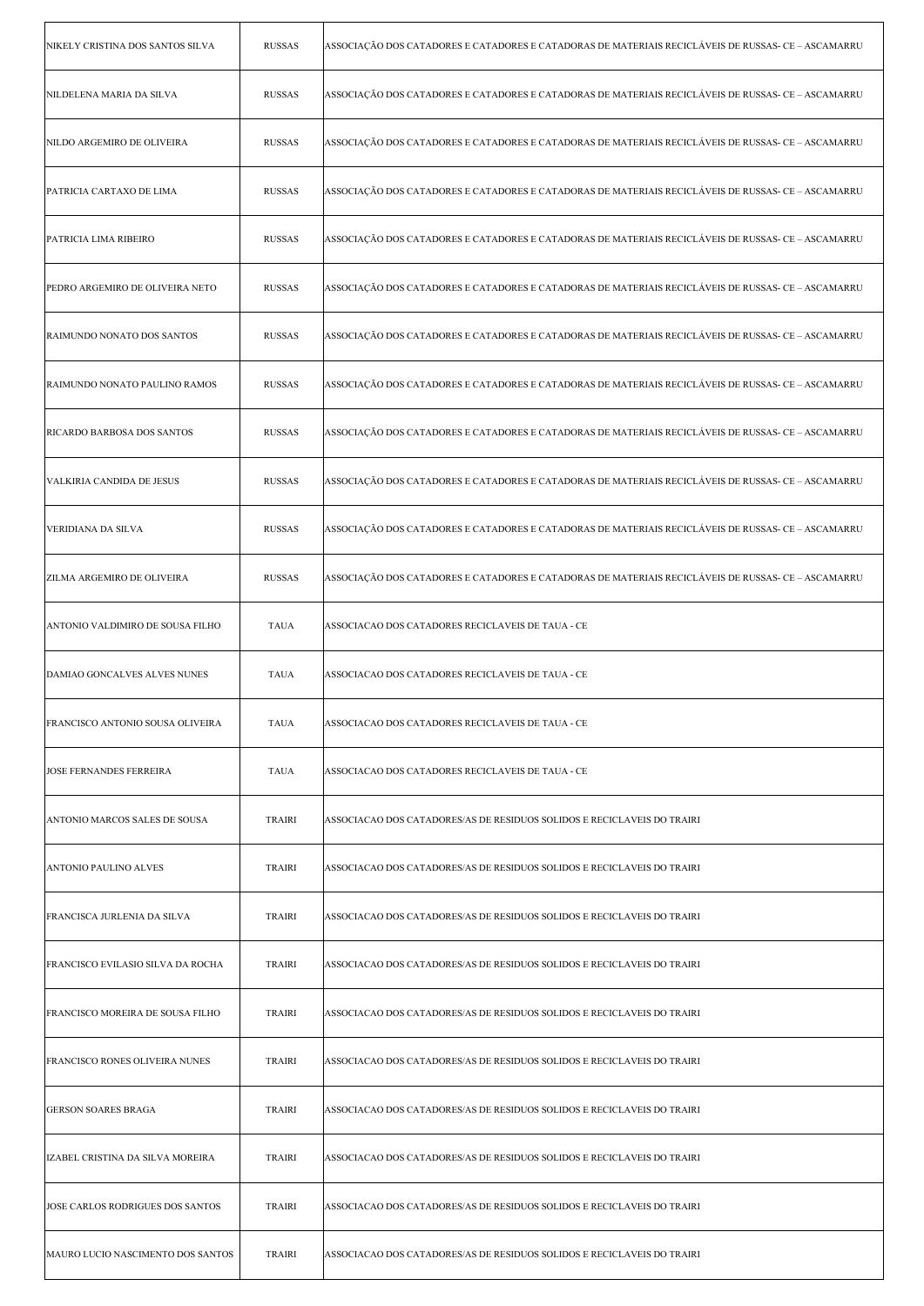| NIKELY CRISTINA DOS SANTOS SILVA  | <b>RUSSAS</b> | ASSOCIAÇÃO DOS CATADORES E CATADORES E CATADORAS DE MATERIAIS RECICLÁVEIS DE RUSSAS- CE – ASCAMARRU |
|-----------------------------------|---------------|-----------------------------------------------------------------------------------------------------|
| NILDELENA MARIA DA SILVA          | <b>RUSSAS</b> | ASSOCIAÇÃO DOS CATADORES E CATADORES E CATADORAS DE MATERIAIS RECICLÁVEIS DE RUSSAS- CE – ASCAMARRU |
| NILDO ARGEMIRO DE OLIVEIRA        | <b>RUSSAS</b> | ASSOCIAÇÃO DOS CATADORES E CATADORES E CATADORAS DE MATERIAIS RECICLÁVEIS DE RUSSAS- CE - ASCAMARRU |
| PATRICIA CARTAXO DE LIMA          | <b>RUSSAS</b> | ASSOCIAÇÃO DOS CATADORES E CATADORES E CATADORAS DE MATERIAIS RECICLÁVEIS DE RUSSAS- CE - ASCAMARRU |
| PATRICIA LIMA RIBEIRO             | <b>RUSSAS</b> | ASSOCIAÇÃO DOS CATADORES E CATADORES E CATADORAS DE MATERIAIS RECICLÁVEIS DE RUSSAS- CE – ASCAMARRU |
| PEDRO ARGEMIRO DE OLIVEIRA NETO   | <b>RUSSAS</b> | ASSOCIAÇÃO DOS CATADORES E CATADORES E CATADORAS DE MATERIAIS RECICLÁVEIS DE RUSSAS- CE – ASCAMARRU |
| RAIMUNDO NONATO DOS SANTOS        | <b>RUSSAS</b> | ASSOCIAÇÃO DOS CATADORES E CATADORES E CATADORAS DE MATERIAIS RECICLÁVEIS DE RUSSAS- CE - ASCAMARRU |
| RAIMUNDO NONATO PAULINO RAMOS     | <b>RUSSAS</b> | ASSOCIAÇÃO DOS CATADORES E CATADORES E CATADORAS DE MATERIAIS RECICLÁVEIS DE RUSSAS- CE - ASCAMARRU |
| <b>RICARDO BARBOSA DOS SANTOS</b> | <b>RUSSAS</b> | ASSOCIAÇÃO DOS CATADORES E CATADORES E CATADORAS DE MATERIAIS RECICLÁVEIS DE RUSSAS- CE – ASCAMARRU |
| VALKIRIA CANDIDA DE JESUS         | <b>RUSSAS</b> | ASSOCIAÇÃO DOS CATADORES E CATADORES E CATADORAS DE MATERIAIS RECICLÁVEIS DE RUSSAS- CE – ASCAMARRU |
| VERIDIANA DA SILVA                | <b>RUSSAS</b> | ASSOCIAÇÃO DOS CATADORES E CATADORES E CATADORAS DE MATERIAIS RECICLÁVEIS DE RUSSAS- CE – ASCAMARRU |
| <b>ZILMA ARGEMIRO DE OLIVEIRA</b> | <b>RUSSAS</b> | ASSOCIAÇÃO DOS CATADORES E CATADORES E CATADORAS DE MATERIAIS RECICLÁVEIS DE RUSSAS- CE - ASCAMARRU |
| ANTONIO VALDIMIRO DE SOUSA FILHO  | <b>TAUA</b>   | ASSOCIACAO DOS CATADORES RECICLAVEIS DE TAUA - CE                                                   |
| DAMIAO GONCALVES ALVES NUNES      | <b>TAUA</b>   | ASSOCIACAO DOS CATADORES RECICLAVEIS DE TAUA - CE                                                   |
| FRANCISCO ANTONIO SOUSA OLIVEIRA  | <b>TAUA</b>   | ASSOCIACAO DOS CATADORES RECICLAVEIS DE TAUA - CE                                                   |
| <b>JOSE FERNANDES FERREIRA</b>    | <b>TAUA</b>   | ASSOCIACAO DOS CATADORES RECICLAVEIS DE TAUA - CE                                                   |
| ANTONIO MARCOS SALES DE SOUSA     | <b>TRAIRI</b> | ASSOCIACAO DOS CATADORES/AS DE RESIDUOS SOLIDOS E RECICLAVEIS DO TRAIRI                             |
| ANTONIO PAULINO ALVES             | <b>TRAIRI</b> | ASSOCIACAO DOS CATADORES/AS DE RESIDUOS SOLIDOS E RECICLAVEIS DO TRAIRI                             |
| FRANCISCA JURLENIA DA SILVA       | <b>TRAIRI</b> | ASSOCIACAO DOS CATADORES/AS DE RESIDUOS SOLIDOS E RECICLAVEIS DO TRAIRI                             |
| FRANCISCO EVILASIO SILVA DA ROCHA | <b>TRAIRI</b> | ASSOCIACAO DOS CATADORES/AS DE RESIDUOS SOLIDOS E RECICLAVEIS DO TRAIRI                             |
| FRANCISCO MOREIRA DE SOUSA FILHO  | <b>TRAIRI</b> | ASSOCIACAO DOS CATADORES/AS DE RESIDUOS SOLIDOS E RECICLAVEIS DO TRAIRI                             |
| FRANCISCO RONES OLIVEIRA NUNES    | <b>TRAIRI</b> | ASSOCIACAO DOS CATADORES/AS DE RESIDUOS SOLIDOS E RECICLAVEIS DO TRAIRI                             |
| <b>GERSON SOARES BRAGA</b>        | <b>TRAIRI</b> | ASSOCIACAO DOS CATADORES/AS DE RESIDUOS SOLIDOS E RECICLAVEIS DO TRAIRI                             |
| IZABEL CRISTINA DA SILVA MOREIRA  | TRAIRI        | ASSOCIACAO DOS CATADORES/AS DE RESIDUOS SOLIDOS E RECICLAVEIS DO TRAIRI                             |
| JOSE CARLOS RODRIGUES DOS SANTOS  | <b>TRAIRI</b> | ASSOCIACAO DOS CATADORES/AS DE RESIDUOS SOLIDOS E RECICLAVEIS DO TRAIRI                             |
| MAURO LUCIO NASCIMENTO DOS SANTOS | <b>TRAIRI</b> | ASSOCIACAO DOS CATADORES/AS DE RESIDUOS SOLIDOS E RECICLAVEIS DO TRAIRI                             |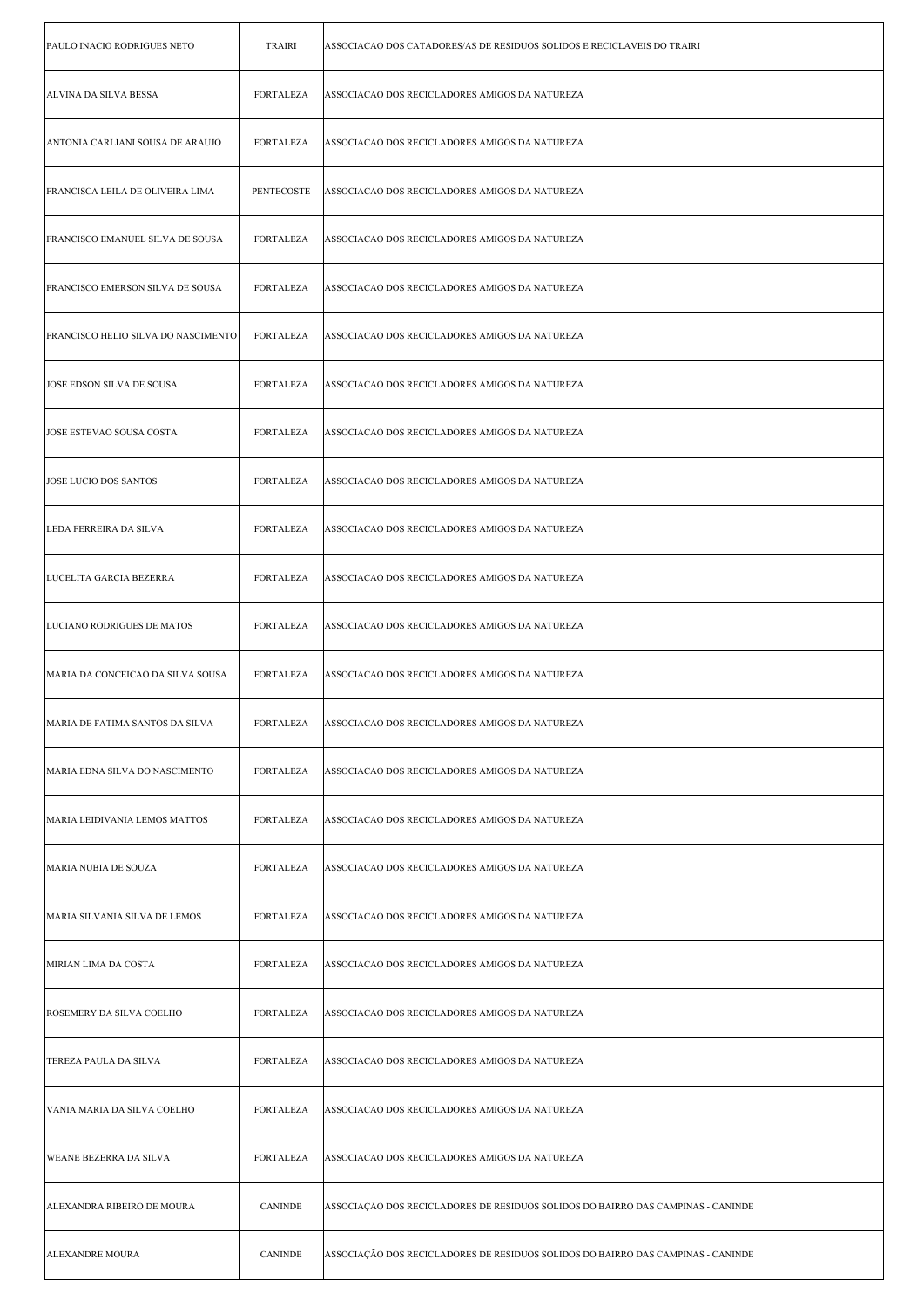| PAULO INACIO RODRIGUES NETO         | <b>TRAIRI</b>     | ASSOCIACAO DOS CATADORES/AS DE RESIDUOS SOLIDOS E RECICLAVEIS DO TRAIRI          |
|-------------------------------------|-------------------|----------------------------------------------------------------------------------|
| ALVINA DA SILVA BESSA               | <b>FORTALEZA</b>  | ASSOCIACAO DOS RECICLADORES AMIGOS DA NATUREZA                                   |
| ANTONIA CARLIANI SOUSA DE ARAUJO    | <b>FORTALEZA</b>  | ASSOCIACAO DOS RECICLADORES AMIGOS DA NATUREZA                                   |
| FRANCISCA LEILA DE OLIVEIRA LIMA    | <b>PENTECOSTE</b> | ASSOCIACAO DOS RECICLADORES AMIGOS DA NATUREZA                                   |
| FRANCISCO EMANUEL SILVA DE SOUSA    | FORTALEZA         | ASSOCIACAO DOS RECICLADORES AMIGOS DA NATUREZA                                   |
| FRANCISCO EMERSON SILVA DE SOUSA    | <b>FORTALEZA</b>  | ASSOCIACAO DOS RECICLADORES AMIGOS DA NATUREZA                                   |
| FRANCISCO HELIO SILVA DO NASCIMENTO | <b>FORTALEZA</b>  | ASSOCIACAO DOS RECICLADORES AMIGOS DA NATUREZA                                   |
| JOSE EDSON SILVA DE SOUSA           | <b>FORTALEZA</b>  | ASSOCIACAO DOS RECICLADORES AMIGOS DA NATUREZA                                   |
| JOSE ESTEVAO SOUSA COSTA            | <b>FORTALEZA</b>  | ASSOCIACAO DOS RECICLADORES AMIGOS DA NATUREZA                                   |
| JOSE LUCIO DOS SANTOS               | FORTALEZA         | ASSOCIACAO DOS RECICLADORES AMIGOS DA NATUREZA                                   |
| LEDA FERREIRA DA SILVA              | <b>FORTALEZA</b>  | ASSOCIACAO DOS RECICLADORES AMIGOS DA NATUREZA                                   |
| LUCELITA GARCIA BEZERRA             | <b>FORTALEZA</b>  | ASSOCIACAO DOS RECICLADORES AMIGOS DA NATUREZA                                   |
| LUCIANO RODRIGUES DE MATOS          | <b>FORTALEZA</b>  | ASSOCIACAO DOS RECICLADORES AMIGOS DA NATUREZA                                   |
| MARIA DA CONCEICAO DA SILVA SOUSA   | <b>FORTALEZA</b>  | ASSOCIACAO DOS RECICLADORES AMIGOS DA NATUREZA                                   |
| MARIA DE FATIMA SANTOS DA SILVA     | FORTALEZA         | ASSOCIACAO DOS RECICLADORES AMIGOS DA NATUREZA                                   |
| MARIA EDNA SILVA DO NASCIMENTO      | <b>FORTALEZA</b>  | ASSOCIACAO DOS RECICLADORES AMIGOS DA NATUREZA                                   |
| MARIA LEIDIVANIA LEMOS MATTOS       | <b>FORTALEZA</b>  | ASSOCIACAO DOS RECICLADORES AMIGOS DA NATUREZA                                   |
| MARIA NUBIA DE SOUZA                | <b>FORTALEZA</b>  | ASSOCIACAO DOS RECICLADORES AMIGOS DA NATUREZA                                   |
| MARIA SILVANIA SILVA DE LEMOS       | FORTALEZA         | ASSOCIACAO DOS RECICLADORES AMIGOS DA NATUREZA                                   |
| MIRIAN LIMA DA COSTA                | <b>FORTALEZA</b>  | ASSOCIACAO DOS RECICLADORES AMIGOS DA NATUREZA                                   |
| ROSEMERY DA SILVA COELHO            | <b>FORTALEZA</b>  | ASSOCIACAO DOS RECICLADORES AMIGOS DA NATUREZA                                   |
| TEREZA PAULA DA SILVA               | <b>FORTALEZA</b>  | ASSOCIACAO DOS RECICLADORES AMIGOS DA NATUREZA                                   |
| VANIA MARIA DA SILVA COELHO         | <b>FORTALEZA</b>  | ASSOCIACAO DOS RECICLADORES AMIGOS DA NATUREZA                                   |
| WEANE BEZERRA DA SILVA              | <b>FORTALEZA</b>  | ASSOCIACAO DOS RECICLADORES AMIGOS DA NATUREZA                                   |
| ALEXANDRA RIBEIRO DE MOURA          | <b>CANINDE</b>    | ASSOCIAÇÃO DOS RECICLADORES DE RESIDUOS SOLIDOS DO BAIRRO DAS CAMPINAS - CANINDE |
| <b>ALEXANDRE MOURA</b>              | <b>CANINDE</b>    | ASSOCIAÇÃO DOS RECICLADORES DE RESIDUOS SOLIDOS DO BAIRRO DAS CAMPINAS - CANINDE |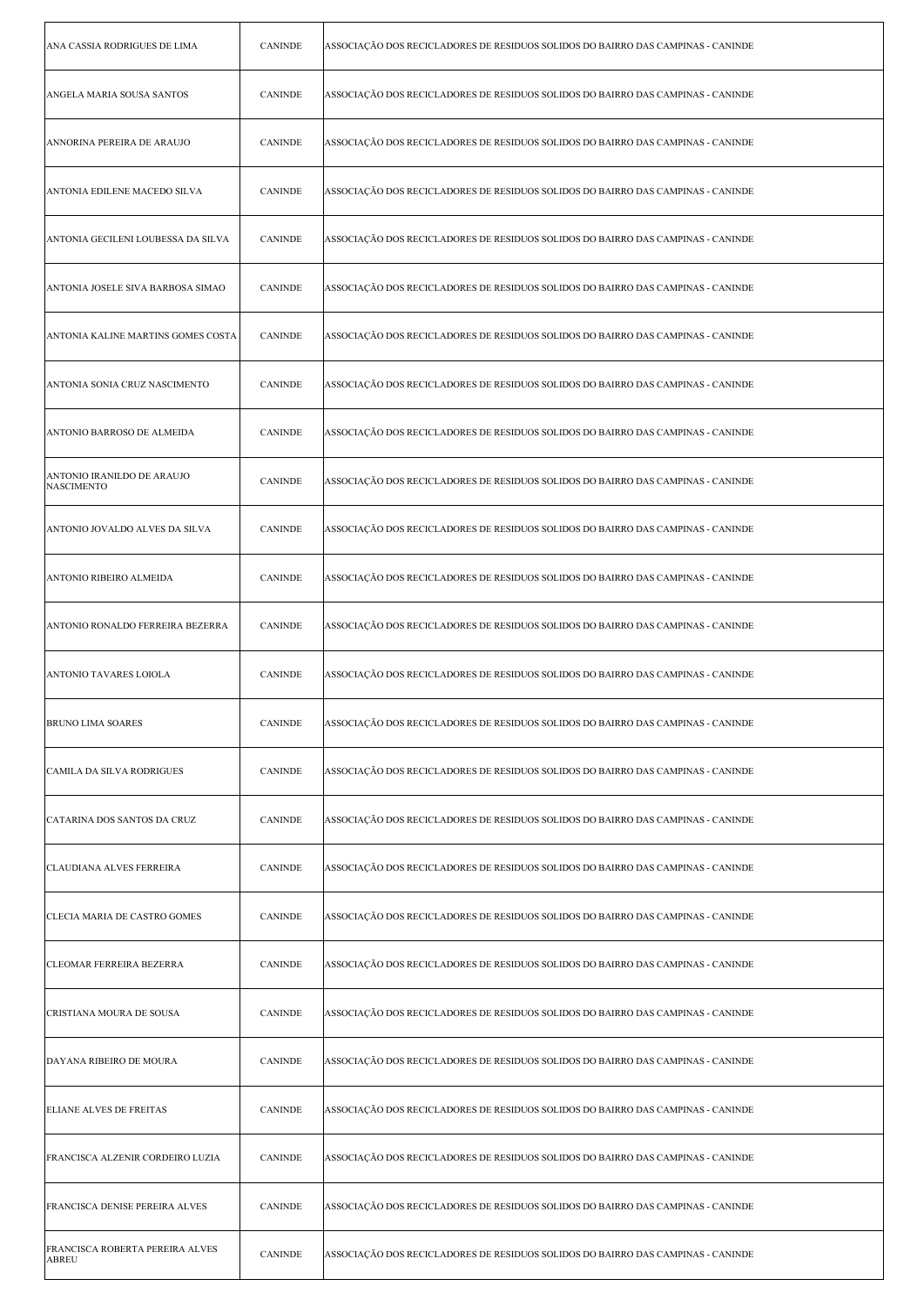| ANA CASSIA RODRIGUES DE LIMA                    | <b>CANINDE</b> | ASSOCIAÇÃO DOS RECICLADORES DE RESIDUOS SOLIDOS DO BAIRRO DAS CAMPINAS - CANINDE |
|-------------------------------------------------|----------------|----------------------------------------------------------------------------------|
| ANGELA MARIA SOUSA SANTOS                       | <b>CANINDE</b> | ASSOCIAÇÃO DOS RECICLADORES DE RESIDUOS SOLIDOS DO BAIRRO DAS CAMPINAS - CANINDE |
| ANNORINA PEREIRA DE ARAUJO                      | <b>CANINDE</b> | ASSOCIAÇÃO DOS RECICLADORES DE RESIDUOS SOLIDOS DO BAIRRO DAS CAMPINAS - CANINDE |
| ANTONIA EDILENE MACEDO SILVA                    | <b>CANINDE</b> | ASSOCIAÇÃO DOS RECICLADORES DE RESIDUOS SOLIDOS DO BAIRRO DAS CAMPINAS - CANINDE |
| ANTONIA GECILENI LOUBESSA DA SILVA              | <b>CANINDE</b> | ASSOCIAÇÃO DOS RECICLADORES DE RESIDUOS SOLIDOS DO BAIRRO DAS CAMPINAS - CANINDE |
| ANTONIA JOSELE SIVA BARBOSA SIMAO               | <b>CANINDE</b> | ASSOCIAÇÃO DOS RECICLADORES DE RESIDUOS SOLIDOS DO BAIRRO DAS CAMPINAS - CANINDE |
| ANTONIA KALINE MARTINS GOMES COSTA              | <b>CANINDE</b> | ASSOCIAÇÃO DOS RECICLADORES DE RESIDUOS SOLIDOS DO BAIRRO DAS CAMPINAS - CANINDE |
| ANTONIA SONIA CRUZ NASCIMENTO                   | <b>CANINDE</b> | ASSOCIAÇÃO DOS RECICLADORES DE RESIDUOS SOLIDOS DO BAIRRO DAS CAMPINAS - CANINDE |
| ANTONIO BARROSO DE ALMEIDA                      | <b>CANINDE</b> | ASSOCIAÇÃO DOS RECICLADORES DE RESIDUOS SOLIDOS DO BAIRRO DAS CAMPINAS - CANINDE |
| ANTONIO IRANILDO DE ARAUJO<br><b>NASCIMENTO</b> | <b>CANINDE</b> | ASSOCIAÇÃO DOS RECICLADORES DE RESIDUOS SOLIDOS DO BAIRRO DAS CAMPINAS - CANINDE |
| ANTONIO JOVALDO ALVES DA SILVA                  | <b>CANINDE</b> | ASSOCIAÇÃO DOS RECICLADORES DE RESIDUOS SOLIDOS DO BAIRRO DAS CAMPINAS - CANINDE |
| ANTONIO RIBEIRO ALMEIDA                         | <b>CANINDE</b> | ASSOCIAÇÃO DOS RECICLADORES DE RESIDUOS SOLIDOS DO BAIRRO DAS CAMPINAS - CANINDE |
| ANTONIO RONALDO FERREIRA BEZERRA                | <b>CANINDE</b> | ASSOCIAÇÃO DOS RECICLADORES DE RESIDUOS SOLIDOS DO BAIRRO DAS CAMPINAS - CANINDE |
| ANTONIO TAVARES LOIOLA                          | <b>CANINDE</b> | ASSOCIAÇÃO DOS RECICLADORES DE RESIDUOS SOLIDOS DO BAIRRO DAS CAMPINAS - CANINDE |
| <b>BRUNO LIMA SOARES</b>                        | CANINDE        | ASSOCIAÇÃO DOS RECICLADORES DE RESIDUOS SOLIDOS DO BAIRRO DAS CAMPINAS - CANINDE |
| CAMILA DA SILVA RODRIGUES                       | <b>CANINDE</b> | ASSOCIAÇÃO DOS RECICLADORES DE RESIDUOS SOLIDOS DO BAIRRO DAS CAMPINAS - CANINDE |
| CATARINA DOS SANTOS DA CRUZ                     | <b>CANINDE</b> | ASSOCIAÇÃO DOS RECICLADORES DE RESIDUOS SOLIDOS DO BAIRRO DAS CAMPINAS - CANINDE |
| CLAUDIANA ALVES FERREIRA                        | <b>CANINDE</b> | ASSOCIAÇÃO DOS RECICLADORES DE RESIDUOS SOLIDOS DO BAIRRO DAS CAMPINAS - CANINDE |
| CLECIA MARIA DE CASTRO GOMES                    | <b>CANINDE</b> | ASSOCIAÇÃO DOS RECICLADORES DE RESIDUOS SOLIDOS DO BAIRRO DAS CAMPINAS - CANINDE |
| <b>CLEOMAR FERREIRA BEZERRA</b>                 | <b>CANINDE</b> | ASSOCIAÇÃO DOS RECICLADORES DE RESIDUOS SOLIDOS DO BAIRRO DAS CAMPINAS - CANINDE |
| CRISTIANA MOURA DE SOUSA                        | <b>CANINDE</b> | ASSOCIAÇÃO DOS RECICLADORES DE RESIDUOS SOLIDOS DO BAIRRO DAS CAMPINAS - CANINDE |
| DAYANA RIBEIRO DE MOURA                         | <b>CANINDE</b> | ASSOCIAÇÃO DOS RECICLADORES DE RESIDUOS SOLIDOS DO BAIRRO DAS CAMPINAS - CANINDE |
| ELIANE ALVES DE FREITAS                         | <b>CANINDE</b> | ASSOCIAÇÃO DOS RECICLADORES DE RESIDUOS SOLIDOS DO BAIRRO DAS CAMPINAS - CANINDE |
| FRANCISCA ALZENIR CORDEIRO LUZIA                | <b>CANINDE</b> | ASSOCIAÇÃO DOS RECICLADORES DE RESIDUOS SOLIDOS DO BAIRRO DAS CAMPINAS - CANINDE |
| <b>FRANCISCA DENISE PEREIRA ALVES</b>           | <b>CANINDE</b> | ASSOCIAÇÃO DOS RECICLADORES DE RESIDUOS SOLIDOS DO BAIRRO DAS CAMPINAS - CANINDE |
| FRANCISCA ROBERTA PEREIRA ALVES<br>ABREU        | <b>CANINDE</b> | ASSOCIAÇÃO DOS RECICLADORES DE RESIDUOS SOLIDOS DO BAIRRO DAS CAMPINAS - CANINDE |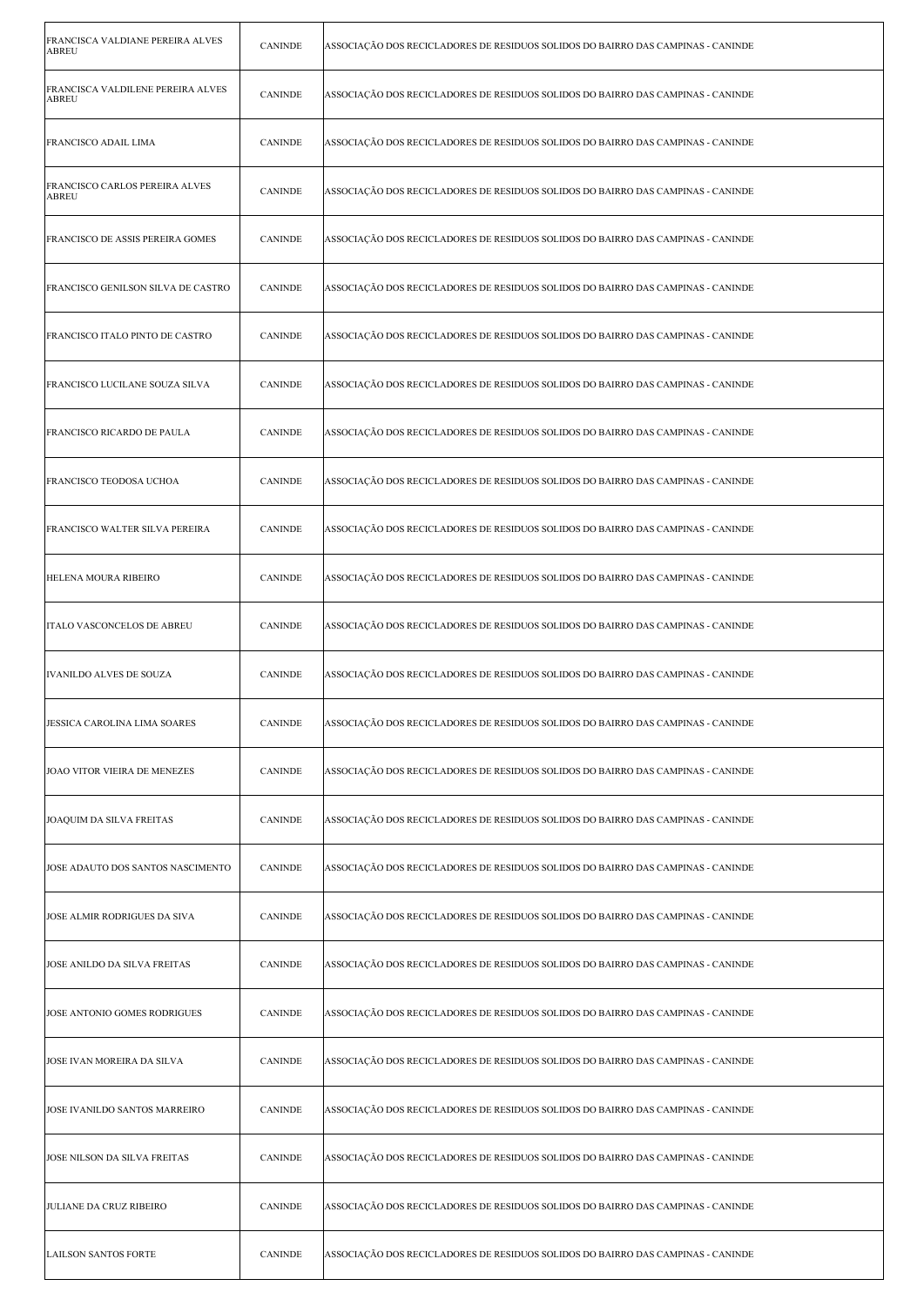| FRANCISCA VALDIANE PEREIRA ALVES<br><b>ABREU</b> | <b>CANINDE</b> | ASSOCIAÇÃO DOS RECICLADORES DE RESIDUOS SOLIDOS DO BAIRRO DAS CAMPINAS - CANINDE |
|--------------------------------------------------|----------------|----------------------------------------------------------------------------------|
| FRANCISCA VALDILENE PEREIRA ALVES<br>ABREU       | <b>CANINDE</b> | ASSOCIAÇÃO DOS RECICLADORES DE RESIDUOS SOLIDOS DO BAIRRO DAS CAMPINAS - CANINDE |
| FRANCISCO ADAIL LIMA                             | <b>CANINDE</b> | ASSOCIAÇÃO DOS RECICLADORES DE RESIDUOS SOLIDOS DO BAIRRO DAS CAMPINAS - CANINDE |
| FRANCISCO CARLOS PEREIRA ALVES<br>ABREU          | <b>CANINDE</b> | ASSOCIAÇÃO DOS RECICLADORES DE RESIDUOS SOLIDOS DO BAIRRO DAS CAMPINAS - CANINDE |
| FRANCISCO DE ASSIS PEREIRA GOMES                 | <b>CANINDE</b> | ASSOCIAÇÃO DOS RECICLADORES DE RESIDUOS SOLIDOS DO BAIRRO DAS CAMPINAS - CANINDE |
| FRANCISCO GENILSON SILVA DE CASTRO               | <b>CANINDE</b> | ASSOCIAÇÃO DOS RECICLADORES DE RESIDUOS SOLIDOS DO BAIRRO DAS CAMPINAS - CANINDE |
| FRANCISCO ITALO PINTO DE CASTRO                  | <b>CANINDE</b> | ASSOCIAÇÃO DOS RECICLADORES DE RESIDUOS SOLIDOS DO BAIRRO DAS CAMPINAS - CANINDE |
| FRANCISCO LUCILANE SOUZA SILVA                   | <b>CANINDE</b> | ASSOCIAÇÃO DOS RECICLADORES DE RESIDUOS SOLIDOS DO BAIRRO DAS CAMPINAS - CANINDE |
| FRANCISCO RICARDO DE PAULA                       | <b>CANINDE</b> | ASSOCIAÇÃO DOS RECICLADORES DE RESIDUOS SOLIDOS DO BAIRRO DAS CAMPINAS - CANINDE |
| FRANCISCO TEODOSA UCHOA                          | <b>CANINDE</b> | ASSOCIAÇÃO DOS RECICLADORES DE RESIDUOS SOLIDOS DO BAIRRO DAS CAMPINAS - CANINDE |
| FRANCISCO WALTER SILVA PEREIRA                   | <b>CANINDE</b> | ASSOCIAÇÃO DOS RECICLADORES DE RESIDUOS SOLIDOS DO BAIRRO DAS CAMPINAS - CANINDE |
| HELENA MOURA RIBEIRO                             | <b>CANINDE</b> | ASSOCIAÇÃO DOS RECICLADORES DE RESIDUOS SOLIDOS DO BAIRRO DAS CAMPINAS - CANINDE |
| ITALO VASCONCELOS DE ABREU                       | <b>CANINDE</b> | ASSOCIAÇÃO DOS RECICLADORES DE RESIDUOS SOLIDOS DO BAIRRO DAS CAMPINAS - CANINDE |
| IVANILDO ALVES DE SOUZA                          | <b>CANINDE</b> | ASSOCIAÇÃO DOS RECICLADORES DE RESIDUOS SOLIDOS DO BAIRRO DAS CAMPINAS - CANINDE |
| JESSICA CAROLINA LIMA SOARES                     | CANINDE        | ASSOCIAÇÃO DOS RECICLADORES DE RESIDUOS SOLIDOS DO BAIRRO DAS CAMPINAS - CANINDE |
| JOAO VITOR VIEIRA DE MENEZES                     | <b>CANINDE</b> | ASSOCIAÇÃO DOS RECICLADORES DE RESIDUOS SOLIDOS DO BAIRRO DAS CAMPINAS - CANINDE |
| JOAQUIM DA SILVA FREITAS                         | <b>CANINDE</b> | ASSOCIAÇÃO DOS RECICLADORES DE RESIDUOS SOLIDOS DO BAIRRO DAS CAMPINAS - CANINDE |
| JOSE ADAUTO DOS SANTOS NASCIMENTO                | <b>CANINDE</b> | ASSOCIAÇÃO DOS RECICLADORES DE RESIDUOS SOLIDOS DO BAIRRO DAS CAMPINAS - CANINDE |
| JOSE ALMIR RODRIGUES DA SIVA                     | <b>CANINDE</b> | ASSOCIAÇÃO DOS RECICLADORES DE RESIDUOS SOLIDOS DO BAIRRO DAS CAMPINAS - CANINDE |
| JOSE ANILDO DA SILVA FREITAS                     | <b>CANINDE</b> | ASSOCIAÇÃO DOS RECICLADORES DE RESIDUOS SOLIDOS DO BAIRRO DAS CAMPINAS - CANINDE |
| JOSE ANTONIO GOMES RODRIGUES                     | <b>CANINDE</b> | ASSOCIAÇÃO DOS RECICLADORES DE RESIDUOS SOLIDOS DO BAIRRO DAS CAMPINAS - CANINDE |
| JOSE IVAN MOREIRA DA SILVA                       | <b>CANINDE</b> | ASSOCIAÇÃO DOS RECICLADORES DE RESIDUOS SOLIDOS DO BAIRRO DAS CAMPINAS - CANINDE |
| JOSE IVANILDO SANTOS MARREIRO                    | <b>CANINDE</b> | ASSOCIAÇÃO DOS RECICLADORES DE RESIDUOS SOLIDOS DO BAIRRO DAS CAMPINAS - CANINDE |
| JOSE NILSON DA SILVA FREITAS                     | <b>CANINDE</b> | ASSOCIAÇÃO DOS RECICLADORES DE RESIDUOS SOLIDOS DO BAIRRO DAS CAMPINAS - CANINDE |
| <b>JULIANE DA CRUZ RIBEIRO</b>                   | <b>CANINDE</b> | ASSOCIAÇÃO DOS RECICLADORES DE RESIDUOS SOLIDOS DO BAIRRO DAS CAMPINAS - CANINDE |
| <b>LAILSON SANTOS FORTE</b>                      | <b>CANINDE</b> | ASSOCIAÇÃO DOS RECICLADORES DE RESIDUOS SOLIDOS DO BAIRRO DAS CAMPINAS - CANINDE |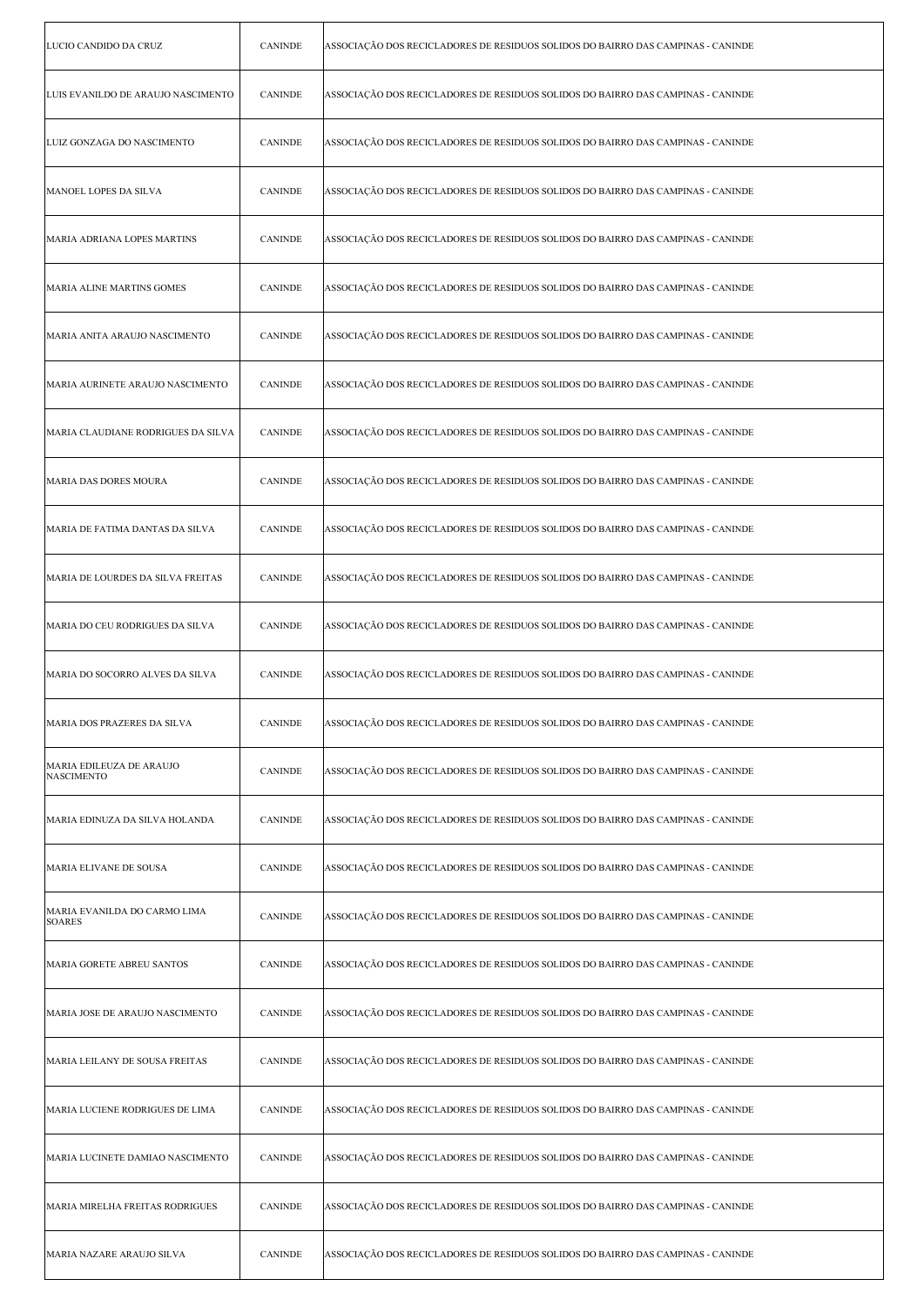| LUCIO CANDIDO DA CRUZ                         | <b>CANINDE</b> | ASSOCIAÇÃO DOS RECICLADORES DE RESIDUOS SOLIDOS DO BAIRRO DAS CAMPINAS - CANINDE |
|-----------------------------------------------|----------------|----------------------------------------------------------------------------------|
| LUIS EVANILDO DE ARAUJO NASCIMENTO            | <b>CANINDE</b> | ASSOCIAÇÃO DOS RECICLADORES DE RESIDUOS SOLIDOS DO BAIRRO DAS CAMPINAS - CANINDE |
| LUIZ GONZAGA DO NASCIMENTO                    | <b>CANINDE</b> | ASSOCIAÇÃO DOS RECICLADORES DE RESIDUOS SOLIDOS DO BAIRRO DAS CAMPINAS - CANINDE |
| MANOEL LOPES DA SILVA                         | <b>CANINDE</b> | ASSOCIAÇÃO DOS RECICLADORES DE RESIDUOS SOLIDOS DO BAIRRO DAS CAMPINAS - CANINDE |
| MARIA ADRIANA LOPES MARTINS                   | <b>CANINDE</b> | ASSOCIAÇÃO DOS RECICLADORES DE RESIDUOS SOLIDOS DO BAIRRO DAS CAMPINAS - CANINDE |
| MARIA ALINE MARTINS GOMES                     | <b>CANINDE</b> | ASSOCIAÇÃO DOS RECICLADORES DE RESIDUOS SOLIDOS DO BAIRRO DAS CAMPINAS - CANINDE |
| MARIA ANITA ARAUJO NASCIMENTO                 | <b>CANINDE</b> | ASSOCIAÇÃO DOS RECICLADORES DE RESIDUOS SOLIDOS DO BAIRRO DAS CAMPINAS - CANINDE |
| MARIA AURINETE ARAUJO NASCIMENTO              | <b>CANINDE</b> | ASSOCIAÇÃO DOS RECICLADORES DE RESIDUOS SOLIDOS DO BAIRRO DAS CAMPINAS - CANINDE |
| MARIA CLAUDIANE RODRIGUES DA SILVA            | <b>CANINDE</b> | ASSOCIAÇÃO DOS RECICLADORES DE RESIDUOS SOLIDOS DO BAIRRO DAS CAMPINAS - CANINDE |
| MARIA DAS DORES MOURA                         | <b>CANINDE</b> | ASSOCIAÇÃO DOS RECICLADORES DE RESIDUOS SOLIDOS DO BAIRRO DAS CAMPINAS - CANINDE |
| MARIA DE FATIMA DANTAS DA SILVA               | <b>CANINDE</b> | ASSOCIAÇÃO DOS RECICLADORES DE RESIDUOS SOLIDOS DO BAIRRO DAS CAMPINAS - CANINDE |
| MARIA DE LOURDES DA SILVA FREITAS             | <b>CANINDE</b> | ASSOCIAÇÃO DOS RECICLADORES DE RESIDUOS SOLIDOS DO BAIRRO DAS CAMPINAS - CANINDE |
| MARIA DO CEU RODRIGUES DA SILVA               | <b>CANINDE</b> | ASSOCIAÇÃO DOS RECICLADORES DE RESIDUOS SOLIDOS DO BAIRRO DAS CAMPINAS - CANINDE |
| MARIA DO SOCORRO ALVES DA SILVA               | <b>CANINDE</b> | ASSOCIAÇÃO DOS RECICLADORES DE RESIDUOS SOLIDOS DO BAIRRO DAS CAMPINAS - CANINDE |
| MARIA DOS PRAZERES DA SILVA                   | CANINDE        | ASSOCIAÇÃO DOS RECICLADORES DE RESIDUOS SOLIDOS DO BAIRRO DAS CAMPINAS - CANINDE |
| MARIA EDILEUZA DE ARAUJO<br><b>NASCIMENTO</b> | <b>CANINDE</b> | ASSOCIAÇÃO DOS RECICLADORES DE RESIDUOS SOLIDOS DO BAIRRO DAS CAMPINAS - CANINDE |
| MARIA EDINUZA DA SILVA HOLANDA                | <b>CANINDE</b> | ASSOCIAÇÃO DOS RECICLADORES DE RESIDUOS SOLIDOS DO BAIRRO DAS CAMPINAS - CANINDE |
| MARIA ELIVANE DE SOUSA                        | <b>CANINDE</b> | ASSOCIAÇÃO DOS RECICLADORES DE RESIDUOS SOLIDOS DO BAIRRO DAS CAMPINAS - CANINDE |
| MARIA EVANILDA DO CARMO LIMA<br><b>SOARES</b> | <b>CANINDE</b> | ASSOCIAÇÃO DOS RECICLADORES DE RESIDUOS SOLIDOS DO BAIRRO DAS CAMPINAS - CANINDE |
| MARIA GORETE ABREU SANTOS                     | <b>CANINDE</b> | ASSOCIAÇÃO DOS RECICLADORES DE RESIDUOS SOLIDOS DO BAIRRO DAS CAMPINAS - CANINDE |
| MARIA JOSE DE ARAUJO NASCIMENTO               | <b>CANINDE</b> | ASSOCIAÇÃO DOS RECICLADORES DE RESIDUOS SOLIDOS DO BAIRRO DAS CAMPINAS - CANINDE |
| MARIA LEILANY DE SOUSA FREITAS                | <b>CANINDE</b> | ASSOCIAÇÃO DOS RECICLADORES DE RESIDUOS SOLIDOS DO BAIRRO DAS CAMPINAS - CANINDE |
| MARIA LUCIENE RODRIGUES DE LIMA               | <b>CANINDE</b> | ASSOCIAÇÃO DOS RECICLADORES DE RESIDUOS SOLIDOS DO BAIRRO DAS CAMPINAS - CANINDE |
| MARIA LUCINETE DAMIAO NASCIMENTO              | <b>CANINDE</b> | ASSOCIAÇÃO DOS RECICLADORES DE RESIDUOS SOLIDOS DO BAIRRO DAS CAMPINAS - CANINDE |
| MARIA MIRELHA FREITAS RODRIGUES               | <b>CANINDE</b> | ASSOCIAÇÃO DOS RECICLADORES DE RESIDUOS SOLIDOS DO BAIRRO DAS CAMPINAS - CANINDE |
| MARIA NAZARE ARAUJO SILVA                     | <b>CANINDE</b> | ASSOCIAÇÃO DOS RECICLADORES DE RESIDUOS SOLIDOS DO BAIRRO DAS CAMPINAS - CANINDE |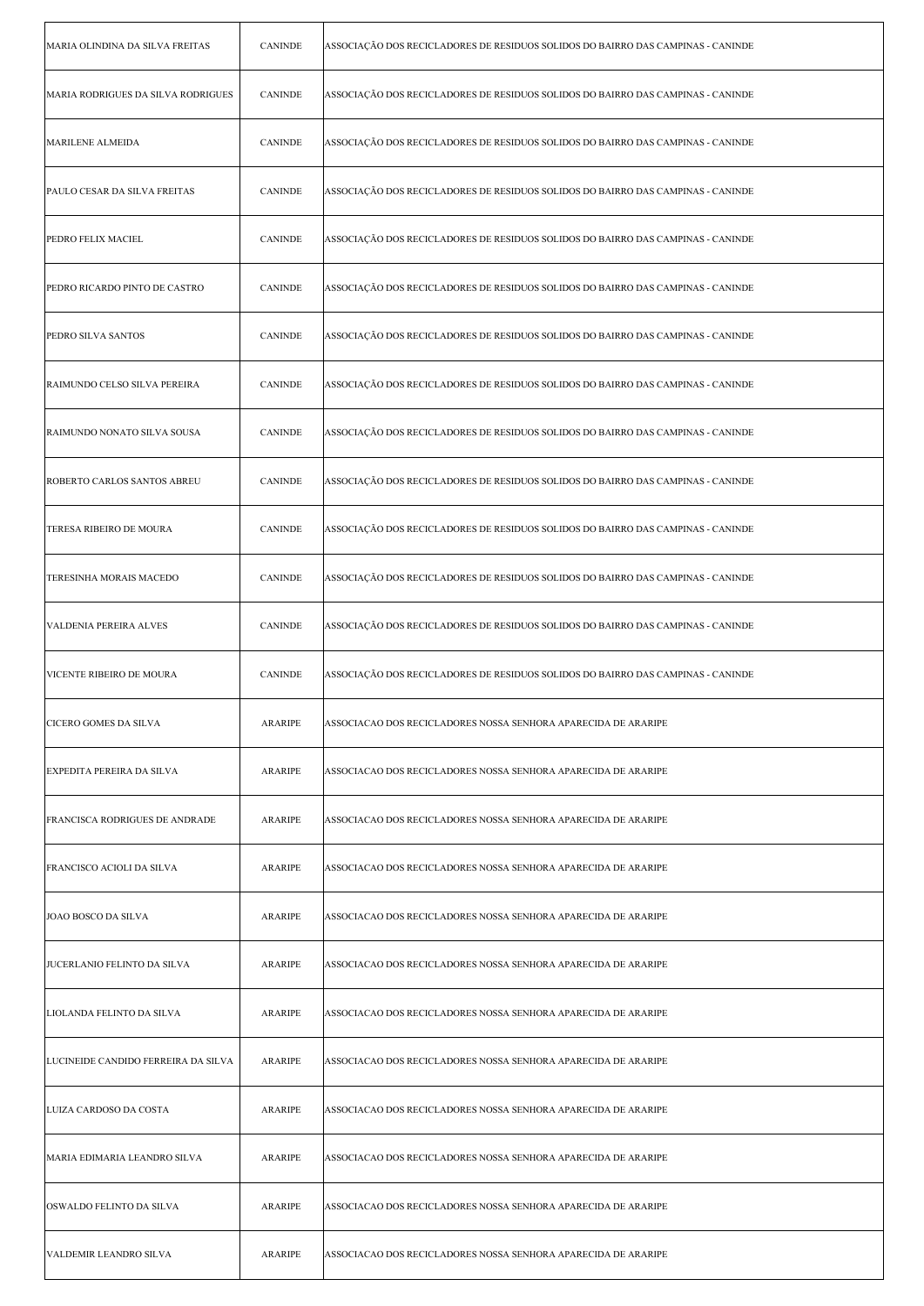| MARIA OLINDINA DA SILVA FREITAS     | <b>CANINDE</b> | ASSOCIAÇÃO DOS RECICLADORES DE RESIDUOS SOLIDOS DO BAIRRO DAS CAMPINAS - CANINDE |
|-------------------------------------|----------------|----------------------------------------------------------------------------------|
| MARIA RODRIGUES DA SILVA RODRIGUES  | <b>CANINDE</b> | ASSOCIAÇÃO DOS RECICLADORES DE RESIDUOS SOLIDOS DO BAIRRO DAS CAMPINAS - CANINDE |
| MARILENE ALMEIDA                    | <b>CANINDE</b> | ASSOCIAÇÃO DOS RECICLADORES DE RESIDUOS SOLIDOS DO BAIRRO DAS CAMPINAS - CANINDE |
| PAULO CESAR DA SILVA FREITAS        | <b>CANINDE</b> | ASSOCIAÇÃO DOS RECICLADORES DE RESIDUOS SOLIDOS DO BAIRRO DAS CAMPINAS - CANINDE |
| PEDRO FELIX MACIEL                  | <b>CANINDE</b> | ASSOCIAÇÃO DOS RECICLADORES DE RESIDUOS SOLIDOS DO BAIRRO DAS CAMPINAS - CANINDE |
| PEDRO RICARDO PINTO DE CASTRO       | <b>CANINDE</b> | ASSOCIAÇÃO DOS RECICLADORES DE RESIDUOS SOLIDOS DO BAIRRO DAS CAMPINAS - CANINDE |
| PEDRO SILVA SANTOS                  | <b>CANINDE</b> | ASSOCIAÇÃO DOS RECICLADORES DE RESIDUOS SOLIDOS DO BAIRRO DAS CAMPINAS - CANINDE |
| RAIMUNDO CELSO SILVA PEREIRA        | <b>CANINDE</b> | ASSOCIAÇÃO DOS RECICLADORES DE RESIDUOS SOLIDOS DO BAIRRO DAS CAMPINAS - CANINDE |
| RAIMUNDO NONATO SILVA SOUSA         | <b>CANINDE</b> | ASSOCIAÇÃO DOS RECICLADORES DE RESIDUOS SOLIDOS DO BAIRRO DAS CAMPINAS - CANINDE |
| ROBERTO CARLOS SANTOS ABREU         | <b>CANINDE</b> | ASSOCIAÇÃO DOS RECICLADORES DE RESIDUOS SOLIDOS DO BAIRRO DAS CAMPINAS - CANINDE |
| TERESA RIBEIRO DE MOURA             | <b>CANINDE</b> | ASSOCIAÇÃO DOS RECICLADORES DE RESIDUOS SOLIDOS DO BAIRRO DAS CAMPINAS - CANINDE |
| TERESINHA MORAIS MACEDO             | <b>CANINDE</b> | ASSOCIAÇÃO DOS RECICLADORES DE RESIDUOS SOLIDOS DO BAIRRO DAS CAMPINAS - CANINDE |
| VALDENIA PEREIRA ALVES              | <b>CANINDE</b> | ASSOCIAÇÃO DOS RECICLADORES DE RESIDUOS SOLIDOS DO BAIRRO DAS CAMPINAS - CANINDE |
| VICENTE RIBEIRO DE MOURA            | <b>CANINDE</b> | ASSOCIAÇÃO DOS RECICLADORES DE RESIDUOS SOLIDOS DO BAIRRO DAS CAMPINAS - CANINDE |
| CICERO GOMES DA SILVA               | ARARIPE        | ASSOCIACAO DOS RECICLADORES NOSSA SENHORA APARECIDA DE ARARIPE                   |
| EXPEDITA PEREIRA DA SILVA           | ARARIPE        | ASSOCIACAO DOS RECICLADORES NOSSA SENHORA APARECIDA DE ARARIPE                   |
| FRANCISCA RODRIGUES DE ANDRADE      | ARARIPE        | ASSOCIACAO DOS RECICLADORES NOSSA SENHORA APARECIDA DE ARARIPE                   |
| FRANCISCO ACIOLI DA SILVA           | ARARIPE        | ASSOCIACAO DOS RECICLADORES NOSSA SENHORA APARECIDA DE ARARIPE                   |
| <b>JOAO BOSCO DA SILVA</b>          | <b>ARARIPE</b> | ASSOCIACAO DOS RECICLADORES NOSSA SENHORA APARECIDA DE ARARIPE                   |
| JUCERLANIO FELINTO DA SILVA         | ARARIPE        | ASSOCIACAO DOS RECICLADORES NOSSA SENHORA APARECIDA DE ARARIPE                   |
| LIOLANDA FELINTO DA SILVA           | ARARIPE        | ASSOCIACAO DOS RECICLADORES NOSSA SENHORA APARECIDA DE ARARIPE                   |
| LUCINEIDE CANDIDO FERREIRA DA SILVA | ARARIPE        | ASSOCIACAO DOS RECICLADORES NOSSA SENHORA APARECIDA DE ARARIPE                   |
| LUIZA CARDOSO DA COSTA              | ARARIPE        | ASSOCIACAO DOS RECICLADORES NOSSA SENHORA APARECIDA DE ARARIPE                   |
| MARIA EDIMARIA LEANDRO SILVA        | <b>ARARIPE</b> | ASSOCIACAO DOS RECICLADORES NOSSA SENHORA APARECIDA DE ARARIPE                   |
| OSWALDO FELINTO DA SILVA            | ARARIPE        | ASSOCIACAO DOS RECICLADORES NOSSA SENHORA APARECIDA DE ARARIPE                   |
| VALDEMIR LEANDRO SILVA              | ARARIPE        | ASSOCIACAO DOS RECICLADORES NOSSA SENHORA APARECIDA DE ARARIPE                   |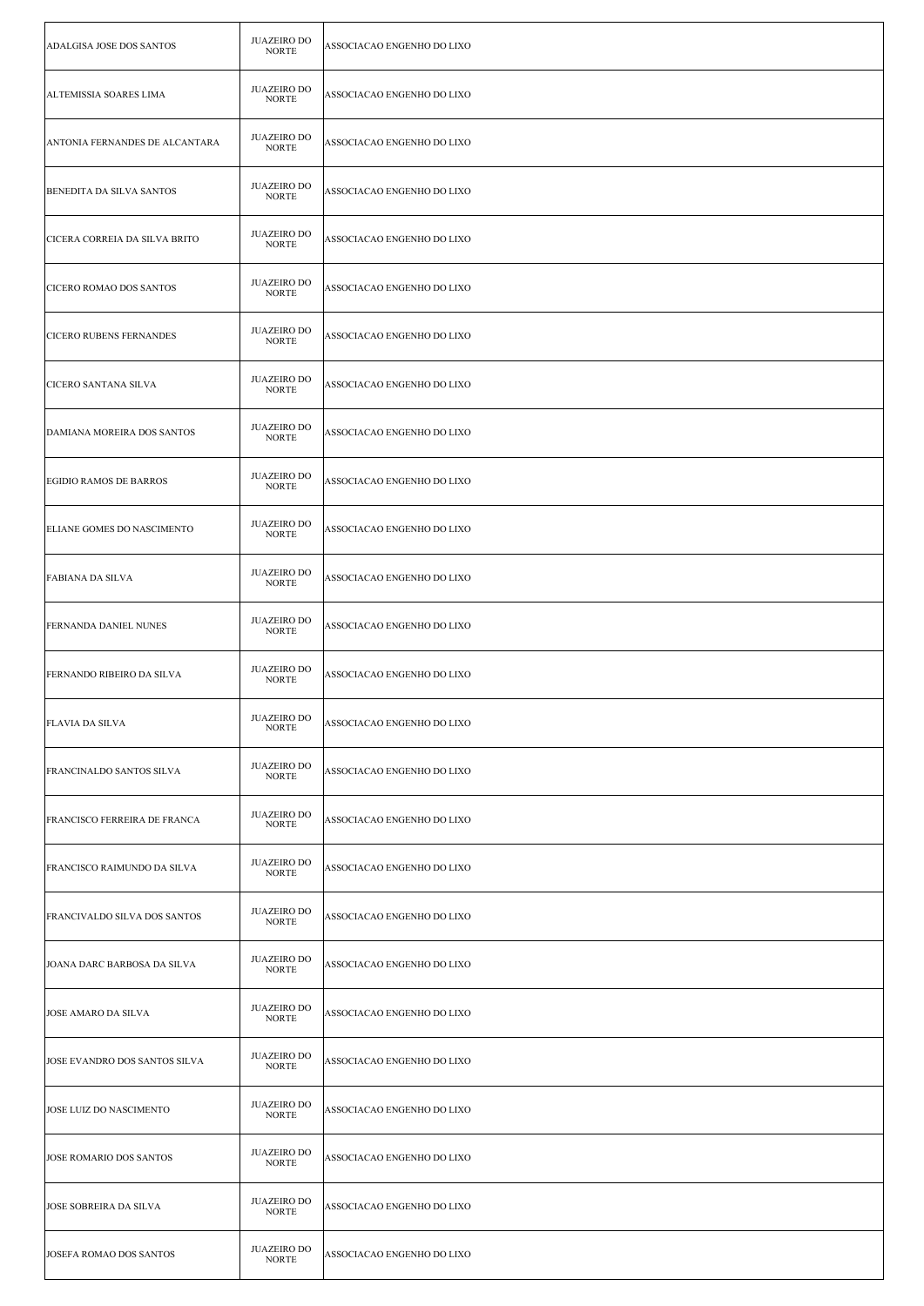| ADALGISA JOSE DOS SANTOS           | <b>JUAZEIRO DO</b><br><b>NORTE</b> | ASSOCIACAO ENGENHO DO LIXO |
|------------------------------------|------------------------------------|----------------------------|
| ALTEMISSIA SOARES LIMA             | <b>JUAZEIRO DO</b><br><b>NORTE</b> | ASSOCIACAO ENGENHO DO LIXO |
| ANTONIA FERNANDES DE ALCANTARA     | JUAZEIRO DO<br><b>NORTE</b>        | ASSOCIACAO ENGENHO DO LIXO |
| <b>BENEDITA DA SILVA SANTOS</b>    | <b>JUAZEIRO DO</b><br><b>NORTE</b> | ASSOCIACAO ENGENHO DO LIXO |
| CICERA CORREIA DA SILVA BRITO      | <b>JUAZEIRO DO</b><br><b>NORTE</b> | ASSOCIACAO ENGENHO DO LIXO |
| CICERO ROMAO DOS SANTOS            | <b>JUAZEIRO DO</b><br><b>NORTE</b> | ASSOCIACAO ENGENHO DO LIXO |
| <b>CICERO RUBENS FERNANDES</b>     | <b>JUAZEIRO DO</b><br><b>NORTE</b> | ASSOCIACAO ENGENHO DO LIXO |
| <b>CICERO SANTANA SILVA</b>        | <b>JUAZEIRO DO</b><br><b>NORTE</b> | ASSOCIACAO ENGENHO DO LIXO |
| DAMIANA MOREIRA DOS SANTOS         | <b>JUAZEIRO DO</b><br><b>NORTE</b> | ASSOCIACAO ENGENHO DO LIXO |
| <b>EGIDIO RAMOS DE BARROS</b>      | <b>JUAZEIRO DO</b><br><b>NORTE</b> | ASSOCIACAO ENGENHO DO LIXO |
| <b>ELIANE GOMES DO NASCIMENTO</b>  | <b>JUAZEIRO DO</b><br><b>NORTE</b> | ASSOCIACAO ENGENHO DO LIXO |
| <b>FABIANA DA SILVA</b>            | <b>JUAZEIRO DO</b><br><b>NORTE</b> | ASSOCIACAO ENGENHO DO LIXO |
| <b>FERNANDA DANIEL NUNES</b>       | <b>JUAZEIRO DO</b><br><b>NORTE</b> | ASSOCIACAO ENGENHO DO LIXO |
| FERNANDO RIBEIRO DA SILVA          | <b>JUAZEIRO DO</b><br><b>NORTE</b> | ASSOCIACAO ENGENHO DO LIXO |
| FLAVIA DA SILVA                    | JUAZEIRO DO<br><b>NORTE</b>        | ASSOCIACAO ENGENHO DO LIXO |
| <b>FRANCINALDO SANTOS SILVA</b>    | <b>JUAZEIRO DO</b><br><b>NORTE</b> | ASSOCIACAO ENGENHO DO LIXO |
| FRANCISCO FERREIRA DE FRANCA       | <b>JUAZEIRO DO</b><br><b>NORTE</b> | ASSOCIACAO ENGENHO DO LIXO |
| <b>FRANCISCO RAIMUNDO DA SILVA</b> | <b>JUAZEIRO DO</b><br><b>NORTE</b> | ASSOCIACAO ENGENHO DO LIXO |
| FRANCIVALDO SILVA DOS SANTOS       | <b>JUAZEIRO DO</b><br><b>NORTE</b> | ASSOCIACAO ENGENHO DO LIXO |
| JOANA DARC BARBOSA DA SILVA        | <b>JUAZEIRO DO</b><br><b>NORTE</b> | ASSOCIACAO ENGENHO DO LIXO |
| <b>JOSE AMARO DA SILVA</b>         | <b>JUAZEIRO DO</b><br><b>NORTE</b> | ASSOCIACAO ENGENHO DO LIXO |
| JOSE EVANDRO DOS SANTOS SILVA      | <b>JUAZEIRO DO</b><br><b>NORTE</b> | ASSOCIACAO ENGENHO DO LIXO |
| JOSE LUIZ DO NASCIMENTO            | <b>JUAZEIRO DO</b><br><b>NORTE</b> | ASSOCIACAO ENGENHO DO LIXO |
| JOSE ROMARIO DOS SANTOS            | <b>JUAZEIRO DO</b><br><b>NORTE</b> | ASSOCIACAO ENGENHO DO LIXO |
| <b>JOSE SOBREIRA DA SILVA</b>      | <b>JUAZEIRO DO</b><br><b>NORTE</b> | ASSOCIACAO ENGENHO DO LIXO |
| JOSEFA ROMAO DOS SANTOS            | <b>JUAZEIRO DO</b><br><b>NORTE</b> | ASSOCIACAO ENGENHO DO LIXO |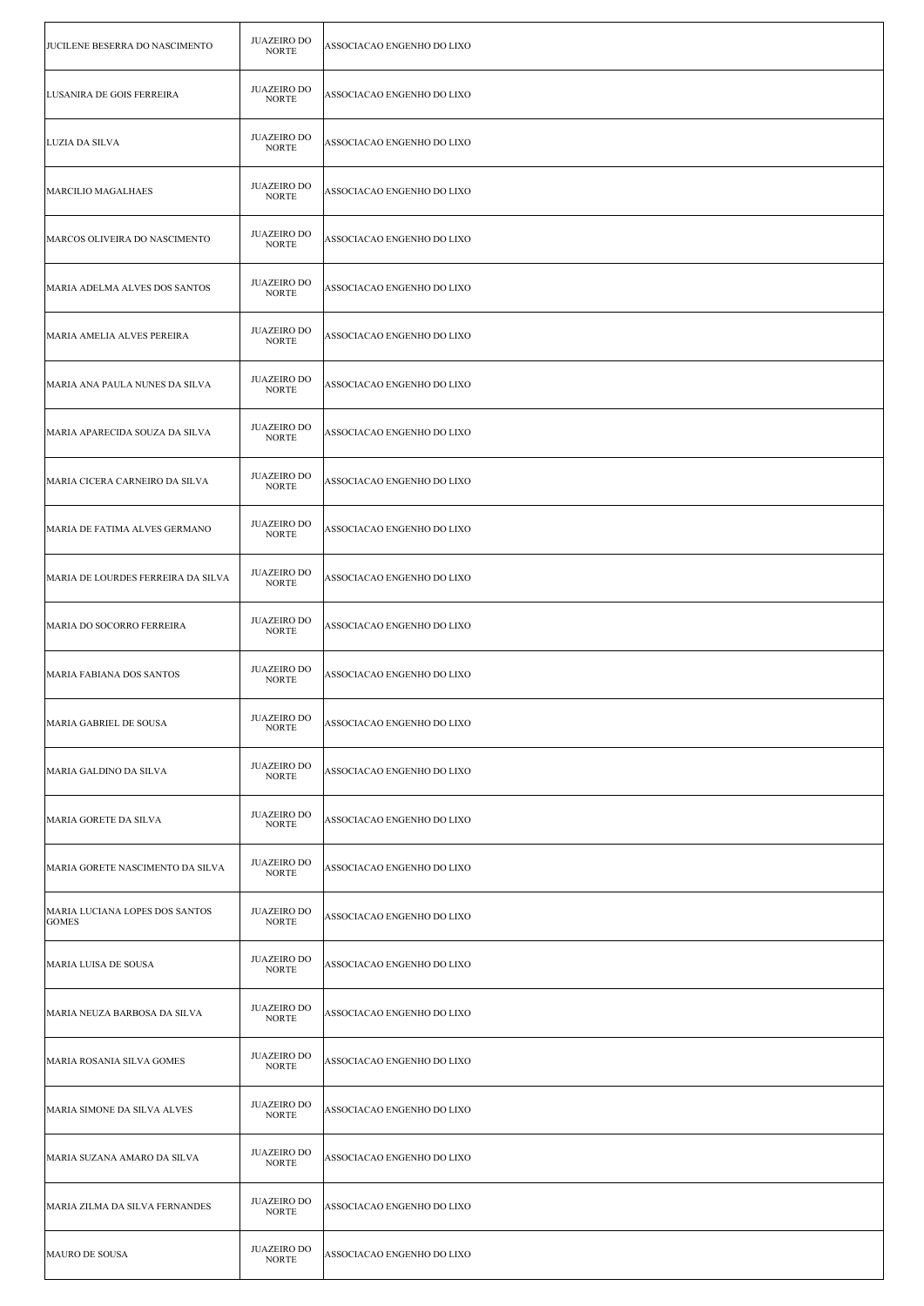| JUCILENE BESERRA DO NASCIMENTO                 | <b>JUAZEIRO DO</b><br><b>NORTE</b> | ASSOCIACAO ENGENHO DO LIXO |
|------------------------------------------------|------------------------------------|----------------------------|
| LUSANIRA DE GOIS FERREIRA                      | <b>JUAZEIRO DO</b><br><b>NORTE</b> | ASSOCIACAO ENGENHO DO LIXO |
| LUZIA DA SILVA                                 | <b>JUAZEIRO DO</b><br><b>NORTE</b> | ASSOCIACAO ENGENHO DO LIXO |
| MARCILIO MAGALHAES                             | <b>JUAZEIRO DO</b><br><b>NORTE</b> | ASSOCIACAO ENGENHO DO LIXO |
| MARCOS OLIVEIRA DO NASCIMENTO                  | <b>JUAZEIRO DO</b><br><b>NORTE</b> | ASSOCIACAO ENGENHO DO LIXO |
| MARIA ADELMA ALVES DOS SANTOS                  | <b>JUAZEIRO DO</b><br><b>NORTE</b> | ASSOCIACAO ENGENHO DO LIXO |
| MARIA AMELIA ALVES PEREIRA                     | <b>JUAZEIRO DO</b><br><b>NORTE</b> | ASSOCIACAO ENGENHO DO LIXO |
| MARIA ANA PAULA NUNES DA SILVA                 | <b>JUAZEIRO DO</b><br><b>NORTE</b> | ASSOCIACAO ENGENHO DO LIXO |
| MARIA APARECIDA SOUZA DA SILVA                 | <b>JUAZEIRO DO</b><br><b>NORTE</b> | ASSOCIACAO ENGENHO DO LIXO |
| MARIA CICERA CARNEIRO DA SILVA                 | <b>JUAZEIRO DO</b><br><b>NORTE</b> | ASSOCIACAO ENGENHO DO LIXO |
| MARIA DE FATIMA ALVES GERMANO                  | <b>JUAZEIRO DO</b><br><b>NORTE</b> | ASSOCIACAO ENGENHO DO LIXO |
| MARIA DE LOURDES FERREIRA DA SILVA             | <b>JUAZEIRO DO</b><br><b>NORTE</b> | ASSOCIACAO ENGENHO DO LIXO |
| MARIA DO SOCORRO FERREIRA                      | <b>JUAZEIRO DO</b><br><b>NORTE</b> | ASSOCIACAO ENGENHO DO LIXO |
| MARIA FABIANA DOS SANTOS                       | <b>JUAZEIRO DO</b><br><b>NORTE</b> | ASSOCIACAO ENGENHO DO LIXO |
| MARIA GABRIEL DE SOUSA                         | JUAZEIRO DO<br><b>NORTE</b>        | ASSOCIACAO ENGENHO DO LIXO |
| MARIA GALDINO DA SILVA                         | <b>JUAZEIRO DO</b><br><b>NORTE</b> | ASSOCIACAO ENGENHO DO LIXO |
| MARIA GORETE DA SILVA                          | <b>JUAZEIRO DO</b><br><b>NORTE</b> | ASSOCIACAO ENGENHO DO LIXO |
| MARIA GORETE NASCIMENTO DA SILVA               | <b>JUAZEIRO DO</b><br><b>NORTE</b> | ASSOCIACAO ENGENHO DO LIXO |
| MARIA LUCIANA LOPES DOS SANTOS<br><b>GOMES</b> | <b>JUAZEIRO DO</b><br><b>NORTE</b> | ASSOCIACAO ENGENHO DO LIXO |
| MARIA LUISA DE SOUSA                           | <b>JUAZEIRO DO</b><br><b>NORTE</b> | ASSOCIACAO ENGENHO DO LIXO |
| MARIA NEUZA BARBOSA DA SILVA                   | <b>JUAZEIRO DO</b><br><b>NORTE</b> | ASSOCIACAO ENGENHO DO LIXO |
| MARIA ROSANIA SILVA GOMES                      | <b>JUAZEIRO DO</b><br><b>NORTE</b> | ASSOCIACAO ENGENHO DO LIXO |
| MARIA SIMONE DA SILVA ALVES                    | <b>JUAZEIRO DO</b><br><b>NORTE</b> | ASSOCIACAO ENGENHO DO LIXO |
| MARIA SUZANA AMARO DA SILVA                    | <b>JUAZEIRO DO</b><br><b>NORTE</b> | ASSOCIACAO ENGENHO DO LIXO |
| MARIA ZILMA DA SILVA FERNANDES                 | <b>JUAZEIRO DO</b><br><b>NORTE</b> | ASSOCIACAO ENGENHO DO LIXO |
| MAURO DE SOUSA                                 | <b>JUAZEIRO DO</b><br><b>NORTE</b> | ASSOCIACAO ENGENHO DO LIXO |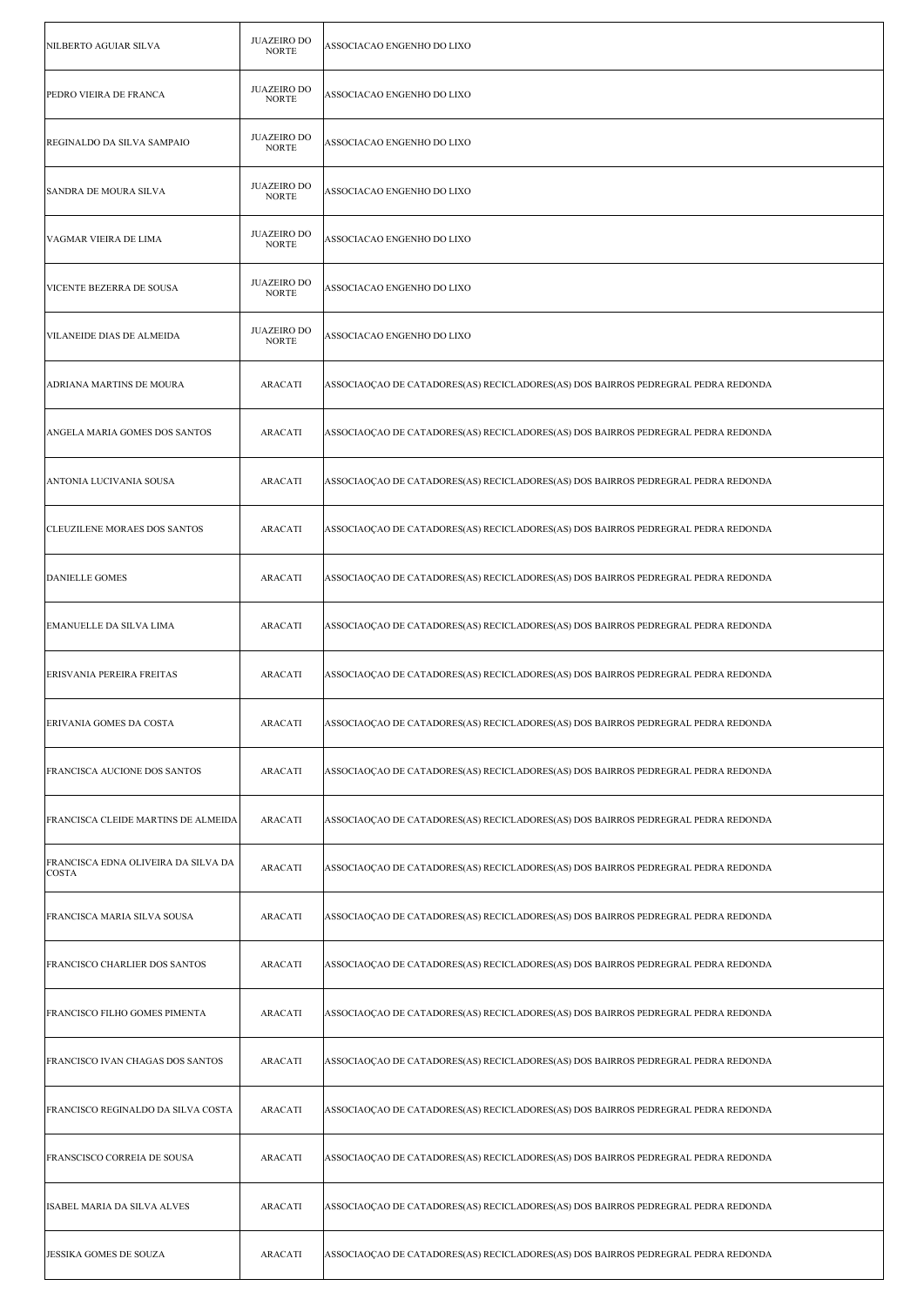| NILBERTO AGUIAR SILVA                        | <b>JUAZEIRO DO</b><br><b>NORTE</b> | ASSOCIACAO ENGENHO DO LIXO                                                        |
|----------------------------------------------|------------------------------------|-----------------------------------------------------------------------------------|
| PEDRO VIEIRA DE FRANCA                       | <b>JUAZEIRO DO</b><br><b>NORTE</b> | ASSOCIACAO ENGENHO DO LIXO                                                        |
| REGINALDO DA SILVA SAMPAIO                   | <b>JUAZEIRO DO</b><br><b>NORTE</b> | ASSOCIACAO ENGENHO DO LIXO                                                        |
| <b>SANDRA DE MOURA SILVA</b>                 | <b>JUAZEIRO DO</b><br><b>NORTE</b> | ASSOCIACAO ENGENHO DO LIXO                                                        |
| VAGMAR VIEIRA DE LIMA                        | <b>JUAZEIRO DO</b><br><b>NORTE</b> | ASSOCIACAO ENGENHO DO LIXO                                                        |
| VICENTE BEZERRA DE SOUSA                     | <b>JUAZEIRO DO</b><br><b>NORTE</b> | ASSOCIACAO ENGENHO DO LIXO                                                        |
| VILANEIDE DIAS DE ALMEIDA                    | <b>JUAZEIRO DO</b><br><b>NORTE</b> | ASSOCIACAO ENGENHO DO LIXO                                                        |
| ADRIANA MARTINS DE MOURA                     | <b>ARACATI</b>                     | ASSOCIAOÇÃO DE CATADORES(AS) RECICLADORES(AS) DOS BAIRROS PEDREGRAL PEDRA REDONDA |
| ANGELA MARIA GOMES DOS SANTOS                | <b>ARACATI</b>                     | ASSOCIAOÇÃO DE CATADORES(AS) RECICLADORES(AS) DOS BAIRROS PEDREGRAL PEDRA REDONDA |
| ANTONIA LUCIVANIA SOUSA                      | <b>ARACATI</b>                     | ASSOCIAOÇÃO DE CATADORES(AS) RECICLADORES(AS) DOS BAIRROS PEDREGRAL PEDRA REDONDA |
| CLEUZILENE MORAES DOS SANTOS                 | <b>ARACATI</b>                     | ASSOCIAOÇAO DE CATADORES(AS) RECICLADORES(AS) DOS BAIRROS PEDREGRAL PEDRA REDONDA |
| DANIELLE GOMES                               | <b>ARACATI</b>                     | ASSOCIAOÇAO DE CATADORES(AS) RECICLADORES(AS) DOS BAIRROS PEDREGRAL PEDRA REDONDA |
| EMANUELLE DA SILVA LIMA                      | <b>ARACATI</b>                     | ASSOCIAOÇÃO DE CATADORES(AS) RECICLADORES(AS) DOS BAIRROS PEDREGRAL PEDRA REDONDA |
| ERISVANIA PEREIRA FREITAS                    | <b>ARACATI</b>                     | ASSOCIAOÇÃO DE CATADORES(AS) RECICLADORES(AS) DOS BAIRROS PEDREGRAL PEDRA REDONDA |
| ERIVANIA GOMES DA COSTA                      | ARACATI                            | ASSOCIAOÇAO DE CATADORES(AS) RECICLADORES(AS) DOS BAIRROS PEDREGRAL PEDRA REDONDA |
| FRANCISCA AUCIONE DOS SANTOS                 | <b>ARACATI</b>                     | ASSOCIAOCAO DE CATADORES(AS) RECICLADORES(AS) DOS BAIRROS PEDREGRAL PEDRA REDONDA |
| FRANCISCA CLEIDE MARTINS DE ALMEIDA          | <b>ARACATI</b>                     | ASSOCIAOÇÃO DE CATADORES(AS) RECICLADORES(AS) DOS BAIRROS PEDREGRAL PEDRA REDONDA |
| FRANCISCA EDNA OLIVEIRA DA SILVA DA<br>COSTA | <b>ARACATI</b>                     | ASSOCIAOÇÃO DE CATADORES(AS) RECICLADORES(AS) DOS BAIRROS PEDREGRAL PEDRA REDONDA |
| FRANCISCA MARIA SILVA SOUSA                  | <b>ARACATI</b>                     | ASSOCIAOÇÃO DE CATADORES(AS) RECICLADORES(AS) DOS BAIRROS PEDREGRAL PEDRA REDONDA |
| FRANCISCO CHARLIER DOS SANTOS                | <b>ARACATI</b>                     | ASSOCIAOÇÃO DE CATADORES(AS) RECICLADORES(AS) DOS BAIRROS PEDREGRAL PEDRA REDONDA |
| FRANCISCO FILHO GOMES PIMENTA                | <b>ARACATI</b>                     | ASSOCIAOÇÃO DE CATADORES(AS) RECICLADORES(AS) DOS BAIRROS PEDREGRAL PEDRA REDONDA |
| FRANCISCO IVAN CHAGAS DOS SANTOS             | <b>ARACATI</b>                     | ASSOCIAOÇÃO DE CATADORES(AS) RECICLADORES(AS) DOS BAIRROS PEDREGRAL PEDRA REDONDA |
| FRANCISCO REGINALDO DA SILVA COSTA           | <b>ARACATI</b>                     | ASSOCIAOÇÃO DE CATADORES(AS) RECICLADORES(AS) DOS BAIRROS PEDREGRAL PEDRA REDONDA |
| FRANSCISCO CORREIA DE SOUSA                  | <b>ARACATI</b>                     | ASSOCIAOÇÃO DE CATADORES(AS) RECICLADORES(AS) DOS BAIRROS PEDREGRAL PEDRA REDONDA |
| ISABEL MARIA DA SILVA ALVES                  | <b>ARACATI</b>                     | ASSOCIAOÇÃO DE CATADORES(AS) RECICLADORES(AS) DOS BAIRROS PEDREGRAL PEDRA REDONDA |
| JESSIKA GOMES DE SOUZA                       | <b>ARACATI</b>                     | ASSOCIAOÇÃO DE CATADORES(AS) RECICLADORES(AS) DOS BAIRROS PEDREGRAL PEDRA REDONDA |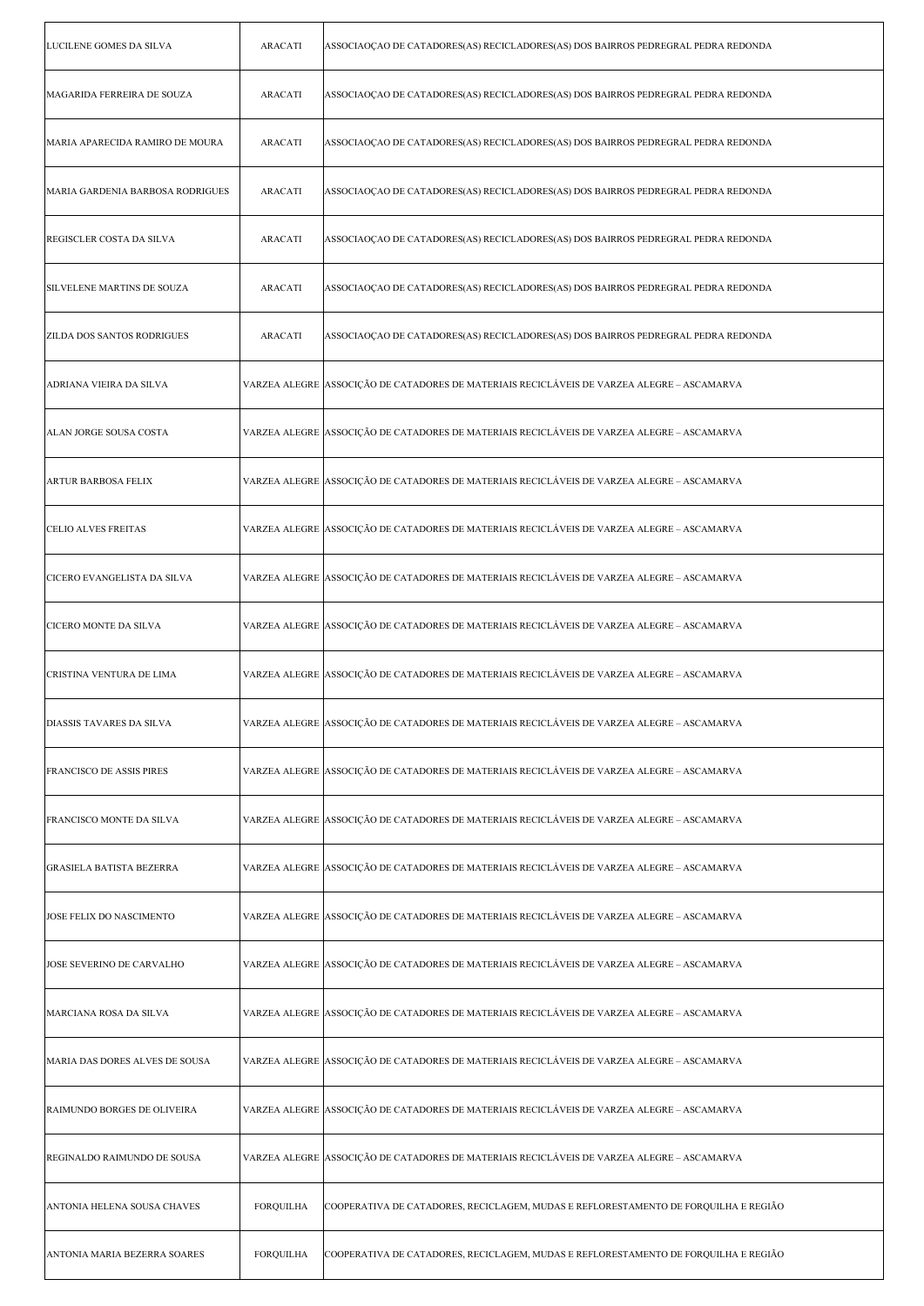| LUCILENE GOMES DA SILVA           | <b>ARACATI</b>   | ASSOCIAOÇÃO DE CATADORES(AS) RECICLADORES(AS) DOS BAIRROS PEDREGRAL PEDRA REDONDA           |
|-----------------------------------|------------------|---------------------------------------------------------------------------------------------|
| MAGARIDA FERREIRA DE SOUZA        | <b>ARACATI</b>   | ASSOCIAOÇÃO DE CATADORES(AS) RECICLADORES(AS) DOS BAIRROS PEDREGRAL PEDRA REDONDA           |
| MARIA APARECIDA RAMIRO DE MOURA   | <b>ARACATI</b>   | ASSOCIAOÇÃO DE CATADORES(AS) RECICLADORES(AS) DOS BAIRROS PEDREGRAL PEDRA REDONDA           |
| MARIA GARDENIA BARBOSA RODRIGUES  | <b>ARACATI</b>   | ASSOCIAOÇÃO DE CATADORES(AS) RECICLADORES(AS) DOS BAIRROS PEDREGRAL PEDRA REDONDA           |
| REGISCLER COSTA DA SILVA          | <b>ARACATI</b>   | ASSOCIAOÇÃO DE CATADORES(AS) RECICLADORES(AS) DOS BAIRROS PEDREGRAL PEDRA REDONDA           |
| SILVELENE MARTINS DE SOUZA        | <b>ARACATI</b>   | ASSOCIAOÇÃO DE CATADORES(AS) RECICLADORES(AS) DOS BAIRROS PEDREGRAL PEDRA REDONDA           |
| <b>ZILDA DOS SANTOS RODRIGUES</b> | <b>ARACATI</b>   | ASSOCIAOÇÃO DE CATADORES(AS) RECICLADORES(AS) DOS BAIRROS PEDREGRAL PEDRA REDONDA           |
| ADRIANA VIEIRA DA SILVA           |                  | VARZEA ALEGRE  ASSOCIÇÃO DE CATADORES DE MATERIAIS RECICLÁVEIS DE VARZEA ALEGRE – ASCAMARVA |
| ALAN JORGE SOUSA COSTA            |                  | VARZEA ALEGRE  ASSOCIÇÃO DE CATADORES DE MATERIAIS RECICLÁVEIS DE VARZEA ALEGRE – ASCAMARVA |
| ARTUR BARBOSA FELIX               |                  | VARZEA ALEGRE  ASSOCIÇÃO DE CATADORES DE MATERIAIS RECICLÁVEIS DE VARZEA ALEGRE – ASCAMARVA |
| <b>CELIO ALVES FREITAS</b>        |                  | VARZEA ALEGRE ASSOCIÇÃO DE CATADORES DE MATERIAIS RECICLÁVEIS DE VARZEA ALEGRE – ASCAMARVA  |
| CICERO EVANGELISTA DA SILVA       |                  | VARZEA ALEGRE  ASSOCIÇÃO DE CATADORES DE MATERIAIS RECICLÁVEIS DE VARZEA ALEGRE – ASCAMARVA |
| CICERO MONTE DA SILVA             |                  | VARZEA ALEGRE  ASSOCIÇÃO DE CATADORES DE MATERIAIS RECICLÁVEIS DE VARZEA ALEGRE – ASCAMARVA |
| CRISTINA VENTURA DE LIMA          |                  | VARZEA ALEGRE  ASSOCIÇÃO DE CATADORES DE MATERIAIS RECICLÁVEIS DE VARZEA ALEGRE – ASCAMARVA |
| DIASSIS TAVARES DA SILVA          |                  | VARZEA ALEGRE  ASSOCIÇÃO DE CATADORES DE MATERIAIS RECICLÁVEIS DE VARZEA ALEGRE – ASCAMARVA |
| <b>FRANCISCO DE ASSIS PIRES</b>   |                  | VARZEA ALEGRE  ASSOCIÇÃO DE CATADORES DE MATERIAIS RECICLÁVEIS DE VARZEA ALEGRE – ASCAMARVA |
| FRANCISCO MONTE DA SILVA          |                  | VARZEA ALEGRE ASSOCIÇÃO DE CATADORES DE MATERIAIS RECICLÁVEIS DE VARZEA ALEGRE – ASCAMARVA  |
| <b>GRASIELA BATISTA BEZERRA</b>   |                  | VARZEA ALEGRE  ASSOCIÇÃO DE CATADORES DE MATERIAIS RECICLÁVEIS DE VARZEA ALEGRE – ASCAMARVA |
| JOSE FELIX DO NASCIMENTO          |                  | VARZEA ALEGRE  ASSOCIÇÃO DE CATADORES DE MATERIAIS RECICLÁVEIS DE VARZEA ALEGRE – ASCAMARVA |
| JOSE SEVERINO DE CARVALHO         |                  | VARZEA ALEGRE  ASSOCIÇÃO DE CATADORES DE MATERIAIS RECICLÁVEIS DE VARZEA ALEGRE – ASCAMARVA |
| MARCIANA ROSA DA SILVA            |                  | VARZEA ALEGRE  ASSOCIÇÃO DE CATADORES DE MATERIAIS RECICLÁVEIS DE VARZEA ALEGRE – ASCAMARVA |
| MARIA DAS DORES ALVES DE SOUSA    |                  | VARZEA ALEGRE ASSOCIÇÃO DE CATADORES DE MATERIAIS RECICLÁVEIS DE VARZEA ALEGRE – ASCAMARVA  |
| RAIMUNDO BORGES DE OLIVEIRA       |                  | VARZEA ALEGRE  ASSOCIÇÃO DE CATADORES DE MATERIAIS RECICLÁVEIS DE VARZEA ALEGRE – ASCAMARVA |
| REGINALDO RAIMUNDO DE SOUSA       |                  | VARZEA ALEGRE  ASSOCIÇÃO DE CATADORES DE MATERIAIS RECICLÁVEIS DE VARZEA ALEGRE – ASCAMARVA |
| ANTONIA HELENA SOUSA CHAVES       | <b>FORQUILHA</b> | COOPERATIVA DE CATADORES, RECICLAGEM, MUDAS E REFLORESTAMENTO DE FORQUILHA E REGIÃO         |
| ANTONIA MARIA BEZERRA SOARES      | FORQUILHA        | COOPERATIVA DE CATADORES, RECICLAGEM, MUDAS E REFLORESTAMENTO DE FORQUILHA E REGIÃO         |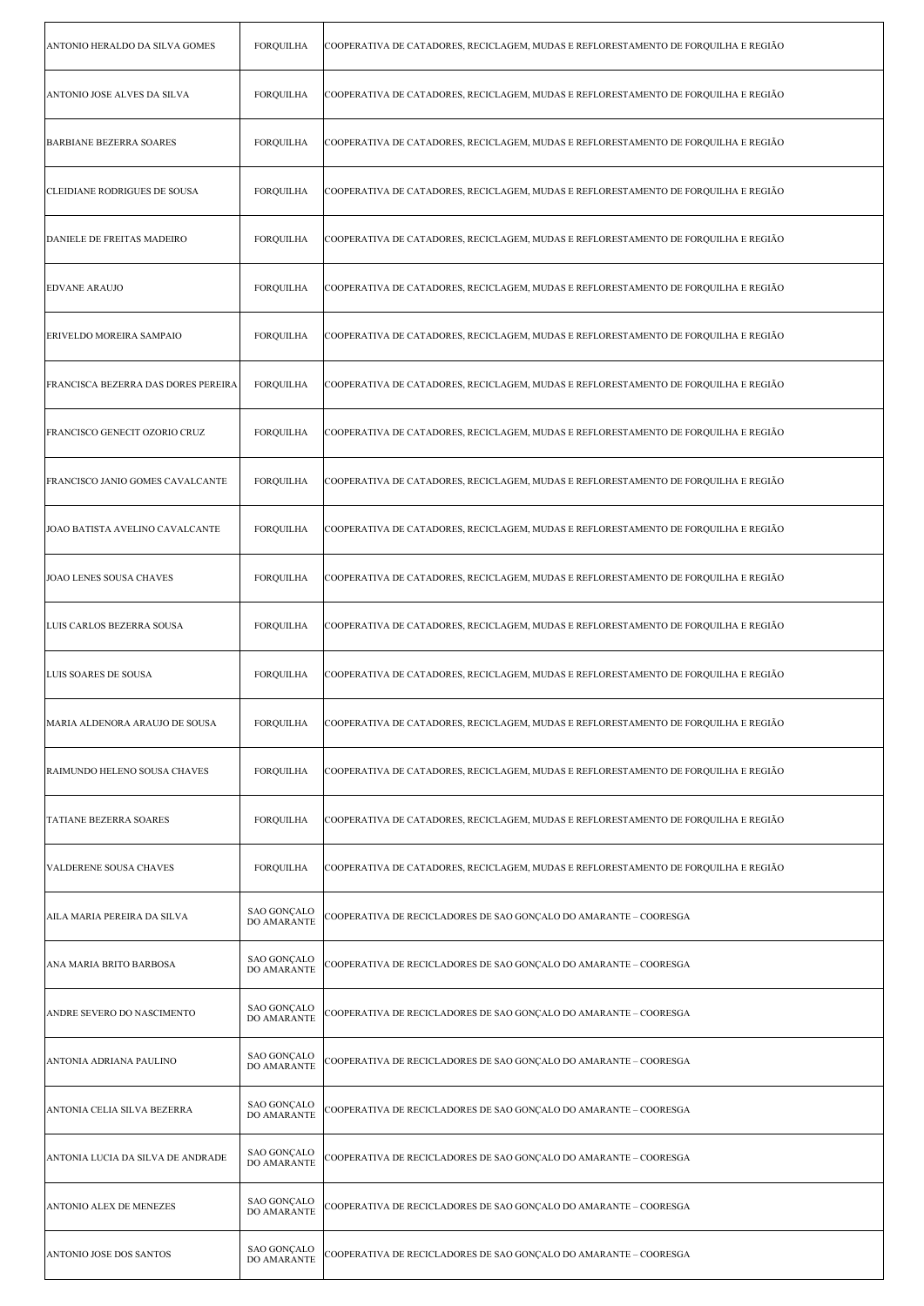| ANTONIO HERALDO DA SILVA GOMES      | <b>FORQUILHA</b>                  | COOPERATIVA DE CATADORES, RECICLAGEM, MUDAS E REFLORESTAMENTO DE FORQUILHA E REGIÃO |
|-------------------------------------|-----------------------------------|-------------------------------------------------------------------------------------|
| ANTONIO JOSE ALVES DA SILVA         | <b>FORQUILHA</b>                  | COOPERATIVA DE CATADORES, RECICLAGEM, MUDAS E REFLORESTAMENTO DE FORQUILHA E REGIÃO |
| <b>BARBIANE BEZERRA SOARES</b>      | <b>FORQUILHA</b>                  | COOPERATIVA DE CATADORES, RECICLAGEM, MUDAS E REFLORESTAMENTO DE FORQUILHA E REGIÃO |
| CLEIDIANE RODRIGUES DE SOUSA        | <b>FORQUILHA</b>                  | COOPERATIVA DE CATADORES, RECICLAGEM, MUDAS E REFLORESTAMENTO DE FORQUILHA E REGIÃO |
| DANIELE DE FREITAS MADEIRO          | <b>FORQUILHA</b>                  | COOPERATIVA DE CATADORES, RECICLAGEM, MUDAS E REFLORESTAMENTO DE FORQUILHA E REGIÃO |
| <b>EDVANE ARAUJO</b>                | <b>FORQUILHA</b>                  | COOPERATIVA DE CATADORES, RECICLAGEM, MUDAS E REFLORESTAMENTO DE FORQUILHA E REGIÃO |
| ERIVELDO MOREIRA SAMPAIO            | <b>FORQUILHA</b>                  | COOPERATIVA DE CATADORES, RECICLAGEM, MUDAS E REFLORESTAMENTO DE FORQUILHA E REGIÃO |
| FRANCISCA BEZERRA DAS DORES PEREIRA | <b>FORQUILHA</b>                  | COOPERATIVA DE CATADORES, RECICLAGEM, MUDAS E REFLORESTAMENTO DE FORQUILHA E REGIÃO |
| FRANCISCO GENECIT OZORIO CRUZ       | <b>FORQUILHA</b>                  | COOPERATIVA DE CATADORES, RECICLAGEM, MUDAS E REFLORESTAMENTO DE FORQUILHA E REGIÃO |
| FRANCISCO JANIO GOMES CAVALCANTE    | <b>FORQUILHA</b>                  | COOPERATIVA DE CATADORES, RECICLAGEM, MUDAS E REFLORESTAMENTO DE FORQUILHA E REGIÃO |
| JOAO BATISTA AVELINO CAVALCANTE     | <b>FORQUILHA</b>                  | COOPERATIVA DE CATADORES, RECICLAGEM, MUDAS E REFLORESTAMENTO DE FORQUILHA E REGIÃO |
| <b>JOAO LENES SOUSA CHAVES</b>      | <b>FORQUILHA</b>                  | COOPERATIVA DE CATADORES, RECICLAGEM, MUDAS E REFLORESTAMENTO DE FORQUILHA E REGIÃO |
| LUIS CARLOS BEZERRA SOUSA           | <b>FORQUILHA</b>                  | COOPERATIVA DE CATADORES, RECICLAGEM, MUDAS E REFLORESTAMENTO DE FORQUILHA E REGIÃO |
| <b>LUIS SOARES DE SOUSA</b>         | <b>FORQUILHA</b>                  | COOPERATIVA DE CATADORES, RECICLAGEM, MUDAS E REFLORESTAMENTO DE FORQUILHA E REGIÃO |
| MARIA ALDENORA ARAUJO DE SOUSA      | FORQUILHA                         | COOPERATIVA DE CATADORES, RECICLAGEM, MUDAS E REFLORESTAMENTO DE FORQUILHA E REGIÃO |
| RAIMUNDO HELENO SOUSA CHAVES        | <b>FORQUILHA</b>                  | COOPERATIVA DE CATADORES, RECICLAGEM, MUDAS E REFLORESTAMENTO DE FORQUILHA E REGIÃO |
| TATIANE BEZERRA SOARES              | <b>FORQUILHA</b>                  | COOPERATIVA DE CATADORES, RECICLAGEM, MUDAS E REFLORESTAMENTO DE FORQUILHA E REGIÃO |
| VALDERENE SOUSA CHAVES              | <b>FORQUILHA</b>                  | COOPERATIVA DE CATADORES, RECICLAGEM, MUDAS E REFLORESTAMENTO DE FORQUILHA E REGIÃO |
| AILA MARIA PEREIRA DA SILVA         | SAO GONÇALO<br>DO AMARANTE        | COOPERATIVA DE RECICLADORES DE SAO GONÇALO DO AMARANTE – COORESGA                   |
| ANA MARIA BRITO BARBOSA             | SAO GONÇALO<br>DO AMARANTE        | COOPERATIVA DE RECICLADORES DE SAO GONÇALO DO AMARANTE – COORESGA                   |
| ANDRE SEVERO DO NASCIMENTO          | SAO GONÇALO<br>DO AMARANTE        | COOPERATIVA DE RECICLADORES DE SAO GONÇALO DO AMARANTE – COORESGA                   |
| ANTONIA ADRIANA PAULINO             | <b>SAO GONÇALO</b><br>DO AMARANTE | COOPERATIVA DE RECICLADORES DE SAO GONÇALO DO AMARANTE – COORESGA                   |
| ANTONIA CELIA SILVA BEZERRA         | SAO GONÇALO<br>DO AMARANTE        | COOPERATIVA DE RECICLADORES DE SAO GONÇALO DO AMARANTE – COORESGA                   |
| ANTONIA LUCIA DA SILVA DE ANDRADE   | SAO GONÇALO<br>DO AMARANTE        | COOPERATIVA DE RECICLADORES DE SAO GONÇALO DO AMARANTE – COORESGA                   |
| ANTONIO ALEX DE MENEZES             | SAO GONÇALO<br>DO AMARANTE        | COOPERATIVA DE RECICLADORES DE SAO GONÇALO DO AMARANTE – COORESGA                   |
| ANTONIO JOSE DOS SANTOS             | SAO GONÇALO<br>DO AMARANTE        | COOPERATIVA DE RECICLADORES DE SAO GONÇALO DO AMARANTE – COORESGA                   |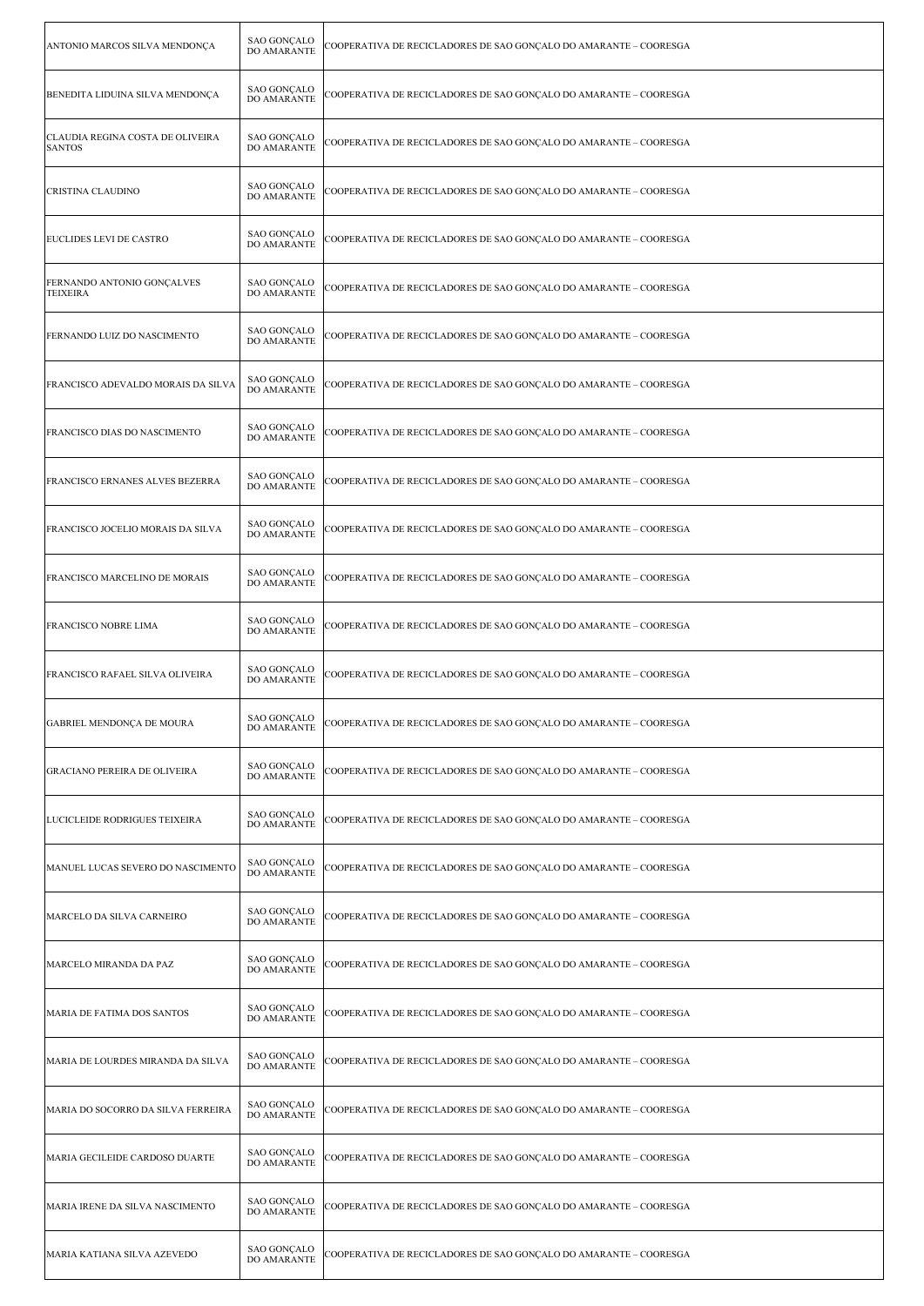| ANTONIO MARCOS SILVA MENDONÇA                     | SAO GONÇALO<br><b>DO AMARANTE</b>        | COOPERATIVA DE RECICLADORES DE SAO GONÇALO DO AMARANTE – COORESGA |
|---------------------------------------------------|------------------------------------------|-------------------------------------------------------------------|
| BENEDITA LIDUINA SILVA MENDONÇA                   | SAO GONÇALO<br>DO AMARANTE               | COOPERATIVA DE RECICLADORES DE SAO GONÇALO DO AMARANTE – COORESGA |
| CLAUDIA REGINA COSTA DE OLIVEIRA<br><b>SANTOS</b> | <b>SAO GONÇALO</b><br>DO AMARANTE        | COOPERATIVA DE RECICLADORES DE SAO GONÇALO DO AMARANTE – COORESGA |
| CRISTINA CLAUDINO                                 | <b>SAO GONÇALO</b><br>DO AMARANTE        | COOPERATIVA DE RECICLADORES DE SAO GONÇALO DO AMARANTE – COORESGA |
| EUCLIDES LEVI DE CASTRO                           | <b>SAO GONÇALO</b><br>DO AMARANTE        | COOPERATIVA DE RECICLADORES DE SAO GONÇALO DO AMARANTE – COORESGA |
| FERNANDO ANTONIO GONÇALVES<br><b>TEIXEIRA</b>     | <b>SAO GONÇALO</b><br>DO AMARANTE        | COOPERATIVA DE RECICLADORES DE SAO GONÇALO DO AMARANTE – COORESGA |
| FERNANDO LUIZ DO NASCIMENTO                       | SAO GONÇALO<br>DO AMARANTE               | COOPERATIVA DE RECICLADORES DE SAO GONÇALO DO AMARANTE – COORESGA |
| FRANCISCO ADEVALDO MORAIS DA SILVA                | <b>SAO GONÇALO</b><br>DO AMARANTE        | COOPERATIVA DE RECICLADORES DE SAO GONÇALO DO AMARANTE – COORESGA |
| FRANCISCO DIAS DO NASCIMENTO                      | <b>SAO GONCALO</b><br><b>DO AMARANTE</b> | COOPERATIVA DE RECICLADORES DE SAO GONCALO DO AMARANTE – COORESGA |
| FRANCISCO ERNANES ALVES BEZERRA                   | SAO GONÇALO<br>DO AMARANTE               | COOPERATIVA DE RECICLADORES DE SAO GONÇALO DO AMARANTE – COORESGA |
| FRANCISCO JOCELIO MORAIS DA SILVA                 | SAO GONÇALO<br>DO AMARANTE               | COOPERATIVA DE RECICLADORES DE SAO GONÇALO DO AMARANTE – COORESGA |
| FRANCISCO MARCELINO DE MORAIS                     | <b>SAO GONÇALO</b><br>DO AMARANTE        | COOPERATIVA DE RECICLADORES DE SAO GONÇALO DO AMARANTE – COORESGA |
| FRANCISCO NOBRE LIMA                              | <b>SAO GONÇALO</b><br>DO AMARANTE        | COOPERATIVA DE RECICLADORES DE SAO GONÇALO DO AMARANTE – COORESGA |
| FRANCISCO RAFAEL SILVA OLIVEIRA                   | <b>SAO GONCALO</b><br>DO AMARANTE        | COOPERATIVA DE RECICLADORES DE SAO GONÇALO DO AMARANTE – COORESGA |
| GABRIEL MENDONÇA DE MOURA                         | <b>SAO GONÇALO</b><br>DO AMARANTE        | COOPERATIVA DE RECICLADORES DE SAO GONÇALO DO AMARANTE – COORESGA |
| GRACIANO PEREIRA DE OLIVEIRA                      | <b>SAO GONÇALO</b><br>DO AMARANTE        | COOPERATIVA DE RECICLADORES DE SAO GONÇALO DO AMARANTE – COORESGA |
| LUCICLEIDE RODRIGUES TEIXEIRA                     | SAO GONÇALO<br>DO AMARANTE               | COOPERATIVA DE RECICLADORES DE SAO GONÇALO DO AMARANTE - COORESGA |
| MANUEL LUCAS SEVERO DO NASCIMENTO                 | SAO GONÇALO<br>DO AMARANTE               | COOPERATIVA DE RECICLADORES DE SAO GONCALO DO AMARANTE – COORESGA |
| MARCELO DA SILVA CARNEIRO                         | SAO GONÇALO<br>DO AMARANTE               | COOPERATIVA DE RECICLADORES DE SAO GONÇALO DO AMARANTE – COORESGA |
| MARCELO MIRANDA DA PAZ                            | SAO GONÇALO<br>DO AMARANTE               | COOPERATIVA DE RECICLADORES DE SAO GONÇALO DO AMARANTE – COORESGA |
| MARIA DE FATIMA DOS SANTOS                        | SAO GONÇALO<br>DO AMARANTE               | COOPERATIVA DE RECICLADORES DE SAO GONÇALO DO AMARANTE – COORESGA |
| MARIA DE LOURDES MIRANDA DA SILVA                 | SAO GONÇALO<br>DO AMARANTE               | COOPERATIVA DE RECICLADORES DE SAO GONÇALO DO AMARANTE – COORESGA |
| MARIA DO SOCORRO DA SILVA FERREIRA                | SAO GONÇALO<br>DO AMARANTE               | COOPERATIVA DE RECICLADORES DE SAO GONÇALO DO AMARANTE - COORESGA |
| MARIA GECILEIDE CARDOSO DUARTE                    | SAO GONÇALO<br>DO AMARANTE               | COOPERATIVA DE RECICLADORES DE SAO GONÇALO DO AMARANTE – COORESGA |
| MARIA IRENE DA SILVA NASCIMENTO                   | SAO GONÇALO<br>DO AMARANTE               | COOPERATIVA DE RECICLADORES DE SAO GONÇALO DO AMARANTE – COORESGA |
| MARIA KATIANA SILVA AZEVEDO                       | SAO GONÇALO<br>DO AMARANTE               | COOPERATIVA DE RECICLADORES DE SAO GONÇALO DO AMARANTE – COORESGA |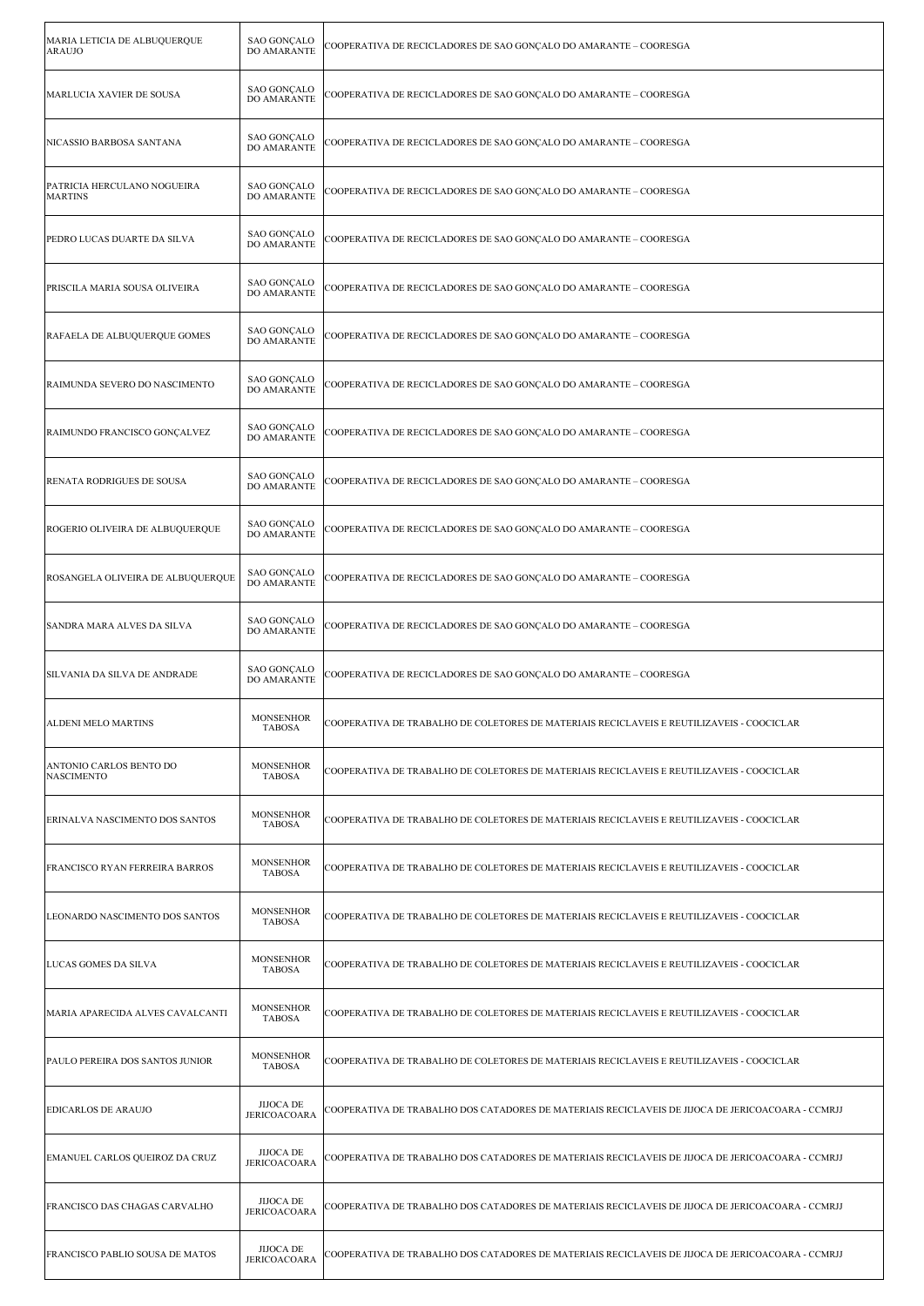| MARIA LETICIA DE ALBUQUERQUE<br><b>ARAUJO</b> | <b>SAO GONÇALO</b><br>DO AMARANTE        | COOPERATIVA DE RECICLADORES DE SAO GONÇALO DO AMARANTE – COORESGA                                 |
|-----------------------------------------------|------------------------------------------|---------------------------------------------------------------------------------------------------|
| MARLUCIA XAVIER DE SOUSA                      | <b>SAO GONÇALO</b><br>DO AMARANTE        | COOPERATIVA DE RECICLADORES DE SAO GONÇALO DO AMARANTE - COORESGA                                 |
| NICASSIO BARBOSA SANTANA                      | <b>SAO GONÇALO</b><br>DO AMARANTE        | COOPERATIVA DE RECICLADORES DE SAO GONÇALO DO AMARANTE – COORESGA                                 |
| PATRICIA HERCULANO NOGUEIRA<br><b>MARTINS</b> | <b>SAO GONÇALO</b><br>DO AMARANTE        | COOPERATIVA DE RECICLADORES DE SAO GONÇALO DO AMARANTE – COORESGA                                 |
| PEDRO LUCAS DUARTE DA SILVA                   | <b>SAO GONÇALO</b><br>DO AMARANTE        | COOPERATIVA DE RECICLADORES DE SAO GONCALO DO AMARANTE – COORESGA                                 |
| PRISCILA MARIA SOUSA OLIVEIRA                 | <b>SAO GONÇALO</b><br><b>DO AMARANTE</b> | COOPERATIVA DE RECICLADORES DE SAO GONÇALO DO AMARANTE – COORESGA                                 |
| RAFAELA DE ALBUQUERQUE GOMES                  | <b>SAO GONÇALO</b><br><b>DO AMARANTE</b> | COOPERATIVA DE RECICLADORES DE SAO GONÇALO DO AMARANTE – COORESGA                                 |
| RAIMUNDA SEVERO DO NASCIMENTO                 | <b>SAO GONÇALO</b><br>DO AMARANTE        | COOPERATIVA DE RECICLADORES DE SAO GONÇALO DO AMARANTE – COORESGA                                 |
| RAIMUNDO FRANCISCO GONÇALVEZ                  | <b>SAO GONÇALO</b><br><b>DO AMARANTE</b> | COOPERATIVA DE RECICLADORES DE SAO GONÇALO DO AMARANTE – COORESGA                                 |
| RENATA RODRIGUES DE SOUSA                     | <b>SAO GONÇALO</b><br>DO AMARANTE        | COOPERATIVA DE RECICLADORES DE SAO GONÇALO DO AMARANTE – COORESGA                                 |
| ROGERIO OLIVEIRA DE ALBUQUERQUE               | <b>SAO GONÇALO</b><br>DO AMARANTE        | COOPERATIVA DE RECICLADORES DE SAO GONÇALO DO AMARANTE – COORESGA                                 |
| ROSANGELA OLIVEIRA DE ALBUQUERQUE             | SAO GONÇALO<br><b>DO AMARANTE</b>        | COOPERATIVA DE RECICLADORES DE SAO GONÇALO DO AMARANTE – COORESGA                                 |
| SANDRA MARA ALVES DA SILVA                    | SAO GONÇALO<br><b>DO AMARANTE</b>        | COOPERATIVA DE RECICLADORES DE SAO GONÇALO DO AMARANTE – COORESGA                                 |
| SILVANIA DA SILVA DE ANDRADE                  | <b>SAO GONÇALO</b><br>DO AMARANTE        | COOPERATIVA DE RECICLADORES DE SAO GONCALO DO AMARANTE – COORESGA                                 |
| ALDENI MELO MARTINS                           | <b>MONSENHOR</b><br><b>TABOSA</b>        | COOPERATIVA DE TRABALHO DE COLETORES DE MATERIAIS RECICLAVEIS E REUTILIZAVEIS - COOCICLAR         |
| ANTONIO CARLOS BENTO DO<br>NASCIMENTO         | <b>MONSENHOR</b><br><b>TABOSA</b>        | COOPERATIVA DE TRABALHO DE COLETORES DE MATERIAIS RECICLAVEIS E REUTILIZAVEIS - COOCICLAR         |
| ERINALVA NASCIMENTO DOS SANTOS                | <b>MONSENHOR</b><br><b>TABOSA</b>        | COOPERATIVA DE TRABALHO DE COLETORES DE MATERIAIS RECICLAVEIS E REUTILIZAVEIS - COOCICLAR         |
| FRANCISCO RYAN FERREIRA BARROS                | <b>MONSENHOR</b><br><b>TABOSA</b>        | COOPERATIVA DE TRABALHO DE COLETORES DE MATERIAIS RECICLAVEIS E REUTILIZAVEIS - COOCICLAR         |
| LEONARDO NASCIMENTO DOS SANTOS                | <b>MONSENHOR</b><br><b>TABOSA</b>        | COOPERATIVA DE TRABALHO DE COLETORES DE MATERIAIS RECICLAVEIS E REUTILIZAVEIS - COOCICLAR         |
| LUCAS GOMES DA SILVA                          | <b>MONSENHOR</b><br><b>TABOSA</b>        | COOPERATIVA DE TRABALHO DE COLETORES DE MATERIAIS RECICLAVEIS E REUTILIZAVEIS - COOCICLAR         |
| MARIA APARECIDA ALVES CAVALCANTI              | <b>MONSENHOR</b><br><b>TABOSA</b>        | COOPERATIVA DE TRABALHO DE COLETORES DE MATERIAIS RECICLAVEIS E REUTILIZAVEIS - COOCICLAR         |
| PAULO PEREIRA DOS SANTOS JUNIOR               | <b>MONSENHOR</b><br><b>TABOSA</b>        | COOPERATIVA DE TRABALHO DE COLETORES DE MATERIAIS RECICLAVEIS E REUTILIZAVEIS - COOCICLAR         |
| <b>EDICARLOS DE ARAUJO</b>                    | JIJOCA DE<br><b>JERICOACOARA</b>         | COOPERATIVA DE TRABALHO DOS CATADORES DE MATERIAIS RECICLAVEIS DE JIJOCA DE JERICOACOARA - CCMRJJ |
| EMANUEL CARLOS QUEIROZ DA CRUZ                | <b>JIJOCA DE</b><br><b>JERICOACOARA</b>  | COOPERATIVA DE TRABALHO DOS CATADORES DE MATERIAIS RECICLAVEIS DE JIJOCA DE JERICOACOARA - CCMRJJ |
| FRANCISCO DAS CHAGAS CARVALHO                 | <b>JIJOCA DE</b><br><b>JERICOACOARA</b>  | COOPERATIVA DE TRABALHO DOS CATADORES DE MATERIAIS RECICLAVEIS DE JIJOCA DE JERICOACOARA - CCMRJJ |
| FRANCISCO PABLIO SOUSA DE MATOS               | <b>JIJOCA DE</b><br><b>JERICOACOARA</b>  | COOPERATIVA DE TRABALHO DOS CATADORES DE MATERIAIS RECICLAVEIS DE JIJOCA DE JERICOACOARA - CCMRJJ |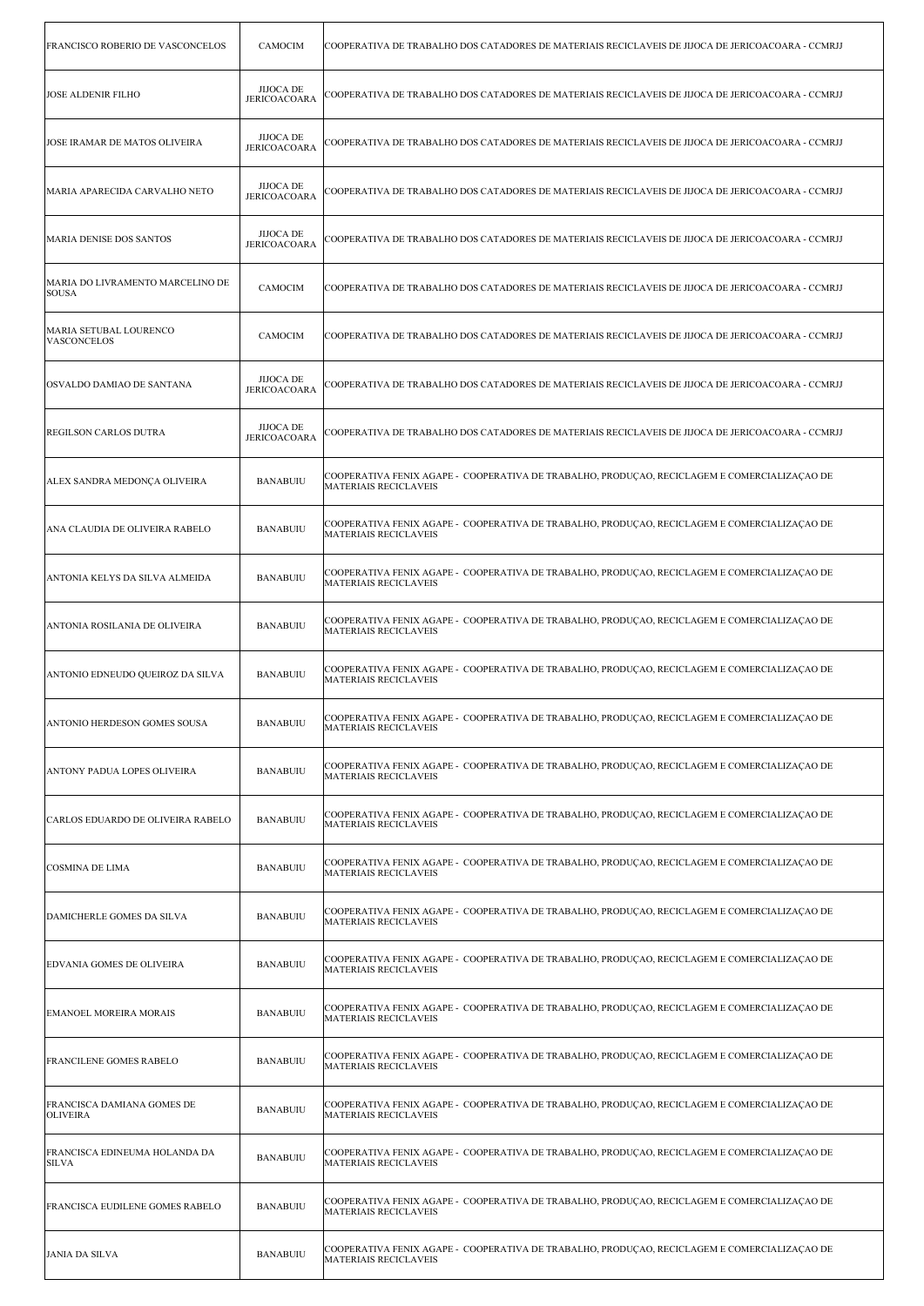| FRANCISCO ROBERIO DE VASCONCELOS                 | <b>CAMOCIM</b>                          | COOPERATIVA DE TRABALHO DOS CATADORES DE MATERIAIS RECICLAVEIS DE JIJOCA DE JERICOACOARA - CCMRJJ                            |
|--------------------------------------------------|-----------------------------------------|------------------------------------------------------------------------------------------------------------------------------|
| <b>JOSE ALDENIR FILHO</b>                        | <b>JIJOCA DE</b><br>JERICOACOARA        | COOPERATIVA DE TRABALHO DOS CATADORES DE MATERIAIS RECICLAVEIS DE JIJOCA DE JERICOACOARA - CCMRJJ                            |
| JOSE IRAMAR DE MATOS OLIVEIRA                    | <b>JIJOCA DE</b><br><b>JERICOACOARA</b> | COOPERATIVA DE TRABALHO DOS CATADORES DE MATERIAIS RECICLAVEIS DE JIJOCA DE JERICOACOARA - CCMRJJ                            |
| MARIA APARECIDA CARVALHO NETO                    | <b>JIJOCA DE</b><br><b>JERICOACOARA</b> | COOPERATIVA DE TRABALHO DOS CATADORES DE MATERIAIS RECICLAVEIS DE JIJOCA DE JERICOACOARA - CCMRJJ                            |
| <b>MARIA DENISE DOS SANTOS</b>                   | <b>JIJOCA DE</b><br><b>JERICOACOARA</b> | COOPERATIVA DE TRABALHO DOS CATADORES DE MATERIAIS RECICLAVEIS DE JIJOCA DE JERICOACOARA - CCMRJJ                            |
| MARIA DO LIVRAMENTO MARCELINO DE<br><b>SOUSA</b> | <b>CAMOCIM</b>                          | COOPERATIVA DE TRABALHO DOS CATADORES DE MATERIAIS RECICLAVEIS DE JIJOCA DE JERICOACOARA - CCMRJJ                            |
| MARIA SETUBAL LOURENCO<br><b>VASCONCELOS</b>     | <b>CAMOCIM</b>                          | COOPERATIVA DE TRABALHO DOS CATADORES DE MATERIAIS RECICLAVEIS DE JIJOCA DE JERICOACOARA - CCMRJJ                            |
| OSVALDO DAMIAO DE SANTANA                        | <b>JIJOCA DE</b><br><b>JERICOACOARA</b> | COOPERATIVA DE TRABALHO DOS CATADORES DE MATERIAIS RECICLAVEIS DE JIJOCA DE JERICOACOARA - CCMRJJ                            |
| REGILSON CARLOS DUTRA                            | <b>JIJOCA DE</b><br><b>JERICOACOARA</b> | COOPERATIVA DE TRABALHO DOS CATADORES DE MATERIAIS RECICLAVEIS DE JIJOCA DE JERICOACOARA - CCMRJJ                            |
| ALEX SANDRA MEDONÇA OLIVEIRA                     | <b>BANABUIU</b>                         | COOPERATIVA FENIX AGAPE - COOPERATIVA DE TRABALHO, PRODUÇAO, RECICLAGEM E COMERCIALIZAÇÃO DE<br>MATERIAIS RECICLAVEIS        |
| ANA CLAUDIA DE OLIVEIRA RABELO                   | <b>BANABUIU</b>                         | COOPERATIVA FENIX AGAPE - COOPERATIVA DE TRABALHO, PRODUÇÃO, RECICLAGEM E COMERCIALIZAÇÃO DE<br><b>MATERIAIS RECICLAVEIS</b> |
| ANTONIA KELYS DA SILVA ALMEIDA                   | <b>BANABUIU</b>                         | COOPERATIVA FENIX AGAPE - COOPERATIVA DE TRABALHO, PRODUÇÃO, RECICLAGEM E COMERCIALIZAÇÃO DE<br><b>MATERIAIS RECICLAVEIS</b> |
| ANTONIA ROSILANIA DE OLIVEIRA                    | <b>BANABUIU</b>                         | COOPERATIVA FENIX AGAPE - COOPERATIVA DE TRABALHO, PRODUÇÃO, RECICLAGEM E COMERCIALIZAÇÃO DE<br><b>MATERIAIS RECICLAVEIS</b> |
| ANTONIO EDNEUDO QUEIROZ DA SILVA                 | <b>BANABUIU</b>                         | COOPERATIVA FENIX AGAPE - COOPERATIVA DE TRABALHO, PRODUÇAO, RECICLAGEM E COMERCIALIZAÇÃO DE<br><b>MATERIAIS RECICLAVEIS</b> |
| ANTONIO HERDESON GOMES SOUSA                     | <b>BANABUIU</b>                         | COOPERATIVA FENIX AGAPE - COOPERATIVA DE TRABALHO, PRODUCAO, RECICLAGEM E COMERCIALIZACAO DE<br><b>MATERIAIS RECICLAVEIS</b> |
| ANTONY PADUA LOPES OLIVEIRA                      | <b>BANABUIU</b>                         | COOPERATIVA FENIX AGAPE - COOPERATIVA DE TRABALHO, PRODUÇAO, RECICLAGEM E COMERCIALIZAÇÃO DE<br><b>MATERIAIS RECICLAVEIS</b> |
| CARLOS EDUARDO DE OLIVEIRA RABELO                | <b>BANABUIU</b>                         | COOPERATIVA FENIX AGAPE - COOPERATIVA DE TRABALHO, PRODUÇÃO, RECICLAGEM E COMERCIALIZAÇÃO DE<br><b>MATERIAIS RECICLAVEIS</b> |
| COSMINA DE LIMA                                  | <b>BANABUIU</b>                         | COOPERATIVA FENIX AGAPE - COOPERATIVA DE TRABALHO, PRODUÇAO, RECICLAGEM E COMERCIALIZAÇÃO DE<br><b>MATERIAIS RECICLAVEIS</b> |
| DAMICHERLE GOMES DA SILVA                        | <b>BANABUIU</b>                         | COOPERATIVA FENIX AGAPE - COOPERATIVA DE TRABALHO, PRODUÇÃO, RECICLAGEM E COMERCIALIZAÇÃO DE<br><b>MATERIAIS RECICLAVEIS</b> |
| EDVANIA GOMES DE OLIVEIRA                        | <b>BANABUIU</b>                         | COOPERATIVA FENIX AGAPE - COOPERATIVA DE TRABALHO, PRODUÇAO, RECICLAGEM E COMERCIALIZAÇÃO DE<br><b>MATERIAIS RECICLAVEIS</b> |
| EMANOEL MOREIRA MORAIS                           | <b>BANABUIU</b>                         | COOPERATIVA FENIX AGAPE - COOPERATIVA DE TRABALHO, PRODUÇAO, RECICLAGEM E COMERCIALIZAÇÃO DE<br><b>MATERIAIS RECICLAVEIS</b> |
| FRANCILENE GOMES RABELO                          | <b>BANABUIU</b>                         | COOPERATIVA FENIX AGAPE - COOPERATIVA DE TRABALHO, PRODUÇÃO, RECICLAGEM E COMERCIALIZAÇÃO DE<br><b>MATERIAIS RECICLAVEIS</b> |
| FRANCISCA DAMIANA GOMES DE<br><b>OLIVEIRA</b>    | <b>BANABUIU</b>                         | COOPERATIVA FENIX AGAPE - COOPERATIVA DE TRABALHO, PRODUÇAO, RECICLAGEM E COMERCIALIZAÇÃO DE<br>MATERIAIS RECICLAVEIS        |
| FRANCISCA EDINEUMA HOLANDA DA<br><b>SILVA</b>    | <b>BANABUIU</b>                         | COOPERATIVA FENIX AGAPE - COOPERATIVA DE TRABALHO, PRODUÇÃO, RECICLAGEM E COMERCIALIZAÇÃO DE<br><b>MATERIAIS RECICLAVEIS</b> |
| FRANCISCA EUDILENE GOMES RABELO                  | <b>BANABUIU</b>                         | COOPERATIVA FENIX AGAPE - COOPERATIVA DE TRABALHO, PRODUÇÃO, RECICLAGEM E COMERCIALIZAÇÃO DE<br><b>MATERIAIS RECICLAVEIS</b> |
| <b>JANIA DA SILVA</b>                            | <b>BANABUIU</b>                         | COOPERATIVA FENIX AGAPE - COOPERATIVA DE TRABALHO, PRODUÇAO, RECICLAGEM E COMERCIALIZAÇÃO DE<br><b>MATERIAIS RECICLAVEIS</b> |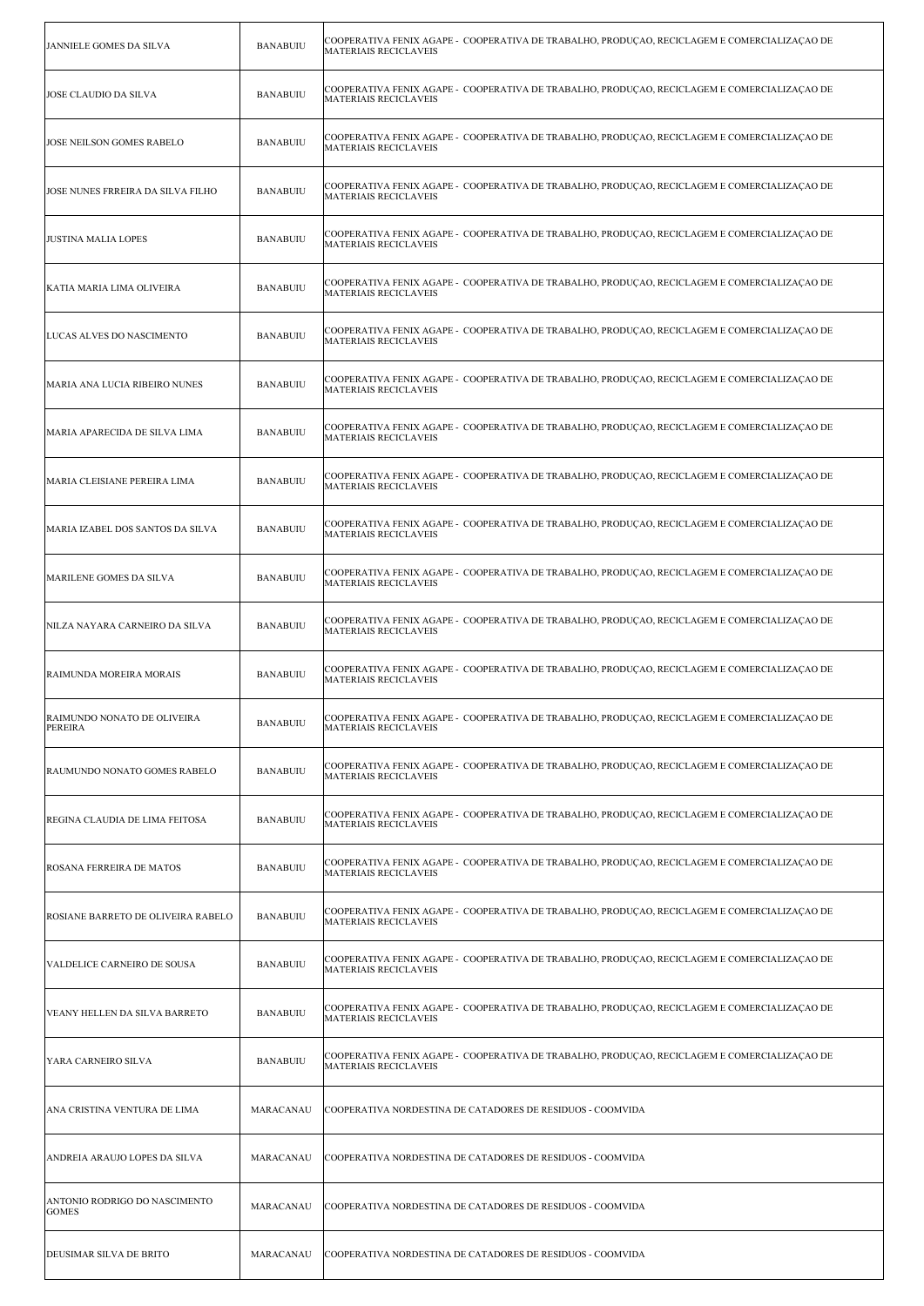| JANNIELE GOMES DA SILVA                       | <b>BANABUIU</b> | COOPERATIVA FENIX AGAPE -  COOPERATIVA DE TRABALHO, PRODUÇAO, RECICLAGEM E COMERCIALIZAÇAO DE<br><b>MATERIAIS RECICLAVEIS</b> |
|-----------------------------------------------|-----------------|-------------------------------------------------------------------------------------------------------------------------------|
| JOSE CLAUDIO DA SILVA                         | <b>BANABUIU</b> | COOPERATIVA FENIX AGAPE - COOPERATIVA DE TRABALHO, PRODUÇAO, RECICLAGEM E COMERCIALIZAÇÃO DE<br><b>MATERIAIS RECICLAVEIS</b>  |
| JOSE NEILSON GOMES RABELO                     | <b>BANABUIU</b> | COOPERATIVA FENIX AGAPE - COOPERATIVA DE TRABALHO, PRODUÇAO, RECICLAGEM E COMERCIALIZAÇÃO DE<br><b>MATERIAIS RECICLAVEIS</b>  |
| JOSE NUNES FRREIRA DA SILVA FILHO             | <b>BANABUIU</b> | COOPERATIVA FENIX AGAPE - COOPERATIVA DE TRABALHO, PRODUÇAO, RECICLAGEM E COMERCIALIZAÇÃO DE<br><b>MATERIAIS RECICLAVEIS</b>  |
| <b>JUSTINA MALIA LOPES</b>                    | <b>BANABUIU</b> | COOPERATIVA FENIX AGAPE - COOPERATIVA DE TRABALHO, PRODUÇAO, RECICLAGEM E COMERCIALIZAÇÃO DE<br><b>MATERIAIS RECICLAVEIS</b>  |
| KATIA MARIA LIMA OLIVEIRA                     | <b>BANABUIU</b> | COOPERATIVA FENIX AGAPE - COOPERATIVA DE TRABALHO, PRODUÇÃO, RECICLAGEM E COMERCIALIZAÇÃO DE<br><b>MATERIAIS RECICLAVEIS</b>  |
| LUCAS ALVES DO NASCIMENTO                     | <b>BANABUIU</b> | COOPERATIVA FENIX AGAPE - COOPERATIVA DE TRABALHO, PRODUÇAO, RECICLAGEM E COMERCIALIZAÇÃO DE<br><b>MATERIAIS RECICLAVEIS</b>  |
| MARIA ANA LUCIA RIBEIRO NUNES                 | <b>BANABUIU</b> | COOPERATIVA FENIX AGAPE - COOPERATIVA DE TRABALHO, PRODUÇAO, RECICLAGEM E COMERCIALIZAÇÃO DE<br><b>MATERIAIS RECICLAVEIS</b>  |
| MARIA APARECIDA DE SILVA LIMA                 | <b>BANABUIU</b> | COOPERATIVA FENIX AGAPE - COOPERATIVA DE TRABALHO, PRODUÇAO, RECICLAGEM E COMERCIALIZAÇÃO DE<br><b>MATERIAIS RECICLAVEIS</b>  |
| MARIA CLEISIANE PEREIRA LIMA                  | <b>BANABUIU</b> | COOPERATIVA FENIX AGAPE - COOPERATIVA DE TRABALHO, PRODUÇAO, RECICLAGEM E COMERCIALIZAÇÃO DE<br><b>MATERIAIS RECICLAVEIS</b>  |
| MARIA IZABEL DOS SANTOS DA SILVA              | <b>BANABUIU</b> | COOPERATIVA FENIX AGAPE - COOPERATIVA DE TRABALHO, PRODUÇÃO, RECICLAGEM E COMERCIALIZAÇÃO DE<br><b>MATERIAIS RECICLAVEIS</b>  |
| MARILENE GOMES DA SILVA                       | <b>BANABUIU</b> | COOPERATIVA FENIX AGAPE - COOPERATIVA DE TRABALHO, PRODUÇAO, RECICLAGEM E COMERCIALIZAÇÃO DE<br><b>MATERIAIS RECICLAVEIS</b>  |
| NILZA NAYARA CARNEIRO DA SILVA                | <b>BANABUIU</b> | COOPERATIVA FENIX AGAPE - COOPERATIVA DE TRABALHO, PRODUÇAO, RECICLAGEM E COMERCIALIZAÇÃO DE<br><b>MATERIAIS RECICLAVEIS</b>  |
| RAIMUNDA MOREIRA MORAIS                       | <b>BANABUIU</b> | COOPERATIVA FENIX AGAPE - COOPERATIVA DE TRABALHO, PRODUÇAO, RECICLAGEM E COMERCIALIZAÇÃO DE<br><b>MATERIAIS RECICLAVEIS</b>  |
| RAIMUNDO NONATO DE OLIVEIRA<br>PEREIRA        | <b>BANABUIU</b> | COOPERATIVA FENIX AGAPE - COOPERATIVA DE TRABALHO, PRODUÇAO, RECICLAGEM E COMERCIALIZAÇÃO DE<br><b>MATERIAIS RECICLAVEIS</b>  |
| RAUMUNDO NONATO GOMES RABELO                  | <b>BANABUIU</b> | COOPERATIVA FENIX AGAPE - COOPERATIVA DE TRABALHO, PRODUÇÃO, RECICLAGEM E COMERCIALIZAÇÃO DE<br><b>MATERIAIS RECICLAVEIS</b>  |
| REGINA CLAUDIA DE LIMA FEITOSA                | <b>BANABUIU</b> | COOPERATIVA FENIX AGAPE - COOPERATIVA DE TRABALHO, PRODUÇÃO, RECICLAGEM E COMERCIALIZAÇÃO DE<br><b>MATERIAIS RECICLAVEIS</b>  |
| ROSANA FERREIRA DE MATOS                      | <b>BANABUIU</b> | COOPERATIVA FENIX AGAPE - COOPERATIVA DE TRABALHO, PRODUÇAO, RECICLAGEM E COMERCIALIZAÇÃO DE<br><b>MATERIAIS RECICLAVEIS</b>  |
| ROSIANE BARRETO DE OLIVEIRA RABELO            | <b>BANABUIU</b> | COOPERATIVA FENIX AGAPE - COOPERATIVA DE TRABALHO, PRODUÇÃO, RECICLAGEM E COMERCIALIZAÇÃO DE<br><b>MATERIAIS RECICLAVEIS</b>  |
| VALDELICE CARNEIRO DE SOUSA                   | <b>BANABUIU</b> | COOPERATIVA FENIX AGAPE - COOPERATIVA DE TRABALHO, PRODUÇAO, RECICLAGEM E COMERCIALIZAÇÃO DE<br><b>MATERIAIS RECICLAVEIS</b>  |
| VEANY HELLEN DA SILVA BARRETO                 | <b>BANABUIU</b> | COOPERATIVA FENIX AGAPE - COOPERATIVA DE TRABALHO, PRODUÇÃO, RECICLAGEM E COMERCIALIZAÇÃO DE<br><b>MATERIAIS RECICLAVEIS</b>  |
| YARA CARNEIRO SILVA                           | <b>BANABUIU</b> | COOPERATIVA FENIX AGAPE - COOPERATIVA DE TRABALHO, PRODUÇAO, RECICLAGEM E COMERCIALIZAÇÃO DE<br><b>MATERIAIS RECICLAVEIS</b>  |
| ANA CRISTINA VENTURA DE LIMA                  | MARACANAU       | COOPERATIVA NORDESTINA DE CATADORES DE RESIDUOS - COOMVIDA                                                                    |
| ANDREIA ARAUJO LOPES DA SILVA                 | MARACANAU       | COOPERATIVA NORDESTINA DE CATADORES DE RESIDUOS - COOMVIDA                                                                    |
| ANTONIO RODRIGO DO NASCIMENTO<br><b>GOMES</b> | MARACANAU       | COOPERATIVA NORDESTINA DE CATADORES DE RESIDUOS - COOMVIDA                                                                    |
| DEUSIMAR SILVA DE BRITO                       | MARACANAU       | COOPERATIVA NORDESTINA DE CATADORES DE RESIDUOS - COOMVIDA                                                                    |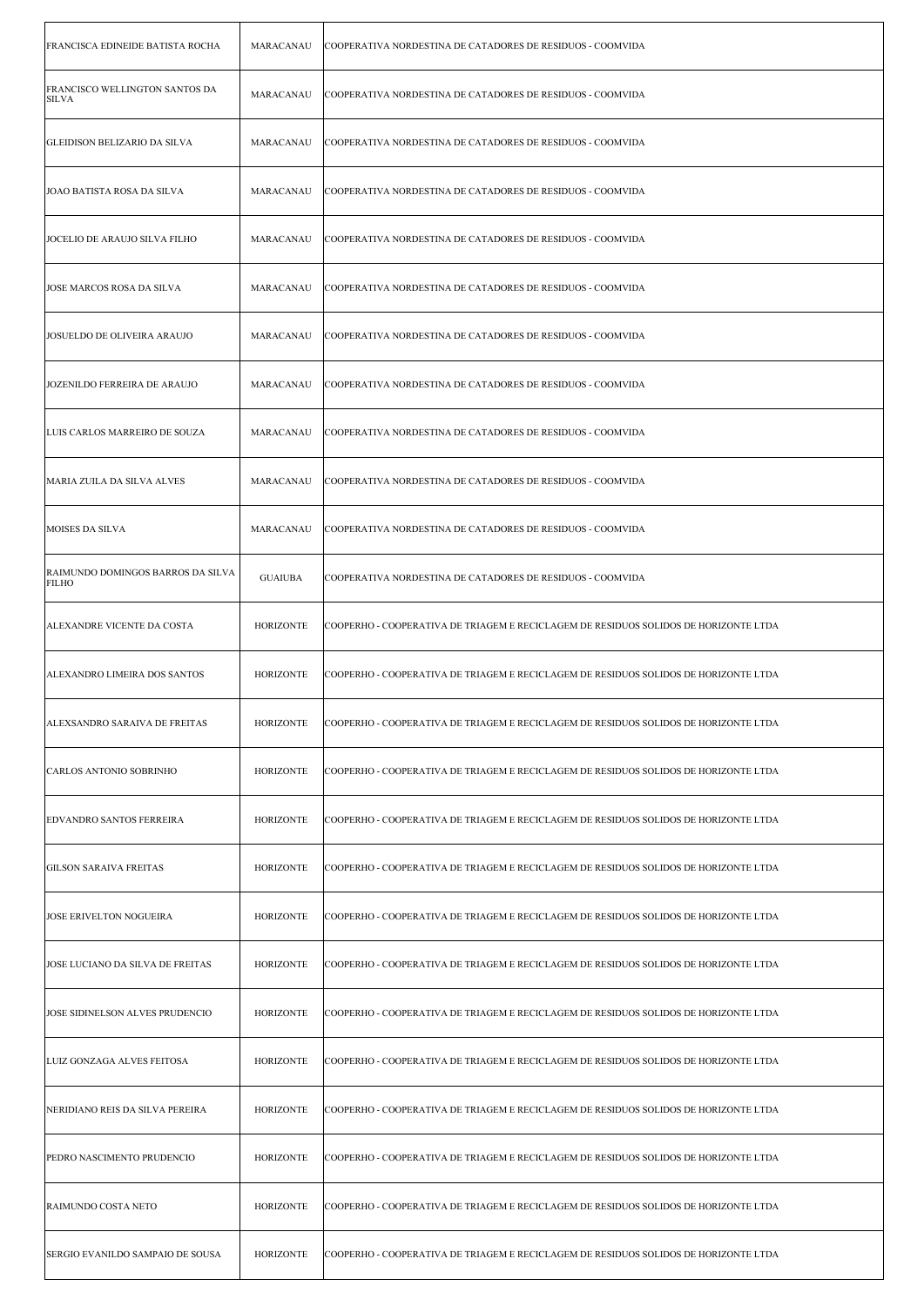| <b>FRANCISCA EDINEIDE BATISTA ROCHA</b>        | MARACANAU        | COOPERATIVA NORDESTINA DE CATADORES DE RESIDUOS - COOMVIDA                           |
|------------------------------------------------|------------------|--------------------------------------------------------------------------------------|
| FRANCISCO WELLINGTON SANTOS DA<br><b>SILVA</b> | MARACANAU        | COOPERATIVA NORDESTINA DE CATADORES DE RESIDUOS - COOMVIDA                           |
| GLEIDISON BELIZARIO DA SILVA                   | MARACANAU        | COOPERATIVA NORDESTINA DE CATADORES DE RESIDUOS - COOMVIDA                           |
| JOAO BATISTA ROSA DA SILVA                     | MARACANAU        | COOPERATIVA NORDESTINA DE CATADORES DE RESIDUOS - COOMVIDA                           |
| JOCELIO DE ARAUJO SILVA FILHO                  | MARACANAU        | COOPERATIVA NORDESTINA DE CATADORES DE RESIDUOS - COOMVIDA                           |
| JOSE MARCOS ROSA DA SILVA                      | MARACANAU        | COOPERATIVA NORDESTINA DE CATADORES DE RESIDUOS - COOMVIDA                           |
| JOSUELDO DE OLIVEIRA ARAUJO                    | MARACANAU        | COOPERATIVA NORDESTINA DE CATADORES DE RESIDUOS - COOMVIDA                           |
| JOZENILDO FERREIRA DE ARAUJO                   | MARACANAU        | COOPERATIVA NORDESTINA DE CATADORES DE RESIDUOS - COOMVIDA                           |
| LUIS CARLOS MARREIRO DE SOUZA                  | MARACANAU        | COOPERATIVA NORDESTINA DE CATADORES DE RESIDUOS - COOMVIDA                           |
| MARIA ZUILA DA SILVA ALVES                     | MARACANAU        | COOPERATIVA NORDESTINA DE CATADORES DE RESIDUOS - COOMVIDA                           |
| MOISES DA SILVA                                | MARACANAU        | COOPERATIVA NORDESTINA DE CATADORES DE RESIDUOS - COOMVIDA                           |
| RAIMUNDO DOMINGOS BARROS DA SILVA<br>FILHO     | <b>GUAIUBA</b>   | COOPERATIVA NORDESTINA DE CATADORES DE RESIDUOS - COOMVIDA                           |
| ALEXANDRE VICENTE DA COSTA                     | <b>HORIZONTE</b> | COOPERHO - COOPERATIVA DE TRIAGEM E RECICLAGEM DE RESIDUOS SOLIDOS DE HORIZONTE LTDA |
| ALEXANDRO LIMEIRA DOS SANTOS                   | <b>HORIZONTE</b> | COOPERHO - COOPERATIVA DE TRIAGEM E RECICLAGEM DE RESIDUOS SOLIDOS DE HORIZONTE LTDA |
| ALEXSANDRO SARAIVA DE FREITAS                  | HORIZONTE        | COOPERHO - COOPERATIVA DE TRIAGEM E RECICLAGEM DE RESIDUOS SOLIDOS DE HORIZONTE LTDA |
| CARLOS ANTONIO SOBRINHO                        | <b>HORIZONTE</b> | COOPERHO - COOPERATIVA DE TRIAGEM E RECICLAGEM DE RESIDUOS SOLIDOS DE HORIZONTE LTDA |
| <b>EDVANDRO SANTOS FERREIRA</b>                | <b>HORIZONTE</b> | COOPERHO - COOPERATIVA DE TRIAGEM E RECICLAGEM DE RESIDUOS SOLIDOS DE HORIZONTE LTDA |
| <b>GILSON SARAIVA FREITAS</b>                  | <b>HORIZONTE</b> | COOPERHO - COOPERATIVA DE TRIAGEM E RECICLAGEM DE RESIDUOS SOLIDOS DE HORIZONTE LTDA |
| <b>JOSE ERIVELTON NOGUEIRA</b>                 | <b>HORIZONTE</b> | COOPERHO - COOPERATIVA DE TRIAGEM E RECICLAGEM DE RESIDUOS SOLIDOS DE HORIZONTE LTDA |
| JOSE LUCIANO DA SILVA DE FREITAS               | <b>HORIZONTE</b> | COOPERHO - COOPERATIVA DE TRIAGEM E RECICLAGEM DE RESIDUOS SOLIDOS DE HORIZONTE LTDA |
| JOSE SIDINELSON ALVES PRUDENCIO                | <b>HORIZONTE</b> | COOPERHO - COOPERATIVA DE TRIAGEM E RECICLAGEM DE RESIDUOS SOLIDOS DE HORIZONTE LTDA |
| LUIZ GONZAGA ALVES FEITOSA                     | <b>HORIZONTE</b> | COOPERHO - COOPERATIVA DE TRIAGEM E RECICLAGEM DE RESIDUOS SOLIDOS DE HORIZONTE LTDA |
| NERIDIANO REIS DA SILVA PEREIRA                | <b>HORIZONTE</b> | COOPERHO - COOPERATIVA DE TRIAGEM E RECICLAGEM DE RESIDUOS SOLIDOS DE HORIZONTE LTDA |
| PEDRO NASCIMENTO PRUDENCIO                     | <b>HORIZONTE</b> | COOPERHO - COOPERATIVA DE TRIAGEM E RECICLAGEM DE RESIDUOS SOLIDOS DE HORIZONTE LTDA |
| RAIMUNDO COSTA NETO                            | <b>HORIZONTE</b> | COOPERHO - COOPERATIVA DE TRIAGEM E RECICLAGEM DE RESIDUOS SOLIDOS DE HORIZONTE LTDA |
| SERGIO EVANILDO SAMPAIO DE SOUSA               | <b>HORIZONTE</b> | COOPERHO - COOPERATIVA DE TRIAGEM E RECICLAGEM DE RESIDUOS SOLIDOS DE HORIZONTE LTDA |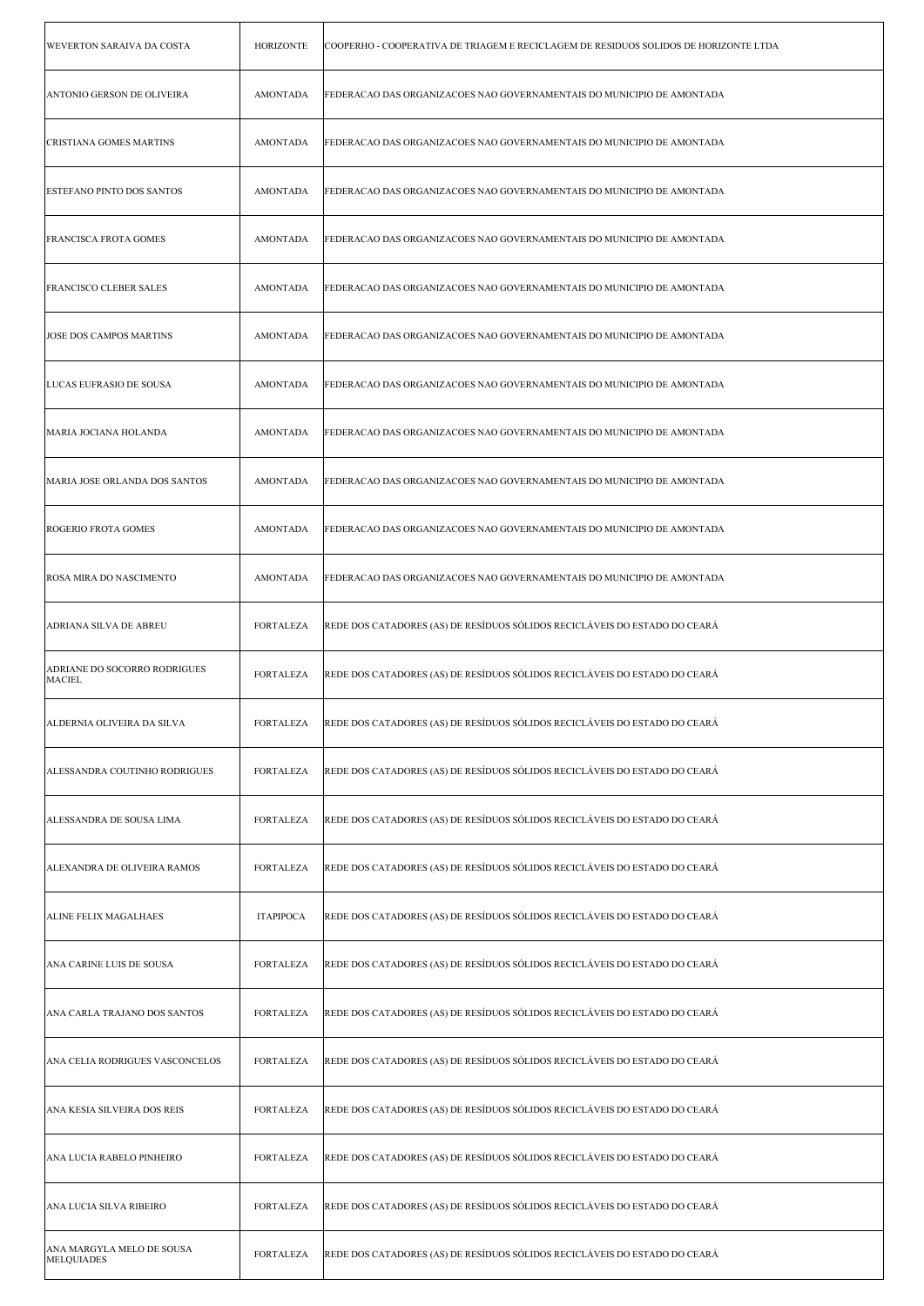| WEVERTON SARAIVA DA COSTA                     | HORIZONTE        | COOPERHO - COOPERATIVA DE TRIAGEM E RECICLAGEM DE RESIDUOS SOLIDOS DE HORIZONTE LTDA |
|-----------------------------------------------|------------------|--------------------------------------------------------------------------------------|
| ANTONIO GERSON DE OLIVEIRA                    | <b>AMONTADA</b>  | FEDERACAO DAS ORGANIZACOES NAO GOVERNAMENTAIS DO MUNICIPIO DE AMONTADA               |
| CRISTIANA GOMES MARTINS                       | <b>AMONTADA</b>  | FEDERACAO DAS ORGANIZACOES NAO GOVERNAMENTAIS DO MUNICIPIO DE AMONTADA               |
| <b>ESTEFANO PINTO DOS SANTOS</b>              | <b>AMONTADA</b>  | FEDERACAO DAS ORGANIZACOES NAO GOVERNAMENTAIS DO MUNICIPIO DE AMONTADA               |
| <b>FRANCISCA FROTA GOMES</b>                  | AMONTADA         | FEDERACAO DAS ORGANIZACOES NAO GOVERNAMENTAIS DO MUNICIPIO DE AMONTADA               |
| <b>FRANCISCO CLEBER SALES</b>                 | <b>AMONTADA</b>  | FEDERACAO DAS ORGANIZACOES NAO GOVERNAMENTAIS DO MUNICIPIO DE AMONTADA               |
| JOSE DOS CAMPOS MARTINS                       | <b>AMONTADA</b>  | FEDERACAO DAS ORGANIZACOES NAO GOVERNAMENTAIS DO MUNICIPIO DE AMONTADA               |
| LUCAS EUFRASIO DE SOUSA                       | <b>AMONTADA</b>  | FEDERACAO DAS ORGANIZACOES NAO GOVERNAMENTAIS DO MUNICIPIO DE AMONTADA               |
| MARIA JOCIANA HOLANDA                         | <b>AMONTADA</b>  | FEDERACAO DAS ORGANIZACOES NAO GOVERNAMENTAIS DO MUNICIPIO DE AMONTADA               |
| MARIA JOSE ORLANDA DOS SANTOS                 | <b>AMONTADA</b>  | FEDERACAO DAS ORGANIZACOES NAO GOVERNAMENTAIS DO MUNICIPIO DE AMONTADA               |
| ROGERIO FROTA GOMES                           | <b>AMONTADA</b>  | FEDERACAO DAS ORGANIZACOES NAO GOVERNAMENTAIS DO MUNICIPIO DE AMONTADA               |
| ROSA MIRA DO NASCIMENTO                       | <b>AMONTADA</b>  | FEDERACAO DAS ORGANIZACOES NAO GOVERNAMENTAIS DO MUNICIPIO DE AMONTADA               |
| ADRIANA SILVA DE ABREU                        | <b>FORTALEZA</b> | REDE DOS CATADORES (AS) DE RESÍDUOS SÓLIDOS RECICLÁVEIS DO ESTADO DO CEARÁ           |
| ADRIANE DO SOCORRO RODRIGUES<br><b>MACIEL</b> | <b>FORTALEZA</b> | REDE DOS CATADORES (AS) DE RESÍDUOS SÓLIDOS RECICLÁVEIS DO ESTADO DO CEARÁ           |
| ALDERNIA OLIVEIRA DA SILVA                    | FORTALEZA        | REDE DOS CATADORES (AS) DE RESÍDUOS SÓLIDOS RECICLÁVEIS DO ESTADO DO CEARÁ           |
| ALESSANDRA COUTINHO RODRIGUES                 | <b>FORTALEZA</b> | REDE DOS CATADORES (AS) DE RESÍDUOS SÓLIDOS RECICLÁVEIS DO ESTADO DO CEARÁ           |
|                                               |                  |                                                                                      |
| ALESSANDRA DE SOUSA LIMA                      | <b>FORTALEZA</b> | REDE DOS CATADORES (AS) DE RESÍDUOS SÓLIDOS RECICLÁVEIS DO ESTADO DO CEARÁ           |
| <b>ALEXANDRA DE OLIVEIRA RAMOS</b>            | <b>FORTALEZA</b> | REDE DOS CATADORES (AS) DE RESÍDUOS SÓLIDOS RECICLÁVEIS DO ESTADO DO CEARÁ           |
| ALINE FELIX MAGALHAES                         | <b>ITAPIPOCA</b> | REDE DOS CATADORES (AS) DE RESÍDUOS SÓLIDOS RECICLÁVEIS DO ESTADO DO CEARÁ           |
| ANA CARINE LUIS DE SOUSA                      | <b>FORTALEZA</b> | REDE DOS CATADORES (AS) DE RESÍDUOS SÓLIDOS RECICLÁVEIS DO ESTADO DO CEARÁ           |
| ANA CARLA TRAJANO DOS SANTOS                  | <b>FORTALEZA</b> | REDE DOS CATADORES (AS) DE RESÍDUOS SÓLIDOS RECICLÁVEIS DO ESTADO DO CEARÁ           |
| ANA CELIA RODRIGUES VASCONCELOS               | <b>FORTALEZA</b> | REDE DOS CATADORES (AS) DE RESÍDUOS SÓLIDOS RECICLÁVEIS DO ESTADO DO CEARÁ           |
| ANA KESIA SILVEIRA DOS REIS                   | <b>FORTALEZA</b> | REDE DOS CATADORES (AS) DE RESÍDUOS SÓLIDOS RECICLÁVEIS DO ESTADO DO CEARÁ           |
| ANA LUCIA RABELO PINHEIRO                     | <b>FORTALEZA</b> | REDE DOS CATADORES (AS) DE RESÍDUOS SÓLIDOS RECICLÁVEIS DO ESTADO DO CEARÁ           |
| ANA LUCIA SILVA RIBEIRO                       | <b>FORTALEZA</b> | REDE DOS CATADORES (AS) DE RESÍDUOS SÓLIDOS RECICLÁVEIS DO ESTADO DO CEARÁ           |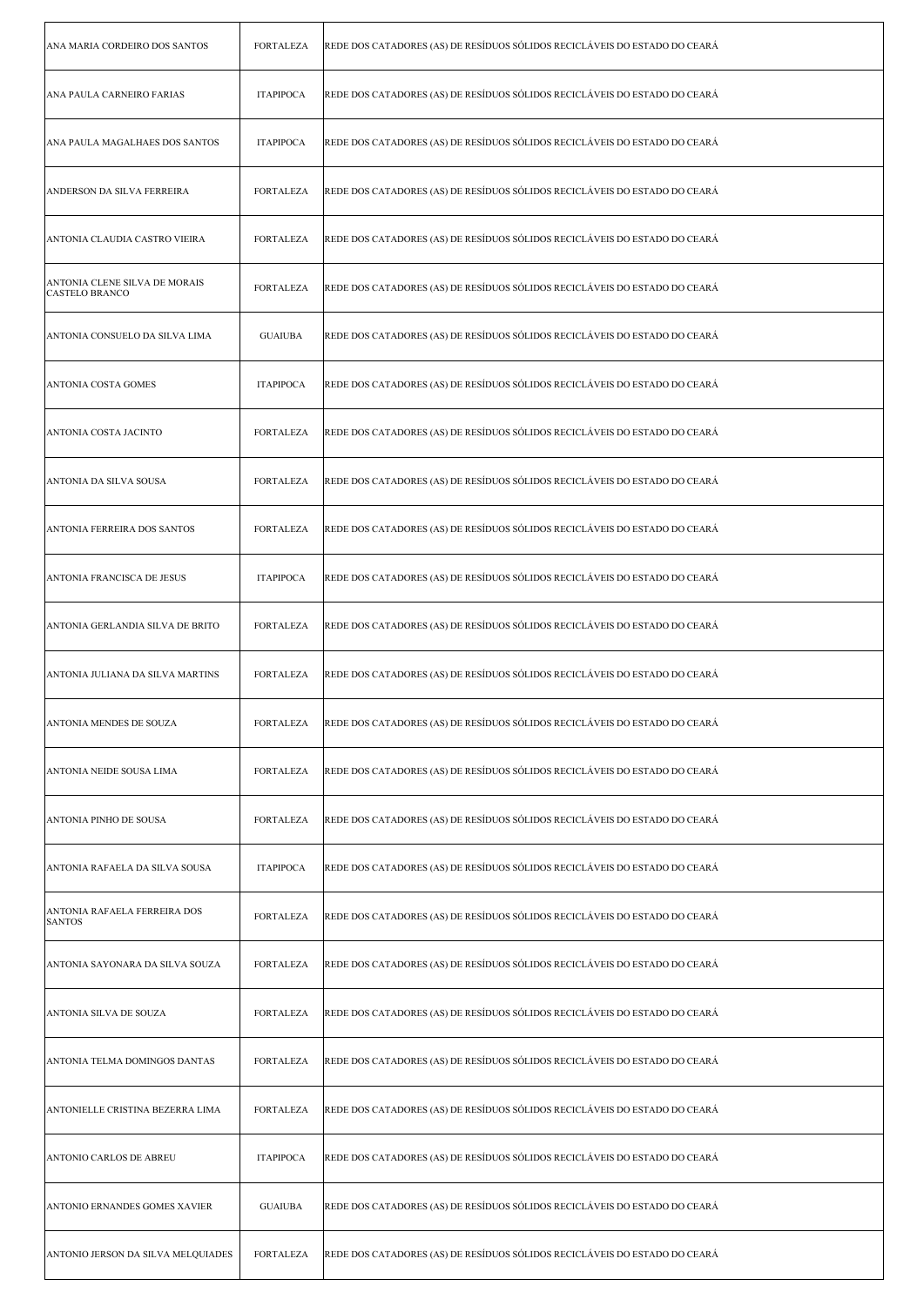| ANA MARIA CORDEIRO DOS SANTOS                          | <b>FORTALEZA</b> | REDE DOS CATADORES (AS) DE RESÍDUOS SÓLIDOS RECICLÁVEIS DO ESTADO DO CEARÁ |
|--------------------------------------------------------|------------------|----------------------------------------------------------------------------|
| ANA PAULA CARNEIRO FARIAS                              | <b>ITAPIPOCA</b> | REDE DOS CATADORES (AS) DE RESÍDUOS SÓLIDOS RECICLÁVEIS DO ESTADO DO CEARÁ |
| ANA PAULA MAGALHAES DOS SANTOS                         | <b>ITAPIPOCA</b> | REDE DOS CATADORES (AS) DE RESÍDUOS SÓLIDOS RECICLÁVEIS DO ESTADO DO CEARÁ |
| ANDERSON DA SILVA FERREIRA                             | FORTALEZA        | REDE DOS CATADORES (AS) DE RESÍDUOS SÓLIDOS RECICLÁVEIS DO ESTADO DO CEARÁ |
| ANTONIA CLAUDIA CASTRO VIEIRA                          | FORTALEZA        | REDE DOS CATADORES (AS) DE RESÍDUOS SÓLIDOS RECICLÁVEIS DO ESTADO DO CEARÁ |
| ANTONIA CLENE SILVA DE MORAIS<br><b>CASTELO BRANCO</b> | <b>FORTALEZA</b> | REDE DOS CATADORES (AS) DE RESÍDUOS SÓLIDOS RECICLÁVEIS DO ESTADO DO CEARÁ |
| ANTONIA CONSUELO DA SILVA LIMA                         | <b>GUAIUBA</b>   | REDE DOS CATADORES (AS) DE RESÍDUOS SÓLIDOS RECICLÁVEIS DO ESTADO DO CEARÁ |
| <b>ANTONIA COSTA GOMES</b>                             | <b>ITAPIPOCA</b> | REDE DOS CATADORES (AS) DE RESÍDUOS SÓLIDOS RECICLÁVEIS DO ESTADO DO CEARÁ |
| ANTONIA COSTA JACINTO                                  | <b>FORTALEZA</b> | REDE DOS CATADORES (AS) DE RESÍDUOS SÓLIDOS RECICLÁVEIS DO ESTADO DO CEARÁ |
| ANTONIA DA SILVA SOUSA                                 | FORTALEZA        | REDE DOS CATADORES (AS) DE RESÍDUOS SÓLIDOS RECICLÁVEIS DO ESTADO DO CEARÁ |
| ANTONIA FERREIRA DOS SANTOS                            | <b>FORTALEZA</b> | REDE DOS CATADORES (AS) DE RESÍDUOS SÓLIDOS RECICLÁVEIS DO ESTADO DO CEARÁ |
| ANTONIA FRANCISCA DE JESUS                             | <b>ITAPIPOCA</b> | REDE DOS CATADORES (AS) DE RESÍDUOS SÓLIDOS RECICLÁVEIS DO ESTADO DO CEARÁ |
| ANTONIA GERLANDIA SILVA DE BRITO                       | <b>FORTALEZA</b> | REDE DOS CATADORES (AS) DE RESÍDUOS SÓLIDOS RECICLÁVEIS DO ESTADO DO CEARÁ |
| ANTONIA JULIANA DA SILVA MARTINS                       | FORTALEZA        | REDE DOS CATADORES (AS) DE RESÍDUOS SÓLIDOS RECICLÁVEIS DO ESTADO DO CEARÁ |
| ANTONIA MENDES DE SOUZA                                | FORTALEZA        | REDE DOS CATADORES (AS) DE RESÍDUOS SÓLIDOS RECICLÁVEIS DO ESTADO DO CEARÁ |
| ANTONIA NEIDE SOUSA LIMA                               | <b>FORTALEZA</b> | REDE DOS CATADORES (AS) DE RESÍDUOS SÓLIDOS RECICLÁVEIS DO ESTADO DO CEARÁ |
| ANTONIA PINHO DE SOUSA                                 | <b>FORTALEZA</b> | REDE DOS CATADORES (AS) DE RESÍDUOS SÓLIDOS RECICLÁVEIS DO ESTADO DO CEARÁ |
| ANTONIA RAFAELA DA SILVA SOUSA                         | <b>ITAPIPOCA</b> | REDE DOS CATADORES (AS) DE RESÍDUOS SÓLIDOS RECICLÁVEIS DO ESTADO DO CEARÁ |
| ANTONIA RAFAELA FERREIRA DOS<br><b>SANTOS</b>          | FORTALEZA        | REDE DOS CATADORES (AS) DE RESÍDUOS SÓLIDOS RECICLÁVEIS DO ESTADO DO CEARÁ |
| ANTONIA SAYONARA DA SILVA SOUZA                        | <b>FORTALEZA</b> | REDE DOS CATADORES (AS) DE RESÍDUOS SÓLIDOS RECICLÁVEIS DO ESTADO DO CEARÁ |
| ANTONIA SILVA DE SOUZA                                 | <b>FORTALEZA</b> | REDE DOS CATADORES (AS) DE RESÍDUOS SÓLIDOS RECICLÁVEIS DO ESTADO DO CEARÁ |
| ANTONIA TELMA DOMINGOS DANTAS                          | <b>FORTALEZA</b> | REDE DOS CATADORES (AS) DE RESÍDUOS SÓLIDOS RECICLÁVEIS DO ESTADO DO CEARÁ |
| ANTONIELLE CRISTINA BEZERRA LIMA                       | <b>FORTALEZA</b> | REDE DOS CATADORES (AS) DE RESÍDUOS SÓLIDOS RECICLÁVEIS DO ESTADO DO CEARÁ |
| ANTONIO CARLOS DE ABREU                                | <b>ITAPIPOCA</b> | REDE DOS CATADORES (AS) DE RESÍDUOS SÓLIDOS RECICLÁVEIS DO ESTADO DO CEARÁ |
| ANTONIO ERNANDES GOMES XAVIER                          | <b>GUAIUBA</b>   | REDE DOS CATADORES (AS) DE RESÍDUOS SÓLIDOS RECICLÁVEIS DO ESTADO DO CEARÁ |
| ANTONIO JERSON DA SILVA MELQUIADES                     | <b>FORTALEZA</b> | REDE DOS CATADORES (AS) DE RESÍDUOS SÓLIDOS RECICLÁVEIS DO ESTADO DO CEARÁ |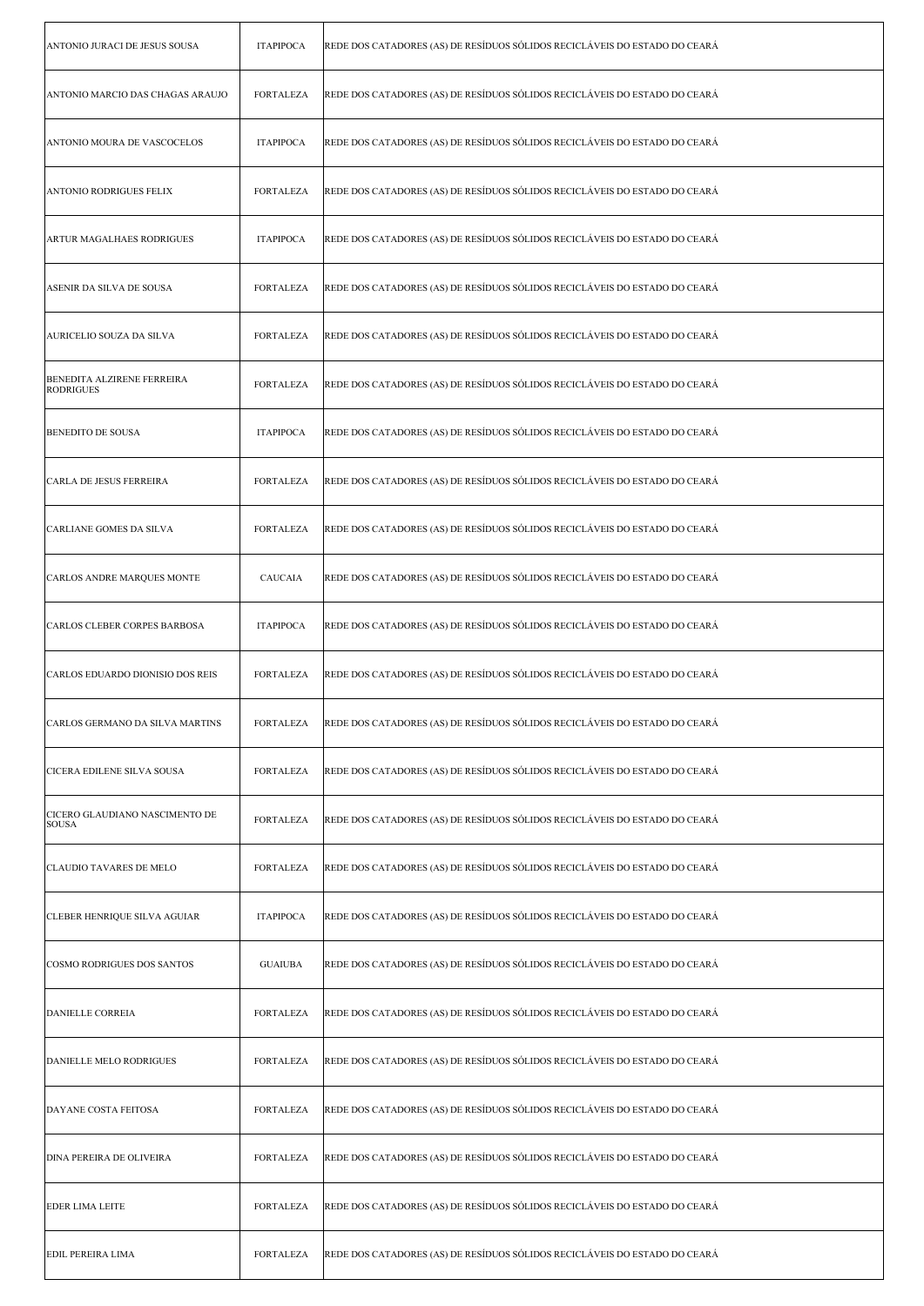| ANTONIO JURACI DE JESUS SOUSA                         | <b>ITAPIPOCA</b> | REDE DOS CATADORES (AS) DE RESÍDUOS SÓLIDOS RECICLÁVEIS DO ESTADO DO CEARÁ |
|-------------------------------------------------------|------------------|----------------------------------------------------------------------------|
| ANTONIO MARCIO DAS CHAGAS ARAUJO                      | <b>FORTALEZA</b> | REDE DOS CATADORES (AS) DE RESÍDUOS SÓLIDOS RECICLÁVEIS DO ESTADO DO CEARÁ |
| ANTONIO MOURA DE VASCOCELOS                           | <b>ITAPIPOCA</b> | REDE DOS CATADORES (AS) DE RESÍDUOS SÓLIDOS RECICLÁVEIS DO ESTADO DO CEARÁ |
| <b>ANTONIO RODRIGUES FELIX</b>                        | <b>FORTALEZA</b> | REDE DOS CATADORES (AS) DE RESÍDUOS SÓLIDOS RECICLÁVEIS DO ESTADO DO CEARÁ |
| <b>ARTUR MAGALHAES RODRIGUES</b>                      | <b>ITAPIPOCA</b> | REDE DOS CATADORES (AS) DE RESÍDUOS SÓLIDOS RECICLÁVEIS DO ESTADO DO CEARÁ |
| ASENIR DA SILVA DE SOUSA                              | <b>FORTALEZA</b> | REDE DOS CATADORES (AS) DE RESÍDUOS SÓLIDOS RECICLÁVEIS DO ESTADO DO CEARÁ |
| AURICELIO SOUZA DA SILVA                              | <b>FORTALEZA</b> | REDE DOS CATADORES (AS) DE RESÍDUOS SÓLIDOS RECICLÁVEIS DO ESTADO DO CEARÁ |
| <b>BENEDITA ALZIRENE FERREIRA</b><br><b>RODRIGUES</b> | <b>FORTALEZA</b> | REDE DOS CATADORES (AS) DE RESÍDUOS SÓLIDOS RECICLÁVEIS DO ESTADO DO CEARÁ |
| <b>BENEDITO DE SOUSA</b>                              | <b>ITAPIPOCA</b> | REDE DOS CATADORES (AS) DE RESÍDUOS SÓLIDOS RECICLÁVEIS DO ESTADO DO CEARÁ |
| CARLA DE JESUS FERREIRA                               | <b>FORTALEZA</b> | REDE DOS CATADORES (AS) DE RESÍDUOS SÓLIDOS RECICLÁVEIS DO ESTADO DO CEARÁ |
| CARLIANE GOMES DA SILVA                               | <b>FORTALEZA</b> | REDE DOS CATADORES (AS) DE RESÍDUOS SÓLIDOS RECICLÁVEIS DO ESTADO DO CEARÁ |
| CARLOS ANDRE MARQUES MONTE                            | CAUCAIA          | REDE DOS CATADORES (AS) DE RESÍDUOS SÓLIDOS RECICLÁVEIS DO ESTADO DO CEARÁ |
| CARLOS CLEBER CORPES BARBOSA                          | <b>ITAPIPOCA</b> | REDE DOS CATADORES (AS) DE RESÍDUOS SÓLIDOS RECICLÁVEIS DO ESTADO DO CEARÁ |
| CARLOS EDUARDO DIONISIO DOS REIS                      | <b>FORTALEZA</b> | REDE DOS CATADORES (AS) DE RESÍDUOS SÓLIDOS RECICLÁVEIS DO ESTADO DO CEARÁ |
| CARLOS GERMANO DA SILVA MARTINS                       | <b>FORTALEZA</b> | REDE DOS CATADORES (AS) DE RESÍDUOS SÓLIDOS RECICLÁVEIS DO ESTADO DO CEARÁ |
| CICERA EDILENE SILVA SOUSA                            | <b>FORTALEZA</b> | REDE DOS CATADORES (AS) DE RESÍDUOS SÓLIDOS RECICLÁVEIS DO ESTADO DO CEARÁ |
| CICERO GLAUDIANO NASCIMENTO DE<br><b>SOUSA</b>        | FORTALEZA        | REDE DOS CATADORES (AS) DE RESÍDUOS SÓLIDOS RECICLÁVEIS DO ESTADO DO CEARÁ |
| CLAUDIO TAVARES DE MELO                               | <b>FORTALEZA</b> | REDE DOS CATADORES (AS) DE RESÍDUOS SÓLIDOS RECICLÁVEIS DO ESTADO DO CEARÁ |
| CLEBER HENRIQUE SILVA AGUIAR                          | <b>ITAPIPOCA</b> | REDE DOS CATADORES (AS) DE RESÍDUOS SÓLIDOS RECICLÁVEIS DO ESTADO DO CEARÁ |
| COSMO RODRIGUES DOS SANTOS                            | <b>GUAIUBA</b>   | REDE DOS CATADORES (AS) DE RESÍDUOS SÓLIDOS RECICLÁVEIS DO ESTADO DO CEARÁ |
| DANIELLE CORREIA                                      | FORTALEZA        | REDE DOS CATADORES (AS) DE RESÍDUOS SÓLIDOS RECICLÁVEIS DO ESTADO DO CEARÁ |
| DANIELLE MELO RODRIGUES                               | <b>FORTALEZA</b> | REDE DOS CATADORES (AS) DE RESÍDUOS SÓLIDOS RECICLÁVEIS DO ESTADO DO CEARÁ |
| <b>DAYANE COSTA FEITOSA</b>                           | <b>FORTALEZA</b> | REDE DOS CATADORES (AS) DE RESÍDUOS SÓLIDOS RECICLÁVEIS DO ESTADO DO CEARÁ |
| DINA PEREIRA DE OLIVEIRA                              | <b>FORTALEZA</b> | REDE DOS CATADORES (AS) DE RESÍDUOS SÓLIDOS RECICLÁVEIS DO ESTADO DO CEARÁ |
| <b>EDER LIMA LEITE</b>                                | <b>FORTALEZA</b> | REDE DOS CATADORES (AS) DE RESÍDUOS SÓLIDOS RECICLÁVEIS DO ESTADO DO CEARÁ |
| <b>EDIL PEREIRA LIMA</b>                              | <b>FORTALEZA</b> | REDE DOS CATADORES (AS) DE RESÍDUOS SÓLIDOS RECICLÁVEIS DO ESTADO DO CEARÁ |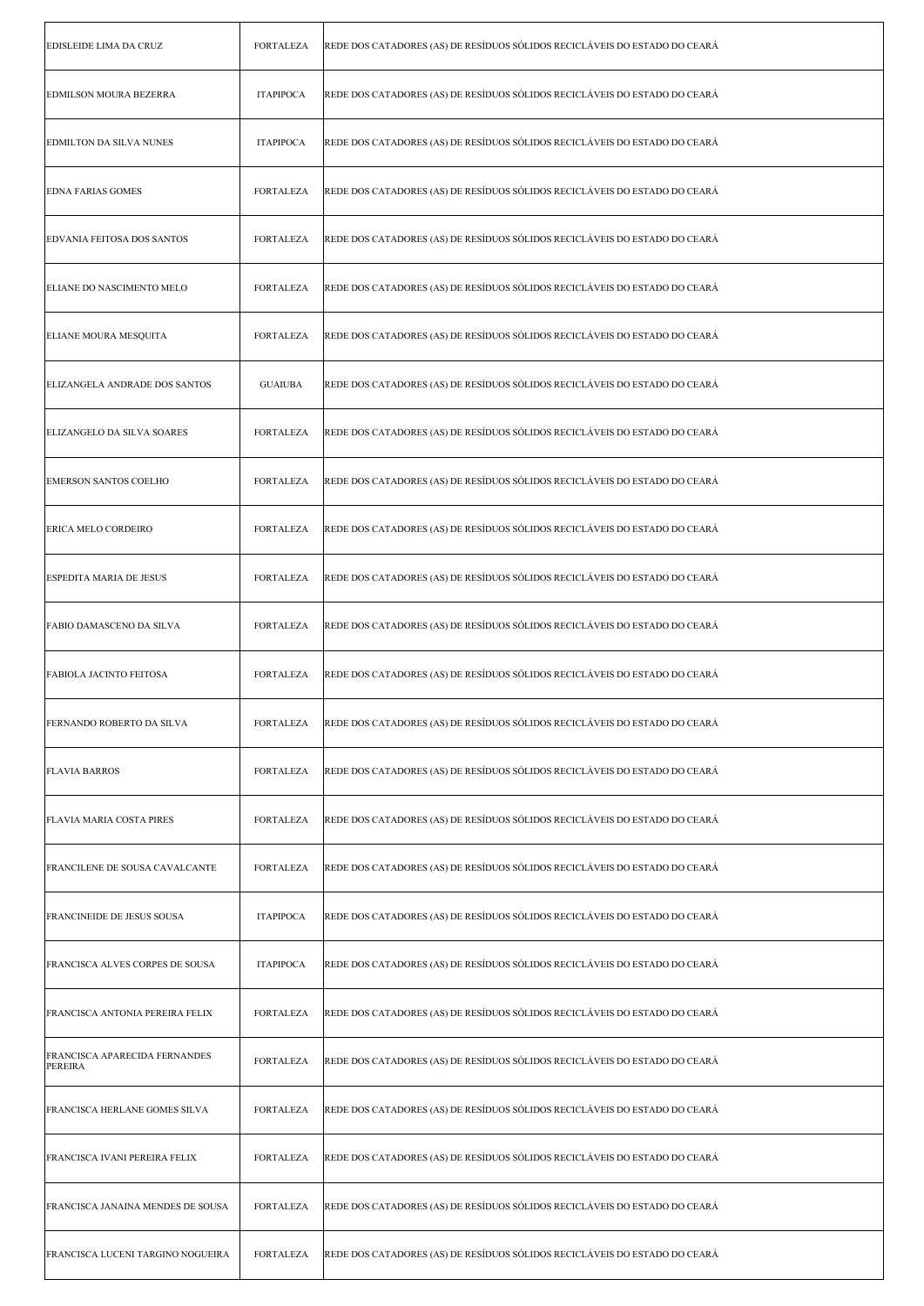| EDISLEIDE LIMA DA CRUZ                   | <b>FORTALEZA</b> | REDE DOS CATADORES (AS) DE RESÍDUOS SÓLIDOS RECICLÁVEIS DO ESTADO DO CEARÁ |
|------------------------------------------|------------------|----------------------------------------------------------------------------|
| EDMILSON MOURA BEZERRA                   | <b>ITAPIPOCA</b> | REDE DOS CATADORES (AS) DE RESÍDUOS SÓLIDOS RECICLÁVEIS DO ESTADO DO CEARÁ |
| EDMILTON DA SILVA NUNES                  | <b>ITAPIPOCA</b> | REDE DOS CATADORES (AS) DE RESÍDUOS SÓLIDOS RECICLÁVEIS DO ESTADO DO CEARÁ |
| <b>EDNA FARIAS GOMES</b>                 | FORTALEZA        | REDE DOS CATADORES (AS) DE RESÍDUOS SÓLIDOS RECICLÁVEIS DO ESTADO DO CEARÁ |
| <b>EDVANIA FEITOSA DOS SANTOS</b>        | <b>FORTALEZA</b> | REDE DOS CATADORES (AS) DE RESÍDUOS SÓLIDOS RECICLÁVEIS DO ESTADO DO CEARÁ |
| ELIANE DO NASCIMENTO MELO                | <b>FORTALEZA</b> | REDE DOS CATADORES (AS) DE RESÍDUOS SÓLIDOS RECICLÁVEIS DO ESTADO DO CEARÁ |
| ELIANE MOURA MESQUITA                    | <b>FORTALEZA</b> | REDE DOS CATADORES (AS) DE RESÍDUOS SÓLIDOS RECICLÁVEIS DO ESTADO DO CEARÁ |
| ELIZANGELA ANDRADE DOS SANTOS            | <b>GUAIUBA</b>   | REDE DOS CATADORES (AS) DE RESÍDUOS SÓLIDOS RECICLÁVEIS DO ESTADO DO CEARÁ |
| ELIZANGELO DA SILVA SOARES               | FORTALEZA        | REDE DOS CATADORES (AS) DE RESÍDUOS SÓLIDOS RECICLÁVEIS DO ESTADO DO CEARÁ |
| <b>EMERSON SANTOS COELHO</b>             | FORTALEZA        | REDE DOS CATADORES (AS) DE RESÍDUOS SÓLIDOS RECICLÁVEIS DO ESTADO DO CEARÁ |
| ERICA MELO CORDEIRO                      | <b>FORTALEZA</b> | REDE DOS CATADORES (AS) DE RESÍDUOS SÓLIDOS RECICLÁVEIS DO ESTADO DO CEARÁ |
| ESPEDITA MARIA DE JESUS                  | <b>FORTALEZA</b> | REDE DOS CATADORES (AS) DE RESÍDUOS SÓLIDOS RECICLÁVEIS DO ESTADO DO CEARÁ |
| FABIO DAMASCENO DA SILVA                 | FORTALEZA        | REDE DOS CATADORES (AS) DE RESÍDUOS SÓLIDOS RECICLÁVEIS DO ESTADO DO CEARÁ |
| <b>FABIOLA JACINTO FEITOSA</b>           | FORTALEZA        | REDE DOS CATADORES (AS) DE RESÍDUOS SÓLIDOS RECICLÁVEIS DO ESTADO DO CEARÁ |
| FERNANDO ROBERTO DA SILVA                | FORTALEZA        | REDE DOS CATADORES (AS) DE RESÍDUOS SÓLIDOS RECICLÁVEIS DO ESTADO DO CEARÁ |
| <b>FLAVIA BARROS</b>                     | <b>FORTALEZA</b> | REDE DOS CATADORES (AS) DE RESÍDUOS SÓLIDOS RECICLÁVEIS DO ESTADO DO CEARÁ |
| FLAVIA MARIA COSTA PIRES                 | <b>FORTALEZA</b> | REDE DOS CATADORES (AS) DE RESÍDUOS SÓLIDOS RECICLÁVEIS DO ESTADO DO CEARÁ |
| FRANCILENE DE SOUSA CAVALCANTE           | <b>FORTALEZA</b> | REDE DOS CATADORES (AS) DE RESÍDUOS SÓLIDOS RECICLÁVEIS DO ESTADO DO CEARÁ |
| FRANCINEIDE DE JESUS SOUSA               | <b>ITAPIPOCA</b> | REDE DOS CATADORES (AS) DE RESÍDUOS SÓLIDOS RECICLÁVEIS DO ESTADO DO CEARÁ |
| FRANCISCA ALVES CORPES DE SOUSA          | <b>ITAPIPOCA</b> | REDE DOS CATADORES (AS) DE RESÍDUOS SÓLIDOS RECICLÁVEIS DO ESTADO DO CEARÁ |
| FRANCISCA ANTONIA PEREIRA FELIX          | <b>FORTALEZA</b> | REDE DOS CATADORES (AS) DE RESÍDUOS SÓLIDOS RECICLÁVEIS DO ESTADO DO CEARÁ |
| FRANCISCA APARECIDA FERNANDES<br>PEREIRA | <b>FORTALEZA</b> | REDE DOS CATADORES (AS) DE RESÍDUOS SÓLIDOS RECICLÁVEIS DO ESTADO DO CEARÁ |
| FRANCISCA HERLANE GOMES SILVA            | <b>FORTALEZA</b> | REDE DOS CATADORES (AS) DE RESÍDUOS SÓLIDOS RECICLÁVEIS DO ESTADO DO CEARÁ |
| FRANCISCA IVANI PEREIRA FELIX            | FORTALEZA        | REDE DOS CATADORES (AS) DE RESÍDUOS SÓLIDOS RECICLÁVEIS DO ESTADO DO CEARÁ |
| FRANCISCA JANAINA MENDES DE SOUSA        | <b>FORTALEZA</b> | REDE DOS CATADORES (AS) DE RESÍDUOS SÓLIDOS RECICLÁVEIS DO ESTADO DO CEARÁ |
| FRANCISCA LUCENI TARGINO NOGUEIRA        | FORTALEZA        | REDE DOS CATADORES (AS) DE RESÍDUOS SÓLIDOS RECICLÁVEIS DO ESTADO DO CEARÁ |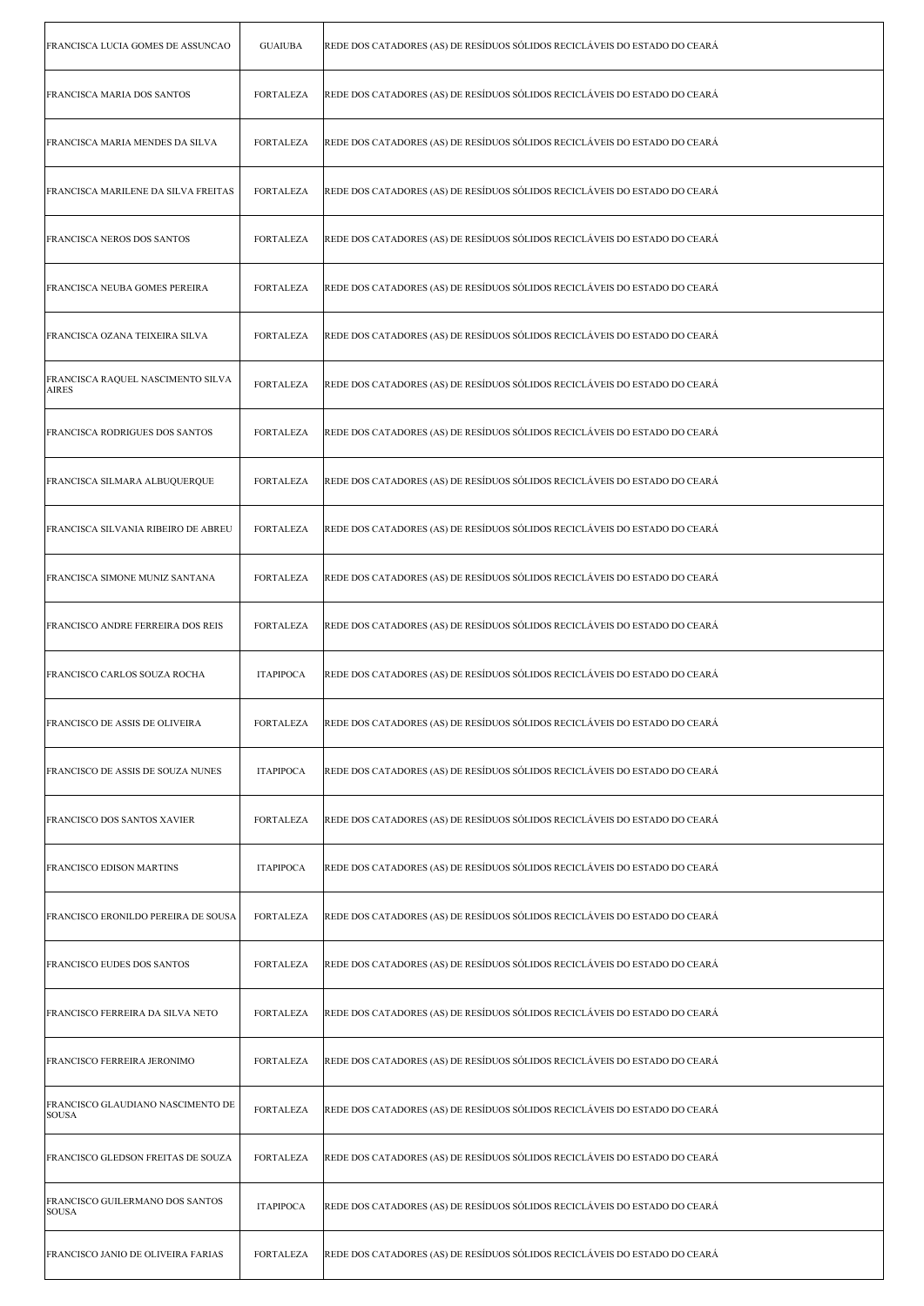| FRANCISCA LUCIA GOMES DE ASSUNCAO                 | <b>GUAIUBA</b>   | REDE DOS CATADORES (AS) DE RESÍDUOS SÓLIDOS RECICLÁVEIS DO ESTADO DO CEARÁ |
|---------------------------------------------------|------------------|----------------------------------------------------------------------------|
| FRANCISCA MARIA DOS SANTOS                        | <b>FORTALEZA</b> | REDE DOS CATADORES (AS) DE RESÍDUOS SÓLIDOS RECICLÁVEIS DO ESTADO DO CEARÁ |
| FRANCISCA MARIA MENDES DA SILVA                   | FORTALEZA        | REDE DOS CATADORES (AS) DE RESÍDUOS SÓLIDOS RECICLÁVEIS DO ESTADO DO CEARÁ |
| FRANCISCA MARILENE DA SILVA FREITAS               | <b>FORTALEZA</b> | REDE DOS CATADORES (AS) DE RESÍDUOS SÓLIDOS RECICLÁVEIS DO ESTADO DO CEARÁ |
| FRANCISCA NEROS DOS SANTOS                        | <b>FORTALEZA</b> | REDE DOS CATADORES (AS) DE RESÍDUOS SÓLIDOS RECICLÁVEIS DO ESTADO DO CEARÁ |
| FRANCISCA NEUBA GOMES PEREIRA                     | <b>FORTALEZA</b> | REDE DOS CATADORES (AS) DE RESÍDUOS SÓLIDOS RECICLÁVEIS DO ESTADO DO CEARÁ |
| FRANCISCA OZANA TEIXEIRA SILVA                    | <b>FORTALEZA</b> | REDE DOS CATADORES (AS) DE RESÍDUOS SÓLIDOS RECICLÁVEIS DO ESTADO DO CEARÁ |
| FRANCISCA RAQUEL NASCIMENTO SILVA<br><b>AIRES</b> | FORTALEZA        | REDE DOS CATADORES (AS) DE RESÍDUOS SÓLIDOS RECICLÁVEIS DO ESTADO DO CEARÁ |
| <b>FRANCISCA RODRIGUES DOS SANTOS</b>             | <b>FORTALEZA</b> | REDE DOS CATADORES (AS) DE RESÍDUOS SÓLIDOS RECICLÁVEIS DO ESTADO DO CEARÁ |
| FRANCISCA SILMARA ALBUQUERQUE                     | <b>FORTALEZA</b> | REDE DOS CATADORES (AS) DE RESÍDUOS SÓLIDOS RECICLÁVEIS DO ESTADO DO CEARÁ |
| FRANCISCA SILVANIA RIBEIRO DE ABREU               | <b>FORTALEZA</b> | REDE DOS CATADORES (AS) DE RESÍDUOS SÓLIDOS RECICLÁVEIS DO ESTADO DO CEARÁ |
| FRANCISCA SIMONE MUNIZ SANTANA                    | <b>FORTALEZA</b> | REDE DOS CATADORES (AS) DE RESÍDUOS SÓLIDOS RECICLÁVEIS DO ESTADO DO CEARÁ |
| FRANCISCO ANDRE FERREIRA DOS REIS                 | <b>FORTALEZA</b> | REDE DOS CATADORES (AS) DE RESÍDUOS SÓLIDOS RECICLÁVEIS DO ESTADO DO CEARÁ |
| FRANCISCO CARLOS SOUZA ROCHA                      | <b>ITAPIPOCA</b> | REDE DOS CATADORES (AS) DE RESÍDUOS SÓLIDOS RECICLÁVEIS DO ESTADO DO CEARÁ |
| FRANCISCO DE ASSIS DE OLIVEIRA                    | FORTALEZA        | REDE DOS CATADORES (AS) DE RESÍDUOS SÓLIDOS RECICLÁVEIS DO ESTADO DO CEARÁ |
| FRANCISCO DE ASSIS DE SOUZA NUNES                 | <b>ITAPIPOCA</b> | REDE DOS CATADORES (AS) DE RESÍDUOS SÓLIDOS RECICLÁVEIS DO ESTADO DO CEARÁ |
| FRANCISCO DOS SANTOS XAVIER                       | <b>FORTALEZA</b> | REDE DOS CATADORES (AS) DE RESÍDUOS SÓLIDOS RECICLÁVEIS DO ESTADO DO CEARÁ |
| FRANCISCO EDISON MARTINS                          | <b>ITAPIPOCA</b> | REDE DOS CATADORES (AS) DE RESÍDUOS SÓLIDOS RECICLÁVEIS DO ESTADO DO CEARÁ |
| FRANCISCO ERONILDO PEREIRA DE SOUSA               | <b>FORTALEZA</b> | REDE DOS CATADORES (AS) DE RESÍDUOS SÓLIDOS RECICLÁVEIS DO ESTADO DO CEARÁ |
| FRANCISCO EUDES DOS SANTOS                        | <b>FORTALEZA</b> | REDE DOS CATADORES (AS) DE RESÍDUOS SÓLIDOS RECICLÁVEIS DO ESTADO DO CEARÁ |
| FRANCISCO FERREIRA DA SILVA NETO                  | FORTALEZA        | REDE DOS CATADORES (AS) DE RESÍDUOS SÓLIDOS RECICLÁVEIS DO ESTADO DO CEARÁ |
| FRANCISCO FERREIRA JERONIMO                       | <b>FORTALEZA</b> | REDE DOS CATADORES (AS) DE RESÍDUOS SÓLIDOS RECICLÁVEIS DO ESTADO DO CEARÁ |
| FRANCISCO GLAUDIANO NASCIMENTO DE<br><b>SOUSA</b> | FORTALEZA        | REDE DOS CATADORES (AS) DE RESÍDUOS SÓLIDOS RECICLÁVEIS DO ESTADO DO CEARÁ |
| FRANCISCO GLEDSON FREITAS DE SOUZA                | <b>FORTALEZA</b> | REDE DOS CATADORES (AS) DE RESÍDUOS SÓLIDOS RECICLÁVEIS DO ESTADO DO CEARÁ |
| FRANCISCO GUILERMANO DOS SANTOS<br><b>SOUSA</b>   | <b>ITAPIPOCA</b> | REDE DOS CATADORES (AS) DE RESÍDUOS SÓLIDOS RECICLÁVEIS DO ESTADO DO CEARÁ |
| FRANCISCO JANIO DE OLIVEIRA FARIAS                | <b>FORTALEZA</b> | REDE DOS CATADORES (AS) DE RESÍDUOS SÓLIDOS RECICLÁVEIS DO ESTADO DO CEARÁ |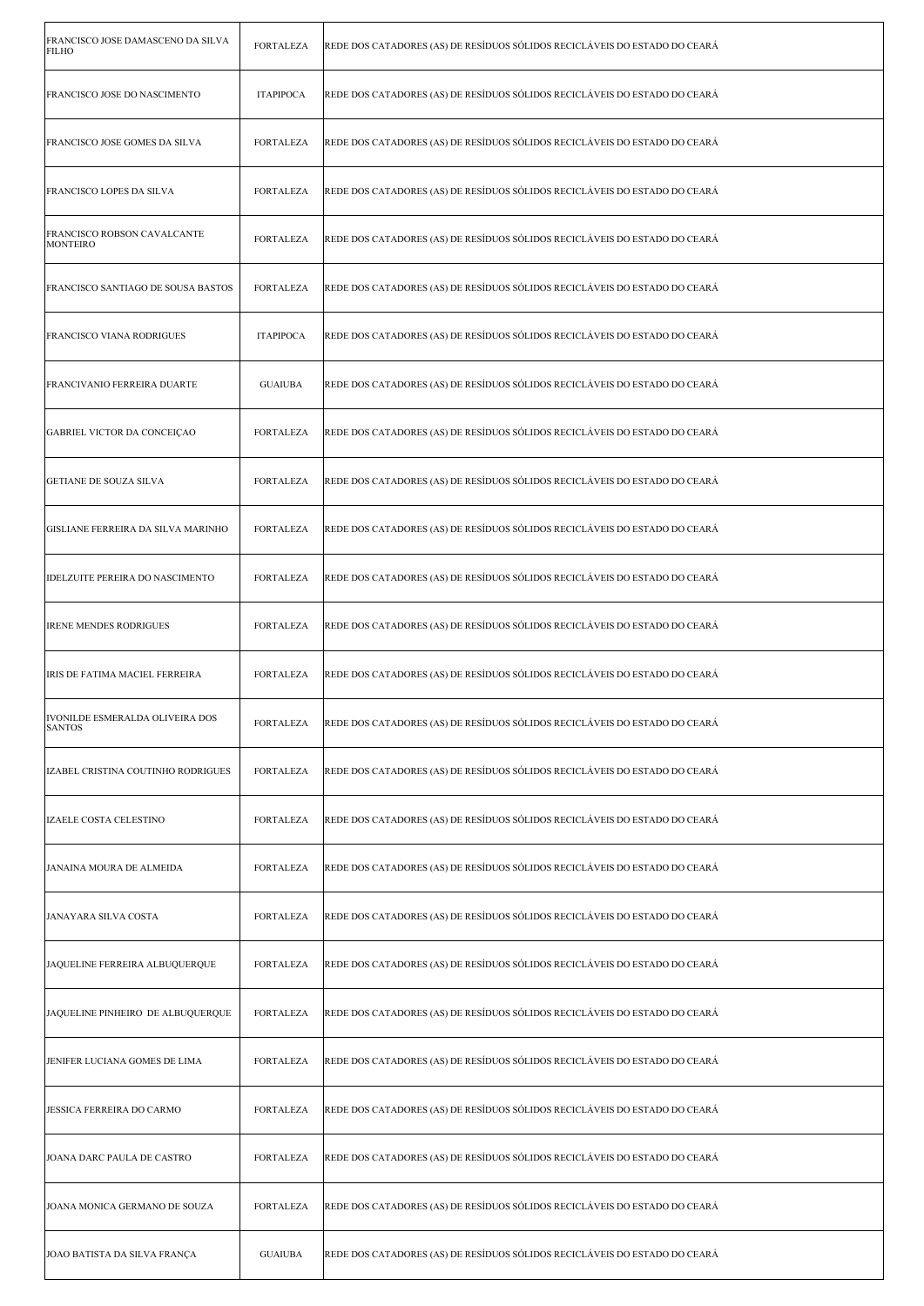| FRANCISCO JOSE DAMASCENO DA SILVA<br>FILHO       | <b>FORTALEZA</b> | REDE DOS CATADORES (AS) DE RESÍDUOS SÓLIDOS RECICLÁVEIS DO ESTADO DO CEARÁ |
|--------------------------------------------------|------------------|----------------------------------------------------------------------------|
| FRANCISCO JOSE DO NASCIMENTO                     | <b>ITAPIPOCA</b> | REDE DOS CATADORES (AS) DE RESÍDUOS SÓLIDOS RECICLÁVEIS DO ESTADO DO CEARÁ |
| FRANCISCO JOSE GOMES DA SILVA                    | <b>FORTALEZA</b> | REDE DOS CATADORES (AS) DE RESÍDUOS SÓLIDOS RECICLÁVEIS DO ESTADO DO CEARÁ |
| FRANCISCO LOPES DA SILVA                         | FORTALEZA        | REDE DOS CATADORES (AS) DE RESÍDUOS SÓLIDOS RECICLÁVEIS DO ESTADO DO CEARÁ |
| FRANCISCO ROBSON CAVALCANTE<br><b>MONTEIRO</b>   | <b>FORTALEZA</b> | REDE DOS CATADORES (AS) DE RESÍDUOS SÓLIDOS RECICLÁVEIS DO ESTADO DO CEARÁ |
| FRANCISCO SANTIAGO DE SOUSA BASTOS               | <b>FORTALEZA</b> | REDE DOS CATADORES (AS) DE RESÍDUOS SÓLIDOS RECICLÁVEIS DO ESTADO DO CEARÁ |
| FRANCISCO VIANA RODRIGUES                        | <b>ITAPIPOCA</b> | REDE DOS CATADORES (AS) DE RESÍDUOS SÓLIDOS RECICLÁVEIS DO ESTADO DO CEARÁ |
| FRANCIVANIO FERREIRA DUARTE                      | <b>GUAIUBA</b>   | REDE DOS CATADORES (AS) DE RESÍDUOS SÓLIDOS RECICLÁVEIS DO ESTADO DO CEARÁ |
| GABRIEL VICTOR DA CONCEIÇAO                      | <b>FORTALEZA</b> | REDE DOS CATADORES (AS) DE RESÍDUOS SÓLIDOS RECICLÁVEIS DO ESTADO DO CEARÁ |
| GETIANE DE SOUZA SILVA                           | FORTALEZA        | REDE DOS CATADORES (AS) DE RESÍDUOS SÓLIDOS RECICLÁVEIS DO ESTADO DO CEARÁ |
| GISLIANE FERREIRA DA SILVA MARINHO               | <b>FORTALEZA</b> | REDE DOS CATADORES (AS) DE RESÍDUOS SÓLIDOS RECICLÁVEIS DO ESTADO DO CEARÁ |
| IDELZUITE PEREIRA DO NASCIMENTO                  | <b>FORTALEZA</b> | REDE DOS CATADORES (AS) DE RESÍDUOS SÓLIDOS RECICLÁVEIS DO ESTADO DO CEARÁ |
| <b>IRENE MENDES RODRIGUES</b>                    | <b>FORTALEZA</b> | REDE DOS CATADORES (AS) DE RESÍDUOS SÓLIDOS RECICLÁVEIS DO ESTADO DO CEARÁ |
| IRIS DE FATIMA MACIEL FERREIRA                   | FORTALEZA        | REDE DOS CATADORES (AS) DE RESÍDUOS SÓLIDOS RECICLÁVEIS DO ESTADO DO CEARÁ |
| IVONILDE ESMERALDA OLIVEIRA DOS<br><b>SANTOS</b> | FORTALEZA        | REDE DOS CATADORES (AS) DE RESÍDUOS SÓLIDOS RECICLÁVEIS DO ESTADO DO CEARÁ |
| IZABEL CRISTINA COUTINHO RODRIGUES               | <b>FORTALEZA</b> | REDE DOS CATADORES (AS) DE RESÍDUOS SÓLIDOS RECICLÁVEIS DO ESTADO DO CEARÁ |
| <b>IZAELE COSTA CELESTINO</b>                    | <b>FORTALEZA</b> | REDE DOS CATADORES (AS) DE RESÍDUOS SÓLIDOS RECICLÁVEIS DO ESTADO DO CEARÁ |
| JANAINA MOURA DE ALMEIDA                         | <b>FORTALEZA</b> | REDE DOS CATADORES (AS) DE RESÍDUOS SÓLIDOS RECICLÁVEIS DO ESTADO DO CEARÁ |
| JANAYARA SILVA COSTA                             | <b>FORTALEZA</b> | REDE DOS CATADORES (AS) DE RESÍDUOS SÓLIDOS RECICLÁVEIS DO ESTADO DO CEARÁ |
| JAQUELINE FERREIRA ALBUQUERQUE                   | <b>FORTALEZA</b> | REDE DOS CATADORES (AS) DE RESÍDUOS SÓLIDOS RECICLÁVEIS DO ESTADO DO CEARÁ |
| JAQUELINE PINHEIRO DE ALBUQUERQUE                | <b>FORTALEZA</b> | REDE DOS CATADORES (AS) DE RESÍDUOS SÓLIDOS RECICLÁVEIS DO ESTADO DO CEARÁ |
| JENIFER LUCIANA GOMES DE LIMA                    | <b>FORTALEZA</b> | REDE DOS CATADORES (AS) DE RESÍDUOS SÓLIDOS RECICLÁVEIS DO ESTADO DO CEARÁ |
| JESSICA FERREIRA DO CARMO                        | <b>FORTALEZA</b> | REDE DOS CATADORES (AS) DE RESÍDUOS SÓLIDOS RECICLÁVEIS DO ESTADO DO CEARÁ |
| JOANA DARC PAULA DE CASTRO                       | FORTALEZA        | REDE DOS CATADORES (AS) DE RESÍDUOS SÓLIDOS RECICLÁVEIS DO ESTADO DO CEARÁ |
| JOANA MONICA GERMANO DE SOUZA                    | <b>FORTALEZA</b> | REDE DOS CATADORES (AS) DE RESÍDUOS SÓLIDOS RECICLÁVEIS DO ESTADO DO CEARÁ |
| JOAO BATISTA DA SILVA FRANÇA                     | <b>GUAIUBA</b>   | REDE DOS CATADORES (AS) DE RESÍDUOS SÓLIDOS RECICLÁVEIS DO ESTADO DO CEARÁ |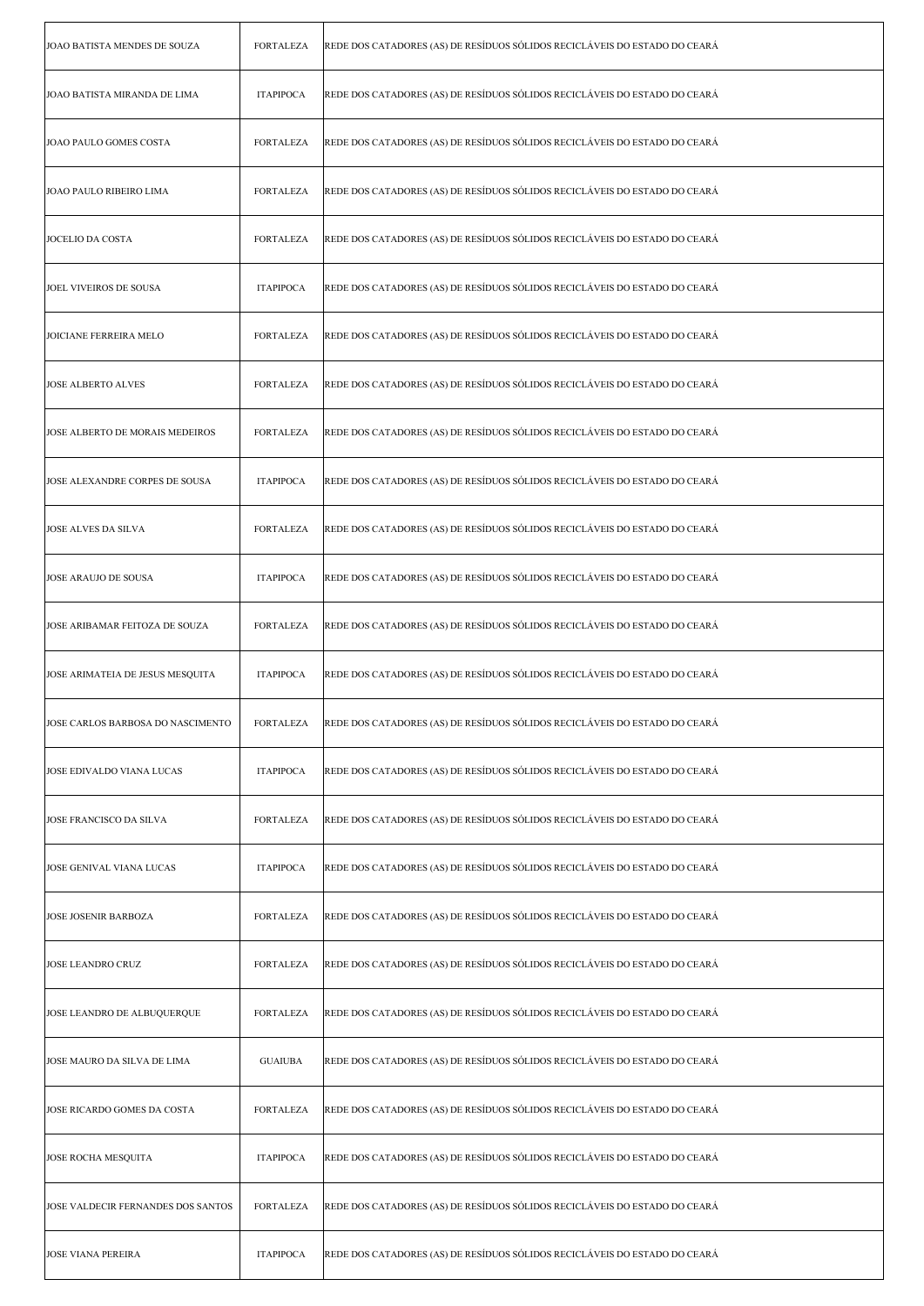| JOAO BATISTA MENDES DE SOUZA       | <b>FORTALEZA</b> | REDE DOS CATADORES (AS) DE RESÍDUOS SÓLIDOS RECICLÁVEIS DO ESTADO DO CEARÁ |
|------------------------------------|------------------|----------------------------------------------------------------------------|
| JOAO BATISTA MIRANDA DE LIMA       | <b>ITAPIPOCA</b> | REDE DOS CATADORES (AS) DE RESÍDUOS SÓLIDOS RECICLÁVEIS DO ESTADO DO CEARÁ |
| JOAO PAULO GOMES COSTA             | <b>FORTALEZA</b> | REDE DOS CATADORES (AS) DE RESÍDUOS SÓLIDOS RECICLÁVEIS DO ESTADO DO CEARÁ |
| JOAO PAULO RIBEIRO LIMA            | <b>FORTALEZA</b> | REDE DOS CATADORES (AS) DE RESÍDUOS SÓLIDOS RECICLÁVEIS DO ESTADO DO CEARÁ |
| JOCELIO DA COSTA                   | <b>FORTALEZA</b> | REDE DOS CATADORES (AS) DE RESÍDUOS SÓLIDOS RECICLÁVEIS DO ESTADO DO CEARÁ |
| JOEL VIVEIROS DE SOUSA             | <b>ITAPIPOCA</b> | REDE DOS CATADORES (AS) DE RESÍDUOS SÓLIDOS RECICLÁVEIS DO ESTADO DO CEARÁ |
| <b>JOICIANE FERREIRA MELO</b>      | <b>FORTALEZA</b> | REDE DOS CATADORES (AS) DE RESÍDUOS SÓLIDOS RECICLÁVEIS DO ESTADO DO CEARÁ |
| <b>JOSE ALBERTO ALVES</b>          | <b>FORTALEZA</b> | REDE DOS CATADORES (AS) DE RESÍDUOS SÓLIDOS RECICLÁVEIS DO ESTADO DO CEARÁ |
| JOSE ALBERTO DE MORAIS MEDEIROS    | <b>FORTALEZA</b> | REDE DOS CATADORES (AS) DE RESÍDUOS SÓLIDOS RECICLÁVEIS DO ESTADO DO CEARÁ |
| JOSE ALEXANDRE CORPES DE SOUSA     | <b>ITAPIPOCA</b> | REDE DOS CATADORES (AS) DE RESÍDUOS SÓLIDOS RECICLÁVEIS DO ESTADO DO CEARÁ |
| <b>JOSE ALVES DA SILVA</b>         | <b>FORTALEZA</b> | REDE DOS CATADORES (AS) DE RESÍDUOS SÓLIDOS RECICLÁVEIS DO ESTADO DO CEARÁ |
| JOSE ARAUJO DE SOUSA               | <b>ITAPIPOCA</b> | REDE DOS CATADORES (AS) DE RESÍDUOS SÓLIDOS RECICLÁVEIS DO ESTADO DO CEARÁ |
| JOSE ARIBAMAR FEITOZA DE SOUZA     | <b>FORTALEZA</b> | REDE DOS CATADORES (AS) DE RESÍDUOS SÓLIDOS RECICLÁVEIS DO ESTADO DO CEARÁ |
| JOSE ARIMATEIA DE JESUS MESQUITA   | <b>ITAPIPOCA</b> | REDE DOS CATADORES (AS) DE RESÍDUOS SÓLIDOS RECICLÁVEIS DO ESTADO DO CEARÁ |
| JOSE CARLOS BARBOSA DO NASCIMENTO  | FORTALEZA        | REDE DOS CATADORES (AS) DE RESÍDUOS SÓLIDOS RECICLÁVEIS DO ESTADO DO CEARÁ |
| JOSE EDIVALDO VIANA LUCAS          | <b>ITAPIPOCA</b> | REDE DOS CATADORES (AS) DE RESÍDUOS SÓLIDOS RECICLÁVEIS DO ESTADO DO CEARÁ |
| JOSE FRANCISCO DA SILVA            | <b>FORTALEZA</b> | REDE DOS CATADORES (AS) DE RESÍDUOS SÓLIDOS RECICLÁVEIS DO ESTADO DO CEARÁ |
| JOSE GENIVAL VIANA LUCAS           | <b>ITAPIPOCA</b> | REDE DOS CATADORES (AS) DE RESÍDUOS SÓLIDOS RECICLÁVEIS DO ESTADO DO CEARÁ |
| <b>JOSE JOSENIR BARBOZA</b>        | <b>FORTALEZA</b> | REDE DOS CATADORES (AS) DE RESÍDUOS SÓLIDOS RECICLÁVEIS DO ESTADO DO CEARÁ |
| <b>JOSE LEANDRO CRUZ</b>           | <b>FORTALEZA</b> | REDE DOS CATADORES (AS) DE RESÍDUOS SÓLIDOS RECICLÁVEIS DO ESTADO DO CEARÁ |
| JOSE LEANDRO DE ALBUQUERQUE        | <b>FORTALEZA</b> | REDE DOS CATADORES (AS) DE RESÍDUOS SÓLIDOS RECICLÁVEIS DO ESTADO DO CEARÁ |
| JOSE MAURO DA SILVA DE LIMA        | <b>GUAIUBA</b>   | REDE DOS CATADORES (AS) DE RESÍDUOS SÓLIDOS RECICLÁVEIS DO ESTADO DO CEARÁ |
| JOSE RICARDO GOMES DA COSTA        | <b>FORTALEZA</b> | REDE DOS CATADORES (AS) DE RESÍDUOS SÓLIDOS RECICLÁVEIS DO ESTADO DO CEARÁ |
| JOSE ROCHA MESQUITA                | <b>ITAPIPOCA</b> | REDE DOS CATADORES (AS) DE RESÍDUOS SÓLIDOS RECICLÁVEIS DO ESTADO DO CEARÁ |
| JOSE VALDECIR FERNANDES DOS SANTOS | <b>FORTALEZA</b> | REDE DOS CATADORES (AS) DE RESÍDUOS SÓLIDOS RECICLÁVEIS DO ESTADO DO CEARÁ |
| <b>JOSE VIANA PEREIRA</b>          | <b>ITAPIPOCA</b> | REDE DOS CATADORES (AS) DE RESÍDUOS SÓLIDOS RECICLÁVEIS DO ESTADO DO CEARÁ |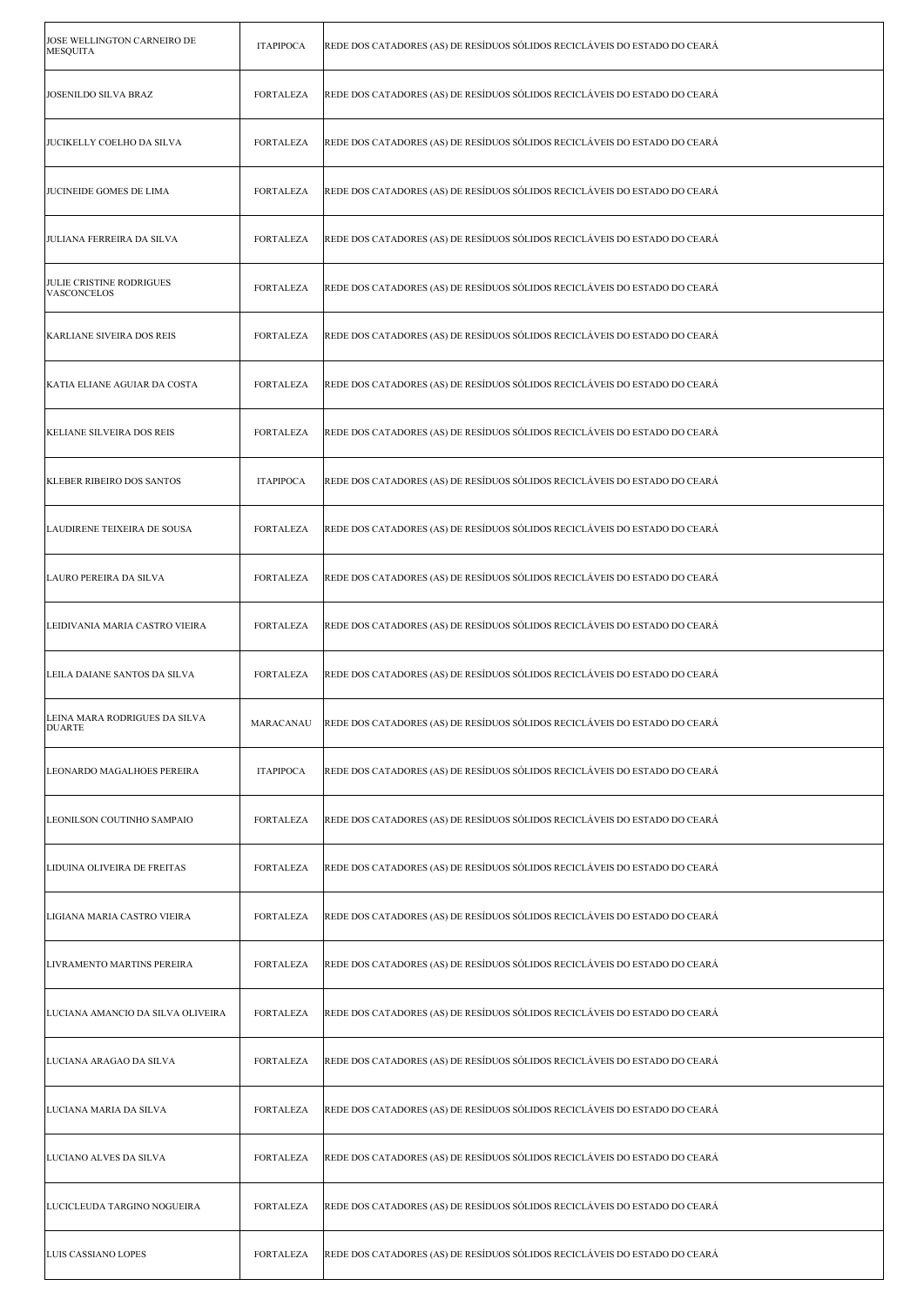| JOSE WELLINGTON CARNEIRO DE<br><b>MESQUITA</b> | <b>ITAPIPOCA</b> | REDE DOS CATADORES (AS) DE RESÍDUOS SÓLIDOS RECICLÁVEIS DO ESTADO DO CEARÁ |
|------------------------------------------------|------------------|----------------------------------------------------------------------------|
| <b>JOSENILDO SILVA BRAZ</b>                    | <b>FORTALEZA</b> | REDE DOS CATADORES (AS) DE RESÍDUOS SÓLIDOS RECICLÁVEIS DO ESTADO DO CEARÁ |
| JUCIKELLY COELHO DA SILVA                      | <b>FORTALEZA</b> | REDE DOS CATADORES (AS) DE RESÍDUOS SÓLIDOS RECICLÁVEIS DO ESTADO DO CEARÁ |
| JUCINEIDE GOMES DE LIMA                        | FORTALEZA        | REDE DOS CATADORES (AS) DE RESÍDUOS SÓLIDOS RECICLÁVEIS DO ESTADO DO CEARÁ |
| <b>JULIANA FERREIRA DA SILVA</b>               | FORTALEZA        | REDE DOS CATADORES (AS) DE RESÍDUOS SÓLIDOS RECICLÁVEIS DO ESTADO DO CEARÁ |
| <b>JULIE CRISTINE RODRIGUES</b><br>VASCONCELOS | <b>FORTALEZA</b> | REDE DOS CATADORES (AS) DE RESÍDUOS SÓLIDOS RECICLÁVEIS DO ESTADO DO CEARÁ |
| KARLIANE SIVEIRA DOS REIS                      | <b>FORTALEZA</b> | REDE DOS CATADORES (AS) DE RESÍDUOS SÓLIDOS RECICLÁVEIS DO ESTADO DO CEARÁ |
| KATIA ELIANE AGUIAR DA COSTA                   | <b>FORTALEZA</b> | REDE DOS CATADORES (AS) DE RESÍDUOS SÓLIDOS RECICLÁVEIS DO ESTADO DO CEARÁ |
| KELIANE SILVEIRA DOS REIS                      | <b>FORTALEZA</b> | REDE DOS CATADORES (AS) DE RESÍDUOS SÓLIDOS RECICLÁVEIS DO ESTADO DO CEARÁ |
| <b>KLEBER RIBEIRO DOS SANTOS</b>               | <b>ITAPIPOCA</b> | REDE DOS CATADORES (AS) DE RESÍDUOS SÓLIDOS RECICLÁVEIS DO ESTADO DO CEARÁ |
| LAUDIRENE TEIXEIRA DE SOUSA                    | <b>FORTALEZA</b> | REDE DOS CATADORES (AS) DE RESÍDUOS SÓLIDOS RECICLÁVEIS DO ESTADO DO CEARÁ |
| LAURO PEREIRA DA SILVA                         | <b>FORTALEZA</b> | REDE DOS CATADORES (AS) DE RESÍDUOS SÓLIDOS RECICLÁVEIS DO ESTADO DO CEARÁ |
| LEIDIVANIA MARIA CASTRO VIEIRA                 | <b>FORTALEZA</b> | REDE DOS CATADORES (AS) DE RESÍDUOS SÓLIDOS RECICLÁVEIS DO ESTADO DO CEARÁ |
| LEILA DAIANE SANTOS DA SILVA                   | FORTALEZA        | REDE DOS CATADORES (AS) DE RESÍDUOS SÓLIDOS RECICLÁVEIS DO ESTADO DO CEARÁ |
| LEINA MARA RODRIGUES DA SILVA<br><b>DUARTE</b> | MARACANAU        | REDE DOS CATADORES (AS) DE RESÍDUOS SÓLIDOS RECICLÁVEIS DO ESTADO DO CEARÁ |
| LEONARDO MAGALHOES PEREIRA                     | <b>ITAPIPOCA</b> | REDE DOS CATADORES (AS) DE RESÍDUOS SÓLIDOS RECICLÁVEIS DO ESTADO DO CEARÁ |
| LEONILSON COUTINHO SAMPAIO                     | <b>FORTALEZA</b> | REDE DOS CATADORES (AS) DE RESÍDUOS SÓLIDOS RECICLÁVEIS DO ESTADO DO CEARÁ |
| LIDUINA OLIVEIRA DE FREITAS                    | <b>FORTALEZA</b> | REDE DOS CATADORES (AS) DE RESÍDUOS SÓLIDOS RECICLÁVEIS DO ESTADO DO CEARÁ |
| LIGIANA MARIA CASTRO VIEIRA                    | <b>FORTALEZA</b> | REDE DOS CATADORES (AS) DE RESÍDUOS SÓLIDOS RECICLÁVEIS DO ESTADO DO CEARÁ |
| LIVRAMENTO MARTINS PEREIRA                     | FORTALEZA        | REDE DOS CATADORES (AS) DE RESÍDUOS SÓLIDOS RECICLÁVEIS DO ESTADO DO CEARÁ |
| LUCIANA AMANCIO DA SILVA OLIVEIRA              | <b>FORTALEZA</b> | REDE DOS CATADORES (AS) DE RESÍDUOS SÓLIDOS RECICLÁVEIS DO ESTADO DO CEARÁ |
| LUCIANA ARAGAO DA SILVA                        | <b>FORTALEZA</b> | REDE DOS CATADORES (AS) DE RESÍDUOS SÓLIDOS RECICLÁVEIS DO ESTADO DO CEARÁ |
| LUCIANA MARIA DA SILVA                         | <b>FORTALEZA</b> | REDE DOS CATADORES (AS) DE RESÍDUOS SÓLIDOS RECICLÁVEIS DO ESTADO DO CEARÁ |
| LUCIANO ALVES DA SILVA                         | <b>FORTALEZA</b> | REDE DOS CATADORES (AS) DE RESÍDUOS SÓLIDOS RECICLÁVEIS DO ESTADO DO CEARÁ |
| LUCICLEUDA TARGINO NOGUEIRA                    | <b>FORTALEZA</b> | REDE DOS CATADORES (AS) DE RESÍDUOS SÓLIDOS RECICLÁVEIS DO ESTADO DO CEARÁ |
| LUIS CASSIANO LOPES                            | <b>FORTALEZA</b> | REDE DOS CATADORES (AS) DE RESÍDUOS SÓLIDOS RECICLÁVEIS DO ESTADO DO CEARÁ |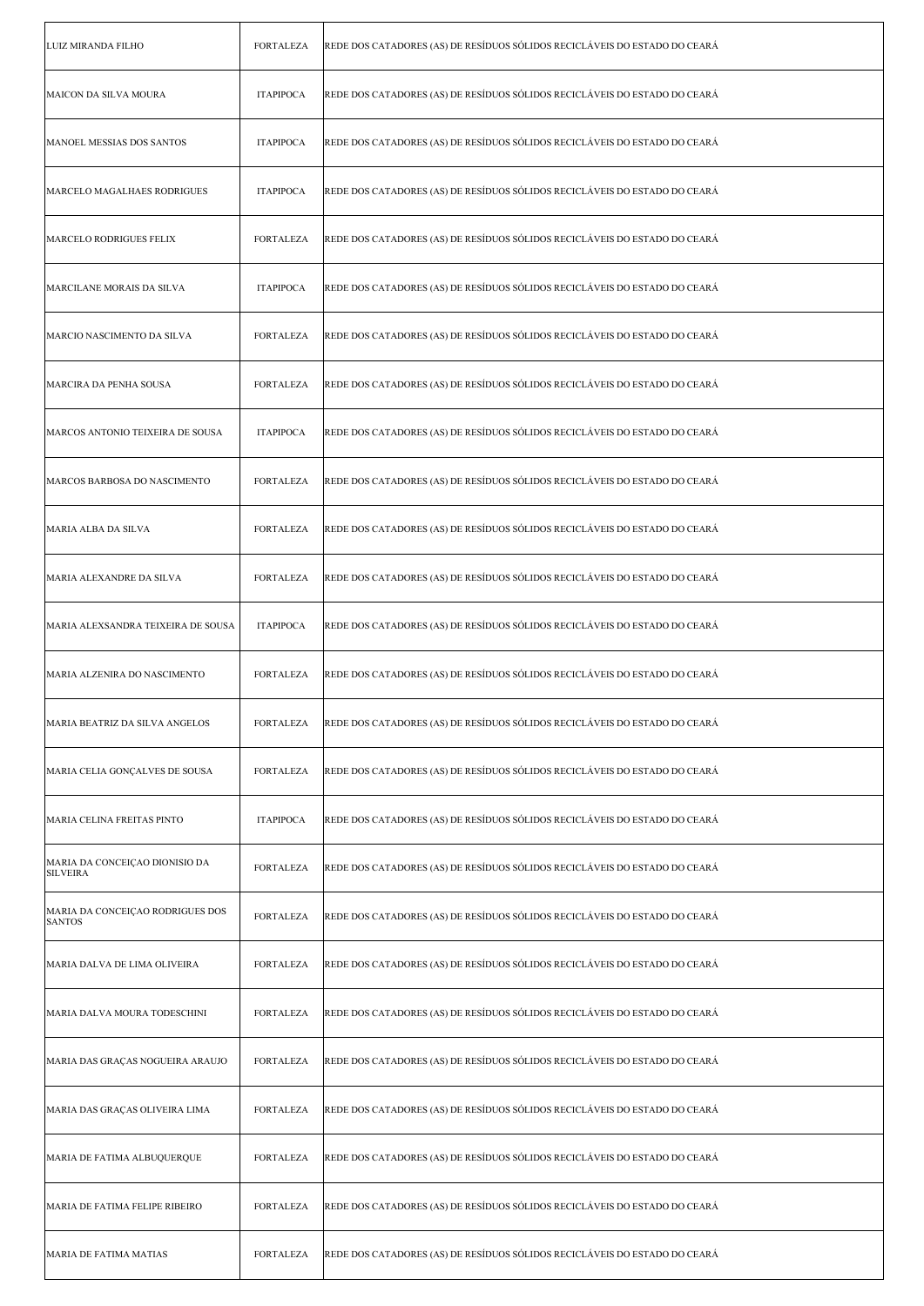| LUIZ MIRANDA FILHO                                | <b>FORTALEZA</b> | REDE DOS CATADORES (AS) DE RESÍDUOS SÓLIDOS RECICLÁVEIS DO ESTADO DO CEARÁ |
|---------------------------------------------------|------------------|----------------------------------------------------------------------------|
| MAICON DA SILVA MOURA                             | <b>ITAPIPOCA</b> | REDE DOS CATADORES (AS) DE RESÍDUOS SÓLIDOS RECICLÁVEIS DO ESTADO DO CEARÁ |
| MANOEL MESSIAS DOS SANTOS                         | <b>ITAPIPOCA</b> | REDE DOS CATADORES (AS) DE RESÍDUOS SÓLIDOS RECICLÁVEIS DO ESTADO DO CEARÁ |
| MARCELO MAGALHAES RODRIGUES                       | <b>ITAPIPOCA</b> | REDE DOS CATADORES (AS) DE RESÍDUOS SÓLIDOS RECICLÁVEIS DO ESTADO DO CEARÁ |
| MARCELO RODRIGUES FELIX                           | <b>FORTALEZA</b> | REDE DOS CATADORES (AS) DE RESÍDUOS SÓLIDOS RECICLÁVEIS DO ESTADO DO CEARÁ |
| MARCILANE MORAIS DA SILVA                         | <b>ITAPIPOCA</b> | REDE DOS CATADORES (AS) DE RESÍDUOS SÓLIDOS RECICLÁVEIS DO ESTADO DO CEARÁ |
| MARCIO NASCIMENTO DA SILVA                        | <b>FORTALEZA</b> | REDE DOS CATADORES (AS) DE RESÍDUOS SÓLIDOS RECICLÁVEIS DO ESTADO DO CEARÁ |
| MARCIRA DA PENHA SOUSA                            | <b>FORTALEZA</b> | REDE DOS CATADORES (AS) DE RESÍDUOS SÓLIDOS RECICLÁVEIS DO ESTADO DO CEARÁ |
| MARCOS ANTONIO TEIXEIRA DE SOUSA                  | <b>ITAPIPOCA</b> | REDE DOS CATADORES (AS) DE RESÍDUOS SÓLIDOS RECICLÁVEIS DO ESTADO DO CEARÁ |
| MARCOS BARBOSA DO NASCIMENTO                      | <b>FORTALEZA</b> | REDE DOS CATADORES (AS) DE RESÍDUOS SÓLIDOS RECICLÁVEIS DO ESTADO DO CEARÁ |
| MARIA ALBA DA SILVA                               | <b>FORTALEZA</b> | REDE DOS CATADORES (AS) DE RESÍDUOS SÓLIDOS RECICLÁVEIS DO ESTADO DO CEARÁ |
| MARIA ALEXANDRE DA SILVA                          | <b>FORTALEZA</b> | REDE DOS CATADORES (AS) DE RESÍDUOS SÓLIDOS RECICLÁVEIS DO ESTADO DO CEARÁ |
| MARIA ALEXSANDRA TEIXEIRA DE SOUSA                | <b>ITAPIPOCA</b> | REDE DOS CATADORES (AS) DE RESÍDUOS SÓLIDOS RECICLÁVEIS DO ESTADO DO CEARÁ |
| MARIA ALZENIRA DO NASCIMENTO                      | FORTALEZA        | REDE DOS CATADORES (AS) DE RESÍDUOS SÓLIDOS RECICLÁVEIS DO ESTADO DO CEARÁ |
| MARIA BEATRIZ DA SILVA ANGELOS                    | FORTALEZA        | REDE DOS CATADORES (AS) DE RESÍDUOS SÓLIDOS RECICLÁVEIS DO ESTADO DO CEARÁ |
| MARIA CELIA GONÇALVES DE SOUSA                    | <b>FORTALEZA</b> | REDE DOS CATADORES (AS) DE RESÍDUOS SÓLIDOS RECICLÁVEIS DO ESTADO DO CEARÁ |
| MARIA CELINA FREITAS PINTO                        | <b>ITAPIPOCA</b> | REDE DOS CATADORES (AS) DE RESÍDUOS SÓLIDOS RECICLÁVEIS DO ESTADO DO CEARÁ |
| MARIA DA CONCEIÇAO DIONISIO DA<br><b>SILVEIRA</b> | <b>FORTALEZA</b> | REDE DOS CATADORES (AS) DE RESÍDUOS SÓLIDOS RECICLÁVEIS DO ESTADO DO CEARÁ |
| MARIA DA CONCEIÇAO RODRIGUES DOS<br><b>SANTOS</b> | <b>FORTALEZA</b> | REDE DOS CATADORES (AS) DE RESÍDUOS SÓLIDOS RECICLÁVEIS DO ESTADO DO CEARÁ |
| MARIA DALVA DE LIMA OLIVEIRA                      | <b>FORTALEZA</b> | REDE DOS CATADORES (AS) DE RESÍDUOS SÓLIDOS RECICLÁVEIS DO ESTADO DO CEARÁ |
| MARIA DALVA MOURA TODESCHINI                      | <b>FORTALEZA</b> | REDE DOS CATADORES (AS) DE RESÍDUOS SÓLIDOS RECICLÁVEIS DO ESTADO DO CEARÁ |
| MARIA DAS GRAÇAS NOGUEIRA ARAUJO                  | <b>FORTALEZA</b> | REDE DOS CATADORES (AS) DE RESÍDUOS SÓLIDOS RECICLÁVEIS DO ESTADO DO CEARÁ |
| MARIA DAS GRAÇAS OLIVEIRA LIMA                    | <b>FORTALEZA</b> | REDE DOS CATADORES (AS) DE RESÍDUOS SÓLIDOS RECICLÁVEIS DO ESTADO DO CEARÁ |
| MARIA DE FATIMA ALBUQUERQUE                       | <b>FORTALEZA</b> | REDE DOS CATADORES (AS) DE RESÍDUOS SÓLIDOS RECICLÁVEIS DO ESTADO DO CEARÁ |
| MARIA DE FATIMA FELIPE RIBEIRO                    | <b>FORTALEZA</b> | REDE DOS CATADORES (AS) DE RESÍDUOS SÓLIDOS RECICLÁVEIS DO ESTADO DO CEARÁ |
| MARIA DE FATIMA MATIAS                            | <b>FORTALEZA</b> | REDE DOS CATADORES (AS) DE RESÍDUOS SÓLIDOS RECICLÁVEIS DO ESTADO DO CEARÁ |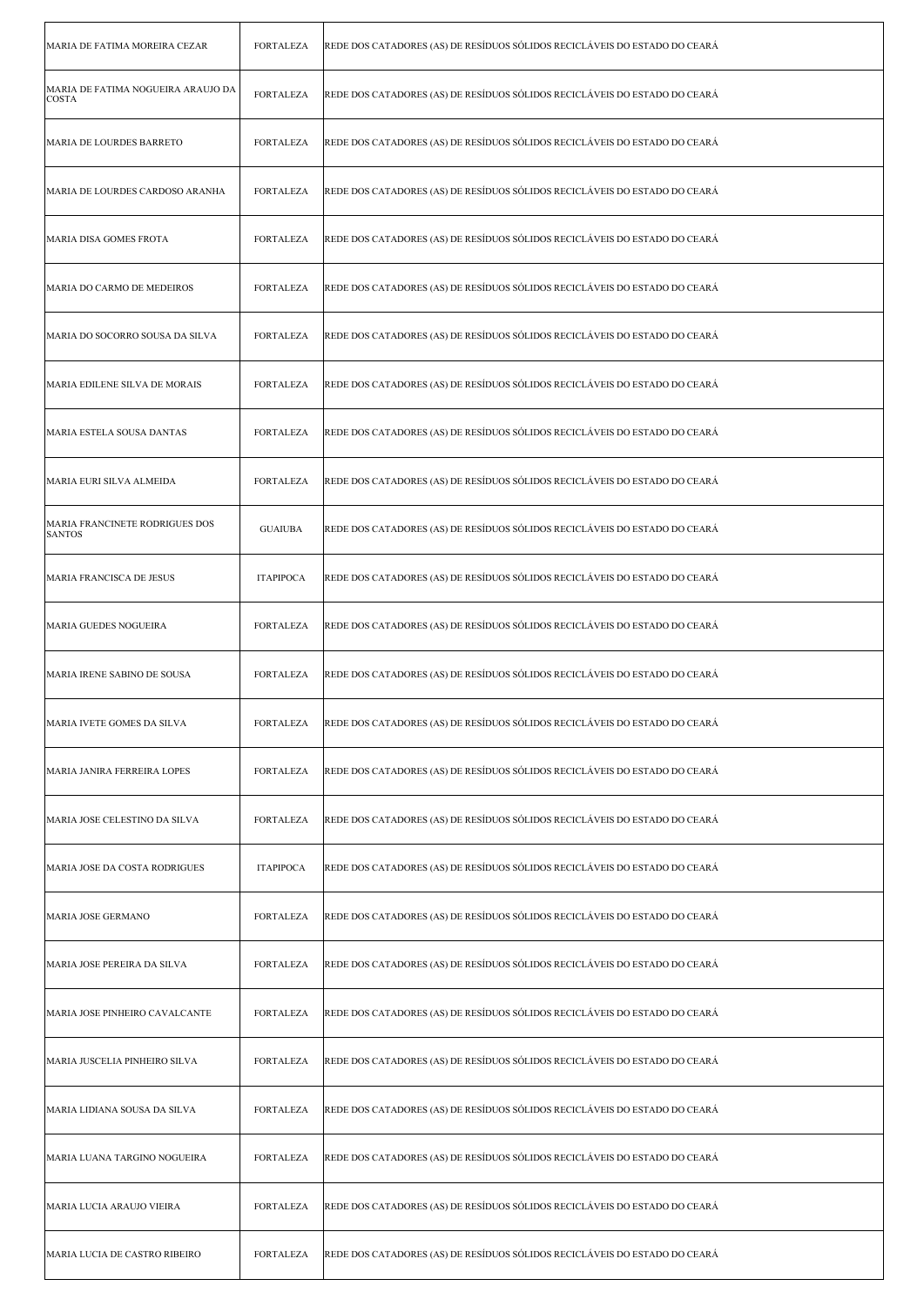| MARIA DE FATIMA MOREIRA CEZAR                      | <b>FORTALEZA</b> | REDE DOS CATADORES (AS) DE RESÍDUOS SÓLIDOS RECICLÁVEIS DO ESTADO DO CEARÁ |
|----------------------------------------------------|------------------|----------------------------------------------------------------------------|
| MARIA DE FATIMA NOGUEIRA ARAUJO DA<br><b>COSTA</b> | <b>FORTALEZA</b> | REDE DOS CATADORES (AS) DE RESÍDUOS SÓLIDOS RECICLÁVEIS DO ESTADO DO CEARÁ |
| MARIA DE LOURDES BARRETO                           | <b>FORTALEZA</b> | REDE DOS CATADORES (AS) DE RESÍDUOS SÓLIDOS RECICLÁVEIS DO ESTADO DO CEARÁ |
| MARIA DE LOURDES CARDOSO ARANHA                    | FORTALEZA        | REDE DOS CATADORES (AS) DE RESÍDUOS SÓLIDOS RECICLÁVEIS DO ESTADO DO CEARÁ |
| MARIA DISA GOMES FROTA                             | FORTALEZA        | REDE DOS CATADORES (AS) DE RESÍDUOS SÓLIDOS RECICLÁVEIS DO ESTADO DO CEARÁ |
| MARIA DO CARMO DE MEDEIROS                         | <b>FORTALEZA</b> | REDE DOS CATADORES (AS) DE RESÍDUOS SÓLIDOS RECICLÁVEIS DO ESTADO DO CEARÁ |
| MARIA DO SOCORRO SOUSA DA SILVA                    | <b>FORTALEZA</b> | REDE DOS CATADORES (AS) DE RESÍDUOS SÓLIDOS RECICLÁVEIS DO ESTADO DO CEARÁ |
| MARIA EDILENE SILVA DE MORAIS                      | <b>FORTALEZA</b> | REDE DOS CATADORES (AS) DE RESÍDUOS SÓLIDOS RECICLÁVEIS DO ESTADO DO CEARÁ |
| MARIA ESTELA SOUSA DANTAS                          | <b>FORTALEZA</b> | REDE DOS CATADORES (AS) DE RESÍDUOS SÓLIDOS RECICLÁVEIS DO ESTADO DO CEARÁ |
| MARIA EURI SILVA ALMEIDA                           | <b>FORTALEZA</b> | REDE DOS CATADORES (AS) DE RESÍDUOS SÓLIDOS RECICLÁVEIS DO ESTADO DO CEARÁ |
| MARIA FRANCINETE RODRIGUES DOS<br><b>SANTOS</b>    | <b>GUAIUBA</b>   | REDE DOS CATADORES (AS) DE RESÍDUOS SÓLIDOS RECICLÁVEIS DO ESTADO DO CEARÁ |
| MARIA FRANCISCA DE JESUS                           | <b>ITAPIPOCA</b> | REDE DOS CATADORES (AS) DE RESÍDUOS SÓLIDOS RECICLÁVEIS DO ESTADO DO CEARÁ |
| MARIA GUEDES NOGUEIRA                              | <b>FORTALEZA</b> | REDE DOS CATADORES (AS) DE RESÍDUOS SÓLIDOS RECICLÁVEIS DO ESTADO DO CEARÁ |
| MARIA IRENE SABINO DE SOUSA                        | <b>FORTALEZA</b> | REDE DOS CATADORES (AS) DE RESÍDUOS SÓLIDOS RECICLÁVEIS DO ESTADO DO CEARÁ |
| MARIA IVETE GOMES DA SILVA                         | FORTALEZA        | REDE DOS CATADORES (AS) DE RESÍDUOS SÓLIDOS RECICLÁVEIS DO ESTADO DO CEARÁ |
| MARIA JANIRA FERREIRA LOPES                        | <b>FORTALEZA</b> | REDE DOS CATADORES (AS) DE RESÍDUOS SÓLIDOS RECICLÁVEIS DO ESTADO DO CEARÁ |
| MARIA JOSE CELESTINO DA SILVA                      | <b>FORTALEZA</b> | REDE DOS CATADORES (AS) DE RESÍDUOS SÓLIDOS RECICLÁVEIS DO ESTADO DO CEARÁ |
| MARIA JOSE DA COSTA RODRIGUES                      | <b>ITAPIPOCA</b> | REDE DOS CATADORES (AS) DE RESÍDUOS SÓLIDOS RECICLÁVEIS DO ESTADO DO CEARÁ |
| MARIA JOSE GERMANO                                 | <b>FORTALEZA</b> | REDE DOS CATADORES (AS) DE RESÍDUOS SÓLIDOS RECICLÁVEIS DO ESTADO DO CEARÁ |
| MARIA JOSE PEREIRA DA SILVA                        | <b>FORTALEZA</b> | REDE DOS CATADORES (AS) DE RESÍDUOS SÓLIDOS RECICLÁVEIS DO ESTADO DO CEARÁ |
| MARIA JOSE PINHEIRO CAVALCANTE                     | <b>FORTALEZA</b> | REDE DOS CATADORES (AS) DE RESÍDUOS SÓLIDOS RECICLÁVEIS DO ESTADO DO CEARÁ |
| MARIA JUSCELIA PINHEIRO SILVA                      | <b>FORTALEZA</b> | REDE DOS CATADORES (AS) DE RESÍDUOS SÓLIDOS RECICLÁVEIS DO ESTADO DO CEARÁ |
| MARIA LIDIANA SOUSA DA SILVA                       | <b>FORTALEZA</b> | REDE DOS CATADORES (AS) DE RESÍDUOS SÓLIDOS RECICLÁVEIS DO ESTADO DO CEARÁ |
| MARIA LUANA TARGINO NOGUEIRA                       | FORTALEZA        | REDE DOS CATADORES (AS) DE RESÍDUOS SÓLIDOS RECICLÁVEIS DO ESTADO DO CEARÁ |
| MARIA LUCIA ARAUJO VIEIRA                          | <b>FORTALEZA</b> | REDE DOS CATADORES (AS) DE RESÍDUOS SÓLIDOS RECICLÁVEIS DO ESTADO DO CEARÁ |
| MARIA LUCIA DE CASTRO RIBEIRO                      | FORTALEZA        | REDE DOS CATADORES (AS) DE RESÍDUOS SÓLIDOS RECICLÁVEIS DO ESTADO DO CEARÁ |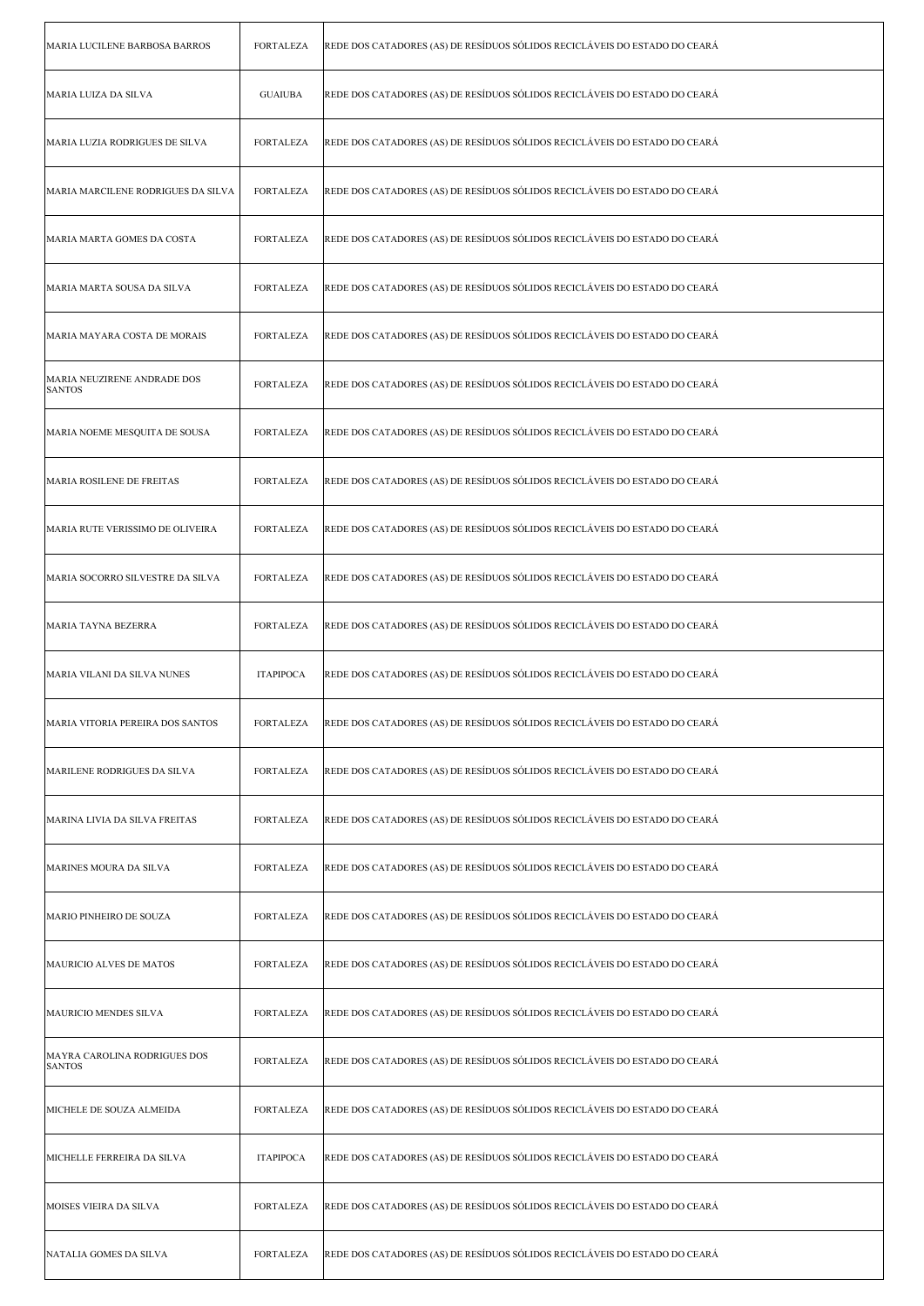| MARIA LUCILENE BARBOSA BARROS                 | <b>FORTALEZA</b> | REDE DOS CATADORES (AS) DE RESÍDUOS SÓLIDOS RECICLÁVEIS DO ESTADO DO CEARÁ |
|-----------------------------------------------|------------------|----------------------------------------------------------------------------|
| MARIA LUIZA DA SILVA                          | <b>GUAIUBA</b>   | REDE DOS CATADORES (AS) DE RESÍDUOS SÓLIDOS RECICLÁVEIS DO ESTADO DO CEARÁ |
| MARIA LUZIA RODRIGUES DE SILVA                | <b>FORTALEZA</b> | REDE DOS CATADORES (AS) DE RESÍDUOS SÓLIDOS RECICLÁVEIS DO ESTADO DO CEARÁ |
| MARIA MARCILENE RODRIGUES DA SILVA            | <b>FORTALEZA</b> | REDE DOS CATADORES (AS) DE RESÍDUOS SÓLIDOS RECICLÁVEIS DO ESTADO DO CEARÁ |
| MARIA MARTA GOMES DA COSTA                    | FORTALEZA        | REDE DOS CATADORES (AS) DE RESÍDUOS SÓLIDOS RECICLÁVEIS DO ESTADO DO CEARÁ |
| MARIA MARTA SOUSA DA SILVA                    | <b>FORTALEZA</b> | REDE DOS CATADORES (AS) DE RESÍDUOS SÓLIDOS RECICLÁVEIS DO ESTADO DO CEARÁ |
| MARIA MAYARA COSTA DE MORAIS                  | <b>FORTALEZA</b> | REDE DOS CATADORES (AS) DE RESÍDUOS SÓLIDOS RECICLÁVEIS DO ESTADO DO CEARÁ |
| MARIA NEUZIRENE ANDRADE DOS<br><b>SANTOS</b>  | <b>FORTALEZA</b> | REDE DOS CATADORES (AS) DE RESÍDUOS SÓLIDOS RECICLÁVEIS DO ESTADO DO CEARÁ |
| MARIA NOEME MESQUITA DE SOUSA                 | FORTALEZA        | REDE DOS CATADORES (AS) DE RESÍDUOS SÓLIDOS RECICLÁVEIS DO ESTADO DO CEARÁ |
| MARIA ROSILENE DE FREITAS                     | FORTALEZA        | REDE DOS CATADORES (AS) DE RESÍDUOS SÓLIDOS RECICLÁVEIS DO ESTADO DO CEARÁ |
| MARIA RUTE VERISSIMO DE OLIVEIRA              | <b>FORTALEZA</b> | REDE DOS CATADORES (AS) DE RESÍDUOS SÓLIDOS RECICLÁVEIS DO ESTADO DO CEARÁ |
| MARIA SOCORRO SILVESTRE DA SILVA              | <b>FORTALEZA</b> | REDE DOS CATADORES (AS) DE RESÍDUOS SÓLIDOS RECICLÁVEIS DO ESTADO DO CEARÁ |
| MARIA TAYNA BEZERRA                           | FORTALEZA        | REDE DOS CATADORES (AS) DE RESÍDUOS SÓLIDOS RECICLÁVEIS DO ESTADO DO CEARÁ |
| MARIA VILANI DA SILVA NUNES                   | <b>ITAPIPOCA</b> | REDE DOS CATADORES (AS) DE RESÍDUOS SÓLIDOS RECICLÁVEIS DO ESTADO DO CEARÁ |
| MARIA VITORIA PEREIRA DOS SANTOS              | FORTALEZA        | REDE DOS CATADORES (AS) DE RESÍDUOS SÓLIDOS RECICLÁVEIS DO ESTADO DO CEARÁ |
| MARILENE RODRIGUES DA SILVA                   | <b>FORTALEZA</b> | REDE DOS CATADORES (AS) DE RESÍDUOS SÓLIDOS RECICLÁVEIS DO ESTADO DO CEARÁ |
| MARINA LIVIA DA SILVA FREITAS                 | <b>FORTALEZA</b> | REDE DOS CATADORES (AS) DE RESÍDUOS SÓLIDOS RECICLÁVEIS DO ESTADO DO CEARÁ |
| MARINES MOURA DA SILVA                        | <b>FORTALEZA</b> | REDE DOS CATADORES (AS) DE RESÍDUOS SÓLIDOS RECICLÁVEIS DO ESTADO DO CEARÁ |
| <b>MARIO PINHEIRO DE SOUZA</b>                | FORTALEZA        | REDE DOS CATADORES (AS) DE RESÍDUOS SÓLIDOS RECICLÁVEIS DO ESTADO DO CEARÁ |
| MAURICIO ALVES DE MATOS                       | <b>FORTALEZA</b> | REDE DOS CATADORES (AS) DE RESÍDUOS SÓLIDOS RECICLÁVEIS DO ESTADO DO CEARÁ |
| <b>MAURICIO MENDES SILVA</b>                  | <b>FORTALEZA</b> | REDE DOS CATADORES (AS) DE RESÍDUOS SÓLIDOS RECICLÁVEIS DO ESTADO DO CEARÁ |
| MAYRA CAROLINA RODRIGUES DOS<br><b>SANTOS</b> | <b>FORTALEZA</b> | REDE DOS CATADORES (AS) DE RESÍDUOS SÓLIDOS RECICLÁVEIS DO ESTADO DO CEARÁ |
| MICHELE DE SOUZA ALMEIDA                      | <b>FORTALEZA</b> | REDE DOS CATADORES (AS) DE RESÍDUOS SÓLIDOS RECICLÁVEIS DO ESTADO DO CEARÁ |
| MICHELLE FERREIRA DA SILVA                    | <b>ITAPIPOCA</b> | REDE DOS CATADORES (AS) DE RESÍDUOS SÓLIDOS RECICLÁVEIS DO ESTADO DO CEARÁ |
| MOISES VIEIRA DA SILVA                        | <b>FORTALEZA</b> | REDE DOS CATADORES (AS) DE RESÍDUOS SÓLIDOS RECICLÁVEIS DO ESTADO DO CEARÁ |
| NATALIA GOMES DA SILVA                        | FORTALEZA        | REDE DOS CATADORES (AS) DE RESÍDUOS SÓLIDOS RECICLÁVEIS DO ESTADO DO CEARÁ |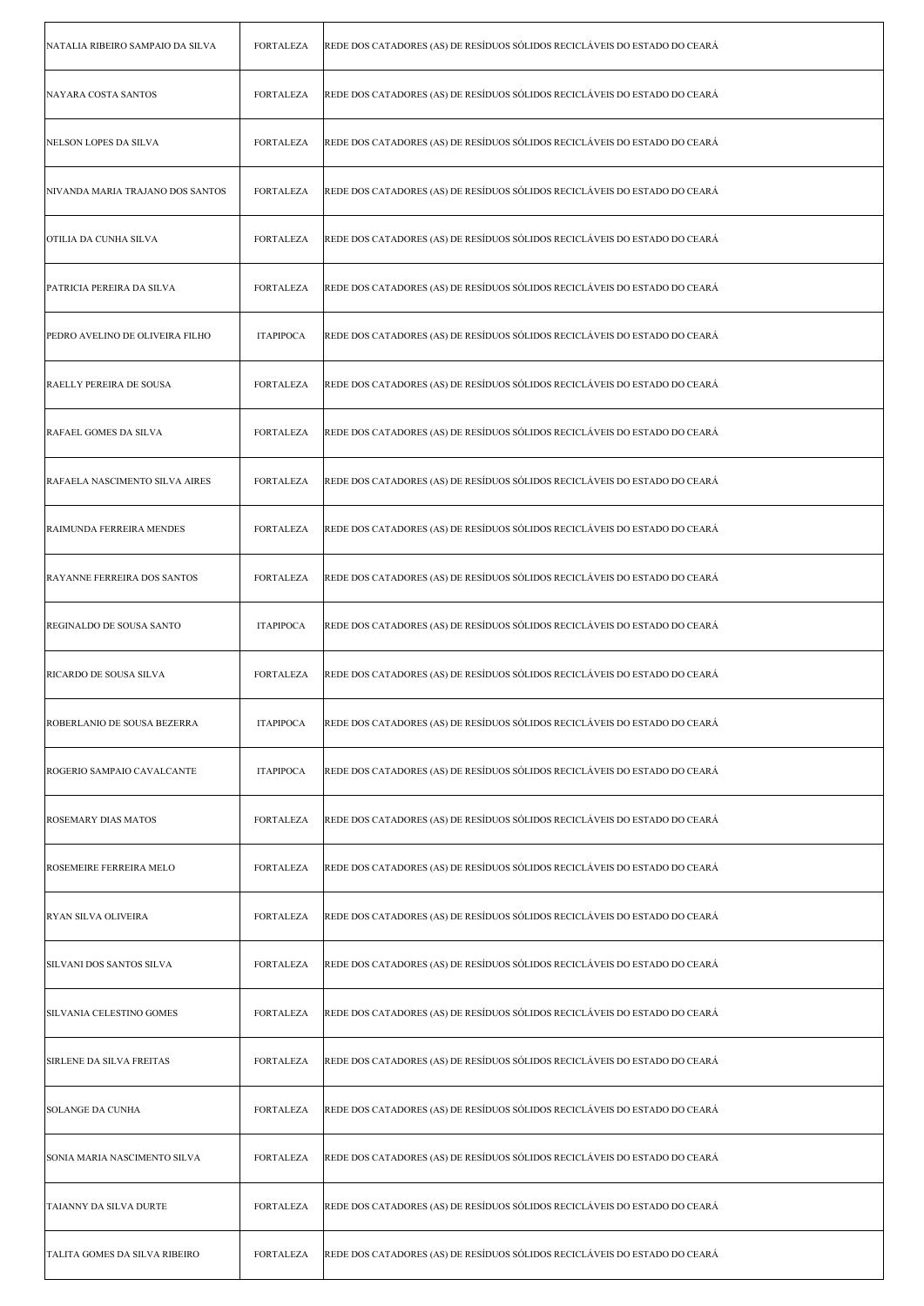| NATALIA RIBEIRO SAMPAIO DA SILVA   | <b>FORTALEZA</b> | REDE DOS CATADORES (AS) DE RESÍDUOS SÓLIDOS RECICLÁVEIS DO ESTADO DO CEARÁ |
|------------------------------------|------------------|----------------------------------------------------------------------------|
| NAYARA COSTA SANTOS                | <b>FORTALEZA</b> | REDE DOS CATADORES (AS) DE RESÍDUOS SÓLIDOS RECICLÁVEIS DO ESTADO DO CEARÁ |
| NELSON LOPES DA SILVA              | <b>FORTALEZA</b> | REDE DOS CATADORES (AS) DE RESÍDUOS SÓLIDOS RECICLÁVEIS DO ESTADO DO CEARÁ |
| NIVANDA MARIA TRAJANO DOS SANTOS   | <b>FORTALEZA</b> | REDE DOS CATADORES (AS) DE RESÍDUOS SÓLIDOS RECICLÁVEIS DO ESTADO DO CEARÁ |
| OTILIA DA CUNHA SILVA              | <b>FORTALEZA</b> | REDE DOS CATADORES (AS) DE RESÍDUOS SÓLIDOS RECICLÁVEIS DO ESTADO DO CEARÁ |
| PATRICIA PEREIRA DA SILVA          | <b>FORTALEZA</b> | REDE DOS CATADORES (AS) DE RESÍDUOS SÓLIDOS RECICLÁVEIS DO ESTADO DO CEARÁ |
| PEDRO AVELINO DE OLIVEIRA FILHO    | <b>ITAPIPOCA</b> | REDE DOS CATADORES (AS) DE RESÍDUOS SÓLIDOS RECICLÁVEIS DO ESTADO DO CEARÁ |
| <b>RAELLY PEREIRA DE SOUSA</b>     | <b>FORTALEZA</b> | REDE DOS CATADORES (AS) DE RESÍDUOS SÓLIDOS RECICLÁVEIS DO ESTADO DO CEARÁ |
| RAFAEL GOMES DA SILVA              | <b>FORTALEZA</b> | REDE DOS CATADORES (AS) DE RESÍDUOS SÓLIDOS RECICLÁVEIS DO ESTADO DO CEARÁ |
| RAFAELA NASCIMENTO SILVA AIRES     | <b>FORTALEZA</b> | REDE DOS CATADORES (AS) DE RESÍDUOS SÓLIDOS RECICLÁVEIS DO ESTADO DO CEARÁ |
| RAIMUNDA FERREIRA MENDES           | <b>FORTALEZA</b> | REDE DOS CATADORES (AS) DE RESÍDUOS SÓLIDOS RECICLÁVEIS DO ESTADO DO CEARÁ |
| <b>RAYANNE FERREIRA DOS SANTOS</b> | <b>FORTALEZA</b> | REDE DOS CATADORES (AS) DE RESÍDUOS SÓLIDOS RECICLÁVEIS DO ESTADO DO CEARÁ |
| REGINALDO DE SOUSA SANTO           | <b>ITAPIPOCA</b> | REDE DOS CATADORES (AS) DE RESÍDUOS SÓLIDOS RECICLÁVEIS DO ESTADO DO CEARÁ |
|                                    |                  |                                                                            |
| <b>RICARDO DE SOUSA SILVA</b>      | <b>FORTALEZA</b> | REDE DOS CATADORES (AS) DE RESÍDUOS SÓLIDOS RECICLÁVEIS DO ESTADO DO CEARÁ |
| ROBERLANIO DE SOUSA BEZERRA        | <b>ITAPIPOCA</b> | REDE DOS CATADORES (AS) DE RESÍDUOS SÓLIDOS RECICLÁVEIS DO ESTADO DO CEARÁ |
| ROGERIO SAMPAIO CAVALCANTE         | <b>ITAPIPOCA</b> | REDE DOS CATADORES (AS) DE RESÍDUOS SÓLIDOS RECICLÁVEIS DO ESTADO DO CEARÁ |
| ROSEMARY DIAS MATOS                | <b>FORTALEZA</b> | REDE DOS CATADORES (AS) DE RESÍDUOS SÓLIDOS RECICLÁVEIS DO ESTADO DO CEARÁ |
| ROSEMEIRE FERREIRA MELO            | <b>FORTALEZA</b> | REDE DOS CATADORES (AS) DE RESÍDUOS SÓLIDOS RECICLÁVEIS DO ESTADO DO CEARÁ |
| <b>RYAN SILVA OLIVEIRA</b>         | <b>FORTALEZA</b> | REDE DOS CATADORES (AS) DE RESÍDUOS SÓLIDOS RECICLÁVEIS DO ESTADO DO CEARÁ |
| SILVANI DOS SANTOS SILVA           | <b>FORTALEZA</b> | REDE DOS CATADORES (AS) DE RESÍDUOS SÓLIDOS RECICLÁVEIS DO ESTADO DO CEARÁ |
| SILVANIA CELESTINO GOMES           | <b>FORTALEZA</b> | REDE DOS CATADORES (AS) DE RESÍDUOS SÓLIDOS RECICLÁVEIS DO ESTADO DO CEARÁ |
| SIRLENE DA SILVA FREITAS           | <b>FORTALEZA</b> | REDE DOS CATADORES (AS) DE RESÍDUOS SÓLIDOS RECICLÁVEIS DO ESTADO DO CEARÁ |
| SOLANGE DA CUNHA                   | <b>FORTALEZA</b> | REDE DOS CATADORES (AS) DE RESÍDUOS SÓLIDOS RECICLÁVEIS DO ESTADO DO CEARÁ |
| SONIA MARIA NASCIMENTO SILVA       | <b>FORTALEZA</b> | REDE DOS CATADORES (AS) DE RESÍDUOS SÓLIDOS RECICLÁVEIS DO ESTADO DO CEARÁ |
| TAIANNY DA SILVA DURTE             | <b>FORTALEZA</b> | REDE DOS CATADORES (AS) DE RESÍDUOS SÓLIDOS RECICLÁVEIS DO ESTADO DO CEARÁ |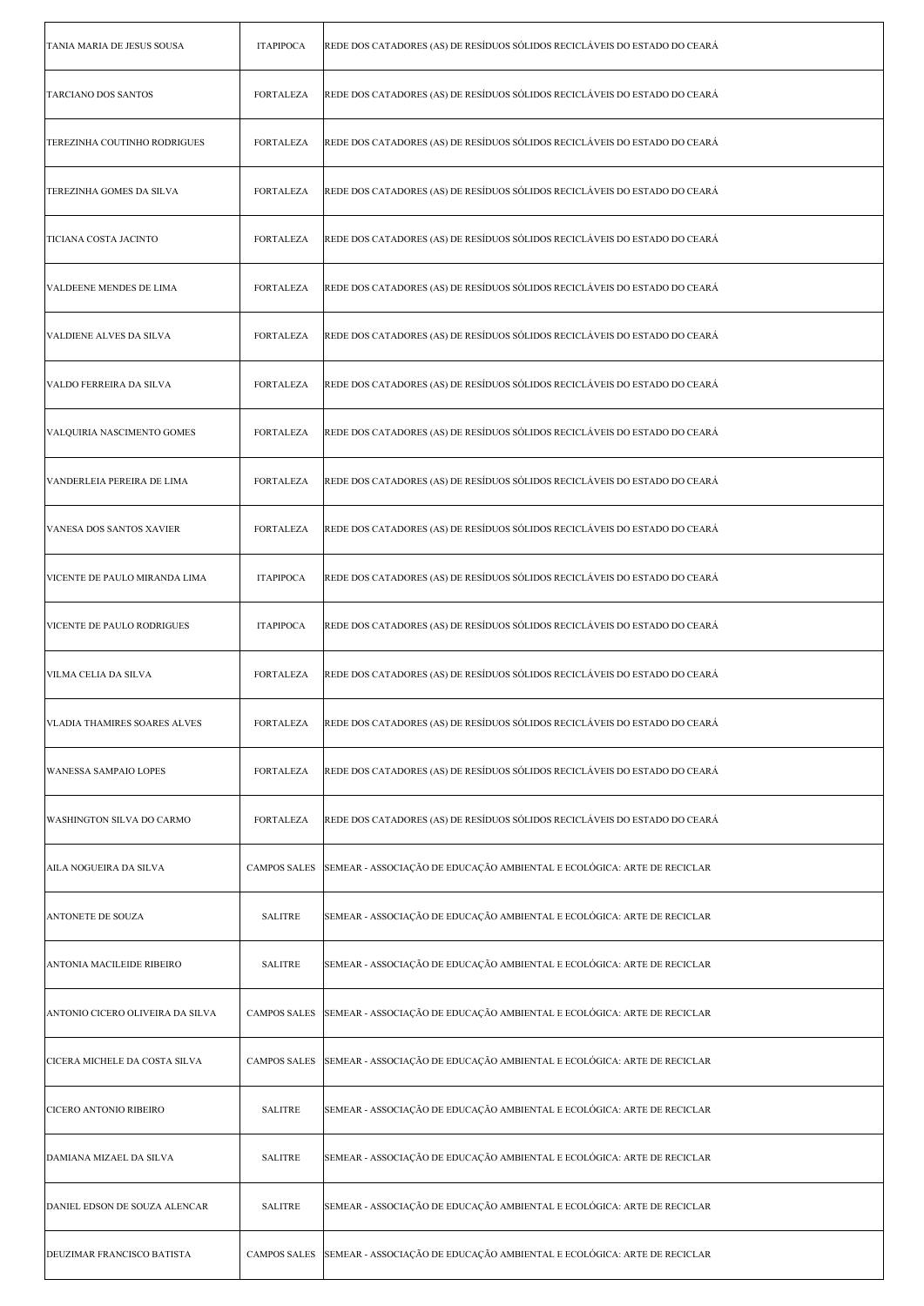| TANIA MARIA DE JESUS SOUSA       | <b>ITAPIPOCA</b>    | REDE DOS CATADORES (AS) DE RESÍDUOS SÓLIDOS RECICLÁVEIS DO ESTADO DO CEARÁ |
|----------------------------------|---------------------|----------------------------------------------------------------------------|
| TARCIANO DOS SANTOS              | <b>FORTALEZA</b>    | REDE DOS CATADORES (AS) DE RESÍDUOS SÓLIDOS RECICLÁVEIS DO ESTADO DO CEARÁ |
| TEREZINHA COUTINHO RODRIGUES     | FORTALEZA           | REDE DOS CATADORES (AS) DE RESÍDUOS SÓLIDOS RECICLÁVEIS DO ESTADO DO CEARÁ |
| TEREZINHA GOMES DA SILVA         | FORTALEZA           | REDE DOS CATADORES (AS) DE RESÍDUOS SÓLIDOS RECICLÁVEIS DO ESTADO DO CEARÁ |
| TICIANA COSTA JACINTO            | FORTALEZA           | REDE DOS CATADORES (AS) DE RESÍDUOS SÓLIDOS RECICLÁVEIS DO ESTADO DO CEARÁ |
| VALDEENE MENDES DE LIMA          | <b>FORTALEZA</b>    | REDE DOS CATADORES (AS) DE RESÍDUOS SÓLIDOS RECICLÁVEIS DO ESTADO DO CEARÁ |
| <b>VALDIENE ALVES DA SILVA</b>   | <b>FORTALEZA</b>    | REDE DOS CATADORES (AS) DE RESÍDUOS SÓLIDOS RECICLÁVEIS DO ESTADO DO CEARÁ |
| VALDO FERREIRA DA SILVA          | FORTALEZA           | REDE DOS CATADORES (AS) DE RESÍDUOS SÓLIDOS RECICLÁVEIS DO ESTADO DO CEARÁ |
| VALQUIRIA NASCIMENTO GOMES       | FORTALEZA           | REDE DOS CATADORES (AS) DE RESÍDUOS SÓLIDOS RECICLÁVEIS DO ESTADO DO CEARÁ |
| VANDERLEIA PEREIRA DE LIMA       | FORTALEZA           | REDE DOS CATADORES (AS) DE RESÍDUOS SÓLIDOS RECICLÁVEIS DO ESTADO DO CEARÁ |
| VANESA DOS SANTOS XAVIER         | <b>FORTALEZA</b>    | REDE DOS CATADORES (AS) DE RESÍDUOS SÓLIDOS RECICLÁVEIS DO ESTADO DO CEARÁ |
| VICENTE DE PAULO MIRANDA LIMA    | <b>ITAPIPOCA</b>    | REDE DOS CATADORES (AS) DE RESÍDUOS SÓLIDOS RECICLÁVEIS DO ESTADO DO CEARÁ |
| VICENTE DE PAULO RODRIGUES       | <b>ITAPIPOCA</b>    | REDE DOS CATADORES (AS) DE RESÍDUOS SÓLIDOS RECICLÁVEIS DO ESTADO DO CEARÁ |
| VILMA CELIA DA SILVA             | FORTALEZA           | REDE DOS CATADORES (AS) DE RESÍDUOS SÓLIDOS RECICLÁVEIS DO ESTADO DO CEARÁ |
| VLADIA THAMIRES SOARES ALVES     | FORTALEZA           | REDE DOS CATADORES (AS) DE RESÍDUOS SÓLIDOS RECICLÁVEIS DO ESTADO DO CEARÁ |
| WANESSA SAMPAIO LOPES            | <b>FORTALEZA</b>    | REDE DOS CATADORES (AS) DE RESÍDUOS SÓLIDOS RECICLÁVEIS DO ESTADO DO CEARÁ |
| WASHINGTON SILVA DO CARMO        | FORTALEZA           | REDE DOS CATADORES (AS) DE RESÍDUOS SÓLIDOS RECICLÁVEIS DO ESTADO DO CEARÁ |
| AILA NOGUEIRA DA SILVA           | <b>CAMPOS SALES</b> | SEMEAR - ASSOCIAÇÃO DE EDUCAÇÃO AMBIENTAL E ECOLÓGICA: ARTE DE RECICLAR    |
| ANTONETE DE SOUZA                | <b>SALITRE</b>      | SEMEAR - ASSOCIAÇÃO DE EDUCAÇÃO AMBIENTAL E ECOLÓGICA: ARTE DE RECICLAR    |
| ANTONIA MACILEIDE RIBEIRO        | <b>SALITRE</b>      | SEMEAR - ASSOCIAÇÃO DE EDUCAÇÃO AMBIENTAL E ECOLÓGICA: ARTE DE RECICLAR    |
| ANTONIO CICERO OLIVEIRA DA SILVA | <b>CAMPOS SALES</b> | SEMEAR - ASSOCIAÇÃO DE EDUCAÇÃO AMBIENTAL E ECOLÓGICA: ARTE DE RECICLAR    |
| CICERA MICHELE DA COSTA SILVA    | <b>CAMPOS SALES</b> | SEMEAR - ASSOCIAÇÃO DE EDUCAÇÃO AMBIENTAL E ECOLÓGICA: ARTE DE RECICLAR    |
| CICERO ANTONIO RIBEIRO           | <b>SALITRE</b>      | SEMEAR - ASSOCIAÇÃO DE EDUCAÇÃO AMBIENTAL E ECOLÓGICA: ARTE DE RECICLAR    |
| DAMIANA MIZAEL DA SILVA          | <b>SALITRE</b>      | SEMEAR - ASSOCIAÇÃO DE EDUCAÇÃO AMBIENTAL E ECOLÓGICA: ARTE DE RECICLAR    |
| DANIEL EDSON DE SOUZA ALENCAR    | <b>SALITRE</b>      | SEMEAR - ASSOCIAÇÃO DE EDUCAÇÃO AMBIENTAL E ECOLÓGICA: ARTE DE RECICLAR    |
| DEUZIMAR FRANCISCO BATISTA       | <b>CAMPOS SALES</b> | SEMEAR - ASSOCIAÇÃO DE EDUCAÇÃO AMBIENTAL E ECOLÓGICA: ARTE DE RECICLAR    |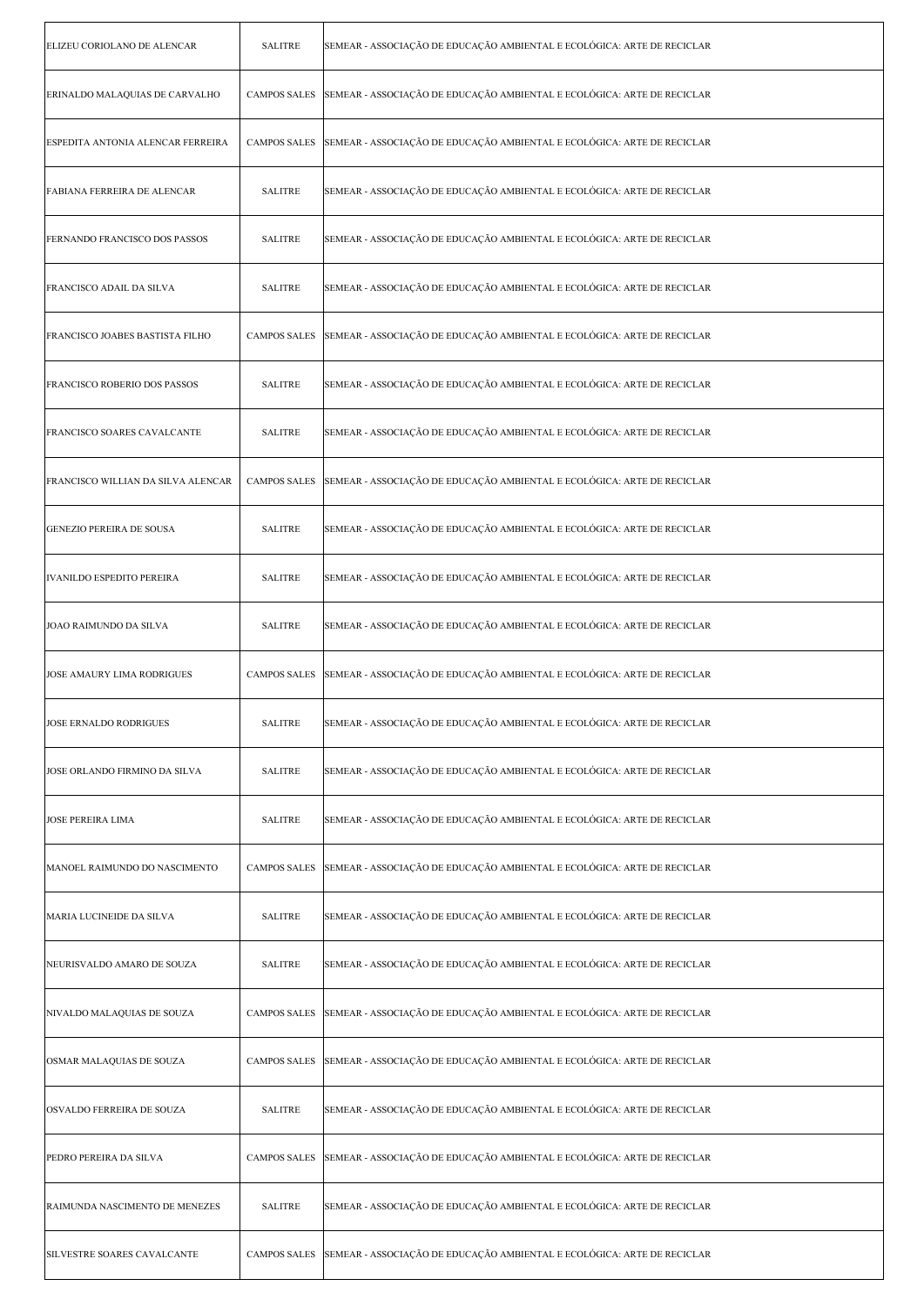| ELIZEU CORIOLANO DE ALENCAR        | <b>SALITRE</b>      | SEMEAR - ASSOCIAÇÃO DE EDUCAÇÃO AMBIENTAL E ECOLÓGICA: ARTE DE RECICLAR |
|------------------------------------|---------------------|-------------------------------------------------------------------------|
| ERINALDO MALAQUIAS DE CARVALHO     | <b>CAMPOS SALES</b> | SEMEAR - ASSOCIAÇÃO DE EDUCAÇÃO AMBIENTAL E ECOLÓGICA: ARTE DE RECICLAR |
| ESPEDITA ANTONIA ALENCAR FERREIRA  | <b>CAMPOS SALES</b> | SEMEAR - ASSOCIAÇÃO DE EDUCAÇÃO AMBIENTAL E ECOLÓGICA: ARTE DE RECICLAR |
| FABIANA FERREIRA DE ALENCAR        | <b>SALITRE</b>      | SEMEAR - ASSOCIAÇÃO DE EDUCAÇÃO AMBIENTAL E ECOLÓGICA: ARTE DE RECICLAR |
| FERNANDO FRANCISCO DOS PASSOS      | <b>SALITRE</b>      | SEMEAR - ASSOCIAÇÃO DE EDUCAÇÃO AMBIENTAL E ECOLÓGICA: ARTE DE RECICLAR |
| FRANCISCO ADAIL DA SILVA           | <b>SALITRE</b>      | SEMEAR - ASSOCIAÇÃO DE EDUCAÇÃO AMBIENTAL E ECOLÓGICA: ARTE DE RECICLAR |
| FRANCISCO JOABES BASTISTA FILHO    | <b>CAMPOS SALES</b> | SEMEAR - ASSOCIAÇÃO DE EDUCAÇÃO AMBIENTAL E ECOLÓGICA: ARTE DE RECICLAR |
| FRANCISCO ROBERIO DOS PASSOS       | <b>SALITRE</b>      | SEMEAR - ASSOCIAÇÃO DE EDUCAÇÃO AMBIENTAL E ECOLÓGICA: ARTE DE RECICLAR |
| FRANCISCO SOARES CAVALCANTE        | <b>SALITRE</b>      | SEMEAR - ASSOCIAÇÃO DE EDUCAÇÃO AMBIENTAL E ECOLÓGICA: ARTE DE RECICLAR |
| FRANCISCO WILLIAN DA SILVA ALENCAR | <b>CAMPOS SALES</b> | SEMEAR - ASSOCIAÇÃO DE EDUCAÇÃO AMBIENTAL E ECOLÓGICA: ARTE DE RECICLAR |
| GENEZIO PEREIRA DE SOUSA           | <b>SALITRE</b>      | SEMEAR - ASSOCIAÇÃO DE EDUCAÇÃO AMBIENTAL E ECOLÓGICA: ARTE DE RECICLAR |
| <b>IVANILDO ESPEDITO PEREIRA</b>   | <b>SALITRE</b>      | SEMEAR - ASSOCIAÇÃO DE EDUCAÇÃO AMBIENTAL E ECOLÓGICA: ARTE DE RECICLAR |
| JOAO RAIMUNDO DA SILVA             | <b>SALITRE</b>      | SEMEAR - ASSOCIAÇÃO DE EDUCAÇÃO AMBIENTAL E ECOLÓGICA: ARTE DE RECICLAR |
| JOSE AMAURY LIMA RODRIGUES         | <b>CAMPOS SALES</b> | SEMEAR - ASSOCIAÇÃO DE EDUCAÇÃO AMBIENTAL E ECOLÓGICA: ARTE DE RECICLAR |
| JOSE ERNALDO RODRIGUES             | <b>SALITRE</b>      | SEMEAR - ASSOCIAÇÃO DE EDUCAÇÃO AMBIENTAL E ECOLÓGICA: ARTE DE RECICLAR |
| JOSE ORLANDO FIRMINO DA SILVA      | <b>SALITRE</b>      | SEMEAR - ASSOCIAÇÃO DE EDUCAÇÃO AMBIENTAL E ECOLÓGICA: ARTE DE RECICLAR |
| <b>JOSE PEREIRA LIMA</b>           | <b>SALITRE</b>      | SEMEAR - ASSOCIAÇÃO DE EDUCAÇÃO AMBIENTAL E ECOLÓGICA: ARTE DE RECICLAR |
| MANOEL RAIMUNDO DO NASCIMENTO      | <b>CAMPOS SALES</b> | SEMEAR - ASSOCIAÇÃO DE EDUCAÇÃO AMBIENTAL E ECOLÓGICA: ARTE DE RECICLAR |
| MARIA LUCINEIDE DA SILVA           | <b>SALITRE</b>      | SEMEAR - ASSOCIAÇÃO DE EDUCAÇÃO AMBIENTAL E ECOLÓGICA: ARTE DE RECICLAR |
| NEURISVALDO AMARO DE SOUZA         | <b>SALITRE</b>      | SEMEAR - ASSOCIAÇÃO DE EDUCAÇÃO AMBIENTAL E ECOLÓGICA: ARTE DE RECICLAR |
| NIVALDO MALAQUIAS DE SOUZA         | <b>CAMPOS SALES</b> | SEMEAR - ASSOCIAÇÃO DE EDUCAÇÃO AMBIENTAL E ECOLÓGICA: ARTE DE RECICLAR |
| OSMAR MALAQUIAS DE SOUZA           | <b>CAMPOS SALES</b> | SEMEAR - ASSOCIAÇÃO DE EDUCAÇÃO AMBIENTAL E ECOLÓGICA: ARTE DE RECICLAR |
| OSVALDO FERREIRA DE SOUZA          | <b>SALITRE</b>      | SEMEAR - ASSOCIAÇÃO DE EDUCAÇÃO AMBIENTAL E ECOLÓGICA: ARTE DE RECICLAR |
| PEDRO PEREIRA DA SILVA             | <b>CAMPOS SALES</b> | SEMEAR - ASSOCIAÇÃO DE EDUCAÇÃO AMBIENTAL E ECOLÓGICA: ARTE DE RECICLAR |
| RAIMUNDA NASCIMENTO DE MENEZES     | <b>SALITRE</b>      | SEMEAR - ASSOCIAÇÃO DE EDUCAÇÃO AMBIENTAL E ECOLÓGICA: ARTE DE RECICLAR |
| SILVESTRE SOARES CAVALCANTE        | <b>CAMPOS SALES</b> | SEMEAR - ASSOCIAÇÃO DE EDUCAÇÃO AMBIENTAL E ECOLÓGICA: ARTE DE RECICLAR |